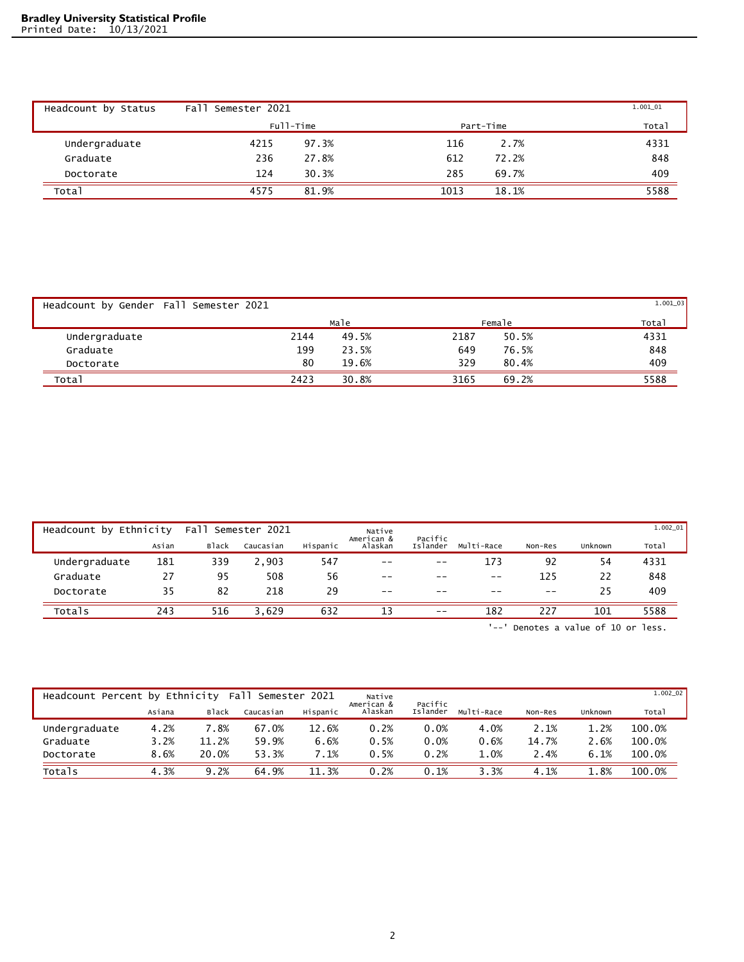| Headcount by Status | Fall<br>Semester 2021 |           |      |           | 1.001_01 |
|---------------------|-----------------------|-----------|------|-----------|----------|
|                     |                       | Full-Time |      | Part-Time | Total    |
| Undergraduate       | 4215                  | 97.3%     | 116  | 2.7%      | 4331     |
| Graduate            | 236                   | 27.8%     | 612  | 72.2%     | 848      |
| Doctorate           | 124                   | 30.3%     | 285  | 69.7%     | 409      |
| Total               | 4575                  | 81.9%     | 1013 | 18.1%     | 5588     |

| Headcount by Gender Fall Semester 2021 |      |       |      |        | $1.001_03$ |
|----------------------------------------|------|-------|------|--------|------------|
|                                        |      | Male  |      | Female | Total      |
| Undergraduate                          | 2144 | 49.5% | 2187 | 50.5%  | 4331       |
| Graduate                               | 199  | 23.5% | 649  | 76.5%  | 848        |
| Doctorate                              | 80   | 19.6% | 329  | 80.4%  | 409        |
| Total                                  | 2423 | 30.8% | 3165 | 69.2%  | 5588       |

| Headcount by Ethnicity |       | Fall         | Semester 2021 |          | Native                |                     |            |         |         | $1.002\_01$ |
|------------------------|-------|--------------|---------------|----------|-----------------------|---------------------|------------|---------|---------|-------------|
|                        | Asian | <b>Black</b> | Caucasian     | Hispanic | American &<br>Alaskan | Pacific<br>Islander | Multi-Race | Non-Res | Unknown | Total       |
| Undergraduate          | 181   | 339          | 2,903         | 547      | $- -$                 | $- -$               | 173        | 92      | 54      | 4331        |
| Graduate               | 27    | 95           | 508           | 56       | $ -$                  | $- -$               | $ -$       | 125     | 22      | 848         |
| Doctorate              | 35    | 82           | 218           | 29       | $- -$                 | $- -$               | $- -$      | $- -$   | 25      | 409         |
| Totals                 | 243   | 516          | 3.629         | 632      | 13                    | $- -$               | 182        | 227     | 101     | 5588        |

'--' Denotes a value of 10 or less.

| Headcount Percent by Ethnicity |        |              | Fall      | Semester 2021 | Native<br>American & | Pacific  |            |         |         | $1.002\_02$ |
|--------------------------------|--------|--------------|-----------|---------------|----------------------|----------|------------|---------|---------|-------------|
|                                | Asiana | <b>Black</b> | Caucasian | Hispanic      | Alaskan              | Islander | Multi-Race | Non-Res | Unknown | Total       |
| Undergraduate                  | 4.2%   | 7.8%         | 67.0%     | 12.6%         | 0.2%                 | 0.0%     | 4.0%       | 2.1%    | 1.2%    | 100.0%      |
| Graduate                       | 3.2%   | 11.2%        | 59.9%     | 6.6%          | 0.5%                 | 0.0%     | 0.6%       | 14.7%   | 2.6%    | 100.0%      |
| Doctorate                      | 8.6%   | 20.0%        | 53.3%     | 7.1%          | 0.5%                 | 0.2%     | 1.0%       | 2.4%    | 6.1%    | 100.0%      |
| Totals                         | 4.3%   | 9.2%         | 64.9%     | 11.3%         | 0.2%                 | 0.1%     | 3.3%       | 4.1%    | 1.8%    | 100.0%      |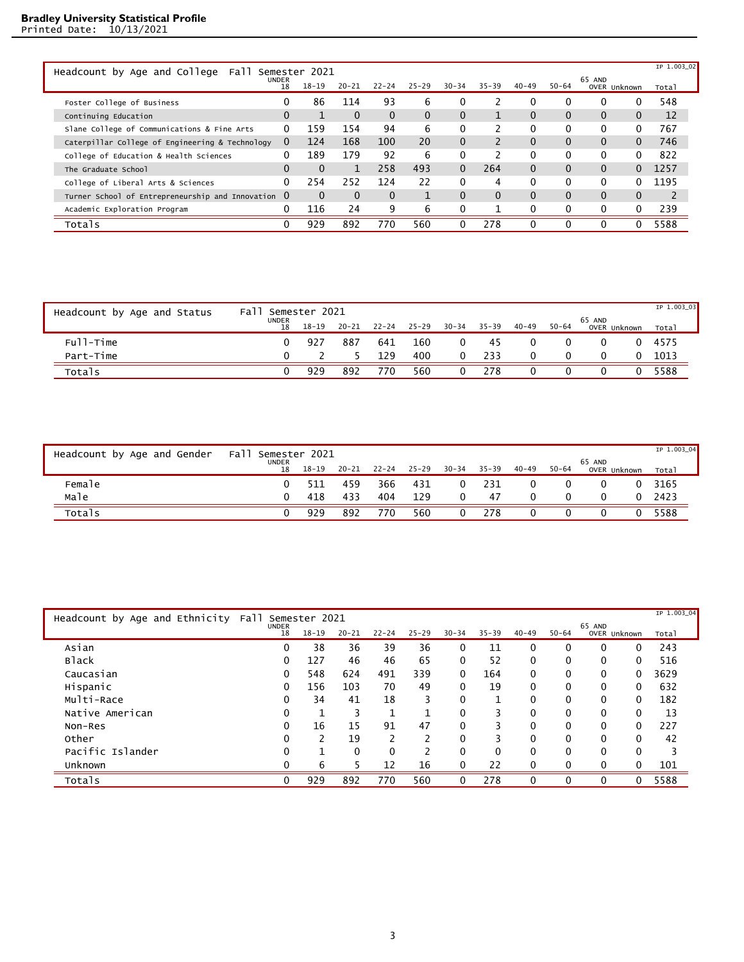| Headcount by Age and College<br>Fall               |                    | Semester 2021 |           |           |           |           |           |           |           |                        |              | IP 1.003 02 |
|----------------------------------------------------|--------------------|---------------|-----------|-----------|-----------|-----------|-----------|-----------|-----------|------------------------|--------------|-------------|
|                                                    | <b>UNDER</b><br>18 | $18 - 19$     | $20 - 21$ | $22 - 24$ | $25 - 29$ | $30 - 34$ | $35 - 39$ | $40 - 49$ | $50 - 64$ | 65 AND<br>OVER Unknown |              | Total       |
| Foster College of Business                         | 0                  | 86            | 114       | 93        | 6         |           |           | 0         | 0         | 0                      | 0            | 548         |
| Continuing Education                               | 0                  |               | $\Omega$  | $\Omega$  | $\Omega$  | $\Omega$  |           | $\Omega$  | 0         | $\Omega$               | $\Omega$     | 12          |
| Slane College of Communications & Fine Arts        | 0                  | 159           | 154       | 94        | 6         | 0         |           | $\Omega$  | 0         | 0                      | $\Omega$     | 767         |
| Caterpillar College of Engineering & Technology    | $\bf{0}$           | 124           | 168       | 100       | 20        | $\Omega$  |           | $\Omega$  | 0         | $\Omega$               | $\Omega$     | 746         |
| College of Education & Health Sciences             | 0                  | 189           | 179       | 92        | 6         | 0         |           | 0         | 0         | 0                      | $\Omega$     | 822         |
| The Graduate School                                | 0                  | $\Omega$      | 1         | 258       | 493       | $\Omega$  | 264       | $\Omega$  | 0         | $\Omega$               | 0            | 1257        |
| College of Liberal Arts & Sciences                 | 0                  | 254           | 252       | 124       | 22        | 0         | 4         | 0         | 0         | 0                      | 0            | 1195        |
| Turner School of Entrepreneurship and Innovation 0 |                    | $\Omega$      | $\Omega$  | $\Omega$  |           | $\Omega$  | $\Omega$  | $\Omega$  | 0         | $\Omega$               | $\mathbf{0}$ | 2           |
| Academic Exploration Program                       | 0                  | 116           | 24        | 9         | 6         | $\Omega$  |           | 0         | 0         | 0                      | $\Omega$     | 239         |
| Totals                                             | O                  | 929           | 892       | 770       | 560       | 0         | 278       | $\Omega$  | 0         | 0                      | 0            | 5588        |

| Headcount by Age and Status | Fal <sup>'</sup>   | Semester 2021 |       |     |             |           |           |           |           |                        | IP 1.003_03 |
|-----------------------------|--------------------|---------------|-------|-----|-------------|-----------|-----------|-----------|-----------|------------------------|-------------|
|                             | <b>UNDER</b><br>18 | $18 - 19$     | 20-21 |     | 22-24 25-29 | $30 - 34$ | $35 - 39$ | $40 - 49$ | $50 - 64$ | 65 AND<br>OVER Unknown | Total       |
| Full-Time                   |                    | 927           | 887   | 641 | 160         | 0         | 45        |           |           |                        | 4575        |
| Part-Time                   |                    |               |       | 129 | 400         | $\Omega$  | 233       |           |           |                        | 1013        |
| Totals                      |                    | 929           | 892   | 770 | 560         | 0         | 278       |           |           |                        | 5588        |

| Headcount by Age and Gender | Fall<br>Semester 2021<br><b>UNDER</b> |           |       |     |             |           |           |           |           | 65 AND       | IP 1.003_04 |
|-----------------------------|---------------------------------------|-----------|-------|-----|-------------|-----------|-----------|-----------|-----------|--------------|-------------|
|                             | 18                                    | $18 - 19$ | 20-21 |     | 22-24 25-29 | $30 - 34$ | $35 - 39$ | $40 - 49$ | $50 - 64$ | OVER Unknown | Total       |
| Female                      |                                       |           | 459   | 366 | 431         |           | 231       |           |           |              | 3165        |
| Male                        |                                       | 418       | 433   | 404 | 129         | $\Omega$  | 47        |           |           |              | 2423        |
| Totals                      |                                       | 929       | 892   | 770 | 560         |           | 278       |           |           |              | 5588        |

| Headcount by Age and Ethnicity | Fall               | Semester 2021 |           |           |           |              |           |              |              |          |              | IP 1.003_04 |
|--------------------------------|--------------------|---------------|-----------|-----------|-----------|--------------|-----------|--------------|--------------|----------|--------------|-------------|
|                                | <b>UNDER</b><br>18 | $18 - 19$     | $20 - 21$ | $22 - 24$ | $25 - 29$ | $30 - 34$    | $35 - 39$ | $40 - 49$    | $50 - 64$    | 65 AND   | OVER Unknown | Total       |
| Asian                          | 0                  | 38            | 36        | 39        | 36        | 0            | 11        | 0            | 0            | 0        | 0            | 243         |
| <b>Black</b>                   | 0                  | 127           | 46        | 46        | 65        | 0            | 52        | $\mathbf{0}$ | $\mathbf{0}$ | $\Omega$ | 0            | 516         |
| Caucasian                      | 0                  | 548           | 624       | 491       | 339       | $\mathbf{0}$ | 164       | $\mathbf{0}$ | $\Omega$     | $\Omega$ | $\mathbf{0}$ | 3629        |
| Hispanic                       | 0                  | 156           | 103       | 70        | 49        | $\Omega$     | 19        | $\mathbf{0}$ | $\mathbf{0}$ | $\Omega$ | 0            | 632         |
| Multi-Race                     | 0                  | 34            | 41        | 18        | 3         | 0            | п         | $\Omega$     | $\Omega$     | $\Omega$ | $\mathbf{0}$ | 182         |
| Native American                | 0                  |               | 3         |           |           | $\mathbf{0}$ | 3         | $\mathbf{0}$ | $\mathbf{0}$ | $\Omega$ | $\mathbf{0}$ | 13          |
| Non-Res                        | 0                  | 16            | 15        | 91        | 47        | 0            | 3         | $\mathbf{0}$ | $\mathbf{0}$ | $\Omega$ | $\mathbf{0}$ | 227         |
| Other                          | $\Omega$           | ∍             | 19        | ำ         | ∍         | $\Omega$     | ς         | $\Omega$     | $\Omega$     | $\Omega$ | $\Omega$     | 42          |
| Pacific Islander               | 0                  |               | $\Omega$  | $\Omega$  | 2         | $\Omega$     | 0         | $\mathbf{0}$ | $\Omega$     | $\Omega$ | $\mathbf{0}$ | 3           |
| Unknown                        | O                  | 6             |           | 12        | 16        | $\Omega$     | 22        | $\mathbf{0}$ | $\Omega$     | 0        | 0            | 101         |
| Totals                         | 0                  | 929           | 892       | 770       | 560       | 0            | 278       | $\mathbf{0}$ | $\Omega$     | $\Omega$ | 0            | 5588        |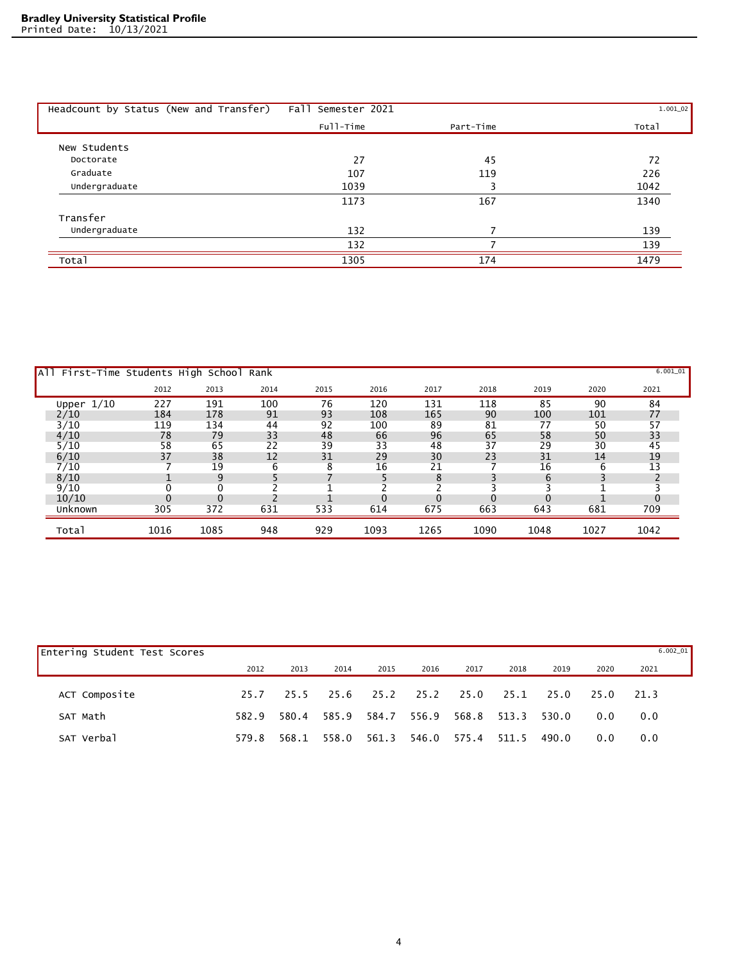| Headcount by Status (New and Transfer) | Fall Semester 2021 |           | $1.001\_02$ |
|----------------------------------------|--------------------|-----------|-------------|
|                                        | Full-Time          | Part-Time | Total       |
| New Students                           |                    |           |             |
| Doctorate                              | 27                 | 45        | 72          |
| Graduate                               | 107                | 119       | 226         |
| Undergraduate                          | 1039               |           | 1042        |
|                                        | 1173               | 167       | 1340        |
| Transfer                               |                    |           |             |
| Undergraduate                          | 132                |           | 139         |
|                                        | 132                |           | 139         |
| Total                                  | 1305               | 174       | 1479        |

| All First-Time Students High School Rank |      |      |      |      |      |      |      |      |      | $6.001_{01}$ |
|------------------------------------------|------|------|------|------|------|------|------|------|------|--------------|
|                                          | 2012 | 2013 | 2014 | 2015 | 2016 | 2017 | 2018 | 2019 | 2020 | 2021         |
| Upper $1/10$                             | 227  | 191  | 100  | 76   | 120  | 131  | 118  | 85   | 90   | 84           |
| 2/10                                     | 184  | 178  | 91   | 93   | 108  | 165  | 90   | 100  | 101  | 77           |
| 3/10                                     | 119  | 134  | 44   | 92   | 100  | 89   | 81   | 77   | 50   | 57           |
| 4/10                                     | 78   | 79   | 33   | 48   | 66   | 96   | 65   | 58   | 50   | 33           |
| 5/10                                     | 58   | 65   | 22   | 39   | 33   | 48   | 37   | 29   | 30   | 45           |
| 6/10                                     | 37   | 38   | 12   | 31   | 29   | 30   | 23   | 31   | 14   | 19           |
| 7/10                                     |      | 19   | 6    | 8    | 16   | 21   |      | 16   | 6    | 13           |
| 8/10                                     |      | q    |      |      |      | 8    |      | 6    |      |              |
| 9/10                                     |      |      |      |      |      |      |      |      |      |              |
| 10/10                                    |      |      |      |      |      |      |      |      |      |              |
| Unknown                                  | 305  | 372  | 631  | 533  | 614  | 675  | 663  | 643  | 681  | 709          |
| Total                                    | 1016 | 1085 | 948  | 929  | 1093 | 1265 | 1090 | 1048 | 1027 | 1042         |

| <b>Entering Student Test Scores</b> |       |       |       |       |       |       |       |       |      | $6.002\_01$ |  |
|-------------------------------------|-------|-------|-------|-------|-------|-------|-------|-------|------|-------------|--|
|                                     | 2012  | 2013  | 2014  | 2015  | 2016  | 2017  | 2018  | 2019  | 2020 | 2021        |  |
| ACT Composite                       | 25.7  | 25.5  | 25.6  | 25.2  | 25.2  | 25.0  | 25.1  | 25.0  | 25.0 | 21.3        |  |
| SAT Math                            | 582.9 | 580.4 | 585.9 | 584.7 | 556.9 | 568.8 | 513.3 | 530.0 | 0.0  | 0.0         |  |
| SAT Verbal                          | 579.8 | 568.1 | 558.0 | 561.3 | 546.0 | 575.4 | 511.5 | 490.0 | 0.0  | 0.0         |  |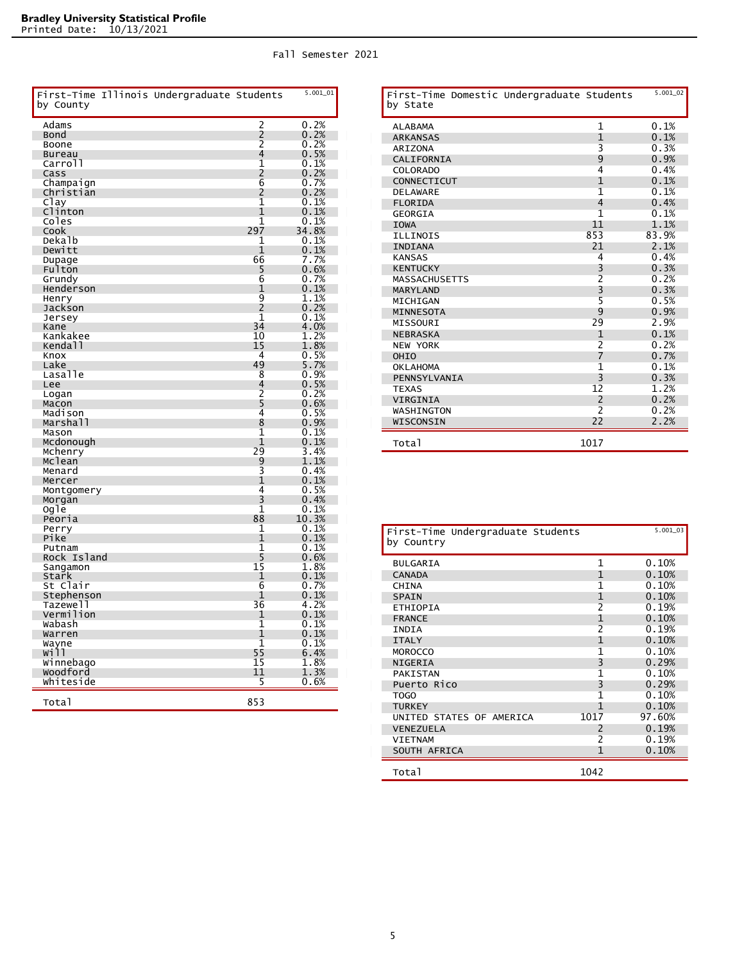| Fall Semester 2021 |
|--------------------|
|                    |

| by County              | First-Time Illinois Undergraduate Students |                | 5.001_01        |
|------------------------|--------------------------------------------|----------------|-----------------|
| Adams                  |                                            | $\frac{2}{2}$  | 0.2%            |
| Bond                   |                                            |                | 0.2%            |
| Boone                  |                                            |                | 0.2%            |
| <b>Bureau</b>          |                                            | 4              | 0.5%            |
| Carroll                |                                            | 1<br>2         | 0.1%            |
| Cass                   |                                            | 6              | 0.2%            |
| Champaign<br>Christian |                                            | 2              | $0.7\%$<br>0.2% |
| Clay                   |                                            | $\overline{1}$ | 0.1%            |
| Clinton                |                                            | 1              | 0.1%            |
| Coles                  |                                            | 1              | 0.1%            |
| Cook                   |                                            | 297            | 34.8%           |
| Dekalb                 |                                            | 1              | 0.1%            |
| Dewitt                 |                                            | 1              | 0.1%            |
| Dupage                 |                                            | 66             | 7.7%            |
| Fulton                 |                                            | 5              | 0.6%            |
| Grundy                 |                                            | 6              | $0.7\%$         |
| Henderson              |                                            | 1              | 0.1%            |
| Henry                  |                                            | 9              | 1.1%            |
| Jackson                |                                            | 2              | 0.2%            |
| Jersey                 |                                            | 1<br>34        | 0.1%            |
| Kane<br>Kankakee       |                                            | 10             | 4.0%<br>1.2%    |
| Kendall                |                                            | 15             | 1.8%            |
| Knox                   |                                            | 4              | 0.5%            |
| Lake                   |                                            | 49             | 5.7%            |
| Lasalle                |                                            | 8              | 0.9%            |
| Lee                    |                                            | 4              | 0.5%            |
| Logan                  |                                            |                | $0.2\%$         |
| Macon                  |                                            | $\frac{2}{5}$  | 0.6%            |
| Madison                |                                            | 4              | $0.5\%$         |
| Marshall               |                                            | 8              | 0.9%            |
| Mason                  |                                            | 1              | $0.1\%$         |
| Mcdonough              |                                            | 1              | 0.1%            |
| Mchenry                |                                            | 29             | 3.4%            |
| Mclean                 |                                            | $\overline{9}$ | 1.1%            |
| Menard                 |                                            | 3<br>1         | 0.4%            |
| Mercer                 |                                            | 4              | 0.1%<br>0.5%    |
| Montgomery<br>Morgan   |                                            | 3              | 0.4%            |
| ogle                   |                                            | 1              | $0.1\%$         |
| Peoria                 |                                            | 88             | 10.3%           |
| Perry                  |                                            | 1              | 0.1%            |
| Pike                   |                                            | 1              | 0.1%            |
| Putnam                 |                                            | 1              | $0.1\%$         |
| Rock Island            |                                            | 5              | 0.6%            |
| Sangamon               |                                            | 15             | 1.8%            |
| Stark                  |                                            | 1              | 0.1%            |
| St Clair               |                                            | 6              | 0.7%            |
| Stephenson             |                                            | 1              | 0.1%            |
| Tazewell               |                                            | 36             | 4.2%            |
| Vermilion              |                                            | 1              | 0.1%            |
| Wabash                 |                                            | 1<br>1         | $0.1\%$<br>0.1% |
| Warren                 |                                            | 1              | 0.1%            |
| Wayne<br>will          |                                            |                | 6.4%            |
| Winnebago              |                                            | 55<br>15       | 1.8%            |
| woodford               |                                            | 11             | 1.3%            |
| Whiteside              |                                            | 5              | $0.6\%$         |
|                        |                                            |                |                 |
| Total                  |                                            | 853            |                 |

| First-Time Domestic Undergraduate Students<br>by State |                          | $5.001 - 02$ |
|--------------------------------------------------------|--------------------------|--------------|
| <b>ALABAMA</b>                                         | $\mathbf{1}$             | 0.1%         |
| <b>ARKANSAS</b>                                        | $\mathbf{1}$             | 0.1%         |
| <b>ARIZONA</b>                                         | 3                        | 0.3%         |
| CALIFORNIA                                             | 9                        | 0.9%         |
| <b>COLORADO</b>                                        | $\overline{4}$           | 0.4%         |
| CONNECTICUT                                            | 1                        | 0.1%         |
| <b>DELAWARE</b>                                        | 1                        | 0.1%         |
| <b>FLORIDA</b>                                         | $\overline{4}$           | 0.4%         |
| <b>GEORGIA</b>                                         | 1                        | 0.1%         |
| <b>IOWA</b>                                            | 11                       | 1.1%         |
| <b>ILLINOIS</b>                                        | 853                      | 83.9%        |
| <b>INDIANA</b>                                         | 21                       | 2.1%         |
| <b>KANSAS</b>                                          | 4                        | 0.4%         |
| <b>KENTUCKY</b>                                        | 3                        | 0.3%         |
| <b>MASSACHUSETTS</b>                                   | $\overline{2}$           | 0.2%         |
| <b>MARYLAND</b>                                        | 3                        | 0.3%         |
| MICHIGAN                                               | 5                        | 0.5%         |
| <b>MINNESOTA</b>                                       | 9                        | 0.9%         |
| MISSOURI                                               | 29                       | 2.9%         |
| <b>NEBRASKA</b>                                        | 1                        | 0.1%         |
| <b>NEW YORK</b>                                        | $\overline{2}$           | 0.2%         |
| OHIO                                                   | 7                        | 0.7%         |
| <b>OKLAHOMA</b>                                        | 1                        | 0.1%         |
| PENNSYLVANIA                                           | 3                        | 0.3%         |
| <b>TEXAS</b>                                           | 12                       | 1.2%         |
| <b>VIRGINIA</b>                                        | $\overline{2}$           | 0.2%         |
| WASHINGTON                                             | $\overline{\phantom{a}}$ | 0.2%         |
| WISCONSIN                                              | 22                       | 2.2%         |
| Total                                                  | 1017                     |              |

| First-Time Undergraduate Students<br>by Country |                          | 5.001_03 |
|-------------------------------------------------|--------------------------|----------|
| <b>BULGARIA</b>                                 | 1                        | 0.10%    |
| <b>CANADA</b>                                   | 1                        | 0.10%    |
| <b>CHINA</b>                                    | 1                        | 0.10%    |
| <b>SPAIN</b>                                    | $\mathbf 1$              | 0.10%    |
| ETHIOPIA                                        | $\overline{2}$           | 0.19%    |
| <b>FRANCE</b>                                   | 1                        | 0.10%    |
| INDIA                                           | $\overline{\mathcal{L}}$ | 0.19%    |
| <b>ITALY</b>                                    | $\mathbf 1$              | 0.10%    |
| <b>MOROCCO</b>                                  | 1                        | 0.10%    |
| <b>NIGERIA</b>                                  | 3                        | 0.29%    |
| <b>PAKISTAN</b>                                 | 1                        | 0.10%    |
| Puerto Rico                                     | 3                        | 0.29%    |
| TOGO                                            | 1                        | 0.10%    |
| <b>TURKEY</b>                                   | 1                        | 0.10%    |
| UNITED STATES OF AMERICA                        | 1017                     | 97.60%   |
| <b>VENEZUELA</b>                                | $\mathcal{P}$            | 0.19%    |
| <b>VIETNAM</b>                                  | 2                        | 0.19%    |
| SOUTH AFRICA                                    | 1                        | 0.10%    |
| Total                                           | 1042                     |          |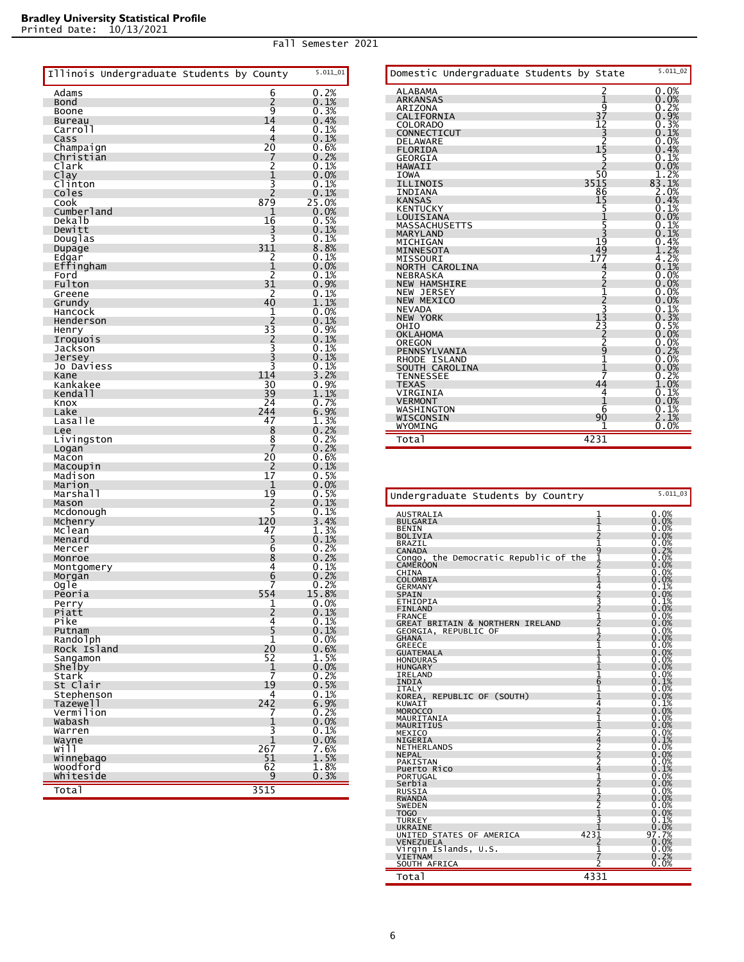|                          | Illinois Undergraduate Students by County |  |                                                         | $5.011\_01$             |
|--------------------------|-------------------------------------------|--|---------------------------------------------------------|-------------------------|
| Adams                    |                                           |  | 6                                                       | 0.2%                    |
| Bond                     |                                           |  | 2                                                       | 0.1%                    |
| Boone                    |                                           |  | 9<br>14                                                 | 0.3%                    |
| <b>Bureau</b><br>Carroll |                                           |  | 4                                                       | 0.4%<br>$0.1\%$         |
| Cass                     |                                           |  | 4                                                       | 0.1%                    |
| Champaign                |                                           |  | 20                                                      | 0.6%                    |
| Chrıstıan                |                                           |  | 7                                                       | 0.2%<br>$0.1\%$         |
| Clark<br>Clay            |                                           |  | $\overline{c}$<br>1                                     | 0.0%                    |
| Clinton                  |                                           |  | 3                                                       | 0.1%                    |
| Coles                    |                                           |  | 2                                                       | 0.1%                    |
| Cook<br>Cumberland       |                                           |  | 879<br>1                                                | 25.0%<br>0.0%           |
| Dekalb                   |                                           |  | 16                                                      |                         |
| Dewitt                   |                                           |  | 3                                                       | $0.5%$<br>$0.1%$        |
| Douglas                  |                                           |  | 3                                                       | $0.1\%$                 |
| Dupage<br>Edgar          |                                           |  | 311<br>$\overline{c}$                                   | 8.8%<br>0.1%            |
| Effingham                |                                           |  | 1                                                       | 0.0%                    |
| Ford                     |                                           |  | $\frac{2}{31}$                                          | 0.1%                    |
| Fulton                   |                                           |  |                                                         | 0.9%                    |
| Greene<br>Grundy         |                                           |  | $\frac{2}{40}$                                          | 0.1%<br>1.1%            |
| Hancock                  |                                           |  | 1                                                       | 0.0%                    |
| Henderson                |                                           |  | 2                                                       | $0.1\%$                 |
| Henry                    |                                           |  | $3\bar{3}$                                              | $0.9%$<br>$0.1%$        |
| Iroquois<br>Jackson      |                                           |  | 2<br>3<br>3                                             | 0.1%                    |
| Jersey                   |                                           |  |                                                         | 0.1%                    |
| Jo Daviess               |                                           |  | 3                                                       | 0.1%                    |
| Kane                     |                                           |  | 114                                                     | 3.2%                    |
| Kankakee<br>Kendall      |                                           |  | 30<br>39                                                | $0.9%$<br>$1.1%$        |
| Knox                     |                                           |  | 24                                                      | 0.7%                    |
| Lake                     |                                           |  | 244                                                     | $6.9%$<br>$1.3%$        |
| Lasalle                  |                                           |  | 47                                                      |                         |
| Lee<br>Livingston        |                                           |  | 8<br>8                                                  | 0.2%                    |
| Logan                    |                                           |  | 7                                                       | $0.2%$<br>$0.2%$        |
| Macon                    |                                           |  | 20                                                      | 0.6%                    |
| Macoupin<br>Madison      |                                           |  | 2<br>$1\bar{7}$                                         | 0.1%                    |
| Marion                   |                                           |  | 1                                                       | $0.5\%$<br>0.0%<br>0.5% |
| Marshall                 |                                           |  | 19                                                      |                         |
| Mason                    |                                           |  | 2                                                       | 0.1%                    |
| Mcdonough                |                                           |  | $rac{5}{120}$                                           | $0.1\%$<br>3.4%         |
| Mchenry<br>Mclean        |                                           |  | 47                                                      | 1.3%                    |
| Menard                   |                                           |  | 5                                                       | $0.1\%$                 |
| Mercer                   |                                           |  | 6                                                       | $0.2%$<br>$0.2%$        |
| Monroe                   |                                           |  | 8<br>4                                                  | 0.1%                    |
| Montgomery<br>Morgan     |                                           |  | 6                                                       | 0.2%                    |
| ogle                     |                                           |  | 7                                                       | $0.2%$<br>15.8%         |
| Peoria                   |                                           |  | 554                                                     |                         |
| Perry<br>Piatt           |                                           |  | 1<br>z                                                  | 0.0%                    |
| Pike                     |                                           |  | 4                                                       | V.I%<br>0.1%            |
| Putnam                   |                                           |  | $\frac{5}{1}$                                           | 0.1%                    |
| Randolph                 |                                           |  | 2ō                                                      | 0.0%                    |
| Rock Island<br>Sangamon  |                                           |  | 52                                                      | 0.6%                    |
| <b>Shelby</b>            |                                           |  |                                                         | $\frac{1}{0}$ . 5%      |
| Stark                    |                                           |  | $\begin{array}{c} \bar{1} \\ \bar{7} \\ 19 \end{array}$ | $0.2%$<br>$0.5%$        |
| St Clair                 |                                           |  | 4                                                       |                         |
| Stephenson<br>Tazewell   |                                           |  | 242                                                     | 0.1%                    |
| Vermilion                |                                           |  | 7                                                       | $6.9\%$<br>0.2%<br>0.0% |
| wabash                   |                                           |  | $\frac{1}{3}$                                           |                         |
| Warren                   |                                           |  | 1                                                       | 0.1%<br>0.0%            |
| Wayne<br>will            |                                           |  | 267                                                     | 7.6%                    |
| Winnebago                |                                           |  | 51                                                      | 1.5%                    |
| woodford                 |                                           |  | 62                                                      | 1.8%                    |
| Whiteside                |                                           |  | 9                                                       | 0.3%                    |
| Total                    |                                           |  | 3515                                                    |                         |

|                                  | Domestic Undergraduate Students by State |                                                    | $5.011\_02$                                                   |
|----------------------------------|------------------------------------------|----------------------------------------------------|---------------------------------------------------------------|
| <b>ALABAMA</b>                   |                                          | $\frac{2}{37}$<br>$\frac{1}{2}$<br>$\frac{37}{12}$ | 0.0%                                                          |
| <b>ARKANSAS</b>                  |                                          |                                                    | $0.0\%$<br>$0.2\%$                                            |
| <b>ARIZONA</b>                   |                                          |                                                    |                                                               |
| CALIFORNIA                       |                                          |                                                    | 0.9%                                                          |
| <b>COLORADO</b>                  |                                          |                                                    | $\substack{\textcolor{red}{\textbf{0.3\%}}\  \  \, 0.1\%}$    |
| CONNECTICUT                      |                                          | $\frac{-5}{2}$<br>15                               |                                                               |
| <b>DELAWARE</b>                  |                                          |                                                    | $0.0\%$                                                       |
| <b>FLORIDA</b>                   |                                          |                                                    | $\begin{array}{c} 0.4\% \ 0.1\% \end{array}$                  |
| <b>GEORGIA</b>                   |                                          | $\frac{25}{2}$<br>50                               |                                                               |
| <b>HAWAII</b>                    |                                          |                                                    | 0.0%                                                          |
| <b>IOWA</b>                      |                                          |                                                    | $\frac{1.2\%}{83.1\%}$                                        |
| <b>ILLINOIS</b>                  |                                          | 3515<br>86                                         |                                                               |
| INDIANA                          |                                          |                                                    | 2.0%                                                          |
| <b>KANSAS</b>                    |                                          | 15                                                 | 0.4%                                                          |
| <b>KENTUCKY</b>                  |                                          | 5                                                  | 0.1%                                                          |
| LOUISIANA                        |                                          |                                                    | $0.0\%$<br>$0.1\%$                                            |
| <b>MASSACHUSETTS</b>             |                                          | $\frac{5}{3}$<br>19                                |                                                               |
| MARYLAND                         |                                          |                                                    | $0.1\%$                                                       |
| MICHIGAN                         |                                          |                                                    | $\overset{0}{1}\overset{4}{.} \overset{2}{\footnotesize{\%}}$ |
| MINNESOTA                        |                                          | $1\frac{49}{7}$                                    |                                                               |
| MISSOURI                         |                                          |                                                    | 4.2%                                                          |
| NORTH CAROLINA                   |                                          |                                                    | $0.1\%$                                                       |
| <b>NEBRASKA</b>                  |                                          |                                                    | $0.0\%$                                                       |
| <b>NEW HAMSHIRE</b>              |                                          |                                                    | 0.0%                                                          |
| NEW<br><b>JERSEY</b>             |                                          |                                                    | $0.0\%$<br>0.0%                                               |
| <b>NEW MEXICO</b>                |                                          |                                                    | $0.1\%$                                                       |
| <b>NEVADA</b><br><b>NEW YORK</b> |                                          |                                                    |                                                               |
| OHIO                             |                                          |                                                    | $0.3%$<br>$0.5%$                                              |
| <b>OKLAHOMA</b>                  |                                          |                                                    |                                                               |
| OREGON                           |                                          |                                                    | $\begin{array}{c} 0.0\% \ 0.0\% \end{array}$                  |
| PENNSYLVANIA                     |                                          | 422123332222222322322323232323232323234            | 0.2%                                                          |
| RHODE ISLAND                     |                                          |                                                    | 0.0%                                                          |
| SOUTH CAROLINA                   |                                          |                                                    | 0.0%                                                          |
| <b>TENNESSEE</b>                 |                                          | $\frac{1}{7}$                                      | 0.2%                                                          |
| <b>TEXAS</b>                     |                                          | 44                                                 | .0%                                                           |
| VIRGINIA                         |                                          | 4                                                  | 0.1%                                                          |
| <b>VERMONT</b>                   |                                          | 1                                                  | $0.0\%$                                                       |
| WASHINGTON                       |                                          | 6                                                  |                                                               |
| WISCONSIN                        |                                          | 90                                                 | $\frac{0.1\%}{2.1\%}$                                         |
| WYOMING                          |                                          |                                                    | 0.0%                                                          |
|                                  |                                          |                                                    |                                                               |
| Total                            |                                          | 4231                                               |                                                               |

| Undergraduate Students by Country     |                       | 5.011_03                        |
|---------------------------------------|-----------------------|---------------------------------|
| <b>AUSTRALIA</b>                      |                       | 0.0%                            |
| <b>BULGARIA</b>                       | 11121                 | 0.0%                            |
| <b>BENIN</b>                          |                       |                                 |
| <b>BOLIVIA</b>                        |                       | $0.0\%$                         |
| <b>BRAZIL</b>                         |                       |                                 |
| <b>CANADA</b>                         | 912214232121211111611 | $0.0\%$<br>0.2%<br>0.0%<br>0.0% |
| Congo, the Democratic Republic of the |                       |                                 |
| <b>CAMEROON</b>                       |                       |                                 |
| <b>CHINA</b>                          |                       | 0.0%                            |
| COLOMBIA                              |                       | 0.0%                            |
| <b>GERMANY</b>                        |                       |                                 |
| <b>SPAIN</b>                          |                       | $0.1\% \atop 0.0\% \atop 0.1\%$ |
| <b>ETHIOPIA</b>                       |                       |                                 |
| <b>FINLAND</b>                        |                       | 0.0%                            |
| <b>FRANCE</b>                         |                       | 0.0%                            |
| GREAT BRITAIN & NORTHERN IRELAND      |                       | 0.0%                            |
| GEORGIA, REPUBLIC OF                  |                       | 0.0%<br>0.0%                    |
| <b>GHANA</b>                          |                       | 0.0%                            |
| <b>GREECE</b>                         |                       | 0.0%                            |
| <b>GUATEMALA</b>                      |                       |                                 |
| <b>HONDURAS</b><br><b>HUNGARY</b>     |                       | $0.0\%$<br>$0.0\%$              |
| <b>IRELAND</b>                        |                       | 0.0%                            |
| <b>INDIA</b>                          |                       | 0.1%                            |
| <b>ITALY</b>                          |                       |                                 |
| KOREA, REPUBLIC OF (SOUTH)            |                       | $0.0\%$                         |
| <b>KUWAIT</b>                         |                       | 0.1%                            |
| <b>MOROCCO</b>                        | $\frac{1}{2}$         | 0.0%                            |
| MAURITANIA                            |                       |                                 |
| MAURITIUS                             |                       | $0.0\%$<br>$0.0\%$              |
| MEXICO                                | 11242224121221        | $0.0\%$<br>$0.1\%$              |
| NIGERIA                               |                       |                                 |
| NETHERLANDS                           |                       | 0.0%                            |
| <b>NEPAL</b>                          |                       | 0.0%                            |
| <b>PAKISTAN</b>                       |                       | $0.0\%$<br>$0.1\%$              |
| Puerto Rico                           |                       |                                 |
| PORTUGAL                              |                       | 0.0%                            |
| Serbia                                |                       | 0.0%                            |
| <b>RUSSIA</b>                         |                       | 0.0%                            |
| <b>RWANDA</b>                         |                       |                                 |
| <b>SWEDEN</b>                         |                       | 0.0%                            |
| T <sub>O</sub> GO                     |                       | 0.0%                            |
| <b>TURKEY</b>                         | 3                     | 0.1%                            |
| UKRAINE                               | $423\bar{1}$          | 0.0%<br>97.7%                   |
| UNITED STATES OF AMERICA              |                       | 0.0%                            |
| VENEZUELA<br>Virgin Islands, U.S.     | 1                     | 0.0%                            |
| <b>VIETNAM</b>                        | 7                     | 0.2%                            |
| SOUTH AFRICA                          | 2                     | 0.0%                            |
|                                       |                       |                                 |
| Total                                 | 4331                  |                                 |

Printed Date: 10/13/2021

Fall Semester 2021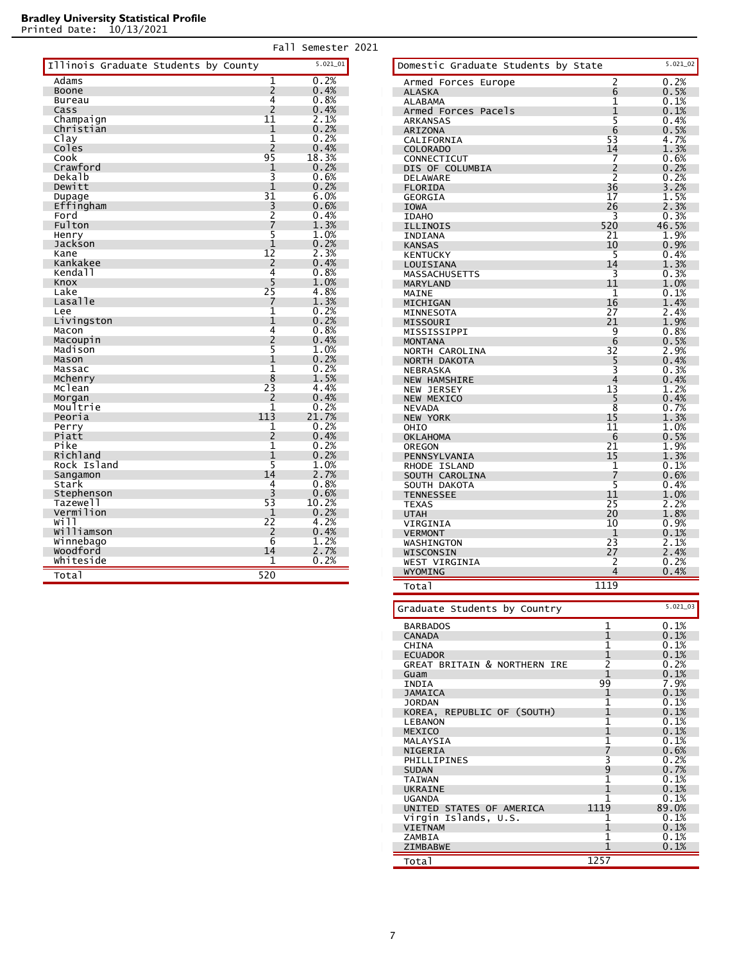|                                      | Fall                | Semester 2021 |  |
|--------------------------------------|---------------------|---------------|--|
| Illinois Graduate Students by County |                     | $5.021$ 01    |  |
| Adams                                | 1                   | 0.2%          |  |
| Boone                                | 2                   | 0.4%          |  |
| Bureau                               | 4                   | 0.8%          |  |
| Cass                                 | $\overline{2}$      | 0.4%          |  |
| Champaign                            | 11                  | 2.1%          |  |
| Christian                            | 1                   | 0.2%          |  |
| Clay                                 | 1                   | 0.2%          |  |
| Coles                                | 2                   | 0.4%          |  |
| Cook                                 | 95                  | 18.3%         |  |
| Crawford                             | 1                   | 0.2%          |  |
| Dekalb                               | 3                   | 0.6%          |  |
| Dewitt                               | 1                   | 0.2%          |  |
| Dupage                               | 31                  | 6.0%          |  |
| Effingham                            | 3                   | 0.6%          |  |
| Ford                                 | $\overline{2}$      | 0.4%          |  |
| Fulton                               | 7                   | 1.3%          |  |
| Henry                                | 5                   | $1.0\%$       |  |
| Jackson                              | 1                   | 0.2%          |  |
| Kane                                 | 12                  | 2.3%          |  |
| Kankakee                             | 2                   | 0.4%          |  |
| Kendall                              | 4                   | 0.8%          |  |
| Knox                                 | 5                   | 1.0%          |  |
| Lake                                 | 25                  | 4.8%          |  |
| Lasalle                              | 7                   | 1.3%          |  |
| Lee                                  | 1                   | 0.2%          |  |
| Livingston                           | 1                   | 0.2%          |  |
| Macon                                | 4<br>$\overline{2}$ | 0.8%<br>0.4%  |  |
| Macoupin                             | 5                   |               |  |
| Madison<br>Mason                     | 1                   | 1.0%<br>0.2%  |  |
| Massac                               | $\overline{1}$      | 0.2%          |  |
| Mchenry                              | 8                   | 1.5%          |  |
| Mclean                               | 23                  | 4.4%          |  |
| Morgan                               | $\overline{2}$      | 0.4%          |  |
| Moultrie                             | 1                   | 0.2%          |  |
| Peoria                               | 113                 | 21.7%         |  |
| Perry                                | 1                   | 0.2%          |  |
| Piatt                                | 2                   | 0.4%          |  |
| Pike                                 | 1                   | 0.2%          |  |
| Richland                             | 1                   | 0.2%          |  |
| Rock Island                          | 5                   | 1.0%          |  |
| Sangamon                             | 14                  | 2.7%          |  |
| Stark                                | 4                   | 0.8%          |  |
| Stephenson                           | 3                   | 0.6%          |  |
| Tazewell                             | 53                  | 10.2%         |  |
| Vermilion                            | 1                   | 0.2%          |  |
| will                                 | 22                  | 4.2%          |  |
| williamson                           | 2                   | 0.4%          |  |
| Winnebago                            | 6                   | 1.2%          |  |
| woodford                             | 14                  | 2.7%          |  |
| Whiteside                            | 1                   | 0.2%          |  |
|                                      | 520                 |               |  |
| Total                                |                     |               |  |

| Domestic Graduate Students by State     |                | 5.021_02     |
|-----------------------------------------|----------------|--------------|
| Armed Forces Europe                     | $\overline{2}$ | 0.2%         |
| <b>ALASKA</b>                           | 6              | 0.5%         |
| ALABAMA                                 | 1              | 0.1%         |
| Armed Forces Pacels<br>ARKANSAS         | 1<br>5         | 0.1%<br>0.4% |
| <b>ARIZONA</b>                          | 6              | 0.5%         |
| CALIFORNIA                              | 53             | 4.7%         |
| <b>COLORADO</b>                         | 14             | 1.3%         |
| CONNECTICUT                             | 7              | 0.6%         |
| DIS OF COLUMBIA                         | 2<br>2         | 0.2%         |
| DELAWARE                                | 36             | 0.2%<br>3.2% |
| <b>FLORIDA</b><br>GEORGIA               | 17             | 1.5%         |
| <b>IOWA</b>                             | 26             | 2.3%         |
| <b>IDAHO</b>                            | 3              | 0.3%         |
| <b>ILLINOIS</b>                         | 520            | 46.5%        |
| INDIANA                                 | 21             | 1.9%         |
| <b>KANSAS</b>                           | 10             | 0.9%         |
| <b>KENTUCKY</b><br>LOUISIANA            | 5<br>14        | 0.4%<br>1.3% |
| MASSACHUSETTS                           | 3              | 0.3%         |
| MARYLAND                                | 11             | $1.0\%$      |
| MAINE                                   | 1              | 0.1%         |
| MICHIGAN                                | 16             | 1.4%         |
| MINNESOTA                               | 27             | 2.4%         |
| MISSOURI                                | 21             | 1.9%         |
| MISSISSIPPI                             | 9              | 0.8%<br>0.5% |
| <b>MONTANA</b><br>NORTH CAROLINA        | 6<br>32        | 2.9%         |
| NORTH DAKOTA                            | 5              | 0.4%         |
| NEBRASKA                                | 3              | 0.3%         |
| <b>NEW HAMSHIRE</b>                     | 4              | 0.4%         |
| <b>NEW JERSEY</b>                       | 13             | 1.2%         |
| <b>NEW MEXICO</b>                       | 5              | 0.4%         |
| <b>NEVADA</b>                           | 8              | 0.7%         |
| <b>NEW YORK</b>                         | 15<br>11       | 1.3%<br>1.0% |
| OHIO<br><b>OKLAHOMA</b>                 | 6              | 0.5%         |
| OREGON                                  | 21             | 1.9%         |
| PENNSYLVANIA                            | 15             | 1.3%         |
| <b>RHODE ISLAND</b>                     | 1              | 0.1%         |
| SOUTH CAROLINA                          | 7              | 0.6%         |
| SOUTH DAKOTA                            | 5              | 0.4%         |
| <b>TENNESSEE</b>                        | 11             | $1.0\%$      |
| <b>TEXAS</b><br><b>UTAH</b>             | 25<br>20       | 2.2%<br>1.8% |
| VIRGINIA                                | 10             | 0.9%         |
| <b>VERMONT</b>                          | 1              | 0.1%         |
| WASHINGTON                              | 23             | 2.1%         |
| WISCONSIN                               | 27             | 2.4%         |
| <b>WEST VIRGINIA</b>                    | 2              | 0.2%         |
| WYOMING                                 | 4              | 0.4%         |
| Total                                   | 1119           |              |
|                                         |                |              |
| Graduate Students by Country            |                | $5.021\_03$  |
| <b>BARBADOS</b>                         | 1              | 0.1%         |
| <b>CANADA</b>                           | 1              | 0.1%         |
| CHINA                                   | 1              | 0.1%         |
| <b>ECUADOR</b>                          | 1              | 0.1%         |
| <b>GREAT BRITAIN &amp; NORTHERN IRE</b> | 2<br>1         | 0.2%<br>0.1% |
| Guam<br>INDIA                           | 99             | 7.9%         |
| <b>JAMAICA</b>                          | 1              | 0.1%         |
| <b>JORDAN</b>                           | 1              | 0.1%         |
| KOREA, REPUBLIC OF (SOUTH)              | 1              | 0.1%         |
| <b>LEBANON</b>                          | 1              | 0.1%         |
| MEXICO                                  | 1              | 0.1%         |
| MALAYSIA                                | 1              | 0.1%         |
| NIGERIA                                 | 7              | 0.6%         |
| PHILLIPINES<br><b>SUDAN</b>             | 3<br>9         | 0.2%<br>0.7% |
| TAIWAN                                  | 1              | 0.1%         |
| <b>UKRAINE</b>                          | 1              | 0.1%         |
| <b>UGANDA</b>                           | 1              | 0.1%         |
| UNITED STATES OF AMERICA                | 1119           | 89.0%        |
| Virgin Islands, U.S.                    | 1              | 0.1%         |
| <b>VIETNAM</b>                          | 1              | 0.1%         |
| ZAMBIA                                  | 1<br>1         | 0.1%<br>0.1% |
| ZIMBABWE                                |                |              |
| Total                                   | 1257           |              |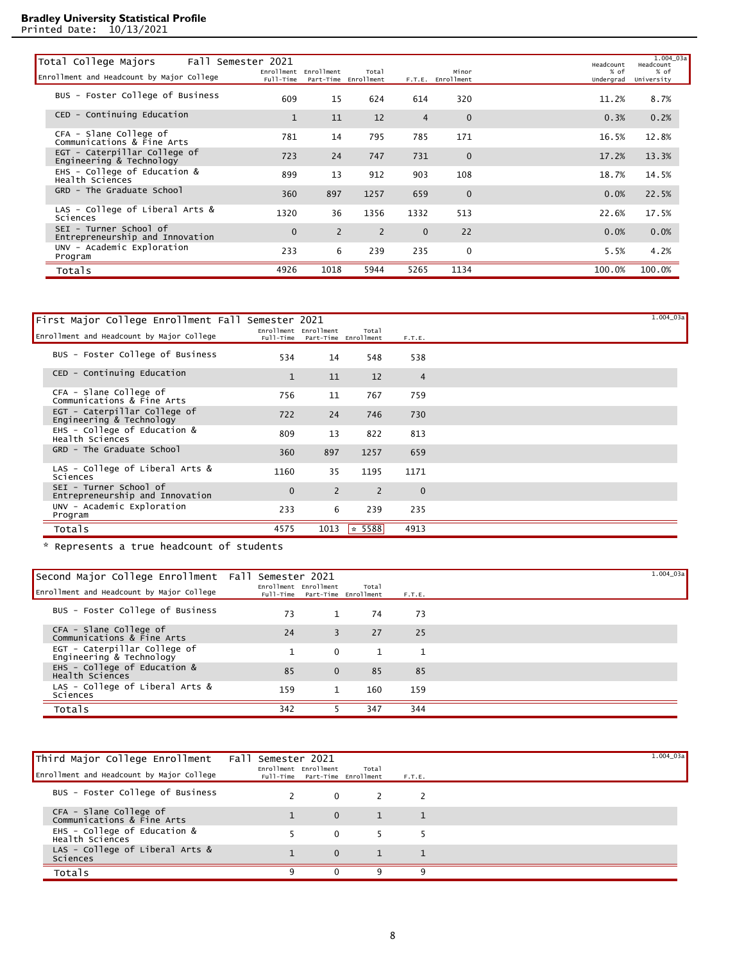Printed Date: 10/13/2021

| Total College Majors                                      | Fall Semester 2021 |                       |                               |                |                            | Headcount         | 1.004 03a<br>Headcount |
|-----------------------------------------------------------|--------------------|-----------------------|-------------------------------|----------------|----------------------------|-------------------|------------------------|
| Enrollment and Headcount by Major College                 | Full-Time          | Enrollment Enrollment | Total<br>Part-Time Enrollment |                | Minor<br>F.T.E. Enrollment | % of<br>Undergrad | % of<br>University     |
| BUS - Foster College of Business                          | 609                | 15                    | 624                           | 614            | 320                        | 11.2%             | 8.7%                   |
| CED - Continuing Education                                | $\mathbf{1}$       | 11                    | 12                            | $\overline{4}$ | $\mathbf 0$                | 0.3%              | 0.2%                   |
| CFA - Slane College of<br>Communications & Fine Arts      | 781                | 14                    | 795                           | 785            | 171                        | 16.5%             | 12.8%                  |
| EGT - Caterpillar College of<br>Engineering & Technology  | 723                | 24                    | 747                           | 731            | $\mathbf 0$                | 17.2%             | 13.3%                  |
| EHS - College of Education &<br>Health Sciences           | 899                | 13                    | 912                           | 903            | 108                        | 18.7%             | 14.5%                  |
| GRD - The Graduate School                                 | 360                | 897                   | 1257                          | 659            | $\mathbf 0$                | 0.0%              | 22.5%                  |
| LAS - College of Liberal Arts &<br>Sciences               | 1320               | 36                    | 1356                          | 1332           | 513                        | 22.6%             | 17.5%                  |
| SEI - Turner School of<br>Entrepreneurship and Innovation | $\mathbf{0}$       | 2                     | 2                             | $\mathbf{0}$   | 22                         | 0.0%              | 0.0%                   |
| UNV - Academic Exploration<br>Program                     | 233                | 6                     | 239                           | 235            | $\Omega$                   | 5.5%              | 4.2%                   |
| Totals                                                    | 4926               | 1018                  | 5944                          | 5265           | 1134                       | 100.0%            | 100.0%                 |
|                                                           |                    |                       |                               |                |                            |                   |                        |

| First Major College Enrollment Fall Semester 2021         |              |                                                         |              |                | $1.004$ 03a |
|-----------------------------------------------------------|--------------|---------------------------------------------------------|--------------|----------------|-------------|
| Enrollment and Headcount by Major College                 |              | Enrollment Enrollment<br>Full-Time Part-Time Enrollment | Total        | F.T.E.         |             |
| BUS - Foster College of Business                          | 534          | 14                                                      | 548          | 538            |             |
| CED - Continuing Education                                | $\mathbf{1}$ | 11                                                      | 12           | $\overline{4}$ |             |
| CFA - Slane College of<br>Communications & Fine Arts      | 756          | 11                                                      | 767          | 759            |             |
| EGT - Caterpillar College of<br>Engineering & Technology  | 722          | 24                                                      | 746          | 730            |             |
| EHS - College of Education &<br>Health Sciences           | 809          | 13                                                      | 822          | 813            |             |
| GRD - The Graduate School                                 | 360          | 897                                                     | 1257         | 659            |             |
| LAS - College of Liberal Arts $\&$<br>Sciences            | 1160         | 35                                                      | 1195         | 1171           |             |
| SEI - Turner School of<br>Entrepreneurship and Innovation | $\mathbf{0}$ | 2                                                       | 2            | $\mathbf{0}$   |             |
| UNV - Academic Exploration<br>Program                     | 233          | 6                                                       | 239          | 235            |             |
| Totals                                                    | 4575         | 1013                                                    | $\star$ 5588 | 4913           |             |

\* Represents a true headcount of students

| Second Major College Enrollment Fall Semester 2021<br>Enrollment and Headcount by Major College | Enrollment Enrollment |                | Total<br>Full-Time Part-Time Enrollment | F.T.E.       | $1.004$ 03a |
|-------------------------------------------------------------------------------------------------|-----------------------|----------------|-----------------------------------------|--------------|-------------|
| BUS - Foster College of Business                                                                | 73                    | $\mathbf{1}$   | 74                                      | 73           |             |
| CFA - Slane College of<br>Communications & Fine Arts                                            | 24                    | $\overline{3}$ | 27                                      | 25           |             |
| EGT - Caterpillar College of<br>Engineering & Technology                                        |                       | $\Omega$       |                                         | $\mathbf{1}$ |             |
| EHS - College of Education &<br>Health Sciences                                                 | 85                    | $\Omega$       | 85                                      | 85           |             |
| LAS - College of Liberal Arts &<br>Sciences                                                     | 159                   | $\mathbf{1}$   | 160                                     | 159          |             |
| Totals                                                                                          | 342                   |                | 347                                     | 344          |             |

| Third Major College Enrollment                       | Fall Semester 2021                                      |              |              |        | $1.004\_03a$ |
|------------------------------------------------------|---------------------------------------------------------|--------------|--------------|--------|--------------|
| Enrollment and Headcount by Major College            | Enrollment Enrollment<br>Full-Time Part-Time Enrollment |              | Total        | F.T.E. |              |
| BUS - Foster College of Business                     |                                                         | $\mathbf 0$  | <sup>2</sup> | 2      |              |
| CFA - Slane College of<br>Communications & Fine Arts |                                                         | $\mathbf{0}$ | 1            |        |              |
| EHS - College of Education &<br>Health Sciences      |                                                         | $\Omega$     | - 5          | -5     |              |
| LAS - College of Liberal Arts &<br>Sciences          |                                                         | $\Omega$     |              |        |              |
| Totals                                               | 9                                                       | $\Omega$     | q            | q      |              |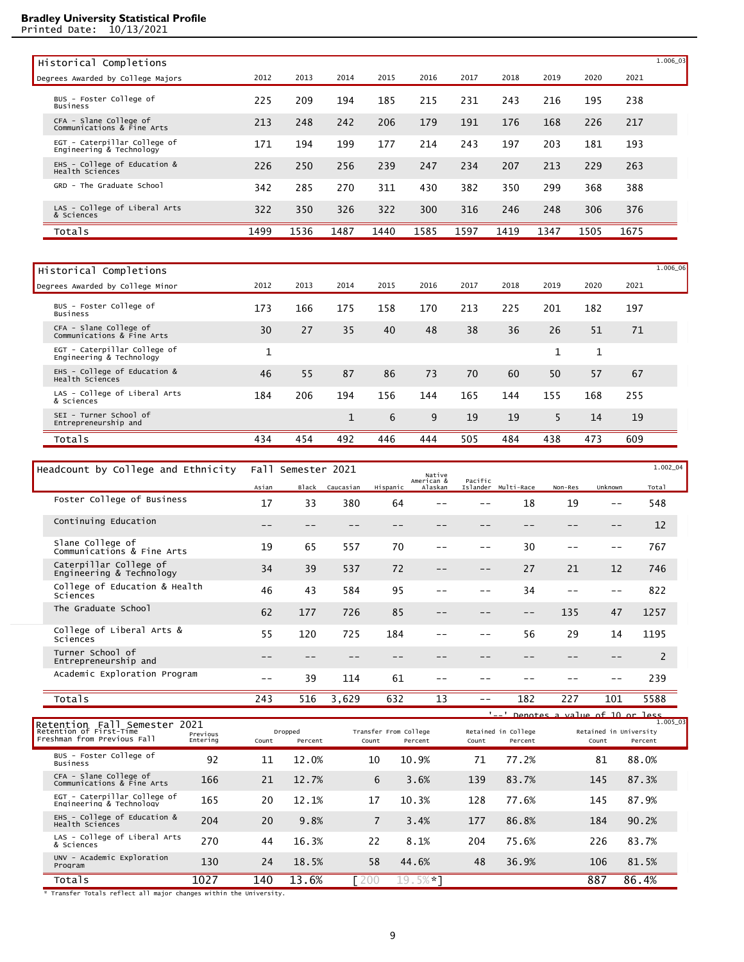Printed Date: 10/13/2021

| Historical Completions                                   |      |      |      |      |      |      |      |      |      |      | 1.006_03 |
|----------------------------------------------------------|------|------|------|------|------|------|------|------|------|------|----------|
| Degrees Awarded by College Majors                        | 2012 | 2013 | 2014 | 2015 | 2016 | 2017 | 2018 | 2019 | 2020 | 2021 |          |
| BUS - Foster College of<br><b>Business</b>               | 225  | 209  | 194  | 185  | 215  | 231  | 243  | 216  | 195  | 238  |          |
| CFA - Slane College of<br>Communications & Fine Arts     | 213  | 248  | 242  | 206  | 179  | 191  | 176  | 168  | 226  | 217  |          |
| EGT - Caterpillar College of<br>Engineering & Technology | 171  | 194  | 199  | 177  | 214  | 243  | 197  | 203  | 181  | 193  |          |
| EHS - College of Education &<br>Health Sciences          | 226  | 250  | 256  | 239  | 247  | 234  | 207  | 213  | 229  | 263  |          |
| GRD - The Graduate School                                | 342  | 285  | 270  | 311  | 430  | 382  | 350  | 299  | 368  | 388  |          |
| LAS - College of Liberal Arts<br>& Sciences              | 322  | 350  | 326  | 322  | 300  | 316  | 246  | 248  | 306  | 376  |          |
| Totals                                                   | 1499 | 1536 | 1487 | 1440 | 1585 | 1597 | 1419 | 1347 | 1505 | 1675 |          |

| Historical Completions                                   |      |      |              |      |      |      |      |      |             |      | 1.006_06 |
|----------------------------------------------------------|------|------|--------------|------|------|------|------|------|-------------|------|----------|
| Degrees Awarded by College Minor                         | 2012 | 2013 | 2014         | 2015 | 2016 | 2017 | 2018 | 2019 | 2020        | 2021 |          |
| BUS - Foster College of<br>Business                      | 173  | 166  | 175          | 158  | 170  | 213  | 225  | 201  | 182         | 197  |          |
| CFA - Slane College of<br>Communications & Fine Arts     | 30   | 27   | 35           | 40   | 48   | 38   | 36   | 26   | 51          | 71   |          |
| EGT - Caterpillar College of<br>Engineering & Technology | 1    |      |              |      |      |      |      | 1    | $\mathbf 1$ |      |          |
| EHS - College of Education &<br>Health Sciences          | 46   | 55   | 87           | 86   | 73   | 70   | 60   | 50   | 57          | 67   |          |
| LAS - College of Liberal Arts<br>& Sciences              | 184  | 206  | 194          | 156  | 144  | 165  | 144  | 155  | 168         | 255  |          |
| SEI - Turner School of<br>Entrepreneurship and           |      |      | $\mathbf{1}$ | 6    | 9    | 19   | 19   | 5.   | 14          | 19   |          |
| Totals                                                   | 434  | 454  | 492          | 446  | 444  | 505  | 484  | 438  | 473         | 609  |          |

| Headcount by College and Ethnicity                 |       | Fall Semester 2021 |           |          | Native                |         |                     |         |         | 1.002_04 |
|----------------------------------------------------|-------|--------------------|-----------|----------|-----------------------|---------|---------------------|---------|---------|----------|
|                                                    | Asian | <b>Black</b>       | Caucasian | Hispanic | American &<br>Alaskan | Pacific | Islander Multi-Race | Non-Res | Unknown | Total    |
| Foster College of Business                         | 17    | 33                 | 380       | 64       |                       |         | 18                  | 19      | --      | 548      |
| Continuing Education                               |       |                    |           |          |                       |         |                     |         |         | 12       |
| Slane College of<br>Communications & Fine Arts     | 19    | 65                 | 557       | 70       |                       |         | 30                  |         |         | 767      |
| Caterpillar College of<br>Engineering & Technology | 34    | 39                 | 537       | 72       | --                    | --      | 27                  | 21      | 12      | 746      |
| College of Education & Health<br>Sciences          | 46    | 43                 | 584       | 95       |                       |         | 34                  |         |         | 822      |
| The Graduate School                                | 62    | 177                | 726       | 85       |                       |         | $- -$               | 135     | 47      | 1257     |
| College of Liberal Arts &<br>Sciences              | 55    | 120                | 725       | 184      |                       |         | 56                  | 29      | 14      | 1195     |
| Turner School of<br>Entrepreneurship and           |       |                    |           |          |                       |         |                     |         |         | 2        |
| Academic Exploration Program                       | --    | 39                 | 114       | 61       |                       |         |                     |         |         | 239      |
| Totals                                             | 243   | 516                | 3,629     | 632      | 13                    |         | 182                 | 227     | 101     | 5588     |

|                                                                                        |                      |       |                    |                |                                  |       |                                | $'$ --' Denotes a value of 10 or less |                     |
|----------------------------------------------------------------------------------------|----------------------|-------|--------------------|----------------|----------------------------------|-------|--------------------------------|---------------------------------------|---------------------|
| Retention Fall Semester 2021<br>Retention of First-Time<br>Freshman from Previous Fall | Previous<br>Entering | Count | Dropped<br>Percent | Count          | Transfer From College<br>Percent | Count | Retained in College<br>Percent | Retained in University<br>Count       | 1.005_03<br>Percent |
| BUS - Foster College of<br><b>Business</b>                                             | 92                   | 11    | 12.0%              | 10             | 10.9%                            | 71    | 77.2%                          | 81                                    | 88.0%               |
| CFA - Slane College of<br>Communications & Fine Arts                                   | 166                  | 21    | 12.7%              | 6              | 3.6%                             | 139   | 83.7%                          | 145                                   | 87.3%               |
| EGT - Caterpillar College of<br>Enaineerina & Technoloav                               | 165                  | 20    | 12.1%              | 17             | 10.3%                            | 128   | 77.6%                          | 145                                   | 87.9%               |
| EHS - College of Education &<br>Health Sciences                                        | 204                  | 20    | 9.8%               | $\overline{7}$ | 3.4%                             | 177   | 86.8%                          | 184                                   | 90.2%               |
| LAS - College of Liberal Arts<br>& Sciences                                            | 270                  | 44    | 16.3%              | 22             | 8.1%                             | 204   | 75.6%                          | 226                                   | 83.7%               |
| UNV - Academic Exploration<br>Program                                                  | 130                  | 24    | 18.5%              | 58             | 44.6%                            | 48    | 36.9%                          | 106                                   | 81.5%               |
| Totals                                                                                 | 1027                 | 140   | 13.6%              | 200            | $19.5%$ $-1$                     |       |                                | 887                                   | 86.4%               |

Transfer Totals reflect all major changes within the University.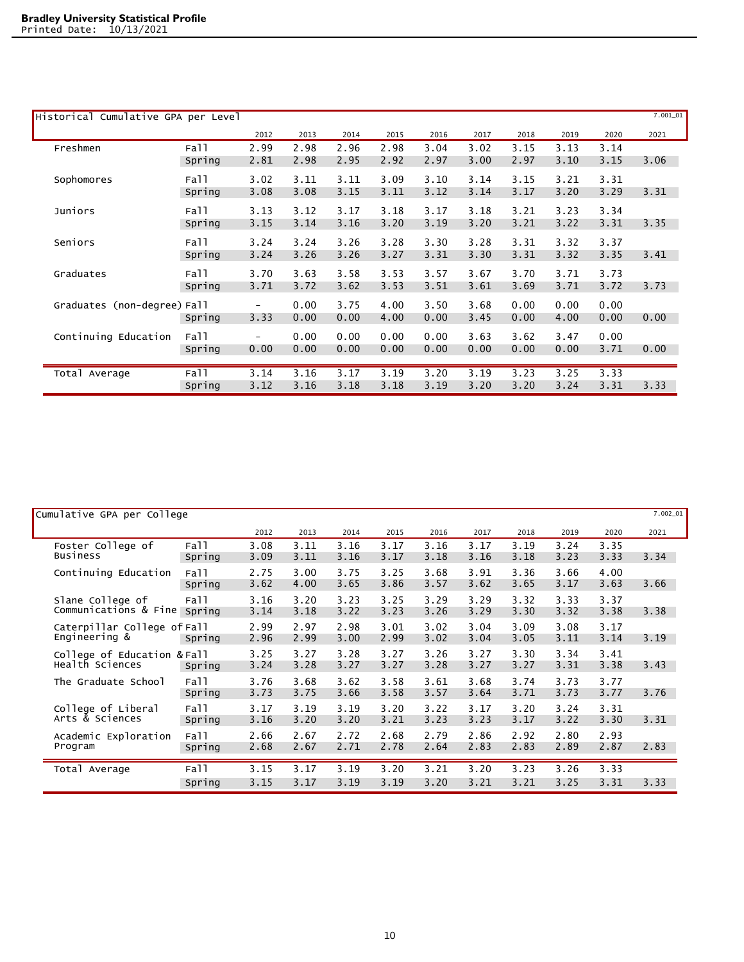| Historical Cumulative GPA per Level |        |                          |      |      |      |      |      |      |      |      | $7.001\_01$ |
|-------------------------------------|--------|--------------------------|------|------|------|------|------|------|------|------|-------------|
|                                     |        | 2012                     | 2013 | 2014 | 2015 | 2016 | 2017 | 2018 | 2019 | 2020 | 2021        |
| Freshmen                            | Fall   | 2.99                     | 2.98 | 2.96 | 2.98 | 3.04 | 3.02 | 3.15 | 3.13 | 3.14 |             |
|                                     | Spring | 2.81                     | 2.98 | 2.95 | 2.92 | 2.97 | 3.00 | 2.97 | 3.10 | 3.15 | 3.06        |
| Sophomores                          | Fall   | 3.02                     | 3.11 | 3.11 | 3.09 | 3.10 | 3.14 | 3.15 | 3.21 | 3.31 |             |
|                                     | Spring | 3.08                     | 3.08 | 3.15 | 3.11 | 3.12 | 3.14 | 3.17 | 3.20 | 3.29 | 3.31        |
| Juniors                             | Fall   | 3.13                     | 3.12 | 3.17 | 3.18 | 3.17 | 3.18 | 3.21 | 3.23 | 3.34 |             |
|                                     | Spring | 3.15                     | 3.14 | 3.16 | 3.20 | 3.19 | 3.20 | 3.21 | 3.22 | 3.31 | 3.35        |
| Seniors                             | Fall   | 3.24                     | 3.24 | 3.26 | 3.28 | 3.30 | 3.28 | 3.31 | 3.32 | 3.37 |             |
|                                     | Spring | 3.24                     | 3.26 | 3.26 | 3.27 | 3.31 | 3.30 | 3.31 | 3.32 | 3.35 | 3.41        |
| Graduates                           | Fall   | 3.70                     | 3.63 | 3.58 | 3.53 | 3.57 | 3.67 | 3.70 | 3.71 | 3.73 |             |
|                                     | Spring | 3.71                     | 3.72 | 3.62 | 3.53 | 3.51 | 3.61 | 3.69 | 3.71 | 3.72 | 3.73        |
| Graduates (non-degree) Fall         |        | $\overline{\phantom{a}}$ | 0.00 | 3.75 | 4.00 | 3.50 | 3.68 | 0.00 | 0.00 | 0.00 |             |
|                                     | Spring | 3.33                     | 0.00 | 0.00 | 4.00 | 0.00 | 3.45 | 0.00 | 4.00 | 0.00 | 0.00        |
| Continuing Education                | Fall   | $\overline{\phantom{0}}$ | 0.00 | 0.00 | 0.00 | 0.00 | 3.63 | 3.62 | 3.47 | 0.00 |             |
|                                     | Spring | 0.00                     | 0.00 | 0.00 | 0.00 | 0.00 | 0.00 | 0.00 | 0.00 | 3.71 | 0.00        |
|                                     |        |                          |      |      |      |      |      |      |      |      |             |
| Total Average                       | Fall   | 3.14                     | 3.16 | 3.17 | 3.19 | 3.20 | 3.19 | 3.23 | 3.25 | 3.33 |             |
|                                     | Spring | 3.12                     | 3.16 | 3.18 | 3.18 | 3.19 | 3.20 | 3.20 | 3.24 | 3.31 | 3.33        |

| Cumulative GPA per College                     |                |              |              |              |              |              |              |              |              |              | $7.002\_01$ |
|------------------------------------------------|----------------|--------------|--------------|--------------|--------------|--------------|--------------|--------------|--------------|--------------|-------------|
|                                                |                | 2012         | 2013         | 2014         | 2015         | 2016         | 2017         | 2018         | 2019         | 2020         | 2021        |
| Foster College of<br><b>Business</b>           | Fall<br>Spring | 3.08<br>3.09 | 3.11<br>3.11 | 3.16<br>3.16 | 3.17<br>3.17 | 3.16<br>3.18 | 3.17<br>3.16 | 3.19<br>3.18 | 3.24<br>3.23 | 3.35<br>3.33 | 3.34        |
| Continuing Education                           | Fall<br>Spring | 2.75<br>3.62 | 3.00<br>4.00 | 3.75<br>3.65 | 3.25<br>3.86 | 3.68<br>3.57 | 3.91<br>3.62 | 3.36<br>3.65 | 3.66<br>3.17 | 4.00<br>3.63 | 3.66        |
| Slane College of<br>Communications & Fine      | Fall<br>Spring | 3.16<br>3.14 | 3.20<br>3.18 | 3.23<br>3.22 | 3.25<br>3.23 | 3.29<br>3.26 | 3.29<br>3.29 | 3.32<br>3.30 | 3.33<br>3.32 | 3.37<br>3.38 | 3.38        |
| Caterpillar College of Fall<br>Engineering &   | Spring         | 2.99<br>2.96 | 2.97<br>2.99 | 2.98<br>3.00 | 3.01<br>2.99 | 3.02<br>3.02 | 3.04<br>3.04 | 3.09<br>3.05 | 3.08<br>3.11 | 3.17<br>3.14 | 3.19        |
| College of Education & Fall<br>Health Sciences | Spring         | 3.25<br>3.24 | 3.27<br>3.28 | 3.28<br>3.27 | 3.27<br>3.27 | 3.26<br>3.28 | 3.27<br>3.27 | 3.30<br>3.27 | 3.34<br>3.31 | 3.41<br>3.38 | 3.43        |
| The Graduate School                            | Fall<br>Spring | 3.76<br>3.73 | 3.68<br>3.75 | 3.62<br>3.66 | 3.58<br>3.58 | 3.61<br>3.57 | 3.68<br>3.64 | 3.74<br>3.71 | 3.73<br>3.73 | 3.77<br>3.77 | 3.76        |
| College of Liberal<br>Arts & Sciences          | Fall<br>Spring | 3.17<br>3.16 | 3.19<br>3.20 | 3.19<br>3.20 | 3.20<br>3.21 | 3.22<br>3.23 | 3.17<br>3.23 | 3.20<br>3.17 | 3.24<br>3.22 | 3.31<br>3.30 | 3.31        |
| Academic Exploration<br>Program                | Fall<br>Spring | 2.66<br>2.68 | 2.67<br>2.67 | 2.72<br>2.71 | 2.68<br>2.78 | 2.79<br>2.64 | 2.86<br>2.83 | 2.92<br>2.83 | 2.80<br>2.89 | 2.93<br>2.87 | 2.83        |
| Total Average                                  | Fall<br>Spring | 3.15<br>3.15 | 3.17<br>3.17 | 3.19<br>3.19 | 3.20<br>3.19 | 3.21<br>3.20 | 3.20<br>3.21 | 3.23<br>3.21 | 3.26<br>3.25 | 3.33<br>3.31 | 3.33        |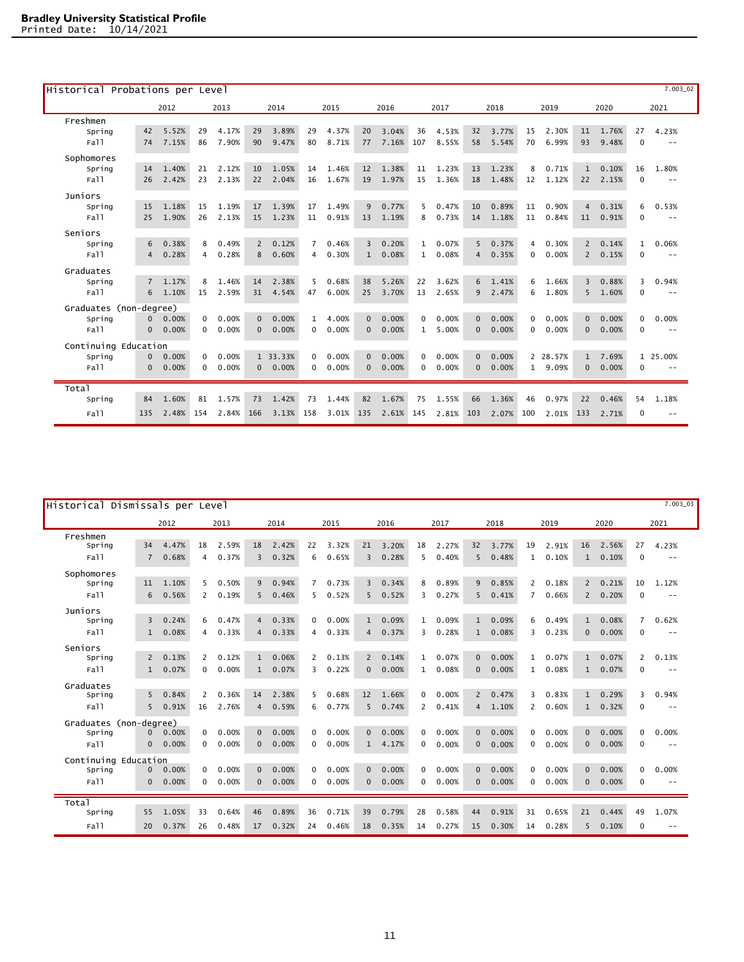| Historical Probations per Level |                |       |              |       |                |          |                |       |                |       |              |       |              |       |     |          |                |       |          | $7.003 - 02$      |
|---------------------------------|----------------|-------|--------------|-------|----------------|----------|----------------|-------|----------------|-------|--------------|-------|--------------|-------|-----|----------|----------------|-------|----------|-------------------|
|                                 |                | 2012  |              | 2013  |                | 2014     |                | 2015  |                | 2016  |              | 2017  |              | 2018  |     | 2019     |                | 2020  |          | 2021              |
| Freshmen                        |                |       |              |       |                |          |                |       |                |       |              |       |              |       |     |          |                |       |          |                   |
| Spring                          | 42             | 5.52% | 29           | 4.17% | 29             | 3.89%    | 29             | 4.37% | 20             | 3.04% | 36           | 4.53% | 32           | 3.77% | 15  | 2.30%    | 11             | 1.76% | 27       | 4.23%             |
| Fall                            | 74             | 7.15% | 86           | 7.90% | 90             | 9.47%    | 80             | 8.71% | 77             | 7.16% | 107          | 8.55% | 58           | 5.54% | 70  | 6.99%    | 93             | 9.48% | $\Omega$ | $- -$             |
| Sophomores                      |                |       |              |       |                |          |                |       |                |       |              |       |              |       |     |          |                |       |          |                   |
| Spring                          | 14             | 1.40% | 21           | 2.12% | 10             | 1.05%    | 14             | 1.46% | 12             | 1.38% | 11           | 1.23% | 13           | 1.23% | 8   | 0.71%    | $\mathbf{1}$   | 0.10% | 16       | 1.80%             |
| Fall                            | 26             | 2.42% | 23           | 2.13% | 22             | 2.04%    | 16             | 1.67% | 19             | 1.97% | 15           | 1.36% | 18           | 1.48% | 12  | 1.12%    | 22             | 2.15% | $\Omega$ | $- -$             |
| Juniors                         |                |       |              |       |                |          |                |       |                |       |              |       |              |       |     |          |                |       |          |                   |
| Spring                          | 15             | 1.18% | 15           | 1.19% | 17             | 1.39%    | 17             | 1.49% | 9              | 0.77% | 5            | 0.47% | 10           | 0.89% | 11  | 0.90%    | $\overline{4}$ | 0.31% | 6        | 0.53%             |
| Fall                            | 25             | 1.90% | 26           | 2.13% | 15             | 1.23%    | 11             | 0.91% | 13             | 1.19% | 8            | 0.73% | 14           | 1.18% | 11  | 0.84%    | 11             | 0.91% | $\Omega$ | $ -$              |
| Seniors                         |                |       |              |       |                |          |                |       |                |       |              |       |              |       |     |          |                |       |          |                   |
| Spring                          | 6              | 0.38% | 8            | 0.49% | $\overline{2}$ | 0.12%    | $\overline{7}$ | 0.46% | $\overline{3}$ | 0.20% | $\mathbf{1}$ | 0.07% | 5            | 0.37% | 4   | 0.30%    | $\overline{2}$ | 0.14% | 1        | 0.06%             |
| Fall                            | 4              | 0.28% | 4            | 0.28% | 8              | 0.60%    | 4              | 0.30% | $\mathbf{1}$   | 0.08% | $\mathbf{1}$ | 0.08% | $\Delta$     | 0.35% | 0   | 0.00%    | $\overline{2}$ | 0.15% | $\Omega$ | $ -$              |
| Graduates                       |                |       |              |       |                |          |                |       |                |       |              |       |              |       |     |          |                |       |          |                   |
| Spring                          | $\overline{7}$ | 1.17% | 8            | 1.46% | 14             | 2.38%    | 5              | 0.68% | 38             | 5.26% | 22           | 3.62% | 6            | 1.41% | 6   | 1.66%    | $\overline{3}$ | 0.88% | 3        | 0.94%             |
| Fall                            |                | 1.10% | 15           | 2.59% | 31             | 4.54%    | 47             | 6.00% | 25             | 3.70% | 13           | 2.65% | $\mathbf{q}$ | 2.47% | 6   | 1.80%    | 5              | 1.60% | $\Omega$ | $ -$              |
| Graduates (non-degree)          |                |       |              |       |                |          |                |       |                |       |              |       |              |       |     |          |                |       |          |                   |
| Spring                          | $\Omega$       | 0.00% | $\mathbf{0}$ | 0.00% | $\Omega$       | 0.00%    | $\mathbf{1}$   | 4.00% | $\Omega$       | 0.00% | 0            | 0.00% | $\Omega$     | 0.00% | 0   | 0.00%    | $\Omega$       | 0.00% | 0        | 0.00%             |
| Fall                            | $\Omega$       | 0.00% | $\Omega$     | 0.00% | $\Omega$       | 0.00%    | $\Omega$       | 0.00% | $\Omega$       | 0.00% | $\mathbf{1}$ | 5.00% | $\Omega$     | 0.00% | 0   | 0.00%    | $\Omega$       | 0.00% | $\Omega$ | $ -$              |
| Continuing Education            |                |       |              |       |                |          |                |       |                |       |              |       |              |       |     |          |                |       |          |                   |
| Spring                          | $\Omega$       | 0.00% | $\Omega$     | 0.00% |                | 1 33.33% | $\Omega$       | 0.00% | $\Omega$       | 0.00% | $\Omega$     | 0.00% | $\Omega$     | 0.00% |     | 2 28.57% | $\mathbf{1}$   | 7.69% |          | 1 25.00%          |
| Fall                            | $\Omega$       | 0.00% | $\Omega$     | 0.00% | $\Omega$       | 0.00%    | $\Omega$       | 0.00% | $\Omega$       | 0.00% | 0            | 0.00% | $\Omega$     | 0.00% | 1   | 9.09%    | $\Omega$       | 0.00% | $\Omega$ | $\qquad \qquad -$ |
| Total                           |                |       |              |       |                |          |                |       |                |       |              |       |              |       |     |          |                |       |          |                   |
| Spring                          | 84             | 1.60% | 81           | 1.57% | 73             | 1.42%    | 73             | 1.44% | 82             | 1.67% | 75           | 1.55% | 66           | 1.36% | 46  | 0.97%    | 22             | 0.46% | 54       | 1.18%             |
| Fall                            | 135            | 2.48% | 154          | 2.84% | 166            | 3.13%    | 158            | 3.01% | 135            | 2.61% | 145          | 2.81% | 103          | 2.07% | 100 | 2.01%    | 133            | 2.71% | $\Omega$ | $- -$             |
|                                 |                |       |              |       |                |          |                |       |                |       |              |       |              |       |     |          |                |       |          |                   |

| $7.003 - 03$<br>Historical Dismissals per Level |                |       |                |                        |                |       |                 |       |                |       |              |       |              |       |                |       |                |       |                |                   |
|-------------------------------------------------|----------------|-------|----------------|------------------------|----------------|-------|-----------------|-------|----------------|-------|--------------|-------|--------------|-------|----------------|-------|----------------|-------|----------------|-------------------|
|                                                 |                | 2012  |                | 2013                   |                | 2014  |                 | 2015  |                | 2016  |              | 2017  |              | 2018  |                | 2019  |                | 2020  |                | 2021              |
| Freshmen                                        |                |       |                |                        |                |       |                 |       |                |       |              |       |              |       |                |       |                |       |                |                   |
| Spring                                          | 34             | 4.47% | 18             | 2.59%                  | 18             | 2.42% | 22              | 3.32% | 21             | 3.20% | 18           | 2.27% | 32           | 3.77% | 19             | 2.91% | 16             | 2.56% | 27             | 4.23%             |
| Fall                                            | $\overline{7}$ | 0.68% | 4              | 0.37%                  | 3              | 0.32% | 6               | 0.65% | 3              | 0.28% | 5            | 0.40% | 5            | 0.48% | 1              | 0.10% | 1              | 0.10% | $\mathbf 0$    | $-$               |
| Sophomores                                      |                |       |                |                        |                |       |                 |       |                |       |              |       |              |       |                |       |                |       |                |                   |
| Spring                                          | 11             | 1.10% | 5              | $\mathbf{0}$ .<br>.50% | $\mathbf{q}$   | 0.94% | $7\overline{ }$ | 0.73% | 3              | 0.34% | 8            | 0.89% | 9            | 0.85% | $\overline{2}$ | 0.18% | $\overline{2}$ | 0.21% | 10             | 1.12%             |
| Fall                                            | 6              | 0.56% | $\overline{2}$ | 0.19%                  | 5              | 0.46% | 5               | 0.52% | 5              | 0.52% | 3            | 0.27% | 5            | 0.41% | $\overline{7}$ | 0.66% | $\overline{2}$ | 0.20% | $\Omega$       | $- -$             |
| Juniors                                         |                |       |                |                        |                |       |                 |       |                |       |              |       |              |       |                |       |                |       |                |                   |
| Spring                                          | $\overline{3}$ | 0.24% | 6              | $\Omega$ .<br>.47%     | $\overline{4}$ | 0.33% | $\Omega$        | 0.00% | $\mathbf{1}$   | 0.09% | $\mathbf{1}$ | 0.09% | $\mathbf{1}$ | 0.09% | 6              | 0.49% | $\mathbf{1}$   | 0.08% | $\overline{7}$ | 0.62%             |
| Fall                                            | $\mathbf{1}$   | 0.08% | 4              | 0.33%                  | $\overline{4}$ | 0.33% | 4               | 0.33% | $\overline{4}$ | 0.37% | 3            | 0.28% | $\mathbf{1}$ | 0.08% | 3              | 0.23% | $\mathbf{0}$   | 0.00% | $\mathbf 0$    | $ -$              |
| Seniors                                         |                |       |                |                        |                |       |                 |       |                |       |              |       |              |       |                |       |                |       |                |                   |
| Spring                                          | $\mathbf{2}$   | 0.13% | $\overline{2}$ | 0.12%                  | $\mathbf{1}$   | 0.06% | $\overline{2}$  | 0.13% | $\overline{2}$ | 0.14% | 1            | 0.07% | $\Omega$     | 0.00% | $\mathbf{1}$   | 0.07% | $\mathbf{1}$   | 0.07% | 2              | 0.13%             |
| Fall                                            | $\mathbf{1}$   | 0.07% | $\Omega$       | 0.00%                  | $\mathbf{1}$   | 0.07% | 3               | 0.22% | $\Omega$       | 0.00% | 1            | 0.08% | $\Omega$     | 0.00% | $\mathbf{1}$   | 0.08% | $\mathbf{1}$   | 0.07% | $\mathbf 0$    | $\qquad \qquad -$ |
| Graduates                                       |                |       |                |                        |                |       |                 |       |                |       |              |       |              |       |                |       |                |       |                |                   |
| Spring                                          | 5              | 0.84% | $\overline{2}$ | 0.36%                  | 14             | 2.38% | 5.              | 0.68% | 12             | 1.66% | $\Omega$     | 0.00% | 2            | 0.47% | 3              | 0.83% | $\mathbf{1}$   | 0.29% | 3              | 0.94%             |
| Fall                                            | 5              | 0.91% | 16             | 2.76%                  | $\overline{4}$ | 0.59% | 6               | 0.77% | 5              | 0.74% | 2            | 0.41% | 4            | 1.10% | $\overline{2}$ | 0.60% | $\mathbf{1}$   | 0.32% | $\Omega$       | $ -$              |
| Graduates (non-degree)                          |                |       |                |                        |                |       |                 |       |                |       |              |       |              |       |                |       |                |       |                |                   |
| Spring                                          | $\overline{0}$ | 0.00% | $\mathbf 0$    | 0.00%                  | $\Omega$       | 0.00% | $\Omega$        | 0.00% | $\Omega$       | 0.00% | $\Omega$     | 0.00% | $\Omega$     | 0.00% | 0              | 0.00% | $\overline{0}$ | 0.00% | $\Omega$       | 0.00%             |
| Fall                                            | $\overline{0}$ | 0.00% | 0              | 0.00%                  | $\Omega$       | 0.00% | $\Omega$        | 0.00% | $\mathbf{1}$   | 4.17% | $\mathbf 0$  | 0.00% | $\mathbf{0}$ | 0.00% | 0              | 0.00% | $\overline{0}$ | 0.00% | $\mathbf 0$    | $ -$              |
| Continuing Education                            |                |       |                |                        |                |       |                 |       |                |       |              |       |              |       |                |       |                |       |                |                   |
| Spring                                          | $\mathbf{0}$   | 0.00% | 0              | 0.00%                  | $\Omega$       | 0.00% | $\Omega$        | 0.00% | $\Omega$       | 0.00% | $\Omega$     | 0.00% | $\Omega$     | 0.00% | 0              | 0.00% | $\Omega$       | 0.00% | $\Omega$       | 0.00%             |
| Fall                                            | $\Omega$       | 0.00% | $\Omega$       | 0.00%                  | $\Omega$       | 0.00% | $\Omega$        | 0.00% | $\Omega$       | 0.00% | $\mathbf 0$  | 0.00% | $\Omega$     | 0.00% | 0              | 0.00% | $\Omega$       | 0.00% | $\Omega$       | $\sim$ $-$        |
| Total                                           |                |       |                |                        |                |       |                 |       |                |       |              |       |              |       |                |       |                |       |                |                   |
| Spring                                          | 55             | 1.05% | 33             | 0.64%                  | 46             | 0.89% | 36              | 0.71% | 39             | 0.79% | 28           | 0.58% | 44           | 0.91% | 31             | 0.65% | 21             | 0.44% | 49             | 1.07%             |
| Fall                                            | 20             | 0.37% | 26             | 0.48%                  | 17             | 0.32% | 24              | 0.46% | 18             | 0.35% | 14           | 0.27% | 15           | 0.30% | 14             | 0.28% | 5              | 0.10% | $\mathbf 0$    | $- -$             |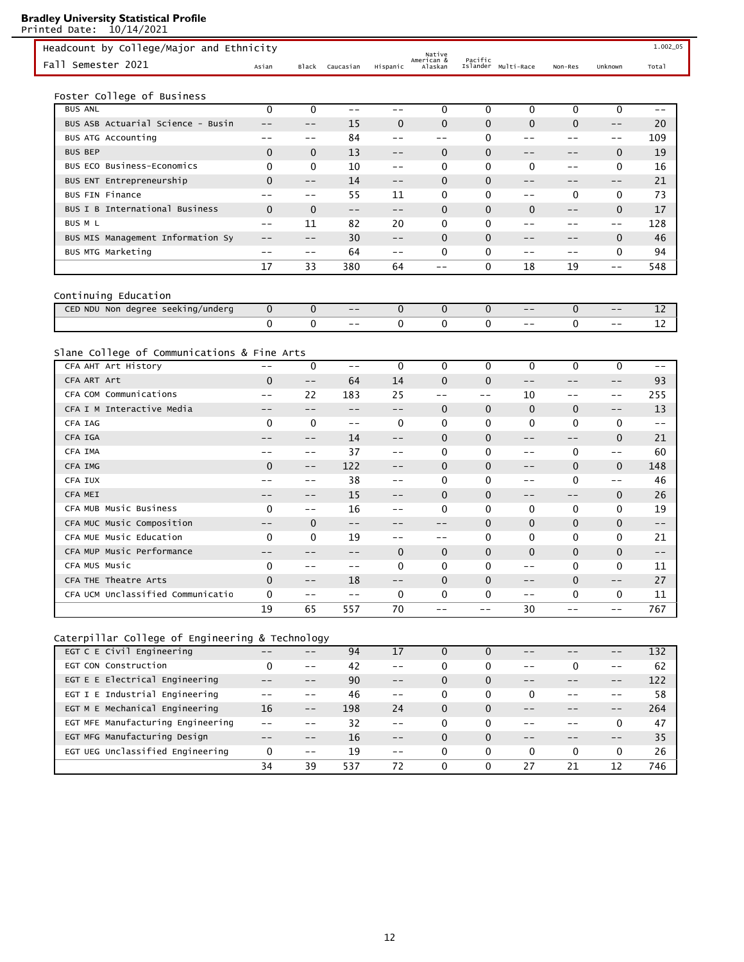Printed Date: 10/14/2021 Pacific<br>Islander Multi-Race Non-Res Unknown Total Native American & Asian Black Caucasian Hispanic Headcount by College/Major and Ethnicity 1.002.05 Fall Semester 2021 Foster College of Business BUS ANL 0 0 -- -- 0 0 0 0 0 -- BUS ASB Actuarial Science - Busin -- -- 15 0 0 0 0 0 0 -- 20 BUS ATG Accounting -- -- 84 -- -- 0 -- -- -- 109 BUS BEP 0 0 13 -- 0 0 -- -- 0 19 BUS ECO Business-Economics 0 0 10 -- 0 0 0 -- 0 16 BUS ENT Entrepreneurship  $0 \qquad -- \qquad 14 \qquad -- \qquad 0 \qquad 0 \qquad -- \qquad -- \qquad 21$ BUS FIN Finance  $\begin{array}{ccccccccccccc}\n-2 & -2 & -55 & 11 & 0 & 0 & -2 & 0 & 0 & 73\n\end{array}$ BUS I B International Business 0 0 -- -- 0 0 0 -- 0 17 BUS M L -- 11 82 20 0 0 -- -- -- 128 BUS MIS Management Information Sy -- -- 30 -- 0 0 0 -- -- 0 46 BUS MTG Marketing  $\begin{array}{ccccccccccccc}\n-2 & -2 & -64 & -2 & 0 & 0 & -2 & -2 & 0 & 94\n\end{array}$ 17 33 380 64 -- 0 18 19 -- 548 Continuing Education CED NDU Non degree seeking/underg  $\begin{array}{ccccccccccccc}\n0 & 0 & - & 0 & 0 & 0 & - & 0 & - & 12\n\end{array}$ 0 0 -- 0 0 0 -- 0 -- 12 Slane College of Communications & Fine Arts CFA AHT Art History -- 0 -- 0 0 0 0 0 0 0 --CFA ART Art 0 -- 64 14 0 0 -- -- -- 93 CFA COM Communications -- 22 183 25 -- -- 10 -- -- 255 CFA I M Interactive Media  $-$  -- -- -- -- 0 0 0 0 -- 13 CFA IAG 0 0 -- 0 0 0 0 0 0 -- CFA IGA -- -- 14 -- 0 0 -- -- 0 21 CFA IMA -- -- 37 -- 0 0 -- 0 -- 60 CFA IMG 0 -- 122 -- 0 0 -- 0 0 148 CFA IUX -- -- 38 -- 0 0 -- 0 -- 46 CFA MEI -- -- 15 -- 0 0 -- -- 0 26 CFA MUB Music Business 0 -- 16 -- 0 0 0 0 0 19 CFA MUC Music Composition -- 0 -- -- -- 0 0 0 0 -- CFA MUE Music Education 0 0 19 -- -- 0 0 0 0 21 CFA MUP Music Performance  $\qquad \qquad -- \qquad -- \qquad -- \qquad 0 \qquad 0 \qquad 0 \qquad 0 \qquad 0 \qquad -- \qquad$ CFA MUS Music 0 -- -- 0 0 0 -- 0 0 11 CFA THE Theatre Arts 0 -- 18 -- 0 0 -- 0 -- 27 CFA UCM Unclassified Communicatio  $0$  -- -- 0 0 0 0 -- 0 0 11 19 65 557 70 -- -- 30 -- -- 767

# Caterpillar College of Engineering & Technology

| EGT C E Civil Engineering         |    |       | 94  |       |          |          |          |          |       | 132 |
|-----------------------------------|----|-------|-----|-------|----------|----------|----------|----------|-------|-----|
| EGT CON Construction              |    | $- -$ | 42  | $ -$  | $\Omega$ | 0        | $ -$     |          | $- -$ | -62 |
| EGT E E Electrical Engineering    |    |       | 90  | $- -$ | $\Omega$ | $\Omega$ |          |          |       | 122 |
| EGT I E Industrial Engineering    |    |       | 46  | $ -$  | $\Omega$ | 0        | $\Omega$ |          |       | 58  |
| EGT M E Mechanical Engineering    | 16 | $- -$ | 198 | 24    | $\Omega$ | $\Omega$ |          |          |       | 264 |
| EGT MFE Manufacturing Engineering |    |       | 32  |       | $\Omega$ | 0        |          |          |       | 47  |
| EGT MFG Manufacturing Design      |    |       | 16  | $- -$ | $\Omega$ | $\Omega$ |          |          |       | 35  |
| EGT UEG Unclassified Engineering  | 0  | $ -$  | 19  | $- -$ |          | 0        | $\Omega$ | $\Omega$ |       | 26  |
|                                   | 34 | 39    | 537 | 72    | $\Omega$ | $\Omega$ | 27       | 21       | 12    | 746 |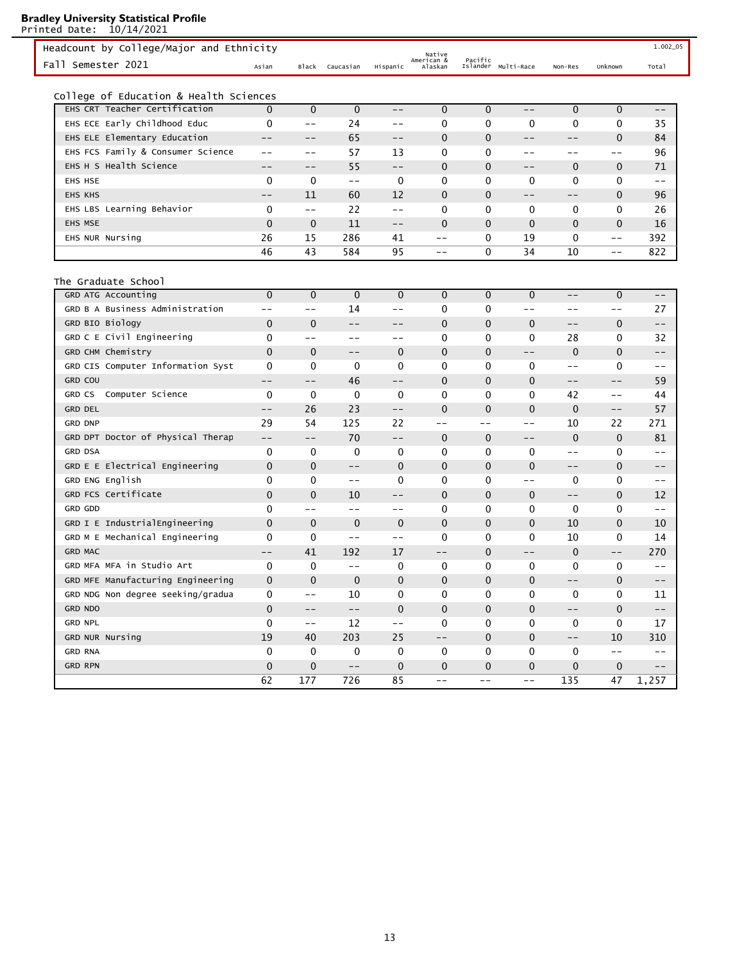| Headcount by College/Major and Ethnicity |              |              |              |                   | Native                |              |                     |                   |              | 1.002_05 |
|------------------------------------------|--------------|--------------|--------------|-------------------|-----------------------|--------------|---------------------|-------------------|--------------|----------|
| Fall Semester 2021                       | Asian        | Black        | Caucasian    | Hispanic          | American &<br>Alaskan | Pacific      | Islander Multi-Race | Non-Res           | Unknown      | Total    |
| College of Education & Health Sciences   |              |              |              |                   |                       |              |                     |                   |              |          |
| EHS CRT Teacher Certification            | $\Omega$     | $\mathbf{0}$ | $\mathbf{0}$ | $- -$             | $\mathbf{0}$          | $\mathbf{0}$ | --                  | $\mathbf{0}$      | $\mathbf{0}$ | $- -$    |
| EHS ECE Early Childhood Educ             | 0            | $- -$        | 24           | $- -$             | 0                     | 0            | 0                   | 0                 | $\mathbf 0$  | 35       |
| EHS ELE Elementary Education             | $- -$        | $- -$        | 65           | $\qquad \qquad -$ | $\mathbf{0}$          | $\mathbf{0}$ | --                  | --                | $\mathbf{0}$ | 84       |
| EHS FCS Family & Consumer Science        | $- -$        | $- -$        | 57           | 13                | 0                     | 0            | --                  | $- -$             | $- -$        | 96       |
| EHS H S Health Science                   | $- -$        | $- -$        | 55           | $- -$             | 0                     | $\mathbf 0$  | $- -$               | $\mathbf 0$       | $\mathbf{0}$ | 71       |
| EHS HSE                                  | 0            | 0            | $ -$         | 0                 | 0                     | 0            | 0                   | 0                 | 0            | $- -$    |
| <b>EHS KHS</b>                           | $- -$        | 11           | 60           | 12                | $\mathbf{0}$          | $\mathbf{0}$ | $- -$               | --                | $\mathbf 0$  | 96       |
| EHS LBS Learning Behavior                | 0            | $- -$        | 22           | $- -$             | 0                     | 0            | 0                   | 0                 | 0            | 26       |
| EHS MSE                                  | $\mathbf{0}$ | $\mathbf 0$  | 11           | $\qquad \qquad -$ | 0                     | 0            | $\mathbf 0$         | $\mathbf{0}$      | $\mathbf{0}$ | 16       |
| EHS NUR Nursing                          | 26           | 15           | 286          | 41                | $- -$                 | 0            | 19                  | 0                 | $- -$        | 392      |
|                                          | 46           | 43           | 584          | 95                | $- -$                 | 0            | 34                  | 10                | $-\,-$       | 822      |
|                                          |              |              |              |                   |                       |              |                     |                   |              |          |
| The Graduate School                      |              |              |              |                   |                       |              |                     |                   |              |          |
| GRD ATG Accounting                       | $\mathbf{0}$ | $\mathbf{0}$ | $\mathbf{0}$ | $\mathbf{0}$      | $\mathbf{0}$          | $\mathbf{0}$ | $\mathbf{0}$        | $-\,-$            | $\mathbf 0$  | $- -$    |
| GRD B A Business Administration          | $- -$        | $- -$        | 14           | $- -$             | 0                     | 0            | $- -$               | $- -$             | $- -$        | 27       |
| GRD BIO Biology                          | $\mathbf 0$  | $\mathbf 0$  | $- -$        | $- -$             | $\mathbf 0$           | $\mathbf 0$  | $\mathbf 0$         | $\qquad \qquad -$ | 0            | $- -$    |
| GRD C E Civil Engineering                | 0            | $- -$        | $- -$        | $-\,-$            | 0                     | 0            | 0                   | 28                | 0            | 32       |
| GRD CHM Chemistry                        | 0            | $\mathbf 0$  | $- -$        | $\mathbf{0}$      | $\mathbf{0}$          | 0            | $- -$               | $\mathbf 0$       | $\mathbf 0$  | $- -$    |
| GRD CIS Computer Information Syst        | 0            | $\mathbf{0}$ | 0            | 0                 | 0                     | 0            | 0                   | --                | 0            | --       |
| <b>GRD COU</b>                           | --           | --           | 46           | $- -$             | 0                     | $\mathbf 0$  | $\mathbf 0$         | --                | --           | 59       |
| GRD CS Computer Science                  | 0            | 0            | 0            | 0                 | 0                     | 0            | 0                   | 42                | $- -$        | 44       |
| <b>GRD DEL</b>                           | $- -$        | 26           | 23           | $- -$             | 0                     | $\mathbf{0}$ | $\mathbf 0$         | 0                 | $- -$        | 57       |
| <b>GRD DNP</b>                           | 29           | 54           | 125          | 22                | $- -$                 | $ -$         | $- -$               | 10                | 22           | 271      |
| GRD DPT Doctor of Physical Therap        | $- -$        | $- -$        | 70           | $- -$             | $\mathbf 0$           | $\mathbf 0$  | --                  | 0                 | $\mathbf 0$  | 81       |
| <b>GRD DSA</b>                           | 0            | 0            | 0            | 0                 | 0                     | 0            | 0                   | $- -$             | $\Omega$     | $- -$    |
| GRD E E Electrical Engineering           | 0            | $\mathbf 0$  | --           | $\mathbf{0}$      | 0                     | $\mathbf{0}$ | $\mathbf 0$         | --                | $\mathbf{0}$ | --       |
| GRD ENG English                          | 0            | 0            | $- -$        | 0                 | 0                     | 0            | $- -$               | 0                 | 0            | $- -$    |
| GRD FCS Certificate                      | 0            | $\mathbf 0$  | 10           | $- -$             | 0                     | 0            | $\mathbf 0$         | $-\,-$            | $\mathbf{0}$ | 12       |
| <b>GRD GDD</b>                           | 0            | $- -$        | $- -$        | $- -$             | 0                     | 0            | 0                   | 0                 | 0            | $- -$    |
| GRD I E IndustrialEngineering            | 0            | $\mathbf 0$  | $\mathbf 0$  | $\mathbf{0}$      | 0                     | 0            | $\mathbf 0$         | 10                | $\mathbf 0$  | 10       |
| GRD M E Mechanical Engineering           | 0            | 0            | $- -$        | $- -$             | 0                     | 0            | 0                   | 10                | 0            | 14       |
| <b>GRD MAC</b>                           | --           | 41           | 192          | 17                | --                    | $\mathbf 0$  | --                  | 0                 | --           | 270      |
| GRD MFA MFA in Studio Art                | 0            | 0            | $- -$        | 0                 | 0                     | 0            | 0                   | 0                 | 0            | $-$      |
| GRD MFE Manufacturing Engineering        | $\mathbf 0$  | $\mathbf 0$  | $\mathbf 0$  | $\mathbf 0$       | 0                     | 0            | $\mathbf 0$         | --                | $\pmb{0}$    | $- -$    |
| GRD NDG Non degree seeking/gradua        | 0            | $- -$        | 10           | 0                 | 0                     | 0            | 0                   | 0                 | 0            | 11       |
| GRD NDO                                  | $\pmb{0}$    | $ -$         | $-\,-$       | $\pmb{0}$         | $\pmb{0}$             | $\pmb{0}$    | $\pmb{0}$           | $-\,-$            | $\mathbf 0$  | $- -$    |
| <b>GRD NPL</b>                           | 0            | $- -$        | 12           | $- -$             | 0                     | 0            | $\mathbf 0$         | 0                 | 0            | 17       |
| GRD NUR Nursing                          | 19           | 40           | 203          | 25                | $-\,-$                | $\mathbf 0$  | $\pmb{0}$           | $-\,-$            | 10           | 310      |
| <b>GRD RNA</b>                           | 0            | 0            | 0            | $\pmb{0}$         | $\pmb{0}$             | 0            | $\mathbf 0$         | 0                 | $-\,-$       | $- -$    |
| <b>GRD RPN</b>                           | $\mathbf 0$  | $\pmb{0}$    | $- -$        | $\mathbf 0$       | $\pmb{0}$             | $\mathbf 0$  | $\mathbf 0$         | $\mathbf 0$       | 0            | $--$     |
|                                          | 62           | 177          | 726          | 85                | $ -$                  | $- -$        | $- -$               | 135               | 47           | 1,257    |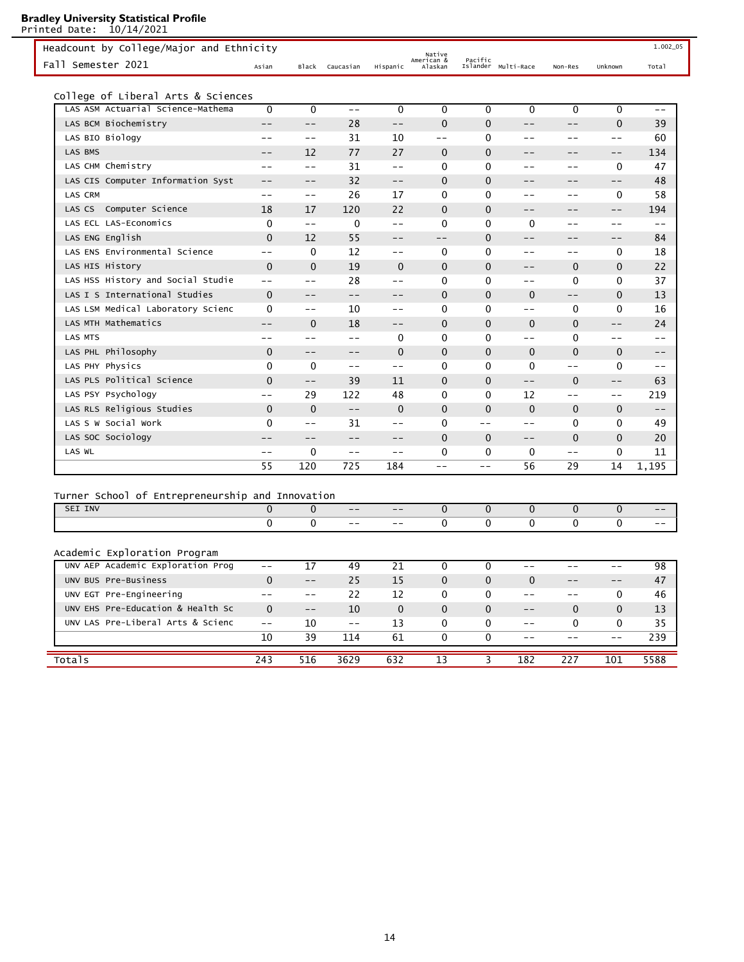Printed Date: 10/14/2021 Pacific<br>Islander Multi-Race Non-Res Unknown Total Native American & Asian Black Caucasian Hispanic Headcount by College/Major and Ethnicity 1.002.05 and 1.002.05 and 1.002.05 Fall Semester 2021 College of Liberal Arts & Sciences LAS ASM Actuarial Science-Mathema  $\begin{matrix} 0 & 0 & -- & 0 & 0 & 0 & 0 & 0 & 0 & -- \end{matrix}$ LAS BCM Biochemistry -- -- 28 -- 0 0 -- -- 0 39 LAS BIO Biology  $--$  -- 31 10 -- 0 -- -- -- 60 LAS BMS -- 12 77 27 0 0 -- -- -- 134 LAS CHM Chemistry  $\begin{array}{ccccccccccccc} -- & -- & 31 & -- & 0 & 0 & -- & -- & 0 & 47 \end{array}$ LAS CIS Computer Information Syst  $- -22$   $--$  0 0  $- - -2$   $-2$ LAS CRM -- -- 26 17 0 0 -- -- 0 58 LAS CS Computer Science  $\begin{array}{ccccccccccccc}\n & 18 & 17 & 120 & 22 & 0 & 0 & -1 & -1 & -194 \\
\end{array}$ LAS ECL LAS-Economics 0 -- 0 -- 0 0 0 -- -- -- LAS ENG English 0 12 55 -- -- 0 -- -- -- 84 LAS ENS Environmental Science -- 0 12 -- 0 0 -- -- 0 18 LAS HIS History 0 0 19 0 0 0 -- 0 0 22 LAS HSS History and Social Studie  $\begin{array}{cccccccccc} -- & -- & 28 & -- & 0 & 0 & -- & 0 & 0 & 37 \end{array}$ LAS I S International Studies  $0$  -- -- -- 0 0 0 -- 0 13 LAS LSM Medical Laboratory Science 0 -- 10 -- 0 0 -- 0 0 16 LAS MTH Mathematics -- 0 18 -- 0 0 0 0 -- 24 LAS MTS -- -- -- 0 0 0 -- 0 -- -- LAS PHL Philosophy 0 -- -- 0 0 0 0 0 0 -- LAS PHY Physics 0 0 -- -- 0 0 0 -- 0 -- LAS PLS Political Science  $0 \quad - - \quad 39 \quad 11 \quad 0 \quad 0 \quad - - \quad 0 \quad - - \quad 63$ LAS PSY Psychology -- 29 122 48 0 0 12 -- -- 219 LAS RLS Religious Studies 0 0 -- 0 0 0 0 0 0 -- LAS S W Social Work 0 -- 31 -- 0 -- -- 0 0 49 LAS SOC Sociology -- -- -- -- -- 0 0 -- 0 0 20 LAS WL -- 0 -- -- 0 0 0 -- 0 11 55 120 725 184 -- -- 56 29 14 1,195 Turner School of Entrepreneurship and Innovation SEI INV 0 0 -- -- 0 0 0 0 0 -- 0 0 -- -- 0 0 0 0 0 --

| Academic Exploration Program                |          |       |       |          |          |          |          |          |          |      |
|---------------------------------------------|----------|-------|-------|----------|----------|----------|----------|----------|----------|------|
| UNV AEP Academic Exploration Prog           | --       |       | 49    | 21       |          |          |          |          |          | 98   |
| UNV BUS Pre-Business                        | $\Omega$ | $- -$ | 25    | 15       | $\Omega$ | $\Omega$ | $\Omega$ | $- -$    |          | 47   |
| UNV EGT Pre-Engineering                     |          |       | 22    | 12       | 0        | $\Omega$ |          |          | 0        | 46   |
| EHS Pre-Education & Health Sc<br><b>UNV</b> | $\Omega$ | $- -$ | 10    | $\Omega$ | $\Omega$ | $\Omega$ | $- -$    | $\Omega$ | $\Omega$ | 13   |
| UNV LAS Pre-Liberal Arts & Scienc           |          | 10    | $- -$ | 13       | 0        | $\Omega$ | $- -$    | 0        | 0        | 35   |
|                                             | 10       | 39    | 114   | 61       | $\Omega$ | $\Omega$ |          |          |          | 239  |
|                                             |          |       |       |          |          |          |          |          |          |      |
| Totals                                      | 243      | 516   | 3629  | 632      | 13       |          | 182      | 227      | 101      | 5588 |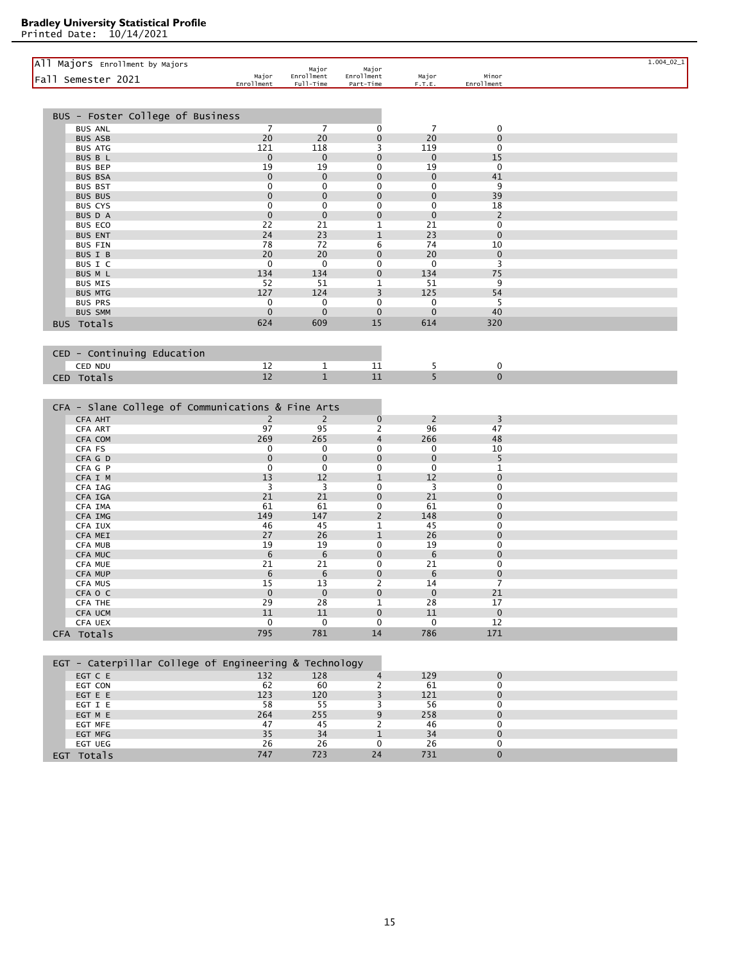| All Majors Enrollment by Majors<br>Fall Semester 2021        | Major<br>Enrollment | Major<br>Enrollment<br>Full-Time | Major<br>Enrollment<br>Part-Time | Major<br>F.T.E.   | Minor<br>Enrollment        |  |
|--------------------------------------------------------------|---------------------|----------------------------------|----------------------------------|-------------------|----------------------------|--|
|                                                              |                     |                                  |                                  |                   |                            |  |
| BUS - Foster College of Business                             |                     |                                  |                                  |                   |                            |  |
| <b>BUS ANL</b>                                               | $\overline{7}$      | $\overline{7}$                   | 0                                | 7                 | 0                          |  |
| <b>BUS ASB</b>                                               | 20                  | 20                               | 0                                | 20                | $\mathbf 0$                |  |
| <b>BUS ATG</b>                                               | 121                 | 118                              | 3                                | 119               | $\mathbf 0$                |  |
| BUS B L<br><b>BUS BEP</b>                                    | $\mathbf 0$<br>19   | $\mathbf 0$<br>19                | 0<br>0                           | $\mathbf 0$<br>19 | 15<br>0                    |  |
| <b>BUS BSA</b>                                               | 0                   | 0                                | $\mathbf 0$                      | $\mathbf 0$       | 41                         |  |
| <b>BUS BST</b>                                               | 0                   | 0                                | 0                                | 0                 | 9                          |  |
| <b>BUS BUS</b>                                               | 0                   | $\mathbf 0$                      | $\mathbf 0$                      | $\mathbf 0$       | 39                         |  |
| <b>BUS CYS</b>                                               | $\mathbf 0$         | $\mathbf 0$                      | 0                                | $\mathbf 0$       | 18                         |  |
| BUS D A                                                      | $\mathbf 0$         | $\mathbf 0$                      | $\mathbf 0$                      | $\mathbf 0$       | 2                          |  |
| <b>BUS ECO</b>                                               | 22                  | 21                               | 1                                | 21                | 0                          |  |
| <b>BUS ENT</b>                                               | 24<br>78            | 23<br>72                         | 1<br>6                           | 23<br>74          | $\mathbf 0$<br>10          |  |
| <b>BUS FIN</b><br>BUS I B                                    | 20                  | 20                               | 0                                | 20                | $\mathbf 0$                |  |
| BUS I C                                                      | 0                   | 0                                | 0                                | 0                 | 3                          |  |
| BUS M L                                                      | 134                 | 134                              | $\mathbf 0$                      | 134               | 75                         |  |
| <b>BUS MIS</b>                                               | 52                  | 51                               | 1                                | 51                | 9                          |  |
| <b>BUS MTG</b>                                               | 127                 | 124                              | 3                                | 125               | 54                         |  |
| <b>BUS PRS</b>                                               | 0                   | 0                                | 0                                | 0                 | 5                          |  |
| <b>BUS SMM</b>                                               | $\mathbf 0$         | 0                                | 0                                | $\mathbf 0$       | 40                         |  |
| BUS Totals                                                   | 624                 | 609                              | 15                               | 614               | 320                        |  |
|                                                              |                     |                                  |                                  |                   |                            |  |
| CED - Continuing Education                                   |                     |                                  | 11                               |                   |                            |  |
| CED NDU                                                      | 12<br>12            | $\mathbf{1}$<br>$\mathbf{1}$     | 11                               | 5<br>5            | 0<br>$\mathbf{0}$          |  |
| CED Totals                                                   |                     |                                  |                                  |                   |                            |  |
| CFA - Slane College of Communications & Fine Arts<br>CFA AHT | $\overline{2}$      | $\overline{2}$                   | $\mathbf 0$                      | 2                 | 3                          |  |
| CFA ART<br>CFA COM                                           | 97<br>269           | 95<br>265                        | 2<br>4                           | 96<br>266         | 47<br>48                   |  |
| CFA FS                                                       | 0                   | 0                                | 0                                | 0                 | 10                         |  |
| CFA G D                                                      | $\mathbf 0$         | $\mathbf 0$                      | 0                                | $\mathbf 0$       | 5                          |  |
| CFA G P                                                      | 0                   | 0                                | 0                                | 0                 | 1                          |  |
| CFA I M                                                      | 13                  | 12                               | 1                                | 12                | $\mathbf 0$                |  |
| CFA IAG                                                      | 3                   | 3                                | 0                                | 3                 | 0                          |  |
| CFA IGA                                                      | 21<br>61            | 21<br>61                         | $\mathbf 0$<br>0                 | 21<br>61          | $\mathbf 0$<br>$\mathbf 0$ |  |
| CFA IMA<br>CFA IMG                                           | 149                 | 147                              | $\overline{c}$                   | 148               | 0                          |  |
| CFA IUX                                                      | 46                  | 45                               | 1                                | 45                | 0                          |  |
| CFA MEI                                                      | 27                  | 26                               | 1                                | 26                | $\mathbf 0$                |  |
| CFA MUB                                                      | 19                  | 19                               | 0                                | 19                | $\mathbf 0$                |  |
| CFA MUC                                                      | 6                   | 6                                | $\mathbf 0$                      | 6                 | $\mathbf 0$                |  |
| CFA MUE                                                      | 21                  | 21                               | 0                                | 21                | $\mathbf 0$                |  |
| CFA MUP<br>CFA MUS                                           | 6<br>15             | 6<br>13                          | 0<br>2                           | 6<br>14           | $\mathbf 0$<br>7           |  |
| CFA 0 C                                                      | $\mathbf 0$         | 0                                | 0                                | $\Omega$          | 21                         |  |
| CFA THE                                                      | 29                  | 28                               | $\mathbf{1}$                     | 28                | 17                         |  |
| CFA UCM                                                      | 11                  | 11                               | $\mathbf{0}$                     | 11                | $\mathbf 0$                |  |
| CFA UEX                                                      | 0                   | 0                                | 0                                | 0                 | 12                         |  |
| CFA Totals                                                   | 795                 | 781                              | 14                               | 786               | 171                        |  |
| EGT - Caterpillar College of Engineering & Technology        |                     |                                  |                                  |                   |                            |  |
| EGT C E                                                      | 132                 | 128                              | $\overline{4}$                   | 129               | $\mathbf 0$                |  |
| EGT CON                                                      | 62                  | 60                               | 2                                | 61                | 0                          |  |
| EGT E E                                                      | 123                 | 120                              | 3                                | 121               | $\mathbf 0$                |  |
| EGT I E                                                      | 58                  | 55                               | 3                                | 56                | 0                          |  |
| EGT M E                                                      | 264                 | 255                              | 9                                | 258               | $\mathbf{0}$               |  |
| EGT MFE                                                      | 47                  | 45                               | 2                                | 46                | 0                          |  |
| EGT MFG<br>EGT UEG                                           | 35<br>26            | 34<br>26                         | $\mathbf{1}$<br>0                | 34<br>26          | $\mathbf 0$<br>0           |  |
| EGT Totals                                                   | 747                 | 723                              | 24                               | 731               | $\pmb{0}$                  |  |
|                                                              |                     |                                  |                                  |                   |                            |  |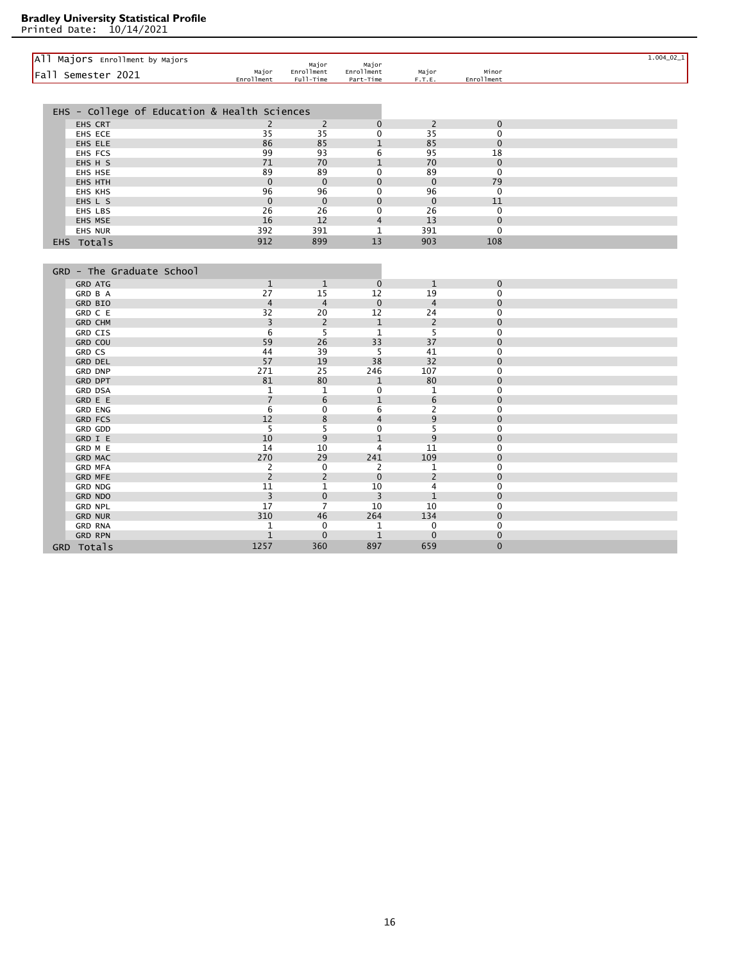| All Majors Enrollment by Majors              |                                  | Major                   | Major                   |                 |                            | $1.004\_02\_1$ |
|----------------------------------------------|----------------------------------|-------------------------|-------------------------|-----------------|----------------------------|----------------|
| Fall Semester 2021                           | Major<br>Enrollment              | Enrollment<br>Full-Time | Enrollment<br>Part-Time | Major<br>F.T.E. | Minor<br>Enrollment        |                |
|                                              |                                  |                         |                         |                 |                            |                |
| EHS - College of Education & Health Sciences |                                  |                         |                         |                 |                            |                |
|                                              |                                  |                         |                         |                 |                            |                |
| EHS CRT                                      | 2                                | 2                       | $\mathbf 0$             | $\overline{2}$  | $\mathbf 0$                |                |
| EHS ECE                                      | 35                               | 35                      | 0                       | 35              | $\mathbf 0$<br>$\Omega$    |                |
| EHS ELE                                      | 86<br>99                         | 85<br>93                | $\mathbf{1}$<br>6       | 85<br>95        | 18                         |                |
| EHS FCS<br>EHS H S                           | 71                               | 70                      | $\mathbf{1}$            | 70              | $\mathbf{0}$               |                |
| EHS HSE                                      | 89                               | 89                      | $\mathbf 0$             | 89              | $\mathbf 0$                |                |
| EHS HTH                                      | $\mathbf 0$                      | $\mathbf 0$             | $\mathbf{0}$            | $\mathbf 0$     | 79                         |                |
| <b>EHS KHS</b>                               | 96                               | 96                      | $\mathbf 0$             | 96              | $\mathbf 0$                |                |
| EHS L S                                      | $\mathbf 0$                      | $\mathbf{0}$            | $\mathbf 0$             | $\overline{0}$  | 11                         |                |
| EHS LBS                                      | 26                               | 26                      | $\mathbf 0$             | 26              | $\mathbf 0$                |                |
| EHS MSE                                      | 16                               | 12                      | $\overline{4}$          | 13              | $\mathbf{0}$               |                |
| <b>EHS NUR</b>                               | 392                              | 391                     | 1                       | 391             | $\mathbf 0$                |                |
| EHS Totals                                   | 912                              | 899                     | 13                      | 903             | 108                        |                |
|                                              |                                  |                         |                         |                 |                            |                |
|                                              |                                  |                         |                         |                 |                            |                |
| GRD - The Graduate School                    |                                  |                         |                         |                 |                            |                |
| <b>GRD ATG</b>                               | $\mathbf{1}$                     | $\mathbf{1}$            | $\mathbf{0}$            | $\mathbf{1}$    | $\mathbf{0}$               |                |
| GRD B A                                      | 27                               | 15                      | 12                      | 19              | $\mathbf 0$                |                |
| GRD BIO                                      | $\overline{4}$                   | $\overline{4}$          | $\mathbf 0$             | $\overline{4}$  | $\mathbf 0$                |                |
| GRD C E                                      | 32                               | 20                      | 12                      | 24              | $\mathbf 0$                |                |
| <b>GRD CHM</b>                               | 3                                | $\overline{2}$          | $\mathbf{1}$            | $\overline{2}$  | $\mathbf 0$                |                |
| GRD CIS                                      | 6                                | 5                       | $\mathbf{1}$            | 5               | 0                          |                |
| <b>GRD COU</b>                               | 59                               | 26                      | 33                      | 37              | $\Omega$                   |                |
| <b>GRD CS</b>                                | 44                               | 39                      | 5                       | 41              | 0                          |                |
| <b>GRD DEL</b>                               | 57                               | 19                      | 38                      | 32              | $\mathbf 0$                |                |
| <b>GRD DNP</b>                               | 271                              | 25                      | 246                     | 107             | $\mathbf 0$                |                |
| <b>GRD DPT</b>                               | 81                               | 80                      | $\mathbf{1}$            | 80              | $\mathbf 0$                |                |
| <b>GRD DSA</b>                               | $\mathbf{1}$                     | 1                       | $\mathbf 0$             | 1               | 0                          |                |
| GRD E E                                      | $\overline{7}$<br>$6\phantom{1}$ | 6                       | $\mathbf{1}$            | 6               | $\mathbf{0}$               |                |
| <b>GRD ENG</b><br><b>GRD FCS</b>             | 12                               | $\mathbf 0$<br>8        | 6<br>$\overline{4}$     | 2<br>9          | $\mathbf 0$<br>$\mathbf 0$ |                |
| <b>GRD GDD</b>                               | 5                                | 5                       | $\mathbf 0$             | 5               | $\mathbf 0$                |                |
| GRD I E                                      | 10                               | 9                       | $\mathbf{1}$            | 9               | $\mathbf 0$                |                |
| GRD M E                                      | 14                               | 10                      | $\overline{4}$          | 11              | $\mathbf 0$                |                |
| <b>GRD MAC</b>                               | 270                              | 29                      | 241                     | 109             | $\mathbf 0$                |                |
| <b>GRD MFA</b>                               | 2                                | 0                       | 2                       | 1               | $\mathbf 0$                |                |
| <b>GRD MFE</b>                               | $\overline{2}$                   | $\overline{2}$          | $\mathbf 0$             | 2               | $\mathbf 0$                |                |
| <b>GRD NDG</b>                               | 11                               | 1                       | 10                      | 4               | $\Omega$                   |                |
| <b>GRD NDO</b>                               | 3                                | $\mathbf 0$             | 3                       | $\mathbf{1}$    | $\mathbf 0$                |                |
| <b>GRD NPL</b>                               | 17                               | $\overline{7}$          | 10                      | 10              | $\Omega$                   |                |
| <b>GRD NUR</b>                               | 310                              | 46                      | 264                     | 134             | $\mathbf 0$                |                |
| <b>GRD RNA</b>                               | $\mathbf{1}$                     | 0                       | 1                       | 0               | $\mathbf 0$                |                |
| <b>GRD RPN</b>                               | $1\,$                            | $\mathbf 0$             | $\mathbf{1}$            | $\mathbf 0$     | $\mathbf 0$                |                |
| GRD Totals                                   | 1257                             | 360                     | 897                     | 659             | $\mathbf 0$                |                |
|                                              |                                  |                         |                         |                 |                            |                |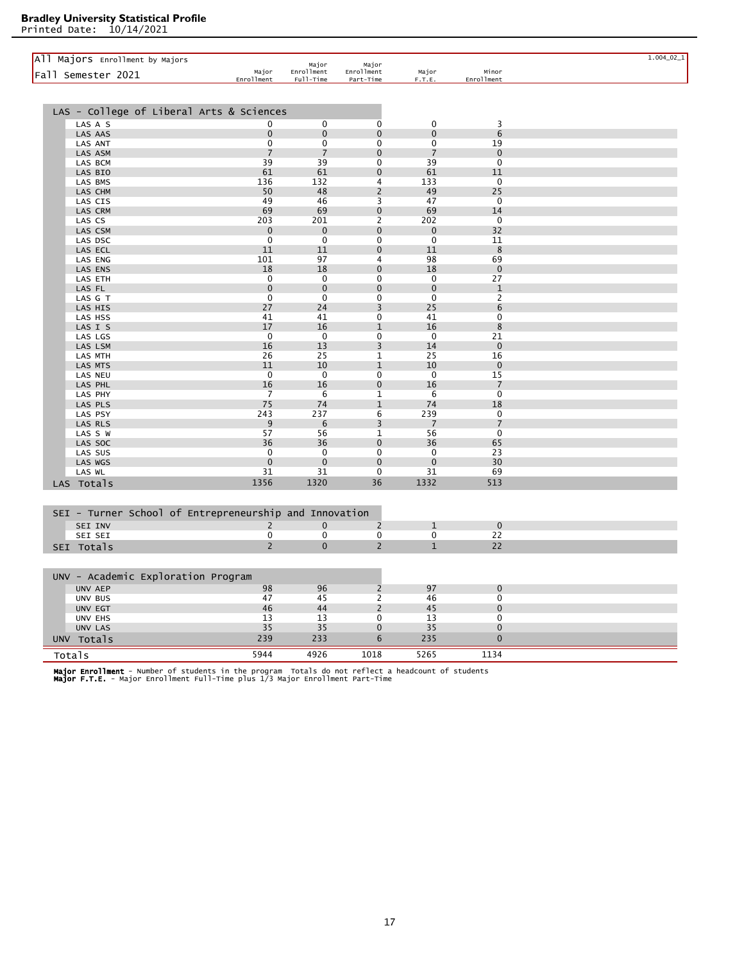Printed Date: 10/14/2021

| All Majors Enrollment by Majors<br>Fall Semester 2021  | Major<br>Enrollment | Major<br>Enrollment<br>Full-Time | Major<br>Enrollment<br>Part-Time | Major<br>F.T.E. | Minor<br>Enrollment | $1.004\_02\_1$ |
|--------------------------------------------------------|---------------------|----------------------------------|----------------------------------|-----------------|---------------------|----------------|
|                                                        |                     |                                  |                                  |                 |                     |                |
| LAS - College of Liberal Arts & Sciences               |                     |                                  |                                  |                 |                     |                |
| LAS A S                                                | 0                   | 0                                | 0                                | 0               | 3                   |                |
| LAS AAS                                                | $\mathbf 0$         | $\mathbf 0$                      | $\mathbf 0$                      | $\mathbf 0$     | $6\phantom{1}6$     |                |
| LAS ANT                                                | 0                   | 0                                | 0                                | $\mathbf 0$     | 19                  |                |
| LAS ASM                                                | $\overline{7}$      | $\overline{7}$                   | $\mathbf 0$                      | $\overline{7}$  | $\mathbf 0$         |                |
| LAS BCM                                                | 39                  | 39                               | $\mathbf 0$                      | 39              | $\Omega$            |                |
| LAS BIO                                                | 61                  | 61                               | $\pmb{0}$                        | 61              | 11                  |                |
| LAS BMS                                                | 136                 | 132                              | 4                                | 133             | $\mathbf 0$         |                |
| LAS CHM                                                | 50                  | 48                               | $\overline{2}$                   | 49              | 25                  |                |
| LAS CIS                                                | 49                  | 46                               | 3                                | 47              | $\mathbf 0$         |                |
| LAS CRM                                                | 69                  | 69                               | $\mathbf 0$                      | 69              | 14                  |                |
| LAS CS                                                 | 203                 | 201                              | $\overline{2}$                   | 202             | 0                   |                |
| LAS CSM                                                | $\mathbf 0$         | $\mathbf 0$                      | $\pmb{0}$                        | $\mathbf 0$     | 32                  |                |
| LAS DSC                                                | 0                   | 0                                | 0                                | 0               | 11                  |                |
| LAS ECL                                                | 11                  | 11                               | $\mathbf 0$                      | 11              | 8                   |                |
| LAS ENG                                                | 101                 | 97                               | 4                                | 98              | 69                  |                |
| LAS ENS                                                | 18                  | 18                               | $\mathbf 0$                      | 18              | $\mathbf 0$         |                |
| LAS ETH                                                | 0                   | 0                                | 0                                | 0               | 27                  |                |
| LAS FL                                                 | $\mathbf 0$         | $\mathbf 0$                      | $\pmb{0}$                        | $\mathbf{0}$    | $\mathbf{1}$        |                |
| LAS G T                                                | 0                   | 0                                | 0                                | 0               | $\overline{c}$      |                |
| LAS HIS                                                | 27                  | 24                               | 3                                | 25              | 6                   |                |
| LAS HSS                                                | 41                  | 41                               | 0                                | 41              | 0                   |                |
| LAS I S                                                | 17                  | 16                               | $1\,$                            | 16              | 8                   |                |
| LAS LGS                                                | $\mathbf 0$         | $\mathbf 0$                      | 0                                | $\mathbf 0$     | 21                  |                |
| LAS LSM                                                | 16                  | 13                               | $\overline{3}$                   | 14              | $\mathbf{0}$        |                |
| LAS MTH                                                | 26                  | 25                               | $\mathbf{1}$                     | 25              | 16                  |                |
| LAS MTS                                                | 11                  | 10                               | $\mathbf{1}$                     | 10              | $\mathbf{0}$        |                |
| LAS NEU                                                | $\mathbf 0$         | $\mathbf 0$                      | 0                                | $\mathbf 0$     | 15                  |                |
| LAS PHL                                                | 16                  | 16                               | $\pmb{0}$                        | 16              | $\overline{7}$      |                |
| LAS PHY                                                | 7                   | 6                                | $\mathbf{1}$                     | 6               | $\mathbf 0$         |                |
| LAS PLS                                                | 75                  | 74                               | $\mathbf{1}$                     | 74              | 18                  |                |
| LAS PSY                                                | 243                 | 237                              | 6                                | 239             | $\mathbf 0$         |                |
| LAS RLS                                                | 9                   | 6                                | 3                                | 7               | $\overline{7}$      |                |
| LAS S W                                                | 57                  | 56                               | 1                                | 56              | 0                   |                |
| LAS SOC                                                | 36                  | 36                               | $\pmb{0}$                        | 36              | 65                  |                |
| LAS SUS                                                | $\mathbf 0$         | 0                                | 0                                | 0               | 23                  |                |
| LAS WGS                                                | $\mathbf 0$         | $\mathbf 0$                      | $\overline{0}$                   | $\mathbf{0}$    | 30                  |                |
| LAS WL                                                 | 31                  | 31                               | $\pmb{0}$                        | 31              | 69                  |                |
| LAS Totals                                             | 1356                | 1320                             | 36                               | 1332            | 513                 |                |
|                                                        |                     |                                  |                                  |                 |                     |                |
| SEI - Turner School of Entrepreneurship and Innovation |                     |                                  |                                  |                 |                     |                |
| SEI INV                                                | $\overline{2}$      | $\mathbf 0$                      | $\overline{c}$                   | $\mathbf{1}$    | $\mathbf 0$         |                |
| SEI SEI                                                | 0                   | 0                                | $\mathbf 0$                      | $\mathbf 0$     | 22                  |                |
| SEI Totals                                             | $\overline{2}$      | $\overline{0}$                   | $\overline{2}$                   | $\mathbf{1}$    | 22                  |                |
|                                                        |                     |                                  |                                  |                 |                     |                |
| UNV - Academic Exploration Program                     |                     |                                  |                                  |                 |                     |                |
| UNV AEP                                                | 98                  | 96                               | $\overline{2}$                   | 97              | $\mathbf 0$         |                |
| UNV BUS                                                | 47                  | 45                               | 2                                | 46              | $\mathbf 0$         |                |
| UNV EGT                                                | 46                  | 44                               | $\overline{2}$                   | 45              | $\overline{0}$      |                |
| UNV EHS                                                | 13                  | 13                               | 0                                | 13              | $\mathbf 0$         |                |
| UNV LAS                                                | 35                  | 35                               | $\pmb{0}$                        | 35              | $\mathbf 0$         |                |
| UNV Totals                                             | 239                 | 233                              | 6                                | 235             | $\mathbf 0$         |                |
| Totals                                                 | 5944                | 4926                             | 1018                             | 5265            | 1134                |                |

**Major Enrollment** - Number of students in the program  Totals do not reflect a headcount of students<br>**Major F.T.E.** - Major Enrollment Full-Time plus 1/3 Major Enrollment Part-Time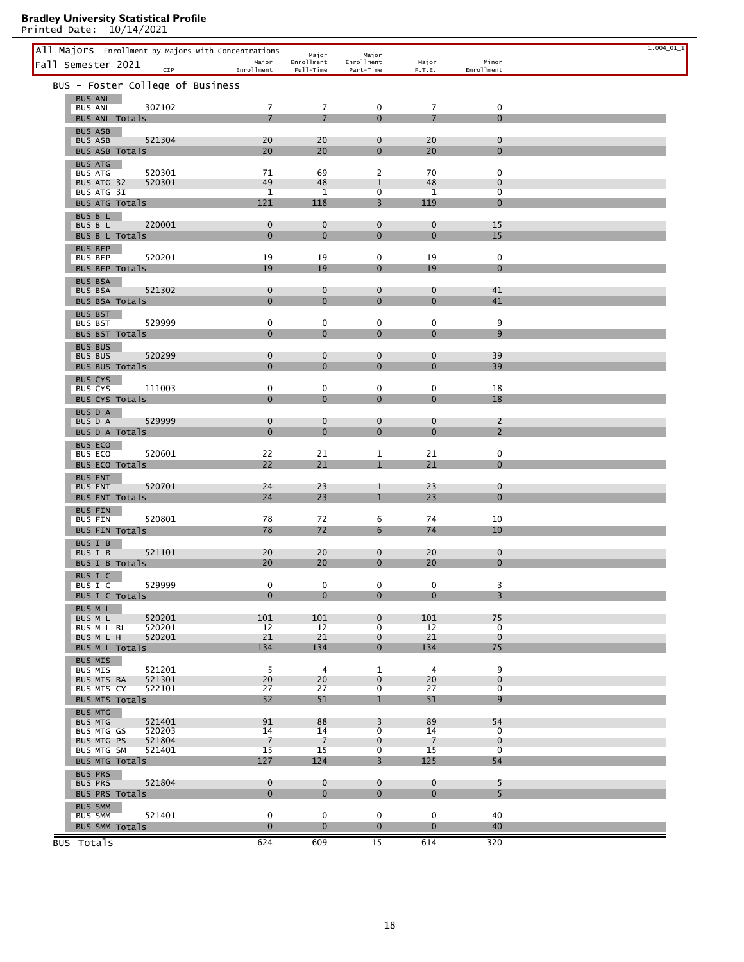| All Majors Enrollment by Majors with Concentrations |                  |                             |                         |                                  |                               |                                  | $1.004\_01\_1$ |
|-----------------------------------------------------|------------------|-----------------------------|-------------------------|----------------------------------|-------------------------------|----------------------------------|----------------|
| Fall Semester 2021                                  | CIP              | Major                       | Major<br>Enrollment     | Major<br>Enrollment              | Major                         | Minor                            |                |
| BUS - Foster College of Business                    |                  | Enrollment                  | Full-Time               | Part-Time                        | F.T.E.                        | Enrollment                       |                |
| <b>BUS ANL</b>                                      |                  |                             |                         |                                  |                               |                                  |                |
| <b>BUS ANL</b>                                      | 307102           | $\overline{7}$              | 7                       | 0                                | $\overline{7}$                | $\pmb{0}$                        |                |
| BUS ANL Totals                                      |                  | $\overline{7}$              | $\overline{7}$          | $\Omega$                         | $\overline{7}$                | $\Omega$                         |                |
| <b>BUS ASB</b><br><b>BUS ASB</b>                    | 521304           | 20                          | 20                      | $\mathbf 0$                      | 20                            | $\mathbf 0$                      |                |
| BUS ASB Totals                                      |                  | 20                          | 20                      | $\Omega$                         | 20                            | $\mathbf{0}$                     |                |
| <b>BUS ATG</b><br><b>BUS ATG</b>                    | 520301           | 71                          | 69                      | 2                                | 70                            | $\mathbf 0$                      |                |
| BUS ATG 32                                          | 520301           | 49                          | 48                      | 1                                | 48                            | 0                                |                |
| BUS ATG 3I<br>BUS ATG Totals                        |                  | $\mathbf{1}$<br>121         | 1<br>118                | 0<br>3                           | 1<br>119                      | 0<br>$\mathbf{0}$                |                |
| BUS B L                                             |                  |                             |                         |                                  |                               |                                  |                |
| BUS B L<br>BUS B L Totals                           | 220001           | $\mathbf 0$<br>$\mathbf{0}$ | $\mathbf 0$<br>$\Omega$ | $\mathbf 0$<br>$\Omega$          | $\mathbf 0$<br>$\bf{0}$       | 15<br>15                         |                |
| <b>BUS BEP</b>                                      |                  |                             |                         |                                  |                               |                                  |                |
| <b>BUS BEP</b>                                      | 520201           | 19                          | 19                      | 0                                | 19                            | $\mathbf 0$                      |                |
| BUS BEP Totals<br><b>BUS BSA</b>                    |                  | 19                          | 19                      | $\mathbf{0}$                     | 19                            | $\mathbf{0}$                     |                |
| <b>BUS BSA</b>                                      | 521302           | $\mathbf 0$                 | $\mathbf 0$             | $\mathbf 0$                      | $\mathbf 0$                   | 41                               |                |
| BUS BSA Totals                                      |                  | $\mathbf{0}$                | $\Omega$                | $\Omega$                         | $\overline{0}$                | 41                               |                |
| <b>BUS BST</b><br><b>BUS BST</b>                    | 529999           | 0                           | 0                       | 0                                | 0                             | 9                                |                |
| BUS BST Totals                                      |                  | $\mathbf{0}$                | $\mathbf{0}$            | $\mathbf{0}$                     | $\mathbf{0}$                  | 9                                |                |
| <b>BUS BUS</b><br><b>BUS BUS</b>                    | 520299           | $\mathbf 0$                 | $\mathbf 0$             | $\mathbf 0$                      | $\mathbf 0$                   | 39                               |                |
| BUS BUS Totals                                      |                  | $\Omega$                    | $\Omega$                | $\Omega$                         | $\overline{0}$                | 39                               |                |
| BUS CYS                                             |                  |                             |                         |                                  |                               |                                  |                |
| <b>BUS CYS</b><br>BUS CYS Totals                    | 111003           | 0<br>$\Omega$               | 0<br>$\Omega$           | 0<br>$\Omega$                    | 0<br>0                        | 18<br>18                         |                |
| BUS D A                                             |                  |                             |                         |                                  |                               |                                  |                |
| BUS D A<br>BUS D A Totals                           | 529999           | $\mathbf 0$<br>$\Omega$     | $\mathbf 0$<br>$\Omega$ | $\mathbf 0$<br>$\Omega$          | $\mathbf 0$<br>$\overline{0}$ | $\overline{2}$<br>$\overline{2}$ |                |
| <b>BUS ECO</b>                                      |                  |                             |                         |                                  |                               |                                  |                |
| <b>BUS ECO</b>                                      | 520601           | 22                          | 21                      | 1                                | 21                            | $\mathbf 0$                      |                |
| BUS ECO Totals<br><b>BUS ENT</b>                    |                  | 22                          | 21                      | $\mathbf{1}$                     | 21                            | $\mathbf{0}$                     |                |
| <b>BUS ENT</b>                                      | 520701           | 24                          | 23                      | $\mathbf{1}$                     | 23                            | $\mathbf 0$                      |                |
| BUS ENT Totals                                      |                  | 24                          | 23                      | $\mathbf{1}$                     | 23                            | $\mathbf 0$                      |                |
| <b>BUS FIN</b><br><b>BUS FIN</b>                    | 520801           | 78                          | 72                      | 6                                | 74                            | 10                               |                |
| BUS FIN Totals                                      |                  | 78                          | 72                      | 6                                | 74                            | 10                               |                |
| <b>BUS I B</b><br>BUS I B                           | 521101           | 20                          | 20                      | $\mathbf 0$                      | 20                            | $\mathbf 0$                      |                |
| BUS I B Totals                                      |                  | 20                          | 20                      | $\Omega$                         | 20                            | $\Omega$                         |                |
| BUS I C                                             |                  |                             |                         |                                  |                               |                                  |                |
| BUS I C<br>BUS I C Totals                           | 529999           | 0<br>$\Omega$               | 0<br>$\Omega$           | $\mathbf{0}$<br>$\Omega$         | 0<br>$\mathbf{0}$             | 3<br>$\overline{3}$              |                |
| BUS M L                                             |                  |                             |                         |                                  |                               |                                  |                |
| BUS M L<br>BUS M L BL                               | 520201<br>520201 | 101<br>12                   | 101<br>12               | $\mathbf{0}$<br>$\overline{0}$   | 101<br>12                     | 75<br>0                          |                |
| BUS M L H                                           | 520201           | 21                          | 21                      | $\mathbf{0}$                     | 21                            | $\mathbf{0}$                     |                |
| BUS M L Totals                                      |                  | 134                         | 134                     | $\overline{0}$                   | 134                           | 75                               |                |
| <b>BUS MIS</b><br><b>BUS MIS</b>                    | 521201           | 5                           | $\overline{4}$          | $\mathbf{1}$                     | $\overline{4}$                | 9                                |                |
| BUS MIS BA                                          | 521301<br>522101 | 20<br>27                    | 20<br>27                | $\mathbf{0}$<br>$\overline{0}$   | 20<br>27                      | $\mathbf 0$<br>$\overline{0}$    |                |
| BUS MIS CY<br>BUS MIS Totals                        |                  | 52                          | 51                      | $\mathbf{1}$                     | 51                            | 9                                |                |
| <b>BUS MTG</b>                                      |                  |                             |                         |                                  |                               |                                  |                |
| <b>BUS MTG</b><br><b>BUS MTG GS</b>                 | 521401<br>520203 | 91<br>14                    | 88<br>14                | 3<br>$\mathbf{0}$                | 89<br>14                      | 54<br>$\overline{0}$             |                |
| <b>BUS MTG PS</b>                                   | 521804           | 7                           | 7                       | $\overline{0}$                   | $\overline{7}$                | $\mathbf{0}$                     |                |
| <b>BUS MTG SM</b><br>BUS MTG Totals                 | 521401           | 15<br>127                   | 15<br>124               | $\overline{0}$<br>$\overline{3}$ | 15<br>125                     | $\overline{0}$<br>54             |                |
| <b>BUS PRS</b>                                      |                  |                             |                         |                                  |                               |                                  |                |
| <b>BUS PRS</b>                                      | 521804           | $\mathbf 0$                 | $\mathbf{0}$            | $\mathbf{0}$                     | $\mathbf{0}$                  | 5                                |                |
| BUS PRS Totals                                      |                  | $\mathbf{0}$                | $\mathbf{0}$            | $\mathbf{0}$                     | $\mathbf{0}$                  | 5                                |                |
| <b>BUS SMM</b><br><b>BUS SMM</b>                    | 521401           | $\mathbf 0$                 | $\mathbf 0$             | $\mathbf 0$                      | 0                             | 40                               |                |
| BUS SMM Totals                                      |                  | $\mathbf{0}$                | $\mathbf{0}$            | $\overline{0}$                   | $\overline{0}$                | 40                               |                |
| BUS Totals                                          |                  | 624                         | 609                     | 15                               | 614                           | 320                              |                |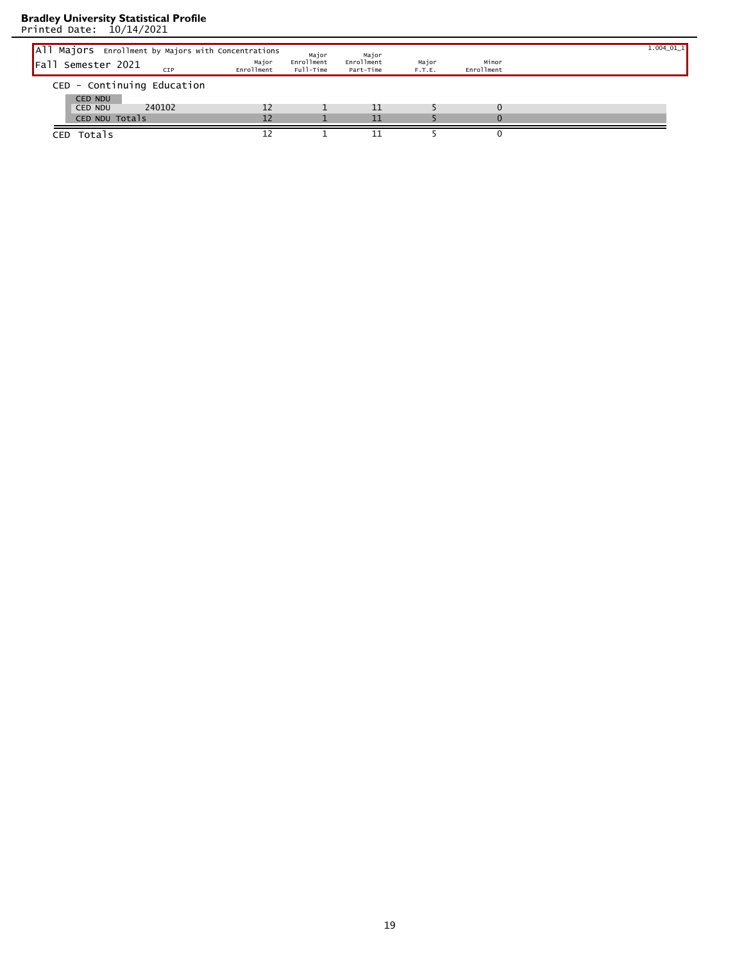| All Majors Enrollment by Majors with Concentrations |                     | Major                   | Major                   |                 |                     | $1.004\_01\_1$ |
|-----------------------------------------------------|---------------------|-------------------------|-------------------------|-----------------|---------------------|----------------|
| <b>I</b> Fall<br>Semester 2021<br>CIP               | Major<br>Enrollment | Enrollment<br>Full-Time | Enrollment<br>Part-Time | Major<br>F.T.E. | Minor<br>Enrollment |                |
| CED - Continuing Education                          |                     |                         |                         |                 |                     |                |
| <b>CED NDU</b>                                      |                     |                         |                         |                 |                     |                |
| 240102<br><b>CED NDU</b>                            | 12                  |                         | 11                      |                 | $\Omega$            |                |
| CED NDU Totals                                      | 12                  |                         | 11                      |                 | $\Omega$            |                |
| CED Totals                                          |                     |                         |                         |                 |                     |                |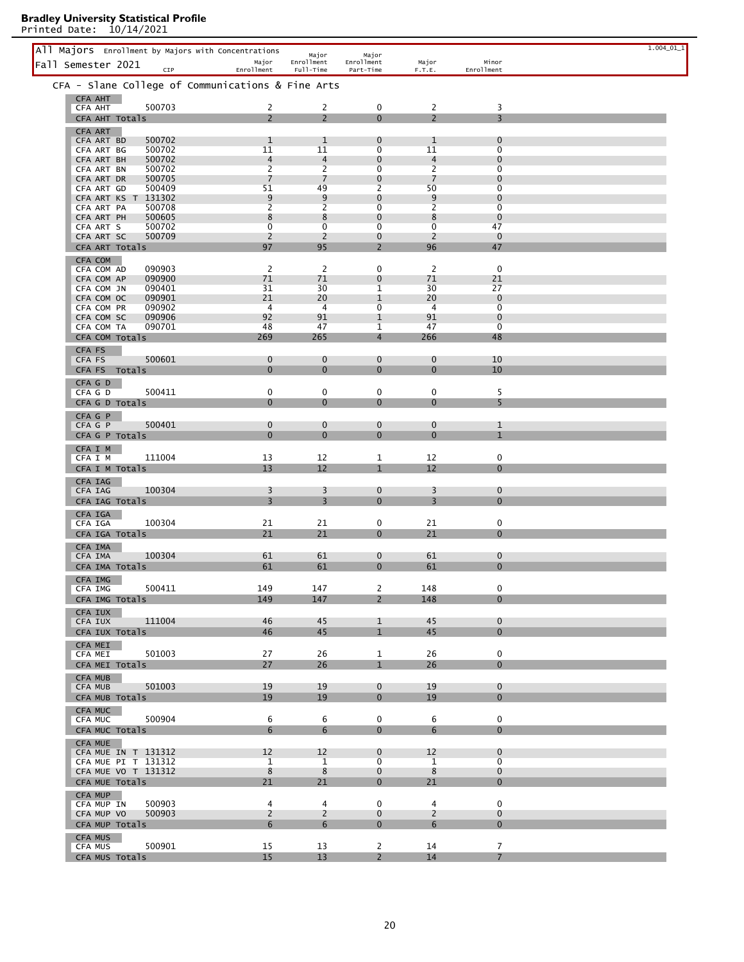|                                            | All Majors Enrollment by Majors with Concentrations<br>Major | Major<br>Enrollment | Major<br>Enrollment              |                               | Major                            | Minor                          | $1.004\_01\_1$ |
|--------------------------------------------|--------------------------------------------------------------|---------------------|----------------------------------|-------------------------------|----------------------------------|--------------------------------|----------------|
| Fall Semester 2021                         | CIP<br>Enrollment                                            | Full-Time           | Part-Time                        |                               | F.T.E.                           | Enrollment                     |                |
|                                            | CFA - Slane College of Communications & Fine Arts            |                     |                                  |                               |                                  |                                |                |
| CFA AHT<br><b>CFA AHT</b>                  | 500703                                                       | 2                   | $\overline{2}$                   | 0                             | $\overline{2}$                   | 3                              |                |
| CFA AHT Totals                             |                                                              | $\overline{2}$      | $\overline{2}$                   | $\Omega$                      | $\overline{2}$                   | $\overline{3}$                 |                |
| CFA ART<br>CFA ART BD                      | 500702<br>$\mathbf{1}$                                       |                     | $\mathbf{1}$                     | $\mathbf 0$                   | 1                                | $\mathbf 0$                    |                |
| CFA ART BG                                 | 11<br>500702                                                 |                     | 11                               | $\overline{0}$                | 11                               | $\overline{0}$                 |                |
| CFA ART BH<br>CFA ART BN                   | 500702<br>500702<br>$\overline{2}$                           | 4                   | $\overline{4}$<br>$\overline{2}$ | $\mathbf 0$<br>$\mathbf 0$    | $\overline{4}$<br>$\overline{2}$ | $\mathbf 0$<br>$\overline{0}$  |                |
| CFA ART DR                                 | 500705<br>$\overline{7}$                                     |                     | 7                                | $\mathbf{0}$                  | $\overline{7}$                   | $\mathbf{0}$                   |                |
| CFA ART GD<br>CFA ART KS T 131302          | 51<br>500409                                                 | 9                   | 49<br>9                          | $\overline{2}$<br>$\mathbf 0$ | 50<br>9                          | $\overline{0}$<br>$\mathbf 0$  |                |
| CFA ART PA                                 | $\overline{2}$<br>500708                                     |                     | $\overline{2}$                   | $\mathbf 0$                   | $\overline{2}$                   | $\overline{0}$                 |                |
| CFA ART PH<br>CFA ART S                    | 500605<br>8<br>$\overline{0}$<br>500702                      |                     | 8<br>$\overline{0}$              | $\mathbf{0}$<br>0             | 8<br>$\overline{0}$              | $\mathbf{0}$<br>47             |                |
| CFA ART SC                                 | 500709<br>2                                                  |                     | 2                                | $\mathbf{0}$                  | 2                                | $\mathbf{0}$                   |                |
| CFA ART Totals<br>CFA COM                  | 97                                                           |                     | 95                               | $\overline{2}$                | 96                               | 47                             |                |
| CFA COM AD                                 | $\overline{2}$<br>090903                                     |                     | 2                                | $\mathbf 0$                   | 2                                | $\mathbf 0$                    |                |
| CFA COM AP<br>CFA COM JN                   | 71<br>090900<br>31<br>090401                                 |                     | 71<br>30                         | $\mathbf{0}$<br>1             | 71<br>30                         | 21<br>27                       |                |
| CFA COM OC                                 | 21<br>090901                                                 |                     | 20                               | $\mathbf{1}$                  | 20                               | $\mathbf{0}$                   |                |
| CFA COM PR<br>CFA COM SC                   | 090902<br>92<br>090906                                       | $\overline{4}$      | $\overline{4}$<br>91             | 0<br>$\mathbf{1}$             | 4<br>91                          | $\overline{0}$<br>$\mathbf{0}$ |                |
| CFA COM TA                                 | 48<br>090701                                                 |                     | 47                               | 1                             | 47                               | $\mathbf 0$                    |                |
| CFA COM Totals                             | 269                                                          | 265                 |                                  | $\overline{4}$                | 266                              | 48                             |                |
| CFA FS<br>CFA FS                           | 500601                                                       | 0                   | $\mathbf{0}$                     | $\mathbf{0}$                  | $\mathbf 0$                      | 10                             |                |
| CFA FS Totals                              |                                                              | $\mathbf 0$         | $\mathbf{0}$                     | $\mathbf{0}$                  | $\mathbf 0$                      | 10                             |                |
| CFA G D                                    | 500411<br>0                                                  |                     | 0                                | 0                             | 0                                | 5                              |                |
| CFA G D<br>CFA G D Totals                  |                                                              | $\mathbf{0}$        | $\mathbf{0}$                     | $\mathbf{0}$                  | $\mathbf{0}$                     | 5                              |                |
| CFA G P                                    |                                                              |                     |                                  |                               |                                  |                                |                |
| CFA G P<br>CFA G P Totals                  | 500401                                                       | 0<br>$\mathbf{0}$   | $\mathbf{0}$<br>$\mathbf{0}$     | $\mathbf{0}$<br>$\mathbf{0}$  | $\mathbf{0}$<br>$\mathbf{0}$     | $\mathbf{1}$<br>$\mathbf{1}$   |                |
| CFA I M                                    |                                                              |                     |                                  |                               |                                  |                                |                |
| CFA I M                                    | 111004<br>13                                                 |                     | 12                               | $\mathbf{1}$                  | 12                               | 0                              |                |
| CFA I M Totals                             | 13                                                           |                     | 12                               | $\mathbf{1}$                  | 12                               | $\Omega$                       |                |
| CFA IAG<br><b>CFA IAG</b>                  | 100304<br>3                                                  |                     | 3                                | $\mathbf{0}$                  | 3                                | $\mathbf{0}$                   |                |
| CFA IAG Totals                             | 3                                                            |                     | 3                                | $\mathbf{0}$                  | 3                                | $\mathbf 0$                    |                |
| CFA IGA<br>CFA IGA                         | 100304<br>21                                                 |                     | 21                               | 0                             | 21                               | 0                              |                |
| CFA IGA Totals                             | 21                                                           |                     | 21                               | $\mathbf{0}$                  | 21                               | $\mathbf{0}$                   |                |
| CFA IMA                                    |                                                              |                     |                                  |                               |                                  |                                |                |
| CFA IMA<br>CFA IMA Totals                  | 100304<br>61<br>61                                           |                     | 61<br>61                         | $\mathbf 0$<br>$\mathbf{0}$   | 61<br>61                         | $\mathbf 0$<br>$\mathbf{0}$    |                |
| CFA IMG                                    |                                                              |                     |                                  |                               |                                  |                                |                |
| CFA IMG                                    | 149<br>500411                                                |                     | 147                              | $\overline{2}$                | 148                              | 0                              |                |
| CFA IMG Totals<br>CFA IUX                  | 149                                                          |                     | 147                              | $\overline{2}$                | 148                              | $\Omega$                       |                |
| CFA IUX                                    | 111004<br>46                                                 |                     | 45                               | $\mathbf{1}$                  | 45                               | $\Omega$                       |                |
| CFA IUX Totals                             | 46                                                           |                     | 45                               | $\mathbf{1}$                  | 45                               | $\overline{0}$                 |                |
| CFA MEI<br><b>CFA MEI</b>                  | 501003<br>27                                                 |                     | 26                               | $\mathbf{1}$                  | 26                               | 0                              |                |
| CFA MEI Totals                             | 27                                                           |                     | 26                               | $\mathbf{1}$                  | 26                               | $\Omega$                       |                |
| <b>CFA MUB</b>                             | 19                                                           |                     | 19                               | $\mathbf{0}$                  | 19                               | $\mathbf{0}$                   |                |
| <b>CFA MUB</b><br>CFA MUB Totals           | 501003<br>19                                                 |                     | 19                               | $\mathbf{0}$                  | 19                               | $\mathbf{0}$                   |                |
| CFA MUC                                    |                                                              |                     |                                  |                               |                                  |                                |                |
| CFA MUC<br>CFA MUC Totals                  | 500904                                                       | 6<br>6              | 6<br>6                           | 0<br>$\overline{0}$           | 6<br>6                           | 0<br>$\Omega$                  |                |
| CFA MUE                                    |                                                              |                     |                                  |                               |                                  |                                |                |
| CFA MUE IN T 131312                        | 12                                                           |                     | 12                               | $\mathbf{0}$                  | $12 \overline{ }$                | $\mathbf{0}$                   |                |
| CFA MUE PI T 131312<br>CFA MUE VO T 131312 |                                                              | $\mathbf{1}$<br>8   | $\mathbf{1}$<br>8                | $\overline{0}$<br>$\mathbf 0$ | $\mathbf{1}$<br>8                | $\overline{0}$<br>$\mathbf 0$  |                |
| CFA MUE Totals                             | 21                                                           |                     | 21                               | $\overline{0}$                | 21                               | $\Omega$                       |                |
| CFA MUP                                    |                                                              |                     |                                  | $\Omega$                      |                                  | $\Omega$                       |                |
| CFA MUP IN<br>CFA MUP VO                   | 500903<br>500903                                             | 4<br>$\overline{2}$ | 4<br>$\overline{2}$              | $\mathbf 0$                   | $\overline{4}$<br>$\overline{2}$ | $\mathbf{0}$                   |                |
| CFA MUP Totals                             |                                                              | 6                   | 6                                | $\mathbf{0}$                  | 6                                | $\Omega$                       |                |
| CFA MUS<br>CFA MUS                         | 15<br>500901                                                 |                     | 13                               | $\mathbf{2}$                  | 14                               | $\overline{7}$                 |                |
| CFA MUS Totals                             | 15                                                           |                     | 13                               | $2^{\circ}$                   | 14                               | $\overline{7}$                 |                |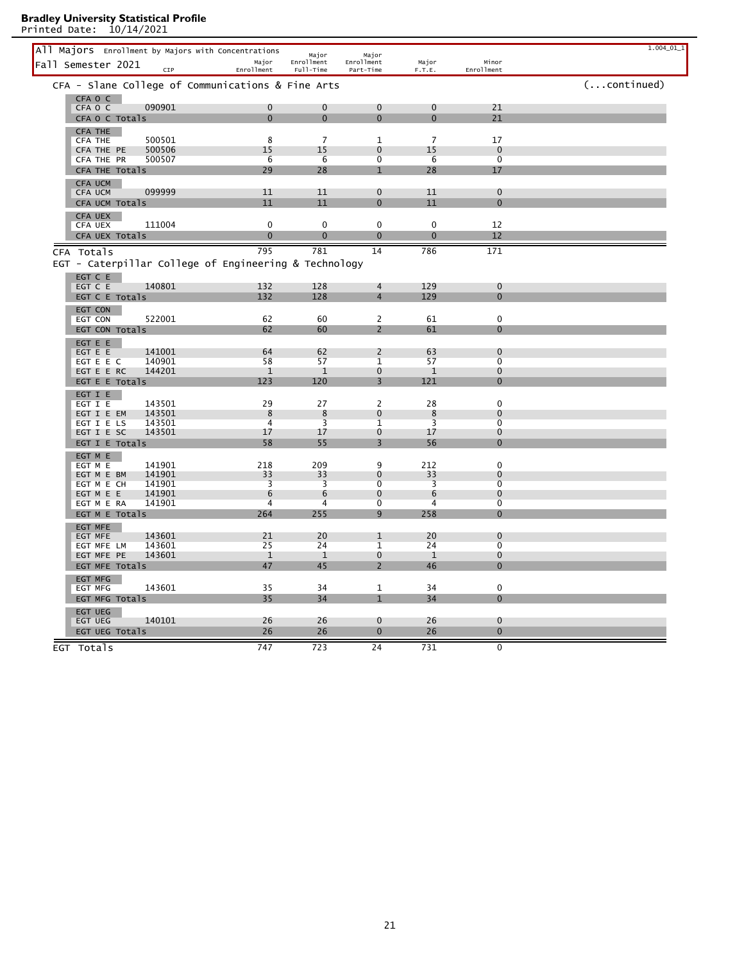| All Majors Enrollment by Majors with Concentrations   |                |                      |                             |                      |                               | $1.004\_01\_1$ |
|-------------------------------------------------------|----------------|----------------------|-----------------------------|----------------------|-------------------------------|----------------|
| Fall Semester 2021                                    | Major          | Major<br>Enrollment  | Major<br>Enrollment         | Major                | Minor                         |                |
| CIP                                                   | Enrollment     | Full-Time            | Part-Time                   | F.T.E.               | Enrollment                    |                |
| CFA - Slane College of Communications & Fine Arts     |                |                      |                             |                      |                               | $($ continued) |
| CFA O C                                               |                |                      |                             |                      |                               |                |
| 090901<br>CFA O C                                     | $\mathbf 0$    | $\mathbf 0$          | $\mathbf 0$                 | $\mathbf 0$          | 21                            |                |
| CFA O C Totals                                        | $\Omega$       | $\Omega$             | $\Omega$                    | $\Omega$             | 21                            |                |
| <b>CFA THE</b>                                        |                |                      |                             |                      |                               |                |
| 500501<br>CFA THE<br>500506                           | 8<br>15        | $\overline{7}$<br>15 | $\mathbf{1}$<br>$\Omega$    | $\overline{7}$<br>15 | 17<br>$\Omega$                |                |
| CFA THE PE<br>500507<br>CFA THE PR                    | 6              | 6                    | $\overline{0}$              | 6                    | $\overline{0}$                |                |
| CFA THE Totals                                        | 29             | 28                   | $\mathbf{1}$                | 28                   | 17                            |                |
| CFA UCM                                               |                |                      |                             |                      |                               |                |
| 099999<br>CFA UCM                                     | 11             | 11                   | $\mathbf{0}$                | 11                   | $\mathbf 0$                   |                |
| CFA UCM Totals                                        | 11             | 11                   | $\mathbf{0}$                | 11                   | $\Omega$                      |                |
| <b>CFA UEX</b>                                        |                |                      |                             |                      |                               |                |
| 111004<br><b>CFA UEX</b>                              | $\mathbf 0$    | $\mathbf 0$          | $\mathbf 0$                 | $\mathbf 0$          | 12                            |                |
| CFA UEX Totals                                        | $\mathbf 0$    | $\overline{0}$       | $\mathbf{0}$                | $\mathbf 0$          | 12                            |                |
| CFA Totals                                            | 795            | 781                  | 14                          | 786                  | 171                           |                |
| EGT - Caterpillar College of Engineering & Technology |                |                      |                             |                      |                               |                |
| EGT C E                                               |                |                      |                             |                      |                               |                |
| 140801<br>EGT C E                                     | 132            | 128                  | $\overline{4}$              | 129                  | $\mathbf 0$                   |                |
| EGT C E Totals                                        | 132            | 128                  | $\overline{4}$              | 129                  | $\overline{0}$                |                |
| EGT CON                                               |                |                      |                             |                      |                               |                |
| 522001<br>EGT CON                                     | 62             | 60                   | $\overline{2}$              | 61                   | $\mathbf 0$                   |                |
| EGT CON Totals                                        | 62             | 60                   | $\overline{2}$              | 61                   | $\overline{0}$                |                |
| EGT E E                                               |                |                      |                             |                      |                               |                |
| 141001<br>EGT E E                                     | 64             | 62                   | $\overline{2}$              | 63                   | $\mathbf 0$                   |                |
| EGT E E C<br>140901                                   | 58             | 57                   | 1                           | 57                   | $\overline{0}$                |                |
| EGT E E RC<br>144201                                  | $\mathbf{1}$   | $\mathbf{1}$         | $\mathbf{0}$                | $\mathbf{1}$         | $\mathbf 0$                   |                |
| EGT E E Totals                                        | 123            | 120                  | 3                           | 121                  | $\overline{0}$                |                |
| EGT I E<br>143501<br>EGT I E                          | 29             | 27                   | $\overline{2}$              | 28                   | $\mathbf 0$                   |                |
| 143501<br>EGT I E EM                                  | 8              | 8                    | $\mathbf{0}$                | 8                    | $\mathbf 0$                   |                |
| 143501<br>EGT I E LS                                  | $\overline{4}$ | $\overline{3}$       | 1                           | 3                    | $\overline{0}$                |                |
| EGT I E SC<br>143501                                  | 17             | 17                   | $\mathbf 0$                 | 17                   | $\bf{0}$                      |                |
| EGT I E Totals                                        | 58             | 55                   | $\overline{3}$              | 56                   | $\Omega$                      |                |
| EGT M E                                               |                |                      |                             |                      |                               |                |
| 141901<br>EGT M E                                     | 218            | 209                  | 9                           | 212                  | $\mathbf 0$                   |                |
| 141901<br>EGT M E BM                                  | 33             | 33                   | $\mathbf{0}$                | 33                   | $\mathbf 0$<br>$\overline{0}$ |                |
| EGT M E CH<br>141901<br>EGT M E E<br>141901           | 3<br>6         | 3<br>6               | $\mathbf 0$<br>$\mathbf{0}$ | 3<br>6               | $\mathbf 0$                   |                |
| 141901<br>EGT M E RA                                  | 4              | 4                    | $\overline{0}$              | $\overline{4}$       | $\overline{0}$                |                |
| EGT M E Totals                                        | 264            | 255                  | 9                           | 258                  | $\mathbf 0$                   |                |
| EGT MFE                                               |                |                      |                             |                      |                               |                |
| 143601<br>EGT MFE                                     | 21             | 20                   | $\mathbf{1}$                | 20                   | $\bf{0}$                      |                |
| 143601<br>EGT MFE LM                                  | 25             | 24                   | 1                           | 24                   | $\overline{0}$                |                |
| 143601<br>EGT MFE PE                                  | $\mathbf{1}$   | $\mathbf{1}$         | $\mathbf 0$                 | $\mathbf{1}$         | $\bf{0}$                      |                |
| EGT MFE Totals                                        | 47             | 45                   | $\overline{\phantom{0}}$    | 46                   | $\overline{0}$                |                |
| <b>EGT MFG</b>                                        |                |                      |                             |                      |                               |                |
| 143601<br>EGT MFG                                     | 35             | 34                   | 1                           | 34                   | $\mathbf 0$                   |                |
| EGT MFG Totals                                        | 35             | 34                   |                             | 34                   | $\Omega$                      |                |
| <b>EGT UEG</b><br>140101                              |                |                      | $\mathbf{0}$                | 26                   | $\mathbf 0$                   |                |
| EGT UEG<br>EGT UEG Totals                             | 26<br>26       | 26<br>26             | $\mathbf 0$                 | 26                   | $\mathbf 0$                   |                |
|                                                       |                |                      |                             |                      |                               |                |
| EGT Totals                                            | 747            | 723                  | 24                          | 731                  | $\mathbf 0$                   |                |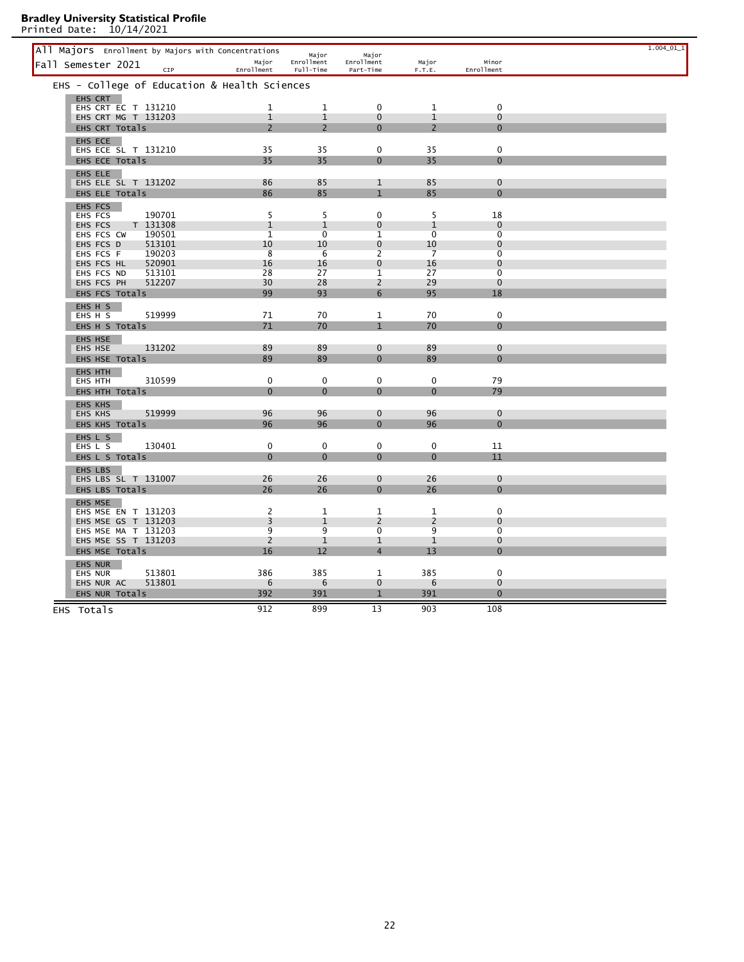| All Majors Enrollment by Majors with Concentrations |                    |                                |                     |                                |                               | $1.004\_01\_1$ |
|-----------------------------------------------------|--------------------|--------------------------------|---------------------|--------------------------------|-------------------------------|----------------|
| Fall Semester 2021                                  | Major              | Major<br>Enrollment            | Major<br>Enrollment | Major                          | Minor                         |                |
| CIP                                                 | Enrollment         | Full-Time                      | Part-Time           | F.T.E.                         | Enrollment                    |                |
| EHS - College of Education & Health Sciences        |                    |                                |                     |                                |                               |                |
| EHS CRT<br>EHS CRT EC T 131210                      | 1                  | $\mathbf{1}$                   | $\mathbf 0$         | $\mathbf{1}$                   | $\mathbf 0$                   |                |
| EHS CRT MG T 131203                                 | $\mathbf{1}$       | $\mathbf{1}$                   | $\mathbf{0}$        | $\mathbf{1}$                   | $\mathbf{0}$                  |                |
| EHS CRT Totals                                      | $\overline{2}$     | $\overline{2}$                 | $\Omega$            | $\overline{2}$                 | $\Omega$                      |                |
| EHS ECE                                             |                    |                                |                     |                                |                               |                |
| EHS ECE SL T 131210                                 | 35                 | 35                             | $\mathbf 0$         | 35                             | $\mathbf 0$                   |                |
| EHS ECE Totals                                      | 35                 | 35                             | $\Omega$            | 35                             | $\mathbf 0$                   |                |
| EHS ELE                                             |                    |                                |                     |                                |                               |                |
| EHS ELE SL T 131202                                 | 86                 | 85                             | 1                   | 85                             | $\mathbf 0$                   |                |
| EHS ELE Totals                                      | 86                 | 85                             | $\mathbf{1}$        | 85                             | $\bf{0}$                      |                |
| EHS FCS                                             |                    |                                |                     |                                |                               |                |
| 190701<br>EHS FCS                                   | 5                  | 5                              | $\mathbf 0$         | 5                              | 18                            |                |
| T 131308<br>EHS FCS                                 | $\mathbf{1}$       | $\mathbf{1}$<br>$\overline{0}$ | $\mathbf 0$         | $\mathbf{1}$<br>$\overline{0}$ | $\mathbf 0$<br>$\overline{0}$ |                |
| 190501<br>EHS FCS CW<br>EHS FCS D<br>513101         | $\mathbf{1}$<br>10 | 10                             | 1<br>$\Omega$       | 10                             | $\Omega$                      |                |
| 190203<br>EHS FCS F                                 | 8                  | 6                              | $\overline{2}$      | $\overline{7}$                 | $\Omega$                      |                |
| 520901<br>EHS FCS HL                                | 16                 | 16                             | $\mathbf 0$         | 16                             | $\mathbf 0$                   |                |
| EHS FCS ND<br>513101                                | 28                 | 27                             | $\mathbf{1}$        | 27                             | $\overline{0}$                |                |
| 512207<br>EHS FCS PH                                | 30                 | 28                             | 2                   | 29                             | $\mathbf 0$                   |                |
| EHS FCS Totals                                      | 99                 | 93                             | 6                   | 95                             | 18                            |                |
| EHS H S                                             |                    |                                |                     |                                |                               |                |
| 519999<br>EHS H S                                   | 71                 | 70                             | $\mathbf{1}$        | 70                             | $\mathbf 0$                   |                |
| EHS H S Totals                                      | 71                 | 70                             | $\mathbf{1}$        | 70                             | $\Omega$                      |                |
| EHS HSE                                             |                    |                                |                     |                                |                               |                |
| 131202<br>EHS HSE                                   | 89                 | 89                             | $\mathbf{0}$        | 89                             | $\mathbf 0$                   |                |
| EHS HSE Totals                                      | 89                 | 89                             | $\mathbf{0}$        | 89                             | $\mathbf 0$                   |                |
| EHS HTH<br>310599                                   | $\mathbf 0$        | $\mathbf 0$                    | $\mathbf 0$         | 0                              | 79                            |                |
| EHS HTH<br>EHS HTH Totals                           | $\mathbf{0}$       | $\Omega$                       | $\Omega$            | $\overline{0}$                 | 79                            |                |
|                                                     |                    |                                |                     |                                |                               |                |
| <b>EHS KHS</b><br>519999<br>EHS KHS                 | 96                 | 96                             | $\mathbf{0}$        | 96                             | $\mathbf 0$                   |                |
| EHS KHS Totals                                      | 96                 | 96                             | $\mathbf{0}$        | 96                             | $\mathbf 0$                   |                |
|                                                     |                    |                                |                     |                                |                               |                |
| EHS L S<br>130401<br>EHS L S                        | 0                  | 0                              | 0                   | 0                              | 11                            |                |
| EHS L S Totals                                      | $\Omega$           | $\overline{0}$                 | 0                   | $\mathbf 0$                    | 11                            |                |
| EHS LBS                                             |                    |                                |                     |                                |                               |                |
| EHS LBS SL T 131007                                 | 26                 | 26                             | $\mathbf{0}$        | 26                             | $\mathbf 0$                   |                |
| EHS LBS Totals                                      | 26                 | 26                             | $\Omega$            | 26                             | $\Omega$                      |                |
| EHS MSE                                             |                    |                                |                     |                                |                               |                |
| EHS MSE EN T 131203                                 | 2                  | 1                              | $\mathbf{1}$        | $\mathbf{1}$                   | $\mathbf 0$                   |                |
| EHS MSE GS T 131203                                 | 3                  | $\mathbf{1}$                   | 2                   | 2                              | $\mathbf 0$                   |                |
| EHS MSE MA T 131203                                 | 9                  | 9                              | $\overline{0}$      | 9                              | $\overline{0}$                |                |
| EHS MSE SS T 131203                                 | 2<br>16            | $\mathbf{1}$<br>12             | 1<br>$\overline{4}$ | $\mathbf{1}$<br>13             | $\mathbf 0$<br>$\mathbf{0}$   |                |
| EHS MSE Totals                                      |                    |                                |                     |                                |                               |                |
| <b>EHS NUR</b><br>513801<br><b>EHS NUR</b>          | 386                | 385                            | $\mathbf{1}$        | 385                            | $\mathbf 0$                   |                |
| EHS NUR AC<br>513801                                | 6                  | 6                              | $\mathbf{0}$        | 6                              | $\mathbf 0$                   |                |
| EHS NUR Totals                                      | 392                | 391                            | $\mathbf{1}$        | 391                            | $\Omega$                      |                |
|                                                     |                    |                                |                     |                                |                               |                |
| EHS Totals                                          | 912                | 899                            | 13                  | 903                            | 108                           |                |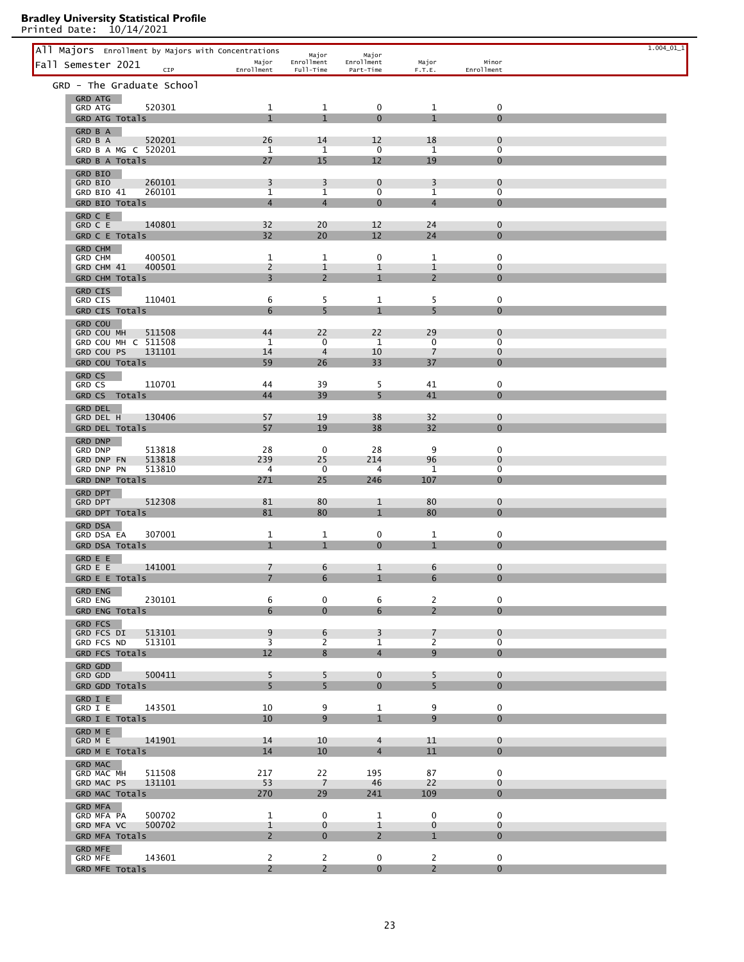| All Majors Enrollment by Majors with Concentrations<br>Fall Semester 2021 | Major                          | Major<br>Enrollment            | Major<br>Enrollment            | Major                          | Minor                         | $1.004\_01\_1$ |
|---------------------------------------------------------------------------|--------------------------------|--------------------------------|--------------------------------|--------------------------------|-------------------------------|----------------|
| CIP                                                                       | Enrollment                     | Full-Time                      | Part-Time                      | F.T.E.                         | Enrollment                    |                |
| GRD - The Graduate School<br>GRD ATG                                      |                                |                                |                                |                                |                               |                |
| 520301<br><b>GRD ATG</b>                                                  | 1                              | 1                              | 0                              | 1                              | 0                             |                |
| GRD ATG Totals<br>GRD B A                                                 | $\mathbf{1}$                   | $\mathbf{1}$                   | $\Omega$                       | $\mathbf{1}$                   | $\mathbf{0}$                  |                |
| 520201<br>GRD B A                                                         | 26                             | 14                             | 12                             | 18                             | $\mathbf 0$                   |                |
| GRD B A MG C 520201<br>GRD B A Totals                                     | $\mathbf{1}$<br>27             | 1<br>15                        | 0<br>12                        | 1<br>19                        | $\overline{0}$<br>0           |                |
| <b>GRD BIO</b>                                                            |                                |                                |                                |                                |                               |                |
| 260101<br>GRD BIO<br>260101                                               | 3<br>$\mathbf{1}$              | 3                              | $\mathbf 0$<br>$\overline{0}$  | 3<br>$\mathbf 1$               | $\mathbf 0$<br>$\overline{0}$ |                |
| GRD BIO 41<br>GRD BIO Totals                                              | $\overline{4}$                 | $\mathbf{1}$<br>$\overline{4}$ | $\Omega$                       | $\overline{4}$                 | $\mathbf 0$                   |                |
| GRD C E                                                                   |                                |                                |                                |                                |                               |                |
| 140801<br>GRD C E<br>GRD C E Totals                                       | 32<br>32                       | 20<br>20                       | 12<br>12                       | 24<br>24                       | 0<br>$\mathbf{0}$             |                |
| <b>GRD CHM</b>                                                            |                                |                                |                                |                                |                               |                |
| 400501<br><b>GRD CHM</b><br>400501<br>GRD CHM 41                          | 1<br>$\overline{2}$            | $\mathbf{1}$<br>1              | 0<br>$\mathbf{1}$              | 1<br>$\mathbf 1$               | $\mathbf 0$<br>$\mathbf 0$    |                |
| GRD CHM Totals                                                            | 3                              | $\overline{2}$                 | $\mathbf{1}$                   | $\overline{2}$                 | $\bf{0}$                      |                |
| GRD CIS                                                                   |                                |                                |                                |                                |                               |                |
| 110401<br>GRD CIS<br>GRD CIS Totals                                       | 6<br>6                         | 5<br>5                         | $\mathbf{1}$<br>$\mathbf{1}$   | 5<br>5                         | $\mathbf 0$<br>$\mathbf 0$    |                |
| <b>GRD COU</b>                                                            |                                |                                |                                |                                |                               |                |
| 511508<br>GRD COU MH<br>GRD COU MH C 511508                               | 44<br>$\mathbf{1}$             | 22<br>0                        | 22<br>1                        | 29<br>0                        | $\mathbf 0$<br>0              |                |
| GRD COU PS<br>131101                                                      | 14                             | $\overline{4}$                 | 10                             | 7                              | $\mathbf 0$                   |                |
| GRD COU Totals                                                            | 59                             | 26                             | 33                             | 37                             | $\mathbf{0}$                  |                |
| GRD CS<br>110701<br>GRD CS                                                | 44                             | 39                             | 5                              | 41                             | 0                             |                |
| GRD CS Totals                                                             | 44                             | 39                             | 5                              | 41                             | $\mathbf{0}$                  |                |
| <b>GRD DEL</b><br>130406<br>GRD DEL H                                     | 57                             | 19                             | 38                             | 32                             | $\mathbf 0$                   |                |
| GRD DEL Totals                                                            | 57                             | 19                             | 38                             | 32                             | $\mathbf 0$                   |                |
| GRD DNP                                                                   |                                |                                |                                |                                |                               |                |
| 513818<br>GRD DNP<br>513818<br>GRD DNP FN                                 | 28<br>239                      | 0<br>25                        | 28<br>214                      | 9<br>96                        | $\mathbf 0$<br>$\mathbf 0$    |                |
| 513810<br>GRD DNP PN                                                      | 4                              | 0                              | 4                              | 1                              | $\overline{0}$                |                |
| GRD DNP Totals<br>GRD DPT                                                 | 271                            | 25                             | 246                            | 107                            | $\mathbf 0$                   |                |
| 512308<br>GRD DPT                                                         | 81                             | 80                             | $\mathbf{1}$                   | 80                             | $\boldsymbol{0}$              |                |
| GRD DPT Totals                                                            | 81                             | 80                             | $\mathbf{1}$                   | 80                             | $\mathbf{0}$                  |                |
| <b>GRD DSA</b><br>307001<br>GRD DSA EA                                    | 1                              | $\mathbf{1}$                   | 0                              | 1                              | 0                             |                |
| GRD DSA Totals                                                            | $\mathbf{1}$                   | $\mathbf{1}$                   | $\Omega$                       | $\mathbf{1}$                   | $\mathbf{0}$                  |                |
| GRD E E<br>141001<br>GRD E E                                              | $\overline{7}$                 | 6                              | $\mathbf{1}$                   | 6                              | $\mathbf 0$                   |                |
| GRD E E Totals                                                            | $\overline{7}$                 | 6                              | $1\,$                          | 6                              | $\mathbf 0$                   |                |
| <b>GRD ENG</b>                                                            |                                |                                |                                |                                |                               |                |
| 230101<br><b>GRD ENG</b><br>GRD ENG Totals                                | 6<br>6                         | 0<br>$\Omega$                  | 6<br>6                         | 2<br>$\overline{2}$            | $\mathbf 0$<br>$\Omega$       |                |
| <b>GRD FCS</b>                                                            |                                |                                |                                |                                |                               |                |
| 513101<br>GRD FCS DI<br>GRD FCS ND<br>513101                              | 9<br>$\overline{3}$            | 6<br>2                         | $\overline{3}$<br>$\mathbf{1}$ | $\overline{7}$<br>2            | $\mathbf{0}$<br>0             |                |
| GRD FCS Totals                                                            | 12                             | 8                              | $\overline{4}$                 | 9                              | $\Omega$                      |                |
| GRD GDD                                                                   |                                | 5                              | $\Omega$                       | 5                              | $\Omega$                      |                |
| 500411<br>GRD GDD<br>GRD GDD Totals                                       | 5<br>5                         | 5                              | $\overline{0}$                 | 5                              | $\mathbf{0}$                  |                |
| GRD I E                                                                   |                                |                                |                                |                                |                               |                |
| GRD I E<br>143501<br>GRD I E Totals                                       | 10<br>10                       | 9<br>9                         | $\mathbf{1}$<br>$\mathbf{1}$   | 9<br>9                         | $\mathbf 0$<br>$\mathbf{0}$   |                |
| GRD M E                                                                   |                                |                                |                                |                                |                               |                |
| 141901<br>GRD M E                                                         | 14                             | 10                             | $\overline{4}$                 | 11                             | $\Omega$                      |                |
| GRD M E Totals<br><b>GRD MAC</b>                                          | 14                             | 10 <sup>°</sup>                | $\overline{4}$                 | 11                             | $\mathbf{0}$                  |                |
| 511508<br>GRD MAC MH                                                      | 217                            | 22                             | 195                            | 87                             | $\Omega$                      |                |
| GRD MAC PS<br>131101<br>GRD MAC Totals                                    | 53<br>270                      | 7<br>29                        | 46<br>241                      | 22<br>109                      | $\mathbf{0}$<br>$\mathbf{0}$  |                |
| <b>GRD MFA</b>                                                            |                                |                                |                                |                                |                               |                |
| 500702<br>GRD MFA PA                                                      | 1                              | 0                              | $\mathbf{1}$                   | 0                              | $\mathbf 0$<br>$\mathbf{0}$   |                |
| GRD MFA VC<br>500702<br>GRD MFA Totals                                    | $\mathbf{1}$<br>$\overline{2}$ | $\mathbf 0$<br>$\Omega$        | $\mathbf{1}$<br>$\overline{2}$ | $\mathbf 0$<br>$\mathbf{1}$    | $\Omega$                      |                |
| <b>GRD MFE</b>                                                            |                                |                                |                                |                                |                               |                |
| GRD MFE<br>143601<br>GRD MFE Totals                                       | $\mathbf{2}$<br>$\overline{2}$ | 2<br>$\overline{2}$            | $\mathbf 0$<br>$\overline{0}$  | $\mathbf{2}$<br>$\overline{2}$ | $\mathbf 0$<br>$\Omega$       |                |
|                                                                           |                                |                                |                                |                                |                               |                |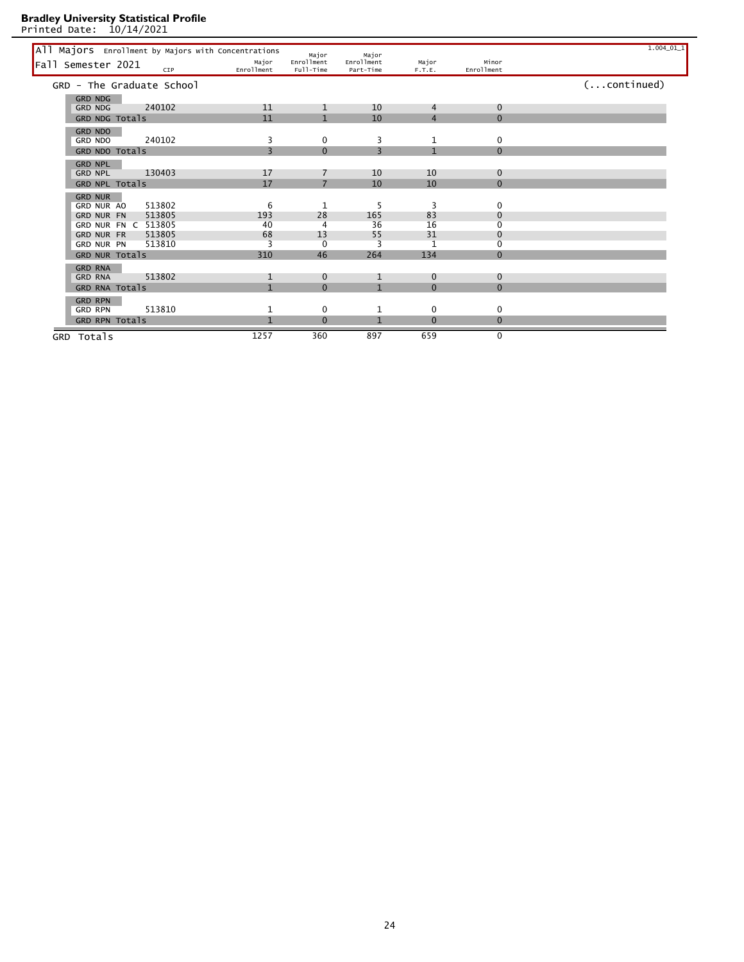Printed Date: 10/14/2021

All Majors Enrollment by Majors with Concentrations wajor and Major and Major and Major<br>
Fall Semester 2021 crp carollment Full-Time Part-Time F.T.E. Enrollment Major (F.T.E. Enrollment Part-Time Part-Time F.T.E. Enrollmen Major Enrollment<br>Enrollment Full-Time Enrollment Enrollment Major Major Enrollment Minor Part-Time Major F.T.E. Fall Semester 2021 <sub>CIP</sub> GRD - The Graduate School (...continued) GRD NDG GRD NDG 240102 11 1 10 4 0 GRD NDG Totals 0 0 11 1 10 4 0 0 GRD NDO GRD NDO 240102 3 0 3 1 0 GRD NDO Totals  $\begin{array}{cccc} 3 & 0 & 3 & 1 & 0 \end{array}$ GRD NPL<br>GRD NPL GRD NPL 130403 17 7 10 10 0 GRD NPL Totals 17 7 10 10 0 GRD NUR GRD NUR AO 513802 6 1 5 3 0 GRD NUR FN 513805 193 28 165 83 0 GRD NUR FN C 513805 40 4 36 16 0 GRD NUR FR 513805 68 13 55 31 0<br>GRD NUR FR 513805 68 13 55 31 0<br>GRD NUR PN 513810 3 0 3 1 0 GRD NUR PN 513810 3 0 3 1 0<br>GRD NUR Totals 310 46 264 134 0 GRD NUR Totals GRD RNA GRD RNA 513802 1 0 1 0 0 GRD RNA Totals **1** 0 1 0 0 0 GRD RPN<br>GRD RPN GRD RPN 513810 1 0 1 0 0 GRD RPN Totals **1** 0 1 0 0 0 0 GRD Totals 1257 360 897 659 0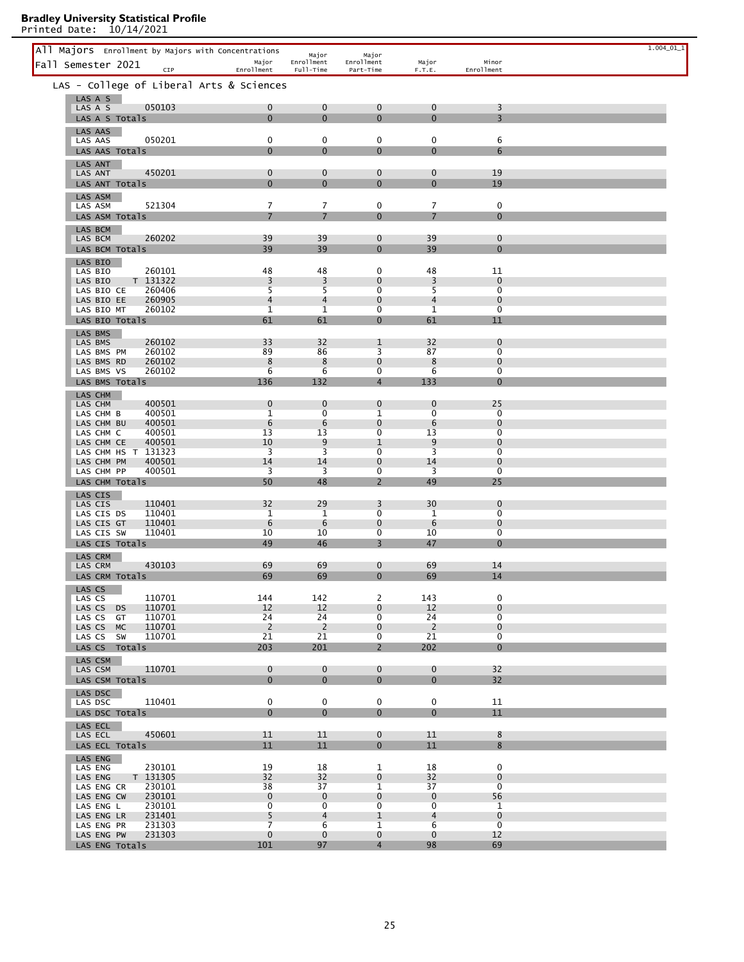|                                                      |                                |                               |                                |                               |                                | $1.004\_01\_1$ |
|------------------------------------------------------|--------------------------------|-------------------------------|--------------------------------|-------------------------------|--------------------------------|----------------|
| All Majors Enrollment by Majors with Concentrations  | Major                          | Major<br>Enrollment           | Major<br>Enrollment            | Major                         | Minor                          |                |
| Fall Semester 2021<br>CIP                            | Enrollment                     | Full-Time                     | Part-Time                      | F.T.E.                        | Enrollment                     |                |
| LAS - College of Liberal Arts & Sciences             |                                |                               |                                |                               |                                |                |
| LAS A S                                              |                                |                               |                                |                               |                                |                |
| 050103<br>LAS A S                                    | 0                              | $\mathbf 0$                   | $\mathbf{0}$                   | $\mathbf 0$                   | 3                              |                |
| LAS A S Totals                                       | $\Omega$                       | $\mathbf{0}$                  | $\mathbf{0}$                   | $\mathbf{0}$                  | $\overline{3}$                 |                |
| LAS AAS                                              |                                |                               |                                |                               |                                |                |
| 050201<br>LAS AAS                                    | 0                              | 0                             | 0                              | 0                             | 6                              |                |
| LAS AAS Totals                                       | $\Omega$                       | $\mathbf{0}$                  | $\mathbf{0}$                   | $\mathbf{0}$                  | 6                              |                |
| <b>LAS ANT</b><br>450201<br>LAS ANT                  | 0                              | $\mathbf 0$                   | $\mathbf{0}$                   | $\mathbf 0$                   | 19                             |                |
| LAS ANT Totals                                       | $\overline{0}$                 | $\mathbf{0}$                  | $\mathbf{0}$                   | $\mathbf 0$                   | 19                             |                |
| LAS ASM                                              |                                |                               |                                |                               |                                |                |
| 521304<br>LAS ASM                                    | 7                              | 7                             | 0                              | 7                             | 0                              |                |
| LAS ASM Totals                                       |                                |                               | $\mathbf{0}$                   | $\overline{7}$                | $\mathbf{0}$                   |                |
| LAS BCM                                              |                                |                               |                                |                               |                                |                |
| 260202<br>LAS BCM                                    | 39                             | 39                            | $\mathbf{0}$                   | 39                            | $\mathbf 0$                    |                |
| LAS BCM Totals                                       | 39                             | 39                            | $\mathbf{0}$                   | 39                            | $\mathbf{0}$                   |                |
| LAS BIO<br>260101<br>LAS BIO                         | 48                             | 48                            | 0                              | 48                            | 11                             |                |
| T 131322<br>LAS BIO                                  | 3                              | 3                             | $\mathbf{0}$                   | 3                             | $\mathbf 0$                    |                |
| 260406<br>LAS BIO CE                                 | 5                              | 5                             | 0                              | 5                             | $\overline{0}$                 |                |
| 260905<br>LAS BIO EE                                 | $\overline{4}$                 | $\overline{4}$                | $\mathbf 0$                    | $\overline{4}$                | $\mathbf 0$                    |                |
| 260102<br>LAS BIO MT                                 | $\mathbf{1}$                   | $\mathbf{1}$                  | 0                              | $\mathbf{1}$                  | $\overline{0}$                 |                |
| LAS BIO Totals                                       | 61                             | 61                            | $\mathbf{0}$                   | 61                            | 11                             |                |
| LAS BMS<br>260102<br>LAS BMS                         | 33                             | 32                            | $\mathbf{1}$                   | 32                            | $\mathbf 0$                    |                |
| 260102<br>LAS BMS PM                                 | 89                             | 86                            | $\overline{\mathbf{3}}$        | 87                            | $\overline{0}$                 |                |
| 260102<br>LAS BMS RD                                 | 8                              | 8                             | $\mathbf{0}$                   | 8                             | $\mathbf 0$                    |                |
| 260102<br>LAS BMS VS                                 | 6                              | 6                             | 0                              | 6                             | 0                              |                |
| LAS BMS Totals                                       | 136                            | 132                           | $\overline{4}$                 | 133                           | $\mathbf{0}$                   |                |
| LAS CHM                                              |                                |                               |                                |                               |                                |                |
| 400501<br>LAS CHM<br>400501<br>LAS CHM B             | 0<br>$\mathbf{1}$              | $\mathbf 0$<br>$\overline{0}$ | $\mathbf 0$<br>1               | $\mathbf 0$<br>$\overline{0}$ | 25<br>$\overline{0}$           |                |
| 400501<br>LAS CHM BU                                 | 6                              | 6                             | $\mathbf 0$                    | 6                             | $\mathbf 0$                    |                |
| 400501<br>LAS CHM C                                  | 13                             | 13                            | 0                              | 13                            | 0                              |                |
| 400501<br>LAS CHM CE                                 | 10                             | 9                             | 1                              | 9                             | $\mathbf 0$                    |                |
| LAS CHM HS T 131323                                  | 3<br>14                        | 3<br>14                       | $\overline{0}$                 | 3                             | $\mathbf 0$<br>$\mathbf 0$     |                |
| 400501<br>LAS CHM PM<br>400501<br>LAS CHM PP         | 3                              | 3                             | $\mathbf 0$<br>0               | 14<br>3                       | 0                              |                |
| LAS CHM Totals                                       | 50                             | 48                            | $\overline{2}$                 | 49                            | 25                             |                |
| LAS CIS                                              |                                |                               |                                |                               |                                |                |
| 110401<br>LAS CIS                                    | 32                             | 29                            | 3                              | 30                            | $\mathbf 0$                    |                |
| 110401<br>LAS CIS DS                                 | 1                              | 1                             | 0                              | 1                             | $\overline{0}$                 |                |
| 110401<br>LAS CIS GT<br>110401<br>LAS CIS SW         | 6<br>10                        | 6<br>10                       | $\mathbf 0$<br>0               | 6<br>10                       | $\mathbf 0$<br>0               |                |
| LAS CIS Totals                                       | 49                             | 46                            | $\overline{3}$                 | 47                            | $\mathbf{0}$                   |                |
| LAS CRM                                              |                                |                               |                                |                               |                                |                |
| 430103<br>LAS CRM                                    | 69                             | 69                            | $\mathbf{0}$                   | 69                            | 14                             |                |
| LAS CRM Totals                                       | 69                             | 69                            | $\mathbf 0$                    | 69                            | 14                             |                |
| LAS CS                                               |                                |                               |                                |                               |                                |                |
| 110701<br>LAS CS                                     | 144                            | 142                           | $\overline{2}$                 | 143                           | 0                              |                |
| LAS CS<br>110701<br><b>DS</b><br>110701<br>LAS CS GT | $12 \overline{ }$<br>24        | 12<br>24                      | $\mathbf{0}$<br>$\overline{0}$ | $12 \overline{ }$<br>24       | $\mathbf{0}$<br>$\overline{0}$ |                |
| 110701<br>LAS CS<br><b>MC</b>                        | 2                              | 2                             | $\mathbf 0$                    | 2                             | $\mathbf{0}$                   |                |
| 110701<br>LAS CS SW                                  | 21                             | 21                            | $\overline{0}$                 | 21                            | $\overline{0}$                 |                |
| LAS CS Totals                                        | 203                            | 201                           | $2^{\circ}$                    | 202                           | $\mathbf{0}$                   |                |
| LAS CSM                                              |                                |                               |                                |                               |                                |                |
| 110701<br>LAS CSM                                    | 0                              | $\mathbf 0$                   | $\mathbf{0}$                   | $\mathbf 0$                   | 32                             |                |
| LAS CSM Totals                                       | $\Omega$                       | $\Omega$                      | $\mathbf{0}$                   | $\mathbf{0}$                  | 32                             |                |
| LAS DSC                                              |                                |                               |                                |                               |                                |                |
| 110401<br>LAS DSC                                    | $\mathbf 0$<br>$\overline{0}$  | $\mathbf 0$<br>$\overline{0}$ | 0<br>$\overline{0}$            | 0<br>$\overline{0}$           | 11<br>11                       |                |
| LAS DSC Totals                                       |                                |                               |                                |                               |                                |                |
| LAS ECL<br>450601<br>LAS ECL                         | 11                             | 11                            | $\mathbf 0$                    | 11                            | 8                              |                |
| LAS ECL Totals                                       | 11                             | 11                            | $\overline{0}$                 | 11                            | 8                              |                |
| LAS ENG                                              |                                |                               |                                |                               |                                |                |
| 230101<br>LAS ENG                                    | 19                             | 18                            | 1                              | 18                            | 0                              |                |
| T 131305<br>LAS ENG                                  | 32                             | 32                            | $\Omega$                       | 32                            | $\Omega$                       |                |
| 230101<br>LAS ENG CR                                 | 38                             | 37                            | $\mathbf{1}$                   | 37                            | $\overline{0}$                 |                |
| LAS ENG CW<br>230101<br>LAS ENG L<br>230101          | $\mathbf{0}$<br>$\overline{0}$ | $\mathbf 0$<br>$\overline{0}$ | $\mathbf 0$<br>$\overline{0}$  | $\mathbf 0$<br>$\overline{0}$ | 56<br>$\mathbf{1}$             |                |
| LAS ENG LR<br>231401                                 | 5                              | 4                             | $\mathbf{1}$                   | 4                             | $\mathbf 0$                    |                |
| LAS ENG PR<br>231303                                 | $\overline{7}$                 | 6                             | $\mathbf 1$                    | 6                             | $\overline{0}$                 |                |
| LAS ENG PW<br>231303                                 | 0                              | $\mathbf{0}$                  | $\mathbf 0$                    | $\mathbf 0$                   | 12                             |                |
| LAS ENG Totals                                       | 101                            | 97                            | $\overline{4}$                 | 98                            | 69                             |                |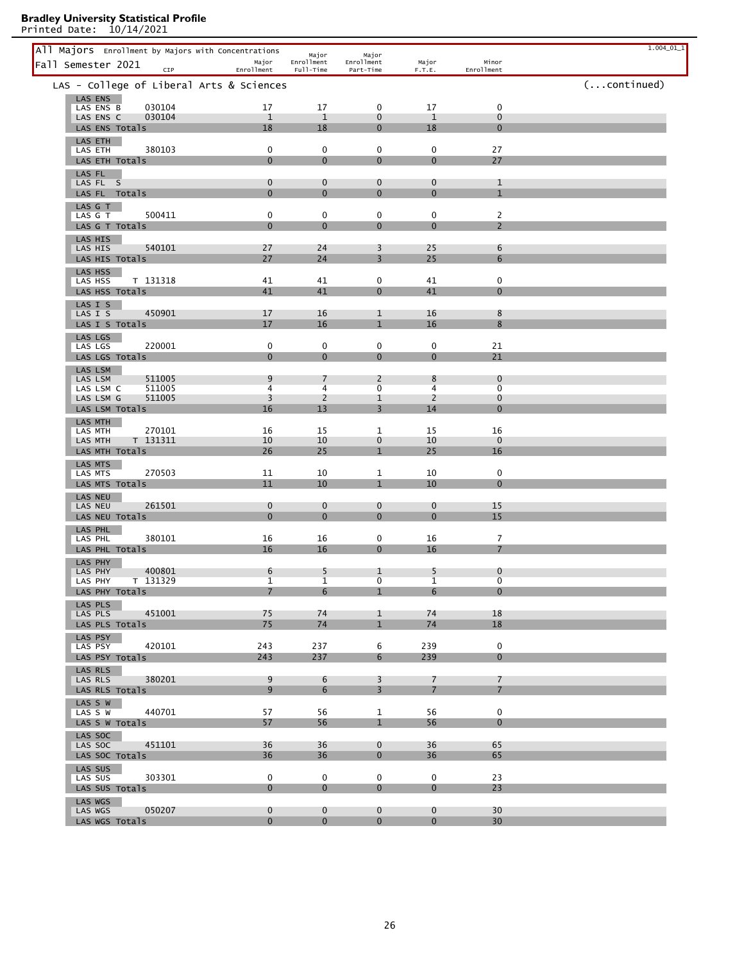| All Majors Enrollment by Majors with Concentrations |                             | Major                      | Major                        |                            |                               | $1.004\_01\_1$ |
|-----------------------------------------------------|-----------------------------|----------------------------|------------------------------|----------------------------|-------------------------------|----------------|
| Fall Semester 2021<br>CIP                           | Major<br>Enrollment         | Enrollment<br>Full-Time    | Enrollment<br>Part-Time      | Major<br>F.T.E.            | Minor<br>Enrollment           |                |
| LAS - College of Liberal Arts & Sciences            |                             |                            |                              |                            |                               | (continued)    |
| LAS ENS<br>030104<br>LAS ENS B                      | 17                          | 17                         | 0                            | 17                         | $\mathbf 0$                   |                |
| 030104<br>LAS ENS C                                 | $\mathbf{1}$                | $\mathbf{1}$               | $\mathbf 0$                  | $\mathbf{1}$               | $\mathbf 0$                   |                |
| LAS ENS Totals<br>LAS ETH                           | 18                          | 18                         | $\mathbf 0$                  | 18                         | $\mathbf{0}$                  |                |
| 380103<br>LAS ETH                                   | 0                           | 0                          | 0                            | 0                          | 27                            |                |
| LAS ETH Totals<br>LAS FL                            | $\mathbf{0}$                | $\mathbf{0}$               | $\mathbf{0}$                 | $\mathbf{0}$               | 27                            |                |
| LAS FL S                                            | 0                           | $\mathbf 0$                | $\mathbf 0$                  | $\mathbf 0$                | $\mathbf{1}$                  |                |
| LAS FL Totals                                       | $\mathbf{0}$                | $\mathbf{0}$               | $\mathbf 0$                  | $\mathbf 0$                | $\mathbf{1}$                  |                |
| LAS G T<br>LAS G T<br>500411                        | 0                           | $\mathbf 0$                | 0                            | 0                          | $\overline{2}$                |                |
| LAS G T Totals                                      | $\mathbf 0$                 | $\mathbf 0$                | $\mathbf 0$                  | $\mathbf 0$                | $\overline{2}$                |                |
| LAS HIS<br>540101<br>LAS HIS                        | 27                          | 24                         | 3                            | 25                         | 6                             |                |
| LAS HIS Totals                                      | 27                          | 24                         | 3                            | 25                         | 6                             |                |
| LAS HSS<br>T 131318<br>LAS HSS                      | 41                          | 41                         | 0                            | 41                         | $\mathbf 0$                   |                |
| LAS HSS Totals                                      | 41                          | 41                         | $\mathbf{0}$                 | 41                         | $\mathbf{0}$                  |                |
| LAS I S<br>450901<br>LAS I S                        | 17                          | 16                         | 1                            | 16                         | 8                             |                |
| LAS I S Totals                                      | 17                          | 16                         | $\mathbf{1}$                 | 16                         | 8                             |                |
| LAS LGS                                             |                             |                            |                              |                            |                               |                |
| 220001<br>LAS LGS<br>LAS LGS Totals                 | 0<br>$\mathbf{0}$           | $\pmb{0}$<br>$\mathbf 0$   | $\mathbf 0$<br>$\mathbf 0$   | 0<br>$\mathbf{0}$          | 21<br>21                      |                |
| LAS LSM                                             |                             |                            |                              |                            |                               |                |
| 511005<br>LAS LSM<br>511005<br>LAS LSM C            | 9<br>4                      | $\overline{7}$<br>4        | $\overline{2}$<br>0          | 8<br>4                     | $\mathbf 0$<br>0              |                |
| 511005<br>LAS LSM G                                 | 3                           | $\overline{2}$             | 1                            | $\overline{2}$             | $\mathbf 0$                   |                |
| LAS LSM Totals<br>LAS MTH                           | 16                          | 13                         | 3                            | 14                         | $\overline{0}$                |                |
| 270101<br>LAS MTH                                   | 16                          | 15                         | 1                            | 15                         | 16                            |                |
| T 131311<br>LAS MTH<br>LAS MTH Totals               | 10<br>26                    | 10<br>25                   | $\mathbf 0$<br>$\mathbf{1}$  | 10<br>25                   | $\mathbf 0$<br>16             |                |
| LAS MTS                                             |                             |                            |                              |                            |                               |                |
| 270503<br>LAS MTS<br>LAS MTS Totals                 | 11<br>11                    | 10<br>10                   | 1<br>$\mathbf{1}$            | 10<br>10                   | $\mathbf 0$<br>$\overline{0}$ |                |
| LAS NEU                                             |                             |                            |                              |                            |                               |                |
| 261501<br>LAS NEU<br>LAS NEU Totals                 | $\mathbf 0$<br>$\mathbf{0}$ | $\mathbf 0$<br>$\mathbf 0$ | $\mathbf 0$<br>$\mathbf{0}$  | $\mathbf 0$<br>$\mathbf 0$ | 15<br>15                      |                |
| LAS PHL                                             |                             |                            |                              |                            |                               |                |
| 380101<br>LAS PHL                                   | 16                          | 16                         | 0                            | 16                         | $\overline{7}$                |                |
| LAS PHL Totals<br>LAS PHY                           | 16                          | 16                         | $\mathbf{0}$                 | 16                         | $\overline{7}$                |                |
| 400801<br>LAS PHY                                   | 6                           | 5                          | 1                            | 5                          | $\boldsymbol{0}$              |                |
| LAS PHY<br>T 131329<br>LAS PHY Totals               | 1<br>$\overline{7}$         | 1<br>6                     | 0<br>$\mathbf{1}$            | 1<br>6                     | 0<br>$\mathbf{0}$             |                |
| LAS PLS                                             |                             |                            |                              |                            |                               |                |
| 451001<br>LAS PLS<br>LAS PLS Totals                 | 75<br>75                    | 74<br>74                   | $\mathbf{1}$<br>$\mathbf{1}$ | 74<br>74                   | 18<br>18                      |                |
| LAS PSY                                             |                             |                            |                              |                            |                               |                |
| 420101<br>LAS PSY                                   | 243                         | 237                        | 6                            | 239                        | $\mathbf 0$                   |                |
| LAS PSY Totals<br>LAS RLS                           | 243                         | 237                        | 6                            | 239                        | $\mathbf{0}$                  |                |
| 380201<br>LAS RLS                                   | 9                           | 6                          | $\overline{3}$               | $\overline{7}$             | $\overline{7}$                |                |
| LAS RLS Totals                                      | 9 <sup>°</sup>              | 6                          | $\overline{3}$               | 7 <sup>7</sup>             | $\overline{7}$                |                |
| LAS S W<br>440701<br>LAS <sub>W</sub>               | 57                          | 56                         | $\mathbf{1}$                 | 56                         | $\mathbf 0$                   |                |
| LAS S W Totals                                      | 57                          | 56                         | $\mathbf{1}$                 | 56                         | $\mathbf{0}$                  |                |
| LAS SOC<br>451101<br>LAS SOC                        | 36                          | 36                         | $\overline{0}$               | 36                         | 65                            |                |
| LAS SOC Totals                                      | 36                          | 36                         | $\mathbf{0}$                 | 36                         | 65                            |                |
| LAS SUS<br>303301<br>LAS SUS                        | $\mathbf 0$                 | $\mathbf 0$                | $\mathbf 0$                  | $\mathbf 0$                | 23                            |                |
| LAS SUS Totals                                      | $\overline{0}$              | $\mathbf{0}$               | $\mathbf{0}$                 | $\overline{0}$             | 23                            |                |
| LAS WGS<br>050207<br>LAS WGS                        | $\mathbf{0}$                | $\mathbf{0}$               | $\overline{0}$               | $\overline{0}$             | 30                            |                |
| LAS WGS Totals                                      | $\overline{0}$              | $\mathbf{0}$               | $\overline{0}$               | $\mathbf{0}$               | 30 <sup>°</sup>               |                |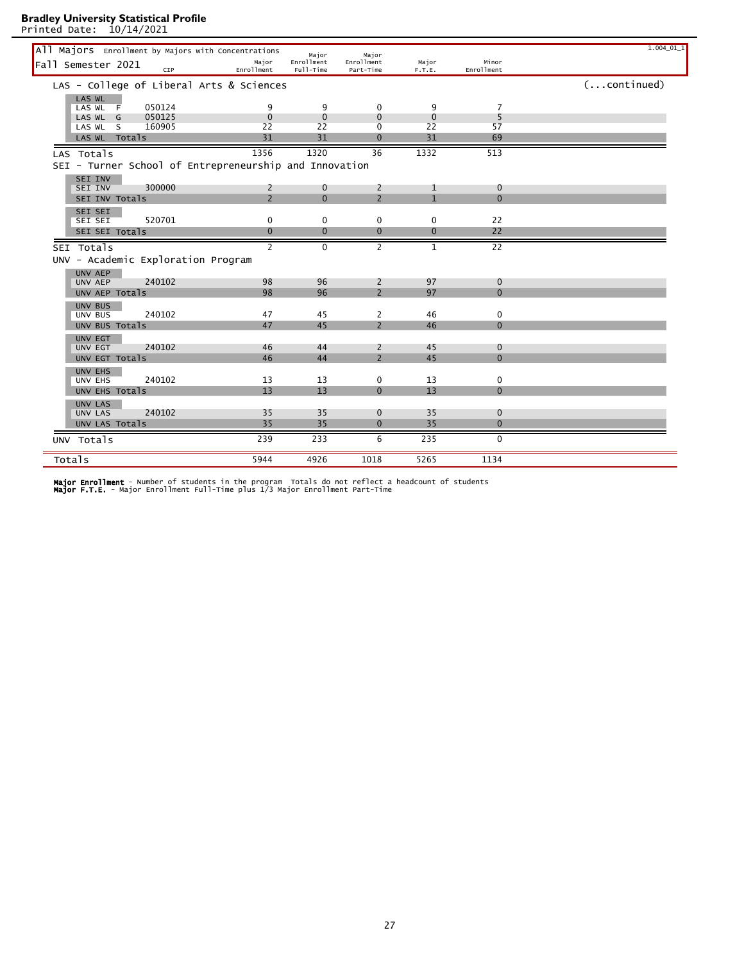Printed Date: 10/14/2021

|                                  | All Majors Enrollment by Majors with Concentrations    |                     | Major                   | Major                        |                   |                          | $1.004\_01\_1$       |
|----------------------------------|--------------------------------------------------------|---------------------|-------------------------|------------------------------|-------------------|--------------------------|----------------------|
| Fall Semester 2021               | CIP                                                    | Major<br>Enrollment | Enrollment<br>Full-Time | Enrollment<br>Part-Time      | Major<br>F.T.E.   | Minor<br>Enrollment      |                      |
|                                  | LAS - College of Liberal Arts & Sciences               |                     |                         |                              |                   |                          | $(\ldots$ continued) |
| LAS WL<br>LAS WL F               | 050124                                                 | 9                   | 9                       | $\mathbf{0}$                 | 9                 | 7                        |                      |
| LAS WL G<br>LAS WL S             | 050125<br>160905                                       | $\mathbf 0$<br>22   | $\mathbf 0$<br>22       | $\Omega$<br>$\mathbf 0$      | $\mathbf 0$<br>22 | 5<br>57                  |                      |
| LAS WL Totals                    |                                                        | 31                  | 31                      | $\Omega$                     | 31                | 69                       |                      |
| LAS Totals                       |                                                        | 1356                | 1320                    | 36                           | 1332              | 513                      |                      |
|                                  | SEI - Turner School of Entrepreneurship and Innovation |                     |                         |                              |                   |                          |                      |
| SEI INV<br>SEI INV               | 300000                                                 | 2                   | $\mathbf 0$             | 2                            | 1                 | $\mathbf 0$              |                      |
| SEI INV Totals                   |                                                        | $\overline{2}$      | $\Omega$                | $\overline{2}$               | $\mathbf{1}$      | $\Omega$                 |                      |
| SEI SEI                          |                                                        |                     |                         |                              |                   |                          |                      |
| SEI SEI<br>SEI SEI Totals        | 520701                                                 | 0<br>$\mathbf{0}$   | 0<br>$\mathbf{0}$       | 0<br>$\mathbf{0}$            | 0<br>$\mathbf{0}$ | 22<br>22                 |                      |
| SEI Totals                       |                                                        | $\mathcal{P}$       | $\Omega$                | $\overline{2}$               | $\mathbf{1}$      | $\overline{22}$          |                      |
|                                  | UNV - Academic Exploration Program                     |                     |                         |                              |                   |                          |                      |
| UNV AEP                          |                                                        |                     |                         |                              |                   |                          |                      |
| UNV AEP                          | 240102                                                 | 98<br>98            | 96<br>96                | 2<br>$\overline{2}$          | 97<br>97          | $\mathbf{0}$<br>$\Omega$ |                      |
| UNV AEP Totals<br>UNV BUS        |                                                        |                     |                         |                              |                   |                          |                      |
| UNV BUS                          | 240102                                                 | 47                  | 45                      | 2                            | 46                | 0                        |                      |
| UNV BUS Totals                   |                                                        | 47                  | 45                      | $\overline{2}$               | 46                | $\mathbf{0}$             |                      |
| UNV EGT<br><b>UNV EGT</b>        | 240102                                                 | 46                  | 44                      | 2                            | 45                | $\mathbf{0}$             |                      |
| UNV EGT Totals                   |                                                        | 46                  | 44                      | $\overline{2}$               | 45                | $\Omega$                 |                      |
| UNV EHS<br><b>UNV EHS</b>        | 240102                                                 | 13                  | 13                      | 0                            | 13                | 0                        |                      |
| UNV EHS Totals                   |                                                        | 13                  | 13                      | $\Omega$                     | 13                | $\Omega$                 |                      |
| UNV LAS                          |                                                        |                     |                         |                              |                   |                          |                      |
| <b>UNV LAS</b><br>UNV LAS Totals | 240102                                                 | 35<br>35            | 35<br>35                | $\mathbf{0}$<br>$\mathbf{0}$ | 35<br>35          | $\mathbf 0$<br>$\Omega$  |                      |
| UNV Totals                       |                                                        | 239                 | 233                     | 6                            | 235               | $\Omega$                 |                      |
| Totals                           |                                                        | 5944                | 4926                    | 1018                         | 5265              | 1134                     |                      |
|                                  |                                                        |                     |                         |                              |                   |                          |                      |

**Major Enrollment** - Number of students in the program  Totals do not reflect a headcount of students<br>**Major F.T.E.** - Major Enrollment Full-Time plus 1/3 Major Enrollment Part-Time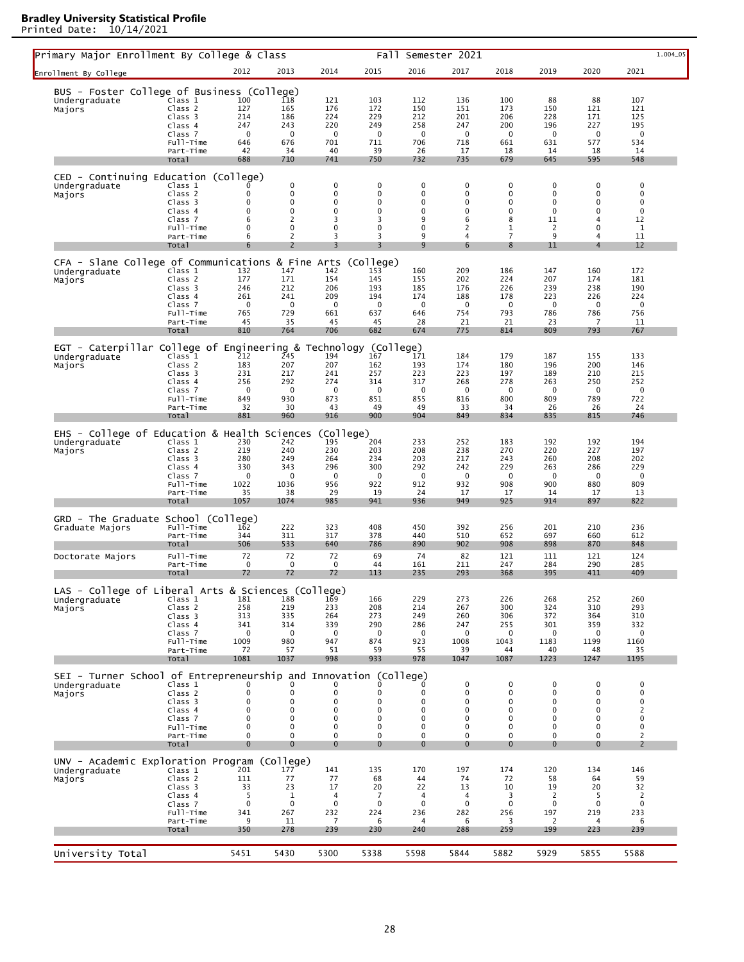| Primary Major Enrollment By College & Class                         |                               |                            |                            |                    | Fall                |                    | Semester 2021              |                    |                            |                            | 1.004_05           |
|---------------------------------------------------------------------|-------------------------------|----------------------------|----------------------------|--------------------|---------------------|--------------------|----------------------------|--------------------|----------------------------|----------------------------|--------------------|
| Enrollment By College                                               |                               | 2012                       | 2013                       | 2014               | 2015                | 2016               | 2017                       | 2018               | 2019                       | 2020                       | 2021               |
| BUS - Foster College of Business (College)                          |                               |                            |                            |                    |                     |                    |                            |                    |                            |                            |                    |
| Undergraduate                                                       | Class 1<br>Class <sub>2</sub> | 100<br>127                 | 118<br>165                 | 121<br>176         | 103<br>172          | 112<br>150         | 136<br>151                 | 100<br>173         | 88<br>150                  | 88<br>121                  | 107<br>121         |
| Majors                                                              | Class 3                       | 214                        | 186                        | 224                | 229                 | 212                | 201                        | 206                | 228                        | 171                        | 125                |
|                                                                     | Class 4                       | 247                        | 243                        | 220                | 249                 | 258                | 247                        | 200                | 196                        | 227                        | 195                |
|                                                                     | Class 7<br>Full-Time          | $\mathbf 0$<br>646         | $\mathbf 0$<br>676         | 0<br>701           | $\mathbf 0$<br>711  | $\mathbf 0$<br>706 | $\mathbf 0$<br>718         | 0<br>661           | 0<br>631                   | $\mathbf 0$<br>577         | $\mathbf 0$<br>534 |
|                                                                     | Part-Time                     | 42                         | 34                         | 40                 | 39                  | 26                 | 17                         | 18                 | 14                         | 18                         | 14                 |
|                                                                     | Total                         | 688                        | 710                        | 741                | 750                 | 732                | 735                        | 679                | 645                        | 595                        | 548                |
| CED - Continuing Education (College)                                |                               |                            | 0                          | $\pmb{0}$          | $\pmb{0}$           | 0                  | $\mathbf 0$                | $\pmb{0}$          | 0                          | 0                          | $\mathbf 0$        |
| Undergraduate<br>Majors                                             | Class 1<br>Class <sub>2</sub> | 0                          | 0                          | 0                  | 0                   | 0                  | 0                          | 0                  | $\mathbf 0$                | 0                          | $\mathbf 0$        |
|                                                                     | Class 3                       | 0                          | 0                          | 0                  | 0                   | 0                  | 0                          | 0                  | $\mathbf 0$                | 0                          | $\pmb{0}$          |
|                                                                     | Class 4<br>Class 7            | 0<br>6                     | 0<br>$\overline{2}$        | 0<br>3             | 0<br>3              | 0<br>9             | 0<br>6                     | 0<br>8             | $\mathbf 0$<br>11          | 0<br>$\overline{4}$        | 0<br>12            |
|                                                                     | Full-Time                     | 0                          | $\mathbf 0$                | $\mathbf 0$        | $\mathbf 0$         | 0                  | 2                          | 1                  | $\overline{2}$             | 0                          | $\mathbf{1}$       |
|                                                                     | Part-Time<br>Total            | 6<br>6                     | 2<br>$\overline{2}$        | 3<br>3             | 3<br>$\overline{3}$ | 9<br>9             | 4<br>6                     | 7<br>8             | 9<br>11                    | 4<br>$\overline{4}$        | 11<br>12           |
|                                                                     |                               |                            |                            |                    |                     |                    |                            |                    |                            |                            |                    |
| CFA - Slane College of Communications & Fine Arts<br>Undergraduate  | Class 1                       | 132                        | 147                        | 142                | (College)<br>153    | 160                | 209                        | 186                | 147                        | 160                        | 172                |
| Majors                                                              | Class 2                       | 177                        | 171                        | 154                | 145                 | 155                | 202                        | 224                | 207                        | 174                        | 181                |
|                                                                     | Class 3<br>Class 4            | 246<br>261                 | 212<br>241                 | 206<br>209         | 193<br>194          | 185<br>174         | 176<br>188                 | 226<br>178         | 239<br>223                 | 238<br>226                 | 190<br>224         |
|                                                                     | Class 7                       | 0                          | 0                          | 0                  | 0                   | 0                  | $\mathbf 0$                | 0                  | $\mathbf 0$                | $\mathbf 0$                | 0                  |
|                                                                     | Full-Time<br>Part-Time        | 765<br>45                  | 729<br>35                  | 661<br>45          | 637<br>45           | 646<br>28          | 754<br>21                  | 793<br>21          | 786<br>23                  | 786<br>7                   | 756<br>11          |
|                                                                     | Total                         | 810                        | 764                        | 706                | 682                 | 674                | 775                        | 814                | 809                        | 793                        | 767                |
| EGT - Caterpillar College of Engineering & Technology (College)     |                               |                            |                            |                    |                     |                    |                            |                    |                            |                            |                    |
| Undergraduate                                                       | Class <sup>T</sup> 1          | 212                        | 245                        | 194                | 167                 | 171                | 184                        | 179                | 187                        | 155                        | 133                |
| Majors                                                              | Class 2<br>Class 3            | 183<br>231                 | 207<br>217                 | 207<br>241         | 162<br>257          | 193<br>223         | 174<br>223                 | 180<br>197         | 196<br>189                 | 200<br>210                 | 146<br>215         |
|                                                                     | Class 4                       | 256                        | 292                        | 274                | 314                 | 317                | 268                        | 278                | 263                        | 250                        | 252                |
|                                                                     | Class 7<br>Full-Time          | $\mathbf 0$<br>849         | $\mathbf 0$<br>930         | 0<br>873           | $\mathbf 0$<br>851  | $\mathbf 0$<br>855 | $\mathbf 0$<br>816         | 0<br>800           | $\mathbf 0$<br>809         | $\mathbf 0$<br>789         | $\mathbf 0$<br>722 |
|                                                                     | Part-Time                     | 32                         | 30                         | 43                 | 49                  | 49                 | 33                         | 34                 | 26                         | 26                         | 24                 |
|                                                                     | Total                         | 881                        | 960                        | 916                | 900                 | 904                | 849                        | 834                | 835                        | 815                        | 746                |
| EHS - College of Education & Health Sciences                        |                               |                            |                            | (College)          |                     |                    |                            |                    |                            |                            |                    |
| Undergraduate                                                       | Class 1<br>Class 2            | 230<br>219                 | 242<br>240                 | 195                | 204<br>203          | 233                | 252                        | 183                | 192                        | 192                        | 194                |
| Majors                                                              | Class 3                       | 280                        | 249                        | 230<br>264         | 234                 | 208<br>203         | 238<br>217                 | 270<br>243         | 220<br>260                 | 227<br>208                 | 197<br>202         |
|                                                                     | Class 4                       | 330                        | 343                        | 296                | 300                 | 292                | 242                        | 229                | 263                        | 286                        | 229                |
|                                                                     | Class 7<br>Full-Time          | $\mathbf 0$<br>1022        | $\mathbf 0$<br>1036        | $\mathbf 0$<br>956 | $\mathbf 0$<br>922  | $\mathbf 0$<br>912 | $\mathbf 0$<br>932         | $\mathbf 0$<br>908 | $\mathbf 0$<br>900         | $\mathbf 0$<br>880         | $\mathbf 0$<br>809 |
|                                                                     | Part-Time                     | 35                         | 38                         | 29                 | 19                  | 24                 | 17                         | 17                 | 14                         | 17                         | 13                 |
|                                                                     | Total                         | 1057                       | 1074                       | 985                | 941                 | 936                | 949                        | 925                | 914                        | 897                        | 822                |
| GRD - The Graduate School (College)                                 |                               |                            |                            |                    |                     |                    |                            |                    |                            |                            |                    |
| Graduate Majors                                                     | Full-Time<br>Part-Time        | 162<br>344                 | 222<br>311                 | 323<br>317         | 408<br>378          | 450<br>440         | 392<br>510                 | 256<br>652         | 201<br>697                 | 210<br>660                 | 236<br>612         |
|                                                                     | Total                         | 506                        | 533                        | 640                | 786                 | 890                | 902                        | 908                | 898                        | 870                        | 848                |
| Doctorate Majors                                                    | Full-Time                     | 72                         | 72                         | 72                 | 69                  | 74                 | 82                         | 121                | 111                        | 121                        | 124                |
|                                                                     | Part-Time<br>Total            | 0<br>72                    | 0<br>72                    | 0<br>72            | 44<br>113           | 161<br>235         | 211<br>293                 | 247<br>368         | 284<br>395                 | 290<br>411                 | 285<br>409         |
|                                                                     |                               |                            |                            |                    |                     |                    |                            |                    |                            |                            |                    |
| LAS - College of Liberal Arts & Sciences (College)<br>Undergraduate | Class 1                       | 181                        | 188                        | 169                | 166                 | 229                | 273                        | 226                | 268                        | 252                        | 260                |
| Majors                                                              | Class 2                       | 258                        | 219                        | 233                | 208                 | 214                | 267                        | 300                | 324                        | 310                        | 293                |
|                                                                     | Class 3<br>Class 4            | 313<br>341                 | 335<br>314                 | 264<br>339         | 273<br>290          | 249<br>286         | 260<br>247                 | 306<br>255         | 372<br>301                 | 364<br>359                 | 310<br>332         |
|                                                                     | Class 7                       | 0                          | 0                          | 0                  | 0                   | 0                  | $\mathbf 0$                | 0                  | $\mathbf 0$                | $\mathbf 0$                | $\mathbf 0$        |
|                                                                     | Full-Time<br>Part-Time        | 1009<br>72                 | 980<br>57                  | 947<br>51          | 874<br>59           | 923<br>55          | 1008<br>39                 | 1043<br>44         | 1183<br>40                 | 1199<br>48                 | 1160<br>35         |
|                                                                     | Total                         | 1081                       | 1037                       | 998                | 933                 | 978                | 1047                       | 1087               | 1223                       | 1247                       | 1195               |
| SEI - Turner School of Entrepreneurship and Innovation (College)    |                               |                            |                            |                    |                     |                    |                            |                    |                            |                            |                    |
| Undergraduate                                                       | Class 1                       |                            |                            |                    |                     |                    | 0                          | $\pmb{0}$          | $\mathbf 0$                | $\mathbf 0$                | $\pmb{0}$          |
| Majors                                                              | Class 2<br>Class 3            | $\mathbf 0$<br>$\mathbf 0$ | 0<br>0                     | 0<br>0             | 0<br>0              | 0<br>0             | $\mathbf 0$<br>$\mathbf 0$ | $\mathbf 0$<br>0   | $\mathbf 0$<br>$\mathbf 0$ | $\mathbf 0$<br>$\mathbf 0$ | 0<br>$\pmb{0}$     |
|                                                                     | Class 4                       | 0                          | 0                          | 0                  | 0                   | 0                  | 0                          | 0                  | $\mathbf 0$                | 0                          | $\overline{2}$     |
|                                                                     | Class 7                       | 0                          | $\mathbf 0$<br>$\mathbf 0$ | 0                  | 0                   | 0                  | $\mathbf 0$                | 0                  | $\mathbf 0$                | $\mathbf 0$                | $\mathbf 0$        |
|                                                                     | Full-Time<br>Part-Time        | $\mathbf 0$<br>0           | $\mathbf 0$                | 0<br>$\mathbf 0$   | 0<br>0              | 0<br>0             | 0<br>$\mathbf 0$           | 0<br>$\mathbf 0$   | 0<br>$\mathbf 0$           | 0<br>$\mathbf 0$           | 0<br>2             |
|                                                                     | Total                         | $\mathbf{0}$               | $\Omega$                   | $\mathbf{0}$       | $\mathbf 0$         | $\mathbf{0}$       | $\Omega$                   | $\mathbf 0$        | $\mathbf{0}$               | $\mathbf{0}$               | $\overline{2}$     |
| UNV - Academic Exploration Program                                  |                               |                            | (College)                  |                    |                     |                    |                            |                    |                            |                            |                    |
| Undergraduate                                                       | Class 1                       | 201                        | 177                        | 141                | 135                 | 170                | 197                        | 174                | 120                        | 134                        | 146                |
| Majors                                                              | Class 2<br>Class 3            | 111<br>33                  | 77<br>23                   | 77<br>17           | 68<br>20            | 44<br>22           | 74<br>13                   | 72<br>10           | 58<br>19                   | 64<br>20                   | 59<br>32           |
|                                                                     | Class 4                       | 5                          | 1                          | 4                  | 7                   | $\overline{4}$     | 4                          | 3                  | $\overline{2}$             | 5                          | $\overline{2}$     |
|                                                                     | Class 7<br>Full-Time          | 0<br>341                   | 0<br>267                   | 0<br>232           | 0<br>224            | $\mathbf 0$<br>236 | $\mathbf 0$<br>282         | 0<br>256           | 0<br>197                   | 0<br>219                   | 0<br>233           |
|                                                                     | Part-Time                     | 9                          | 11                         | 7                  | 6                   | 4                  | 6                          | 3                  | 2                          | 4                          | 6                  |
|                                                                     | Total                         | 350                        | 278                        | 239                | 230                 | 240                | 288                        | 259                | 199                        | 223                        | 239                |
|                                                                     |                               |                            |                            |                    |                     |                    |                            |                    |                            |                            |                    |
| University Total                                                    |                               | 5451                       | 5430                       | 5300               | 5338                | 5598               | 5844                       | 5882               | 5929                       | 5855                       | 5588               |
|                                                                     |                               |                            |                            |                    |                     |                    |                            |                    |                            |                            |                    |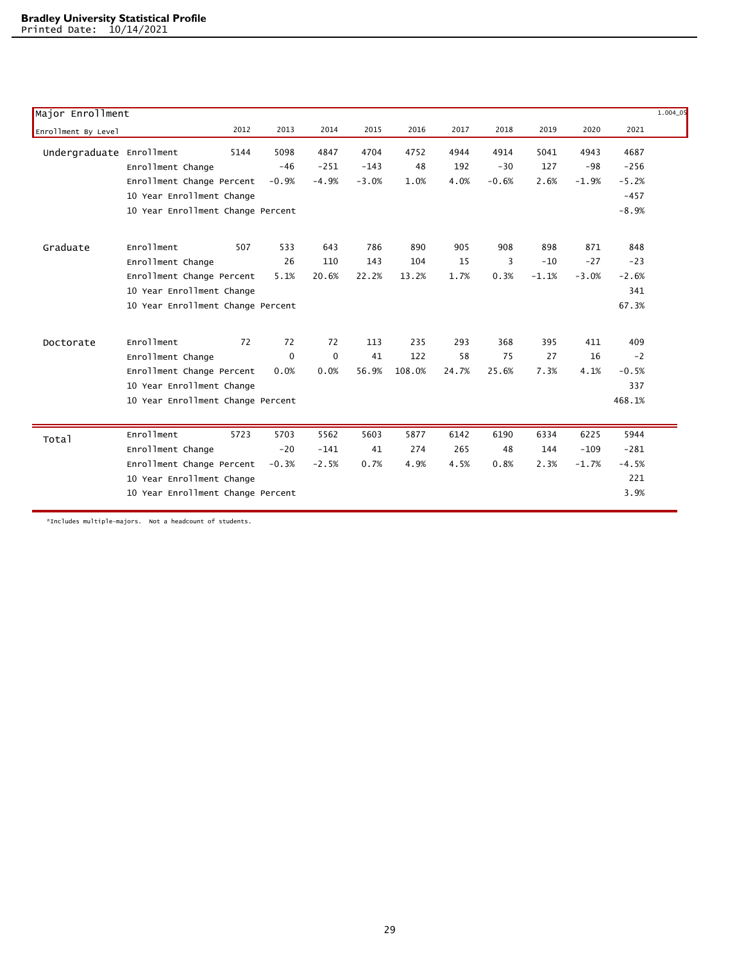| Major Enrollment         |                                   |      |             |         |         |        |       |         |         |         |         | $1.004 - 05$ |
|--------------------------|-----------------------------------|------|-------------|---------|---------|--------|-------|---------|---------|---------|---------|--------------|
| Enrollment By Level      |                                   | 2012 | 2013        | 2014    | 2015    | 2016   | 2017  | 2018    | 2019    | 2020    | 2021    |              |
| Undergraduate Enrollment |                                   | 5144 | 5098        | 4847    | 4704    | 4752   | 4944  | 4914    | 5041    | 4943    | 4687    |              |
|                          | Enrollment Change                 |      | $-46$       | $-251$  | $-143$  | 48     | 192   | $-30$   | 127     | $-98$   | $-256$  |              |
|                          | Enrollment Change Percent         |      | $-0.9%$     | $-4.9%$ | $-3.0%$ | 1.0%   | 4.0%  | $-0.6%$ | 2.6%    | $-1.9%$ | $-5.2%$ |              |
|                          | 10 Year Enrollment Change         |      |             |         |         |        |       |         |         |         | $-457$  |              |
|                          | 10 Year Enrollment Change Percent |      |             |         |         |        |       |         |         |         | $-8.9%$ |              |
| Graduate                 | <b>Enrollment</b>                 | 507  | 533         | 643     | 786     | 890    | 905   | 908     | 898     | 871     | 848     |              |
|                          | Enrollment Change                 |      | 26          | 110     | 143     | 104    | 15    | 3       | $-10$   | $-27$   | $-23$   |              |
|                          | Enrollment Change Percent         |      | 5.1%        | 20.6%   | 22.2%   | 13.2%  | 1.7%  | 0.3%    | $-1.1%$ | $-3.0%$ | $-2.6%$ |              |
|                          | 10 Year Enrollment Change         |      |             |         |         |        |       |         |         |         | 341     |              |
|                          | 10 Year Enrollment Change Percent |      |             |         |         |        |       |         |         |         | 67.3%   |              |
| Doctorate                | Enrollment                        | 72   | 72          | 72      | 113     | 235    | 293   | 368     | 395     | 411     | 409     |              |
|                          | Enrollment Change                 |      | $\mathbf 0$ | 0       | 41      | 122    | 58    | 75      | 27      | 16      | $-2$    |              |
|                          | Enrollment Change Percent         |      | 0.0%        | 0.0%    | 56.9%   | 108.0% | 24.7% | 25.6%   | 7.3%    | 4.1%    | $-0.5%$ |              |
|                          | 10 Year Enrollment Change         |      |             |         |         |        |       |         |         |         | 337     |              |
|                          | 10 Year Enrollment Change Percent |      |             |         |         |        |       |         |         |         | 468.1%  |              |
| Total                    | <b>Enrollment</b>                 | 5723 | 5703        | 5562    | 5603    | 5877   | 6142  | 6190    | 6334    | 6225    | 5944    |              |
|                          | Enrollment Change                 |      | $-20$       | $-141$  | 41      | 274    | 265   | 48      | 144     | $-109$  | $-281$  |              |
|                          | Enrollment Change Percent         |      | $-0.3%$     | $-2.5%$ | 0.7%    | 4.9%   | 4.5%  | 0.8%    | 2.3%    | $-1.7%$ | $-4.5%$ |              |
|                          | 10 Year Enrollment Change         |      |             |         |         |        |       |         |         |         | 221     |              |
|                          | 10 Year Enrollment Change Percent |      |             |         |         |        |       |         |         |         | 3.9%    |              |

\*Includes multiple-majors. Not a headcount of students.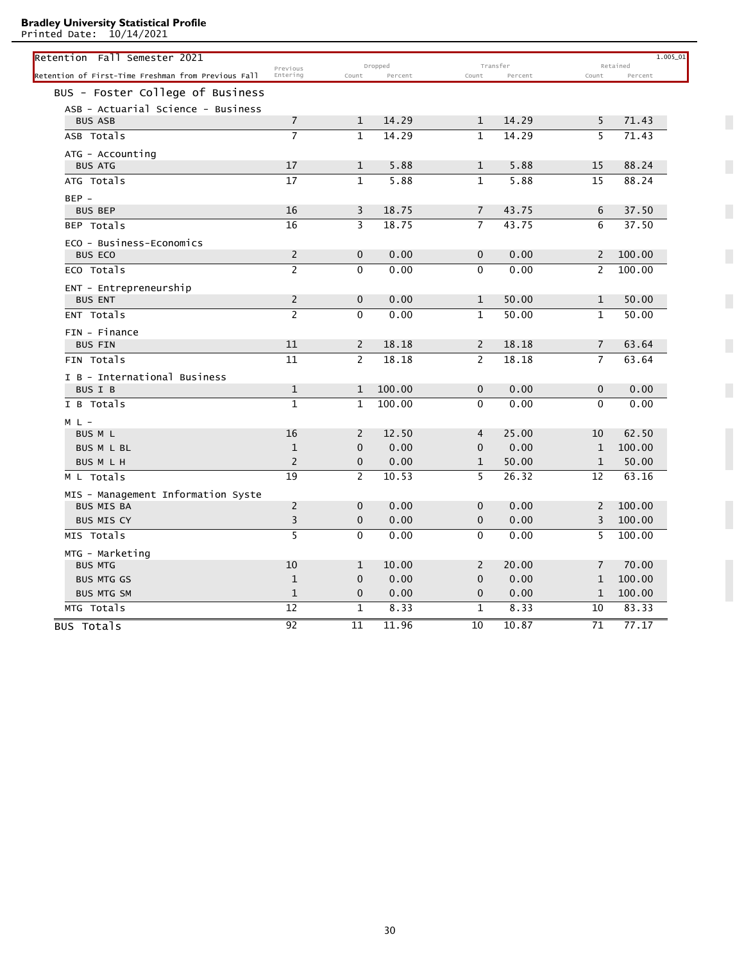Printed Date: 10/14/2021

| Retention Fall Semester 2021                        |                         |                | Dropped |                | Transfer |                | $1.005 - 01$<br>Retained |
|-----------------------------------------------------|-------------------------|----------------|---------|----------------|----------|----------------|--------------------------|
| Retention of First-Time Freshman from Previous Fall | Previous<br>Entering    | Count          | Percent | Count          | Percent  | Count          | Percent                  |
| BUS - Foster College of Business                    |                         |                |         |                |          |                |                          |
| ASB - Actuarial Science - Business                  |                         |                |         |                |          |                |                          |
| <b>BUS ASB</b>                                      | $\overline{7}$          | 1              | 14.29   | $\mathbf{1}$   | 14.29    | 5              | 71.43                    |
| ASB Totals                                          | $\overline{7}$          | $\mathbf{1}$   | 14.29   | $\mathbf{1}$   | 14.29    | 5              | 71.43                    |
| ATG - Accounting                                    |                         |                |         |                |          |                |                          |
| <b>BUS ATG</b>                                      | 17                      | $\mathbf{1}$   | 5.88    | $\mathbf{1}$   | 5.88     | 15             | 88.24                    |
| ATG Totals                                          | 17                      | $\mathbf{1}$   | 5.88    | $\mathbf{1}$   | 5.88     | 15             | 88.24                    |
| BEP -                                               |                         |                |         |                |          |                |                          |
| <b>BUS BEP</b>                                      | 16                      | 3              | 18.75   | $\overline{7}$ | 43.75    | 6              | 37.50                    |
| BEP Totals                                          | 16                      | 3              | 18.75   | $\overline{7}$ | 43.75    | 6              | 37.50                    |
| ECO - Business-Economics                            |                         |                |         |                |          |                |                          |
| <b>BUS ECO</b>                                      | $\overline{2}$          | $\mathbf{0}$   | 0.00    | $\mathbf{0}$   | 0.00     | $\overline{2}$ | 100.00                   |
| ECO Totals                                          | $\overline{2}$          | $\mathbf{0}$   | 0.00    | $\Omega$       | 0.00     | $\overline{2}$ | 100.00                   |
| ENT - Entrepreneurship                              |                         |                |         |                |          |                |                          |
| <b>BUS ENT</b>                                      | $\overline{2}$          | $\mathbf{0}$   | 0.00    | $\mathbf{1}$   | 50.00    | $\mathbf{1}$   | 50.00                    |
| ENT Totals                                          | $\overline{2}$          | $\Omega$       | 0.00    | $\mathbf{1}$   | 50.00    | $\mathbf{1}$   | 50.00                    |
| FIN - Finance                                       |                         |                |         |                |          |                |                          |
| <b>BUS FIN</b>                                      | 11                      | $\overline{2}$ | 18.18   | 2              | 18.18    | $\overline{7}$ | 63.64                    |
| FIN Totals                                          | 11                      | 2              | 18.18   | 2              | 18.18    | $\overline{7}$ | 63.64                    |
| I B - International Business                        |                         |                |         |                |          |                |                          |
| BUS I B                                             | $\mathbf{1}$            | $\mathbf{1}$   | 100.00  | $\mathbf{0}$   | 0.00     | $\mathbf 0$    | 0.00                     |
| I B Totals                                          | $\mathbf{1}$            | $\mathbf{1}$   | 100.00  | $\Omega$       | 0.00     | $\Omega$       | 0.00                     |
| $M L -$                                             |                         |                |         |                |          |                |                          |
| BUS M L                                             | 16                      | 2              | 12.50   | $\overline{4}$ | 25.00    | 10             | 62.50                    |
| <b>BUS M L BL</b>                                   | $\mathbf{1}$            | $\mathbf{0}$   | 0.00    | $\mathbf{0}$   | 0.00     | $\mathbf{1}$   | 100.00                   |
| <b>BUS M L H</b>                                    | $\overline{2}$          | 0              | 0.00    | $\mathbf{1}$   | 50.00    | $\mathbf{1}$   | 50.00                    |
| M L Totals                                          | 19                      | 2              | 10.53   | 5              | 26.32    | 12             | 63.16                    |
| MIS - Management Information Syste                  |                         |                |         |                |          |                |                          |
| <b>BUS MIS BA</b>                                   | $\overline{2}$          | $\mathbf{0}$   | 0.00    | $\mathbf{0}$   | 0.00     | 2              | 100.00                   |
| <b>BUS MIS CY</b>                                   | $\overline{\mathbf{3}}$ | $\mathbf{0}$   | 0.00    | $\mathbf 0$    | 0.00     | 3              | 100.00                   |
| MIS Totals                                          | $\overline{5}$          | $\mathbf{0}$   | 0.00    | $\mathbf{0}$   | 0.00     | 5              | 100.00                   |
| MTG - Marketing                                     |                         |                |         |                |          |                |                          |
| <b>BUS MTG</b>                                      | 10                      | $\mathbf{1}$   | 10.00   | 2              | 20.00    | 7              | 70.00                    |
| <b>BUS MTG GS</b>                                   | $\mathbf{1}$            | 0              | 0.00    | $\mathbf 0$    | 0.00     | $\mathbf{1}$   | 100.00                   |
| <b>BUS MTG SM</b>                                   | $\mathbf{1}$            | $\mathbf{0}$   | 0.00    | $\mathbf{0}$   | 0.00     | $\mathbf{1}$   | 100.00                   |
| MTG Totals                                          | 12                      | $\mathbf{1}$   | 8.33    | $\mathbf{1}$   | 8.33     | 10             | 83.33                    |
| BUS Totals                                          | 92                      | 11             | 11.96   | 10             | 10.87    | 71             | 77.17                    |

 $\overline{\phantom{a}}$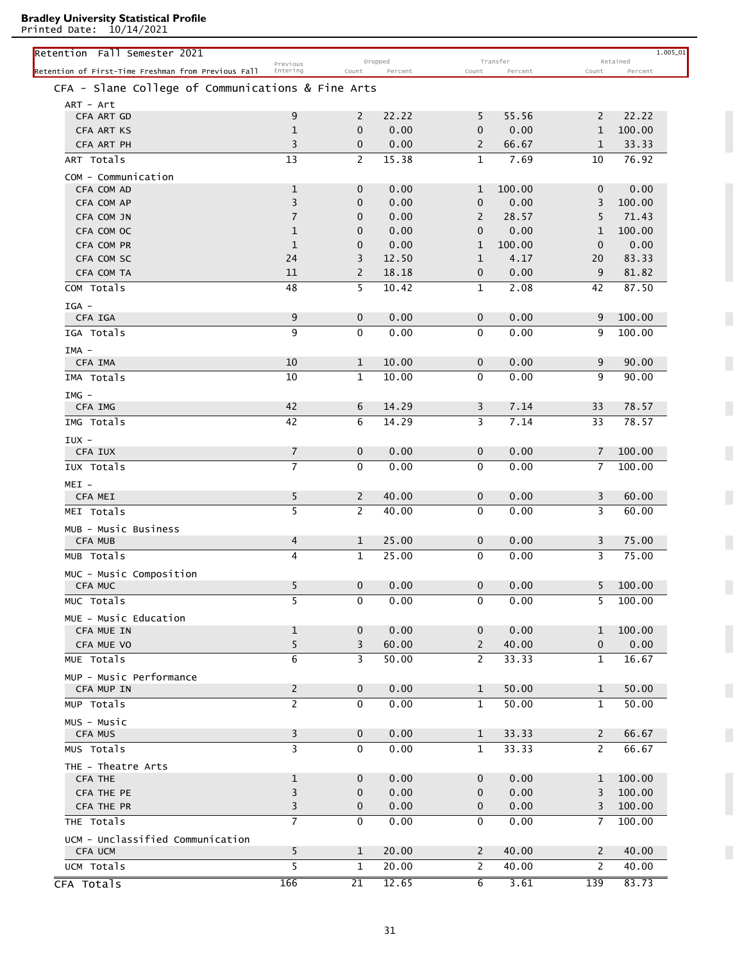Printed Date: 10/14/2021

| Retention Fall Semester 2021                        |                      |                | Dropped |                | Transfer |                       | 1.005_01<br>Retained |
|-----------------------------------------------------|----------------------|----------------|---------|----------------|----------|-----------------------|----------------------|
| Retention of First-Time Freshman from Previous Fall | Previous<br>Entering | Count          | Percent | Count          | Percent  | Count                 | Percent              |
| CFA - Slane College of Communications & Fine Arts   |                      |                |         |                |          |                       |                      |
| ART - Art                                           |                      |                |         |                |          |                       |                      |
| CFA ART GD                                          | 9                    | $\overline{2}$ | 22.22   | 5              | 55.56    | $\mathbf{2}$          | 22.22                |
| CFA ART KS                                          | $\mathbf{1}$         | $\mathbf{0}$   | 0.00    | 0              | 0.00     | $\mathbf{1}$          | 100.00               |
| CFA ART PH                                          | 3                    | $\mathbf 0$    | 0.00    | 2              | 66.67    | $\mathbf{1}$          | 33.33                |
| ART Totals                                          | 13                   | $\overline{2}$ | 15.38   | $\mathbf{1}$   | 7.69     | 10                    | 76.92                |
| COM - Communication                                 |                      |                |         |                |          |                       |                      |
| CFA COM AD                                          | $\mathbf 1$          | $\mathbf 0$    | 0.00    | 1              | 100.00   | $\mathbf{0}$          | 0.00                 |
| CFA COM AP                                          | 3                    | 0              | 0.00    | $\mathbf 0$    | 0.00     | 3                     | 100.00               |
| CFA COM JN                                          | $\overline{7}$       | $\mathbf{0}$   | 0.00    | 2              | 28.57    | 5                     | 71.43                |
| CFA COM OC                                          | $\mathbf 1$          | 0              | 0.00    | $\mathbf{0}$   | 0.00     | $\mathbf{1}$          | 100.00               |
| CFA COM PR                                          | $\mathbf{1}$         | $\mathbf{0}$   | 0.00    | $\mathbf{1}$   | 100.00   | $\mathbf 0$           | 0.00                 |
| CFA COM SC                                          | 24                   | 3              | 12.50   | 1              | 4.17     | 20                    | 83.33                |
| CFA COM TA                                          | 11                   | 2              | 18.18   | 0              | 0.00     | 9                     | 81.82                |
| COM Totals                                          | 48                   | 5              | 10.42   | 1              | 2.08     | 42                    | 87.50                |
|                                                     |                      |                |         |                |          |                       |                      |
| IGA -                                               |                      |                |         |                |          |                       |                      |
| CFA IGA                                             | 9                    | $\mathbf{0}$   | 0.00    | $\mathbf 0$    | 0.00     | 9                     | 100.00               |
| IGA Totals                                          | 9                    | $\mathbf{0}$   | 0.00    | $\mathbf{0}$   | 0.00     | 9                     | 100.00               |
| IMA -                                               |                      |                |         |                |          |                       |                      |
| CFA IMA                                             | 10                   | 1              | 10.00   | $\mathbf 0$    | 0.00     | 9                     | 90.00                |
| IMA Totals                                          | 10                   | $\mathbf{1}$   | 10.00   | $\mathbf{0}$   | 0.00     | 9                     | 90.00                |
| IMG -                                               |                      |                |         |                |          |                       |                      |
| CFA IMG                                             | 42                   | 6              | 14.29   | 3              | 7.14     | 33                    | 78.57                |
| IMG Totals                                          | 42                   | 6              | 14.29   | 3              | 7.14     | 33                    | 78.57                |
| IUX -                                               |                      |                |         |                |          |                       |                      |
| CFA IUX                                             | $\overline{7}$       | $\mathbf 0$    | 0.00    | $\mathbf 0$    | 0.00     | $\overline{7}$        | 100.00               |
| IUX Totals                                          | $\overline{7}$       | $\mathbf{0}$   | 0.00    | $\mathbf{0}$   | 0.00     | 7                     | 100.00               |
|                                                     |                      |                |         |                |          |                       |                      |
| $MEI -$<br><b>CFA MEI</b>                           | 5                    | $\overline{2}$ | 40.00   | $\mathbf 0$    | 0.00     | 3                     | 60.00                |
|                                                     | 5                    | $\overline{2}$ |         |                |          |                       | 60.00                |
| MEI Totals                                          |                      |                | 40.00   | 0              | 0.00     | 3                     |                      |
| MUB - Music Business                                |                      |                |         |                |          |                       |                      |
| <b>CFA MUB</b>                                      | 4                    | 1              | 25.00   | 0              | 0.00     | 3                     | 75.00                |
| MUB Totals                                          | 4                    | $\mathbf{1}$   | 25.00   | 0              | 0.00     | 3                     | 75.00                |
| MUC - Music Composition                             |                      |                |         |                |          |                       |                      |
| CFA MUC                                             | 5                    | $\mathbf 0$    | 0.00    | $\mathbf 0$    | 0.00     | 5                     | 100.00               |
| MUC Totals                                          | 5                    | $\mathbf{0}$   | 0.00    | $\mathbf{0}$   | 0.00     | 5                     | 100.00               |
| MUE - Music Education                               |                      |                |         |                |          |                       |                      |
| CFA MUE IN                                          | $\mathbf{1}$         | $\mathbf{0}$   | 0.00    | $\mathbf 0$    | 0.00     | 1                     | 100.00               |
| CFA MUE VO                                          | 5                    | 3              | 60.00   | $\mathbf{2}$   | 40.00    | 0                     | 0.00                 |
| MUE Totals                                          | 6                    | 3              | 50.00   | $\mathbf{2}$   | 33.33    | $\mathbf{1}$          | 16.67                |
| MUP - Music Performance                             |                      |                |         |                |          |                       |                      |
| CFA MUP IN                                          | $\overline{2}$       | $\mathbf 0$    | 0.00    | $\mathbf{1}$   | 50.00    | $\mathbf 1$           | 50.00                |
| MUP Totals                                          | $\overline{2}$       | $\mathbf{0}$   | 0.00    | $\mathbf{1}$   | 50.00    | $\mathbf{1}$          | 50.00                |
|                                                     |                      |                |         |                |          |                       |                      |
| MUS - Music                                         |                      |                | 0.00    |                |          |                       |                      |
| <b>CFA MUS</b>                                      | 3                    | $\mathbf 0$    |         | $\mathbf{1}$   | 33.33    | $\mathbf{2}$          | 66.67                |
| MUS Totals                                          | 3                    | $\mathbf 0$    | 0.00    | $\mathbf{1}$   | 33.33    | $\mathbf{2}^{\prime}$ | 66.67                |
| THE - Theatre Arts                                  |                      |                |         |                |          |                       |                      |
| <b>CFA THE</b>                                      | $\mathbf{1}$         | $\mathbf 0$    | 0.00    | $\mathbf 0$    | 0.00     | $\mathbf 1$           | 100.00               |
| CFA THE PE                                          | 3                    | $\mathbf 0$    | 0.00    | $\mathbf{0}$   | 0.00     | 3                     | 100.00               |
| CFA THE PR                                          | 3                    | $\mathbf 0$    | 0.00    | $\mathbf 0$    | 0.00     | 3                     | 100.00               |
| THE Totals                                          | $\overline{7}$       | $\mathbf 0$    | 0.00    | $\mathbf 0$    | 0.00     | $\overline{7}$        | 100.00               |
| UCM - Unclassified Communication                    |                      |                |         |                |          |                       |                      |
| <b>CFA UCM</b>                                      | 5                    | $\mathbf{1}$   | 20.00   | $\mathbf{2}$   | 40.00    | $\mathbf{2}$          | 40.00                |
| UCM Totals                                          | 5                    | $\mathbf{1}$   | 20.00   | $\overline{2}$ | 40.00    | 2                     | 40.00                |
| CFA Totals                                          | 166                  | 21             | 12.65   | 6              | 3.61     | 139                   | 83.73                |
|                                                     |                      |                |         |                |          |                       |                      |

 $\overline{\phantom{a}}$ 

П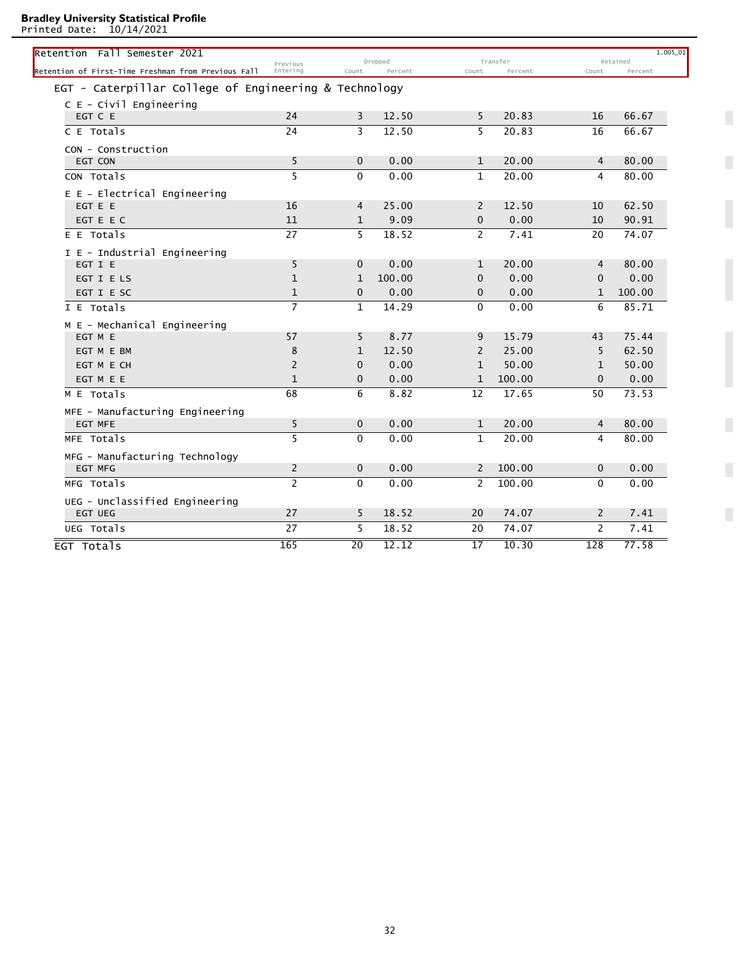Printed Date: 10/14/2021

| .                                                     |                      |                 |                    |                 |                     |                       |                     |
|-------------------------------------------------------|----------------------|-----------------|--------------------|-----------------|---------------------|-----------------------|---------------------|
| Retention Fall Semester 2021                          |                      |                 |                    |                 |                     |                       | 1.005_01            |
| Retention of First-Time Freshman from Previous Fall   | Previous<br>Entering | Count           | Dropped<br>Percent | Count           | Transfer<br>Percent | Count                 | Retained<br>Percent |
| EGT - Caterpillar College of Engineering & Technology |                      |                 |                    |                 |                     |                       |                     |
| $C E - Civil$ Engineering                             |                      |                 |                    |                 |                     |                       |                     |
| EGT C E                                               | 24                   | 3               | 12.50              | 5               | 20.83               | 16                    | 66.67               |
| C E Totals                                            | 24                   | 3               | 12.50              | 5               | 20.83               | 16                    | 66.67               |
|                                                       |                      |                 |                    |                 |                     |                       |                     |
| CON - Construction<br>EGT CON                         | 5                    | $\mathbf{0}$    | 0.00               | $\mathbf{1}$    | 20.00               | $\overline{4}$        | 80.00               |
| CON Totals                                            | 5                    | $\Omega$        | 0.00               | $\mathbf{1}$    | 20.00               | 4                     | 80.00               |
|                                                       |                      |                 |                    |                 |                     |                       |                     |
| E E - Electrical Engineering<br>EGT E E               | 16                   | 4               | 25.00              | 2               | 12.50               | 10                    | 62.50               |
| EGT E E C                                             | 11                   | $\mathbf{1}$    | 9.09               | $\mathbf{0}$    | 0.00                | 10                    | 90.91               |
| E E Totals                                            | 27                   | 5               | 18.52              | $\overline{2}$  | 7.41                | 20                    | 74.07               |
|                                                       |                      |                 |                    |                 |                     |                       |                     |
| I E - Industrial Engineering<br>EGT I E               | 5                    | $\Omega$        | 0.00               | $\mathbf{1}$    | 20.00               | 4                     | 80.00               |
| EGT I E LS                                            | $\mathbf{1}$         | 1               | 100.00             | 0               | 0.00                | $\mathbf{0}$          | 0.00                |
| EGT I E SC                                            | $\mathbf{1}$         | $\mathbf{0}$    | 0.00               | 0               | 0.00                | $\mathbf{1}$          | 100.00              |
| I E Totals                                            | $\overline{7}$       | $\mathbf{1}$    | 14.29              | $\mathbf{0}$    | 0.00                | 6                     | 85.71               |
| M E - Mechanical Engineering                          |                      |                 |                    |                 |                     |                       |                     |
| EGT M E                                               | 57                   | 5               | 8.77               | 9               | 15.79               | 43                    | 75.44               |
| EGT M E BM                                            | 8                    | $\mathbf{1}$    | 12.50              | $\overline{2}$  | 25.00               | 5                     | 62.50               |
| EGT M E CH                                            | $\overline{2}$       | $\Omega$        | 0.00               | $\mathbf{1}$    | 50.00               | $\mathbf{1}$          | 50.00               |
| EGT M E E                                             | $\mathbf{1}$         | $\mathbf 0$     | 0.00               | $\mathbf{1}$    | 100.00              | $\mathbf{0}$          | 0.00                |
| M E Totals                                            | 68                   | 6               | 8.82               | 12              | 17.65               | 50                    | 73.53               |
| MFE - Manufacturing Engineering                       |                      |                 |                    |                 |                     |                       |                     |
| <b>EGT MFE</b>                                        | 5                    | $\mathbf{0}$    | 0.00               | $\mathbf{1}$    | 20.00               | 4                     | 80.00               |
| MFE Totals                                            | 5                    | $\Omega$        | 0.00               | $\mathbf{1}$    | 20.00               | 4                     | 80.00               |
| MFG - Manufacturing Technology                        |                      |                 |                    |                 |                     |                       |                     |
| <b>EGT MFG</b>                                        | $\overline{2}$       | $\mathbf{0}$    | 0.00               | $\overline{2}$  | 100.00              | $\mathbf{0}$          | 0.00                |
| MFG Totals                                            | $\overline{2}$       | $\Omega$        | 0.00               | $\overline{2}$  | 100.00              | $\mathbf{0}$          | 0.00                |
| UEG - Unclassified Engineering                        |                      |                 |                    |                 |                     |                       |                     |
| <b>EGT UEG</b>                                        | 27                   | 5               | 18.52              | 20              | 74.07               | $\mathbf{2}^{\prime}$ | 7.41                |
| UEG Totals                                            | 27                   | 5               | 18.52              | 20              | 74.07               | $\overline{2}$        | 7.41                |
|                                                       |                      |                 |                    |                 |                     |                       |                     |
| EGT Totals                                            | 165                  | $\overline{20}$ | 12.12              | $\overline{17}$ | 10.30               | 128                   | 77.58               |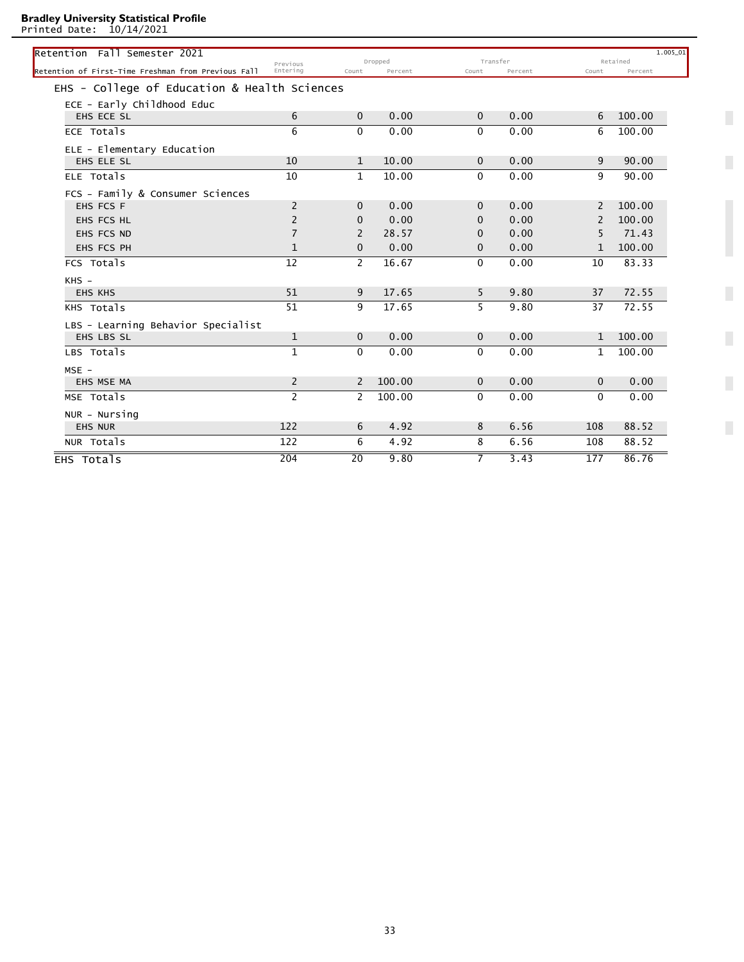Printed Date: 10/14/2021

| Retention Fall Semester 2021                        |                |                |         |              |         |               | 1.005 01 |
|-----------------------------------------------------|----------------|----------------|---------|--------------|---------|---------------|----------|
|                                                     | Previous       |                | Dropped | Transfer     |         |               | Retained |
| Retention of First-Time Freshman from Previous Fall | Entering       | Count          | Percent | Count        | Percent | Count         | Percent  |
| EHS - College of Education & Health Sciences        |                |                |         |              |         |               |          |
| ECE - Early Childhood Educ                          |                |                |         |              |         |               |          |
| EHS ECE SL                                          | 6              | $\Omega$       | 0.00    | $\Omega$     | 0.00    | 6             | 100.00   |
| ECE Totals                                          | 6              | $\Omega$       | 0.00    | $\Omega$     | 0.00    | 6             | 100.00   |
| ELE - Elementary Education                          |                |                |         |              |         |               |          |
| EHS ELE SL                                          | 10             | $\mathbf{1}$   | 10.00   | $\Omega$     | 0.00    | 9             | 90.00    |
| ELE Totals                                          | 10             | $\mathbf{1}$   | 10.00   | $\Omega$     | 0.00    | 9             | 90.00    |
| FCS - Family & Consumer Sciences                    |                |                |         |              |         |               |          |
| EHS FCS F                                           | 2              | $\Omega$       | 0.00    | $\Omega$     | 0.00    | $\mathcal{L}$ | 100.00   |
| EHS FCS HL                                          | $\overline{2}$ | $\Omega$       | 0.00    | $\Omega$     | 0.00    | 2             | 100.00   |
| EHS FCS ND                                          | $\overline{7}$ | 2              | 28.57   | $\Omega$     | 0.00    | 5             | 71.43    |
| EHS FCS PH                                          | $\mathbf{1}$   | $\Omega$       | 0.00    | $\Omega$     | 0.00    | $\mathbf{1}$  | 100.00   |
| FCS Totals                                          | 12             | $\overline{2}$ | 16.67   | $\mathbf{0}$ | 0.00    | 10            | 83.33    |
| $KHS -$                                             |                |                |         |              |         |               |          |
| <b>EHS KHS</b>                                      | 51             | 9              | 17.65   | 5            | 9.80    | 37            | 72.55    |
| KHS Totals                                          | 51             | 9              | 17.65   | 5            | 9.80    | 37            | 72.55    |
| LBS - Learning Behavior Specialist                  |                |                |         |              |         |               |          |
| EHS LBS SL                                          | $\mathbf{1}$   | $\mathbf{0}$   | 0.00    | $\mathbf{0}$ | 0.00    | $\mathbf{1}$  | 100.00   |
| LBS Totals                                          | $\mathbf{1}$   | $\Omega$       | 0.00    | $\Omega$     | 0.00    | $\mathbf{1}$  | 100.00   |
| $MSE -$                                             |                |                |         |              |         |               |          |
| EHS MSE MA                                          | $\overline{2}$ | 2              | 100.00  | $\mathbf{0}$ | 0.00    | $\mathbf{0}$  | 0.00     |
| MSE Totals                                          | $\overline{2}$ | $\mathcal{P}$  | 100.00  | $\Omega$     | 0.00    | $\Omega$      | 0.00     |
| NUR - Nursing                                       |                |                |         |              |         |               |          |
| <b>EHS NUR</b>                                      | 122            | 6              | 4.92    | 8            | 6.56    | 108           | 88.52    |
| NUR Totals                                          | 122            | 6              | 4.92    | 8            | 6.56    | 108           | 88.52    |
|                                                     |                |                |         |              |         |               |          |

 $\overline{\phantom{a}}$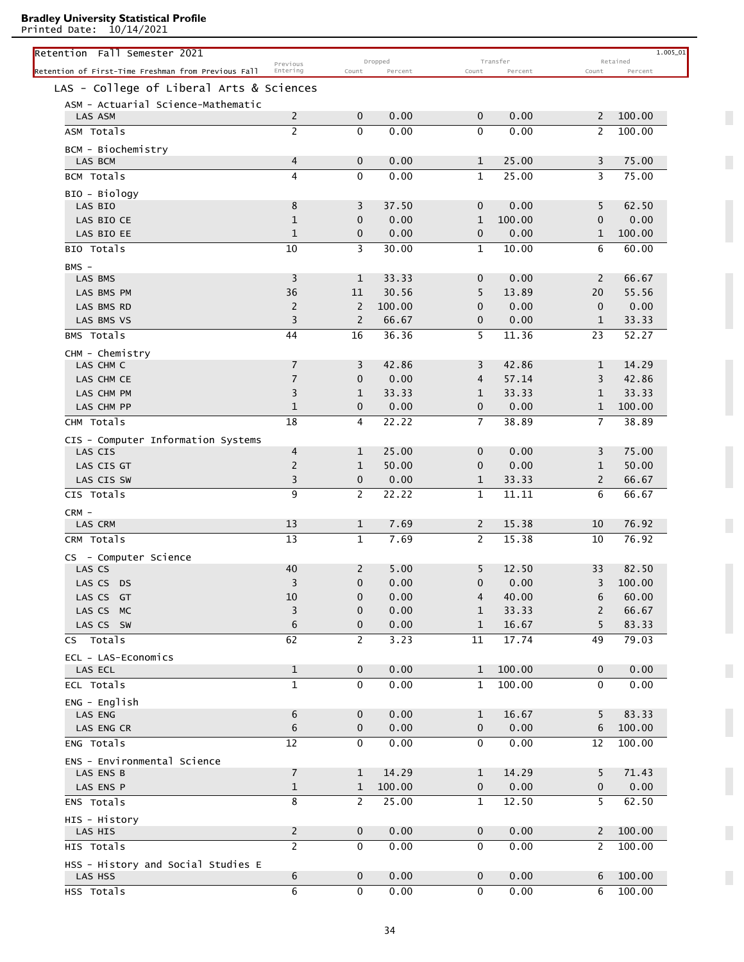Printed Date: 10/14/2021

| Retention Fall Semester 2021                        |                      |                            |                    |                  |                     |                | 1.005_01            |
|-----------------------------------------------------|----------------------|----------------------------|--------------------|------------------|---------------------|----------------|---------------------|
| Retention of First-Time Freshman from Previous Fall | Previous<br>Entering | Count                      | Dropped<br>Percent | Count            | Transfer<br>Percent | Count          | Retained<br>Percent |
| LAS - College of Liberal Arts & Sciences            |                      |                            |                    |                  |                     |                |                     |
| ASM - Actuarial Science-Mathematic                  |                      |                            |                    |                  |                     |                |                     |
| LAS ASM                                             | $\overline{c}$       | $\mathbf 0$                | 0.00               | $\mathbf 0$      | 0.00                | 2              | 100.00              |
| ASM Totals                                          | $\overline{c}$       | $\mathbf{0}$               | 0.00               | $\Omega$         | 0.00                | 2              | 100.00              |
| BCM - Biochemistry                                  |                      |                            |                    |                  |                     |                |                     |
| LAS BCM                                             | 4                    | $\mathbf 0$                | 0.00               | 1                | 25.00               | 3              | 75.00               |
| BCM Totals                                          | 4                    | $\mathbf{0}$               | 0.00               | 1                | 25.00               | 3              | 75.00               |
| BIO - Biology                                       |                      |                            |                    |                  |                     |                |                     |
| LAS BIO                                             | 8                    | 3                          | 37.50              | $\mathbf{0}$     | 0.00                | 5              | 62.50               |
| LAS BIO CE                                          | $\mathbf{1}$         | $\mathbf{0}$               | 0.00               | 1                | 100.00              | $\mathbf 0$    | 0.00                |
| LAS BIO EE                                          | $\mathbf{1}$         | 0                          | 0.00               | $\mathbf{0}$     | 0.00                | 1              | 100.00              |
| BIO Totals                                          | 10                   | 3                          | 30.00              | 1                | 10.00               | 6              | 60.00               |
| $BMS -$                                             |                      |                            |                    |                  |                     |                |                     |
| LAS BMS                                             | 3                    | $\mathbf{1}$               | 33.33              | $\mathbf{0}$     | 0.00                | 2              | 66.67               |
| LAS BMS PM                                          | 36                   | 11                         | 30.56              | 5                | 13.89               | 20             | 55.56               |
| LAS BMS RD                                          | $\overline{2}$       | 2                          | 100.00             | 0                | 0.00                | $\mathbf 0$    | 0.00                |
| LAS BMS VS                                          | 3                    | 2                          | 66.67              | $\mathbf 0$      | 0.00                | $\mathbf{1}$   | 33.33               |
| BMS Totals                                          | 44                   | 16                         | 36.36              | 5                | 11.36               | 23             | 52.27               |
| CHM - Chemistry<br>LAS CHM C                        | $\overline{7}$       | 3                          | 42.86              | 3                | 42.86               | $\mathbf{1}$   | 14.29               |
| LAS CHM CE                                          | $\overline{7}$       | $\mathbf{0}$               | 0.00               | $\overline{4}$   | 57.14               | 3              | 42.86               |
| LAS CHM PM                                          | 3                    | $\mathbf{1}$               | 33.33              | 1                | 33.33               | 1              | 33.33               |
| LAS CHM PP                                          | $\mathbf{1}$         | $\mathbf 0$                | 0.00               | $\mathbf 0$      | 0.00                | $\mathbf{1}$   | 100.00              |
| CHM Totals                                          | 18                   | 4                          | 22.22              | $\overline{7}$   | 38.89               | $\overline{7}$ | 38.89               |
|                                                     |                      |                            |                    |                  |                     |                |                     |
| CIS - Computer Information Systems<br>LAS CIS       | 4                    | $\mathbf{1}$               | 25.00              | $\mathbf{0}$     | 0.00                | 3              | 75.00               |
| LAS CIS GT                                          | $\overline{2}$       | $\mathbf{1}$               | 50.00              | 0                | 0.00                | $\mathbf{1}$   | 50.00               |
| LAS CIS SW                                          | 3                    | $\mathbf 0$                | 0.00               | $\mathbf 1$      | 33.33               | $\overline{2}$ | 66.67               |
| CIS Totals                                          | 9                    | $\overline{2}$             | 22.22              | 1                | 11.11               | 6              | 66.67               |
| $CRM -$                                             |                      |                            |                    |                  |                     |                |                     |
| LAS CRM                                             | 13                   | $\mathbf{1}$               | 7.69               | 2                | 15.38               | 10             | 76.92               |
| CRM Totals                                          | 13                   | 1                          | 7.69               | 2                | 15.38               | 10             | 76.92               |
| - Computer Science<br>CS                            |                      |                            |                    |                  |                     |                |                     |
| LAS CS                                              | 40                   | 2                          | 5.00               | 5                | 12.50               | 33             | 82.50               |
| LAS CS DS                                           | 3                    | $\mathbf 0$                | 0.00               | $\mathbf 0$      | 0.00                | 3              | 100.00              |
| LAS CS GT                                           | 10                   | 0                          | 0.00               | 4                | 40.00               | 6              | 60.00               |
| LAS CS MC                                           | 3                    | $\mathbf 0$                | 0.00               | $\mathbf{1}$     | 33.33               | 2              | 66.67               |
| LAS CS SW                                           | 6                    | 0                          | 0.00               | $\mathbf{1}$     | 16.67               | 5              | 83.33               |
| CS Totals                                           | 62                   | 2                          | 3.23               | 11               | 17.74               | 49             | 79.03               |
| ECL - LAS-Economics                                 |                      |                            |                    |                  |                     |                |                     |
| LAS ECL                                             | $\mathbf{1}$         | $\mathbf 0$                | 0.00               | $\mathbf{1}$     | 100.00              | $\mathbf 0$    | 0.00                |
| ECL Totals                                          | $\mathbf{1}$         | 0                          | 0.00               | 1                | 100.00              | $\mathbf{0}$   | 0.00                |
| $ENG - English$                                     |                      |                            |                    |                  |                     |                |                     |
| LAS ENG<br>LAS ENG CR                               | 6<br>6               | $\mathbf 0$<br>$\mathbf 0$ | 0.00<br>0.00       | 1<br>$\mathbf 0$ | 16.67<br>0.00       | 5<br>6         | 83.33<br>100.00     |
| ENG Totals                                          | 12                   | 0                          | 0.00               | 0                | 0.00                | 12             | 100.00              |
|                                                     |                      |                            |                    |                  |                     |                |                     |
| ENS - Environmental Science<br>LAS ENS B            | $\overline{7}$       | 1                          | 14.29              | 1                | 14.29               | 5              | 71.43               |
| LAS ENS P                                           | $\mathbf{1}$         | $\mathbf{1}$               | 100.00             | 0                | 0.00                | 0              | 0.00                |
| ENS Totals                                          | 8                    | $\mathbf{2}$               | 25.00              | 1                | 12.50               | 5              | 62.50               |
| HIS - History                                       |                      |                            |                    |                  |                     |                |                     |
| LAS HIS                                             | $\overline{2}$       | $\mathbf 0$                | 0.00               | 0                | 0.00                | 2              | 100.00              |
| HIS Totals                                          | $\overline{2}$       | 0                          | 0.00               | 0                | 0.00                | 2              | 100.00              |
| HSS - History and Social Studies E                  |                      |                            |                    |                  |                     |                |                     |
| LAS HSS                                             | 6                    | $\mathbf 0$                | 0.00               | 0                | 0.00                | 6              | 100.00              |
| HSS Totals                                          | 6                    | 0                          | 0.00               | 0                | 0.00                | 6              | 100.00              |

 $\overline{\phantom{a}}$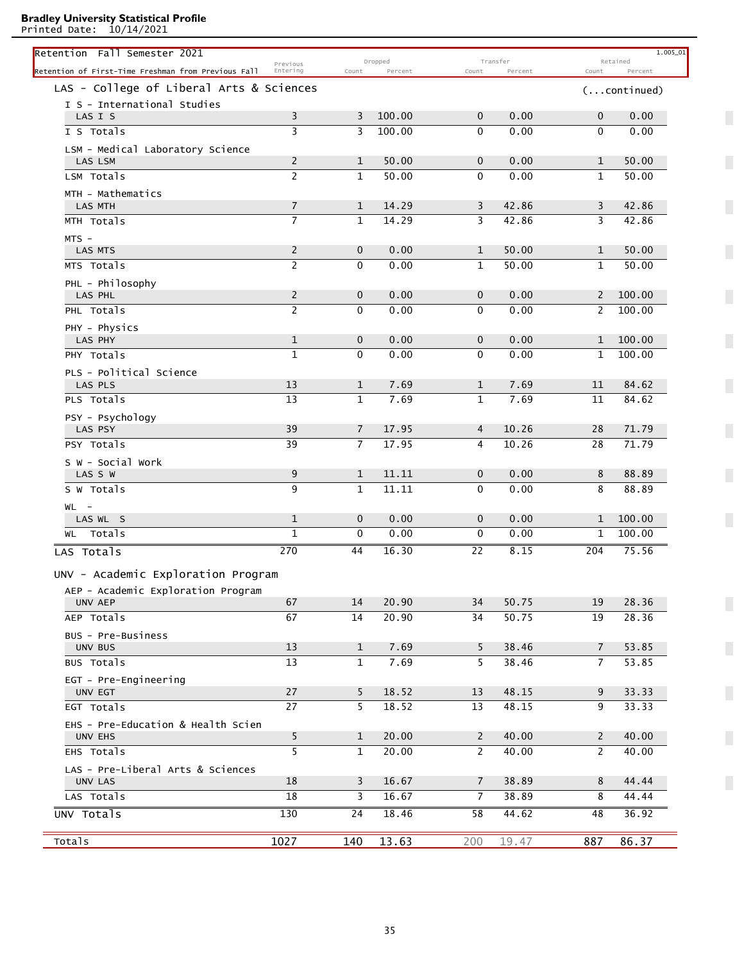Printed Date: 10/14/2021

| Retention Fall Semester 2021                        | Previous       |                | Dropped |                 | Transfer |                | 1.005_01<br>Retained  |
|-----------------------------------------------------|----------------|----------------|---------|-----------------|----------|----------------|-----------------------|
| Retention of First-Time Freshman from Previous Fall | Entering       | Count          | Percent | Count           | Percent  | Count          | Percent               |
| LAS - College of Liberal Arts & Sciences            |                |                |         |                 |          |                | $( \ldots$ continued) |
| I S - International Studies                         |                |                |         |                 |          |                |                       |
| LAS I S                                             | 3              | 3              | 100.00  | 0               | 0.00     | 0              | 0.00                  |
| I S Totals                                          | 3              | 3              | 100.00  | $\mathbf{0}$    | 0.00     | $\mathbf{0}$   | 0.00                  |
| LSM - Medical Laboratory Science                    |                |                |         |                 |          |                |                       |
| LAS LSM                                             | 2              | 1              | 50.00   | $\mathbf{0}$    | 0.00     | 1              | 50.00                 |
| LSM Totals                                          | $\overline{c}$ | $\mathbf{1}$   | 50.00   | $\mathbf{0}$    | 0.00     | $\mathbf{1}$   | 50.00                 |
| MTH - Mathematics<br><b>LAS MTH</b>                 | $\overline{7}$ | $\mathbf{1}$   | 14.29   | 3               | 42.86    | 3              | 42.86                 |
| MTH Totals                                          | $\overline{7}$ | $\mathbf{1}$   | 14.29   | 3               | 42.86    | 3              | 42.86                 |
|                                                     |                |                |         |                 |          |                |                       |
| $MTS -$<br>LAS MTS                                  | 2              | $\mathbf 0$    | 0.00    | 1               | 50.00    | $\mathbf{1}$   | 50.00                 |
| MTS Totals                                          | $\overline{c}$ | $\mathbf 0$    | 0.00    | $\mathbf{1}$    | 50.00    | 1              | 50.00                 |
|                                                     |                |                |         |                 |          |                |                       |
| PHL - Philosophy<br>LAS PHL                         | $\overline{c}$ | $\mathbf 0$    | 0.00    | $\mathbf 0$     | 0.00     | $\mathbf{2}$   | 100.00                |
| PHL Totals                                          | $\overline{2}$ | $\mathbf 0$    | 0.00    | $\mathbf{0}$    | 0.00     | 2              | 100.00                |
| PHY - Physics                                       |                |                |         |                 |          |                |                       |
| LAS PHY                                             | $\mathbf 1$    | $\mathbf 0$    | 0.00    | $\mathbf 0$     | 0.00     | $\mathbf{1}$   | 100.00                |
| PHY Totals                                          | 1              | $\mathbf{0}$   | 0.00    | 0               | 0.00     | 1              | 100.00                |
| PLS - Political Science                             |                |                |         |                 |          |                |                       |
| LAS PLS                                             | 13             | $\mathbf{1}$   | 7.69    | 1               | 7.69     | 11             | 84.62                 |
| PLS Totals                                          | 13             | $\mathbf{1}$   | 7.69    | 1               | 7.69     | 11             | 84.62                 |
| PSY - Psychology                                    |                |                |         |                 |          |                |                       |
| LAS PSY                                             | 39             | 7              | 17.95   | 4               | 10.26    | 28             | 71.79                 |
| PSY Totals                                          | 39             | $\overline{7}$ | 17.95   | 4               | 10.26    | 28             | 71.79                 |
| S W - Social Work                                   |                |                |         |                 |          |                |                       |
| LAS S W                                             | 9              | $\mathbf{1}$   | 11.11   | $\mathbf 0$     | 0.00     | 8              | 88.89                 |
| S W Totals                                          | 9              | $\mathbf{1}$   | 11.11   | $\mathbf{0}$    | 0.00     | 8              | 88.89                 |
| $WL -$                                              |                |                |         |                 |          |                |                       |
| LAS WL S                                            | $\mathbf{1}$   | $\mathbf{0}$   | 0.00    | $\mathbf{0}$    | 0.00     | $\mathbf{1}$   | 100.00                |
| WL Totals                                           | 1              | 0              | 0.00    | 0               | 0.00     | $\mathbf{1}$   | 100.00                |
| LAS Totals                                          | 270            | 44             | 16.30   | $\overline{22}$ | 8.15     | 204            | 75.56                 |
| UNV - Academic Exploration Program                  |                |                |         |                 |          |                |                       |
| AEP - Academic Exploration Program                  |                |                |         |                 |          |                |                       |
| <b>UNV AEP</b>                                      | 67             | 14             | 20.90   | 34              | 50.75    | 19             | 28.36                 |
| AEP Totals                                          | 67             | 14             | 20.90   | 34              | 50.75    | 19             | 28.36                 |
| BUS - Pre-Business                                  |                |                |         |                 |          |                |                       |
| UNV BUS                                             | 13             | $\mathbf{1}$   | 7.69    | 5               | 38.46    | 7              | 53.85                 |
| BUS Totals                                          | 13             | $\mathbf{1}$   | 7.69    | 5               | 38.46    | $\overline{7}$ | 53.85                 |
| EGT - Pre-Engineering                               |                |                |         |                 |          |                |                       |
| UNV EGT                                             | 27             | 5              | 18.52   | 13              | 48.15    | 9              | 33.33                 |
| EGT Totals                                          | 27             | 5              | 18.52   | 13              | 48.15    | 9              | 33.33                 |
| EHS - Pre-Education & Health Scien                  |                |                |         |                 |          |                |                       |
| UNV EHS                                             | 5              | $\mathbf{1}$   | 20.00   | $\overline{2}$  | 40.00    | $\mathbf{2}$   | 40.00                 |
| EHS Totals                                          | 5              | $\mathbf{1}$   | 20.00   | $\overline{2}$  | 40.00    | $\mathbf{2}$   | 40.00                 |
| LAS - Pre-Liberal Arts & Sciences                   |                |                |         |                 |          |                |                       |
| UNV LAS                                             | 18             | 3              | 16.67   | $\overline{7}$  | 38.89    | 8              | 44.44                 |
| LAS Totals                                          | 18             | 3              | 16.67   | $\overline{7}$  | 38.89    | 8              | 44.44                 |
| UNV Totals                                          | 130            | 24             | 18.46   | 58              | 44.62    | 48             | 36.92                 |
|                                                     |                |                |         |                 |          |                |                       |
| Totals                                              | 1027           | 140            | 13.63   | 200             | 19.47    | 887            | 86.37                 |

 $\overline{\phantom{a}}$ 

 $\overline{\phantom{a}}$ 

 $\overline{\phantom{a}}$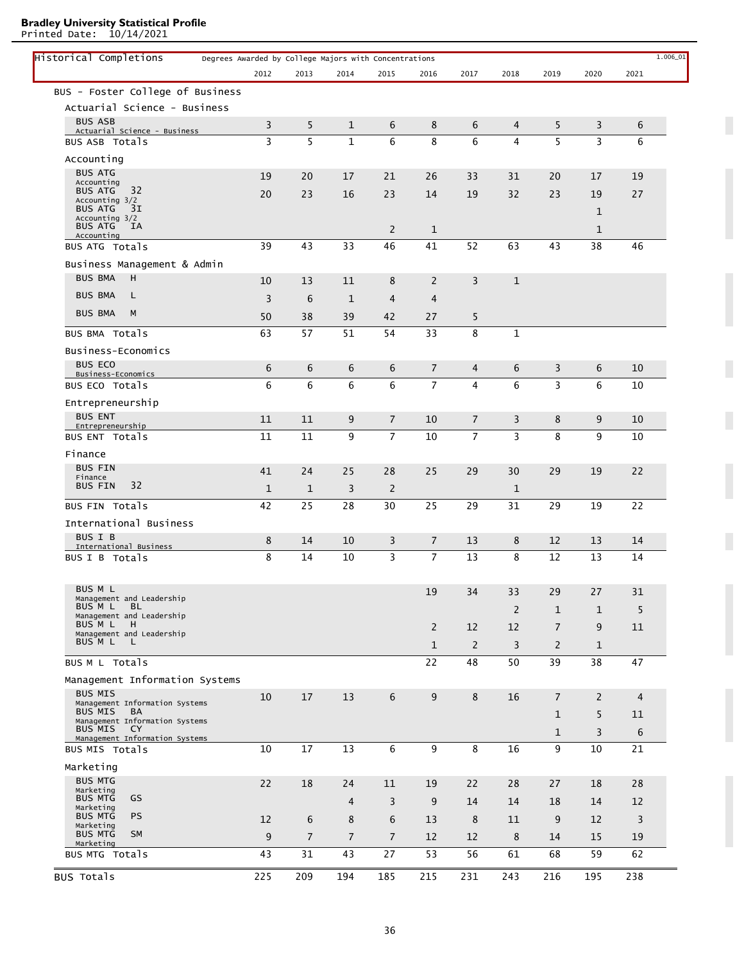Printed Date: 10/14/2021

| Historical Completions                                 | Degrees Awarded by College Majors with Concentrations |                |                |                |                |                |                |                |              |                | $1.006\_01$ |
|--------------------------------------------------------|-------------------------------------------------------|----------------|----------------|----------------|----------------|----------------|----------------|----------------|--------------|----------------|-------------|
|                                                        | 2012                                                  | 2013           | 2014           | 2015           | 2016           | 2017           | 2018           | 2019           | 2020         | 2021           |             |
| BUS - Foster College of Business                       |                                                       |                |                |                |                |                |                |                |              |                |             |
| Actuarial Science - Business                           |                                                       |                |                |                |                |                |                |                |              |                |             |
| <b>BUS ASB</b><br>Actuarial Science - Business         | 3                                                     | 5              | 1              | 6              | 8              | 6              | 4              | 5              | 3            | 6              |             |
| <b>BUS ASB Totals</b>                                  | 3                                                     | 5              | $\mathbf{1}$   | 6              | 8              | 6              | $\overline{4}$ | 5              | 3            | 6              |             |
| Accounting                                             |                                                       |                |                |                |                |                |                |                |              |                |             |
| <b>BUS ATG</b>                                         | 19                                                    | 20             | 17             | 21             | 26             | 33             | 31             | 20             | 17           | 19             |             |
| Accounting<br>32<br><b>BUS ATG</b>                     | 20                                                    | 23             | 16             | 23             | 14             | 19             | 32             | 23             | 19           | 27             |             |
| Accounting 3/2<br><b>BUS ATG</b><br>31                 |                                                       |                |                |                |                |                |                |                | $\mathbf{1}$ |                |             |
| Accounting 3/2<br><b>BUS ATG</b><br><b>IA</b>          |                                                       |                |                |                |                |                |                |                |              |                |             |
| Accounting                                             |                                                       |                |                | 2              | $\mathbf{1}$   |                |                |                | 1            |                |             |
| BUS ATG Totals                                         | 39                                                    | 43             | 33             | 46             | 41             | 52             | 63             | 43             | 38           | 46             |             |
| Business Management & Admin                            |                                                       |                |                |                |                |                |                |                |              |                |             |
| <b>BUS BMA</b><br>н                                    | 10                                                    | 13             | 11             | 8              | 2              | 3              | $\mathbf 1$    |                |              |                |             |
| <b>BUS BMA</b><br>L                                    | 3                                                     | 6              | $\mathbf{1}$   | $\overline{4}$ | $\overline{4}$ |                |                |                |              |                |             |
| <b>BUS BMA</b><br>M                                    | 50                                                    | 38             | 39             | 42             | 27             | 5              |                |                |              |                |             |
| BUS BMA Totals                                         | 63                                                    | 57             | 51             | 54             | 33             | 8              | $\mathbf{1}$   |                |              |                |             |
| Business-Economics                                     |                                                       |                |                |                |                |                |                |                |              |                |             |
| <b>BUS ECO</b>                                         | 6                                                     | 6              | 6              | 6              | $\overline{7}$ | 4              | 6              | 3              | 6            | 10             |             |
| Business-Economics<br>BUS ECO Totals                   | 6                                                     | 6              | 6              | 6              | $\overline{7}$ | $\overline{4}$ | 6              | $\overline{3}$ | 6            | 10             |             |
|                                                        |                                                       |                |                |                |                |                |                |                |              |                |             |
| Entrepreneurship<br><b>BUS ENT</b>                     |                                                       |                |                |                |                |                |                |                |              |                |             |
| Entrepreneurship                                       | 11                                                    | 11             | 9              | $\overline{7}$ | 10             | $\overline{7}$ | 3              | 8              | 9            | 10             |             |
| BUS ENT Totals                                         | 11                                                    | 11             | 9              | $\overline{7}$ | 10             | $\overline{7}$ | $\overline{3}$ | 8              | 9            | 10             |             |
| Finance                                                |                                                       |                |                |                |                |                |                |                |              |                |             |
| <b>BUS FIN</b><br>Finance                              | 41                                                    | 24             | 25             | 28             | 25             | 29             | 30             | 29             | 19           | 22             |             |
| 32<br><b>BUS FIN</b>                                   | $\mathbf{1}$                                          | $\mathbf 1$    | 3              | $\overline{2}$ |                |                | $\mathbf 1$    |                |              |                |             |
| BUS FIN Totals                                         | 42                                                    | 25             | 28             | 30             | 25             | 29             | 31             | 29             | 19           | 22             |             |
| International Business                                 |                                                       |                |                |                |                |                |                |                |              |                |             |
| <b>BUS I B</b><br>International Business               | 8                                                     | 14             | 10             | 3              | $\overline{7}$ | 13             | 8              | 12             | 13           | 14             |             |
| BUS I B Totals                                         | 8                                                     | 14             | 10             | 3              | $\overline{7}$ | 13             | 8              | 12             | 13           | 14             |             |
|                                                        |                                                       |                |                |                |                |                |                |                |              |                |             |
| BUS M L                                                |                                                       |                |                |                | 19             | 34             | 33             | 29             | 27           | 31             |             |
| Management and Leadership<br>BUS M L<br><b>BL</b>      |                                                       |                |                |                |                |                |                |                |              |                |             |
| Management and Leadership<br>BUS M L<br>H              |                                                       |                |                |                |                |                | $\overline{2}$ | $\mathbf{1}$   | 1            | 5              |             |
| Management and Leadership                              |                                                       |                |                |                | $\overline{2}$ | 12             | 12             | $\overline{7}$ | 9            | 11             |             |
| BUS M L<br>- L                                         |                                                       |                |                |                | $\mathbf{1}$   | $\overline{2}$ | 3              | 2              | $\mathbf{1}$ |                |             |
| BUS M L Totals                                         |                                                       |                |                |                | 22             | 48             | 50             | 39             | 38           | 47             |             |
| Management Information Systems                         |                                                       |                |                |                |                |                |                |                |              |                |             |
| <b>BUS MIS</b><br>Management Information Systems       | 10                                                    | 17             | 13             | 6              | 9              | 8              | 16             | $\overline{7}$ | 2            | $\overline{4}$ |             |
| BUS MIS<br><b>BA</b><br>Management Information Systems |                                                       |                |                |                |                |                |                | $\mathbf{1}$   | 5            | 11             |             |
| BUS MIS<br>CY.                                         |                                                       |                |                |                |                |                |                | $\mathbf{1}$   | 3            | 6              |             |
| Management Information Systems<br>BUS MIS Totals       | 10                                                    | 17             | 13             | 6              | 9              | 8              | 16             | 9              | 10           | 21             |             |
| Marketing                                              |                                                       |                |                |                |                |                |                |                |              |                |             |
| <b>BUS MTG</b>                                         | 22                                                    | 18             | 24             | 11             | 19             | 22             | 28             | 27             | 18           | 28             |             |
| Marketing<br>GS<br><b>BUS MTG</b>                      |                                                       |                |                |                |                |                |                |                |              |                |             |
| Marketing<br><b>PS</b><br><b>BUS MTG</b>               |                                                       |                | $\overline{4}$ | 3              | 9              | 14             | 14             | 18             | 14           | 12             |             |
| Marketing                                              | 12                                                    | 6              | 8              | 6              | 13             | 8              | 11             | 9              | 12           | 3              |             |
| <b>BUS MTG</b><br><b>SM</b><br>Marketing               | 9                                                     | $\overline{7}$ | $\overline{7}$ | $\overline{7}$ | 12             | 12             | 8              | 14             | 15           | 19             |             |
| BUS MTG Totals                                         | 43                                                    | 31             | 43             | 27             | 53             | 56             | 61             | 68             | 59           | 62             |             |
| <b>BUS Totals</b>                                      | 225                                                   | 209            | 194            | 185            | 215            | 231            | 243            | 216            | 195          | 238            |             |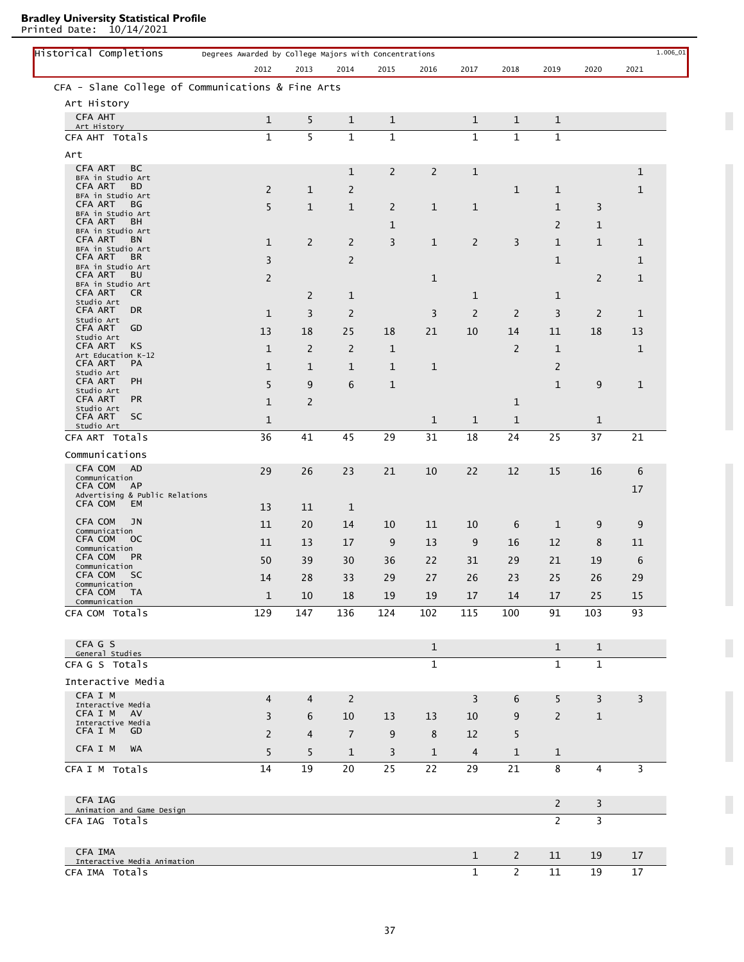Printed Date: 10/14/2021

| Historical Completions                            | Degrees Awarded by College Majors with Concentrations |                |                |                |                |                |                |                |                |             |
|---------------------------------------------------|-------------------------------------------------------|----------------|----------------|----------------|----------------|----------------|----------------|----------------|----------------|-------------|
|                                                   | 2012                                                  | 2013           | 2014           | 2015           | 2016           | 2017           | 2018           | 2019           | 2020           | 2021        |
| CFA - Slane College of Communications & Fine Arts |                                                       |                |                |                |                |                |                |                |                |             |
| Art History                                       |                                                       |                |                |                |                |                |                |                |                |             |
| <b>CFA AHT</b><br>Art History                     | $\mathbf{1}$                                          | 5              | 1              | $\mathbf{1}$   |                | 1              | $\mathbf{1}$   | 1              |                |             |
| CFA AHT Totals                                    | $\mathbf{1}$                                          | $\overline{5}$ | $\mathbf{1}$   | $\mathbf{1}$   |                | $\mathbf{1}$   | $\mathbf{1}$   | $\mathbf{1}$   |                |             |
| Art                                               |                                                       |                |                |                |                |                |                |                |                |             |
| CFA ART<br>BС                                     |                                                       |                | $\mathbf 1$    | $\overline{2}$ | $\overline{2}$ | $\mathbf{1}$   |                |                |                | $\mathbf 1$ |
| BFA in Studio Art<br><b>CFA ART</b><br>BD.        | 2                                                     | 1              | 2              |                |                |                | $\mathbf{1}$   | 1              |                | $\mathbf 1$ |
| BFA in Studio Art<br>CFA ART<br>ВG                |                                                       |                |                |                |                |                |                |                |                |             |
| BFA in Studio Art                                 | 5                                                     | $\mathbf{1}$   | $\mathbf{1}$   | $\overline{2}$ | 1              | $\mathbf{1}$   |                | $\mathbf{1}$   | 3              |             |
| <b>CFA ART</b><br>BН<br>BFA in Studio Art         |                                                       |                |                | $\mathbf 1$    |                |                |                | $\overline{2}$ | $\mathbf 1$    |             |
| <b>CFA ART</b><br>BN<br>BFA in Studio Art         | $\mathbf{1}$                                          | $\overline{2}$ | 2              | 3              | $\mathbf{1}$   | $\overline{2}$ | 3              | $\mathbf{1}$   | $\mathbf{1}$   | 1           |
| CFA ART<br>BR.<br>BFA in Studio Art               | 3                                                     |                | 2              |                |                |                |                | $\mathbf{1}$   |                | 1           |
| <b>CFA ART</b><br>BU                              | 2                                                     |                |                |                | 1              |                |                |                | 2              | $\mathbf 1$ |
| BFA in Studio Art<br>CFA ART<br>CR.               |                                                       | $\overline{2}$ | $\mathbf{1}$   |                |                | 1              |                | 1              |                |             |
| Studio Art<br>CFA ART<br>DR.                      | $\mathbf{1}$                                          | 3              | $\overline{2}$ |                | 3              | 2              | 2              | 3              | 2              | $\mathbf 1$ |
| Studio Art<br>CFA ART<br>GD                       |                                                       |                |                |                |                |                |                |                |                |             |
| Studio Art<br>CFA ART<br>KS                       | 13                                                    | 18             | 25             | 18             | 21             | 10             | 14             | 11             | 18             | 13          |
| Art Education K-12                                | $\mathbf{1}$                                          | 2              | 2              | $\mathbf{1}$   |                |                | $\overline{2}$ | $\mathbf{1}$   |                | 1           |
| CFA ART<br>PA<br>Studio Art                       | $\mathbf{1}$                                          | $\mathbf{1}$   | $\mathbf{1}$   | $\mathbf{1}$   | $\mathbf{1}$   |                |                | $\overline{2}$ |                |             |
| PH<br><b>CFA ART</b><br>Studio Art                | 5                                                     | 9              | 6              | $\mathbf{1}$   |                |                |                | $\mathbf{1}$   | 9              | 1           |
| <b>CFA ART</b><br><b>PR</b>                       | $\mathbf{1}$                                          | $\overline{c}$ |                |                |                |                | $\mathbf{1}$   |                |                |             |
| Studio Art<br>CFA ART<br><b>SC</b>                | 1                                                     |                |                |                | 1              | 1              | $\mathbf{1}$   |                | $\mathbf{1}$   |             |
| Studio Art<br>CFA ART Totals                      | 36                                                    | 41             | 45             | 29             | 31             | 18             | 24             | 25             | 37             | 21          |
| Communications                                    |                                                       |                |                |                |                |                |                |                |                |             |
| CFA COM<br><b>AD</b>                              |                                                       |                |                |                |                |                |                |                |                |             |
| Communication<br>CFA COM<br>AP                    | 29                                                    | 26             | 23             | 21             | 10             | 22             | 12             | 15             | 16             | 6           |
| Advertising & Public Relations                    |                                                       |                |                |                |                |                |                |                |                | 17          |
| CFA COM<br>EM                                     | 13                                                    | 11             | 1              |                |                |                |                |                |                |             |
| CFA COM<br>JN<br>Communication                    | 11                                                    | 20             | 14             | 10             | 11             | 10             | 6              | 1              | 9              | 9           |
| CFA COM<br><sub>OC</sub><br>Communication         | 11                                                    | 13             | 17             | 9              | 13             | 9              | 16             | 12             | 8              | 11          |
| CFA COM<br><b>PR</b>                              | 50                                                    | 39             | 30             | 36             | 22             | 31             | 29             | 21             | 19             | 6           |
| Communication<br>CFA COM<br><b>SC</b>             | 14                                                    | $28\,$         | 33             | 29             | $27\,$         | 26             | 23             | 25             | 26             | 29          |
| Communication<br>CFA COM<br><b>TA</b>             | $\mathbf{1}$                                          | 10             | 18             | 19             | 19             | 17             | 14             | 17             | 25             | 15          |
| Communication<br>CFA COM Totals                   | 129                                                   | 147            | 136            | 124            | 102            | 115            | 100            | 91             | 103            | 93          |
|                                                   |                                                       |                |                |                |                |                |                |                |                |             |
| CFA G S                                           |                                                       |                |                |                |                |                |                |                |                |             |
| General Studies                                   |                                                       |                |                |                | $\mathbf{1}$   |                |                | $\mathbf{1}$   | $\mathbf{1}$   |             |
| CFA G S Totals                                    |                                                       |                |                |                | $\mathbf{1}$   |                |                | $\mathbf{1}$   | $\mathbf{1}$   |             |
| Interactive Media                                 |                                                       |                |                |                |                |                |                |                |                |             |
| CFA I M<br>Interactive Media                      | 4                                                     | 4              | 2              |                |                | 3              | 6              | 5              | 3              | 3           |
| CFA I M AV<br>Interactive Media                   | 3                                                     | 6              | 10             | 13             | 13             | 10             | 9              | $\overline{2}$ | $\mathbf{1}$   |             |
| CFA I M<br>GD.                                    | $\overline{2}$                                        | $\overline{4}$ | 7              | 9              | 8              | 12             | 5              |                |                |             |
| CFA I M<br>WA                                     | 5                                                     | 5              | $\mathbf{1}$   | 3              | $\mathbf{1}$   | 4              | $\mathbf{1}$   | 1              |                |             |
| CFA I M Totals                                    | 14                                                    | 19             | 20             | 25             | 22             | 29             | 21             | 8              | $\overline{4}$ | 3           |
| CFA IAG                                           |                                                       |                |                |                |                |                |                | $\overline{2}$ | $\overline{3}$ |             |
| Animation and Game Design<br>CFA IAG Totals       |                                                       |                |                |                |                |                |                | $\overline{2}$ | $\overline{3}$ |             |
|                                                   |                                                       |                |                |                |                |                |                |                |                |             |
| CFA IMA                                           |                                                       |                |                |                |                | $\mathbf{1}$   | $\overline{2}$ | 11             | 19             | 17          |
| Interactive Media Animation                       |                                                       |                |                |                |                |                | 2              | 11             | 19             |             |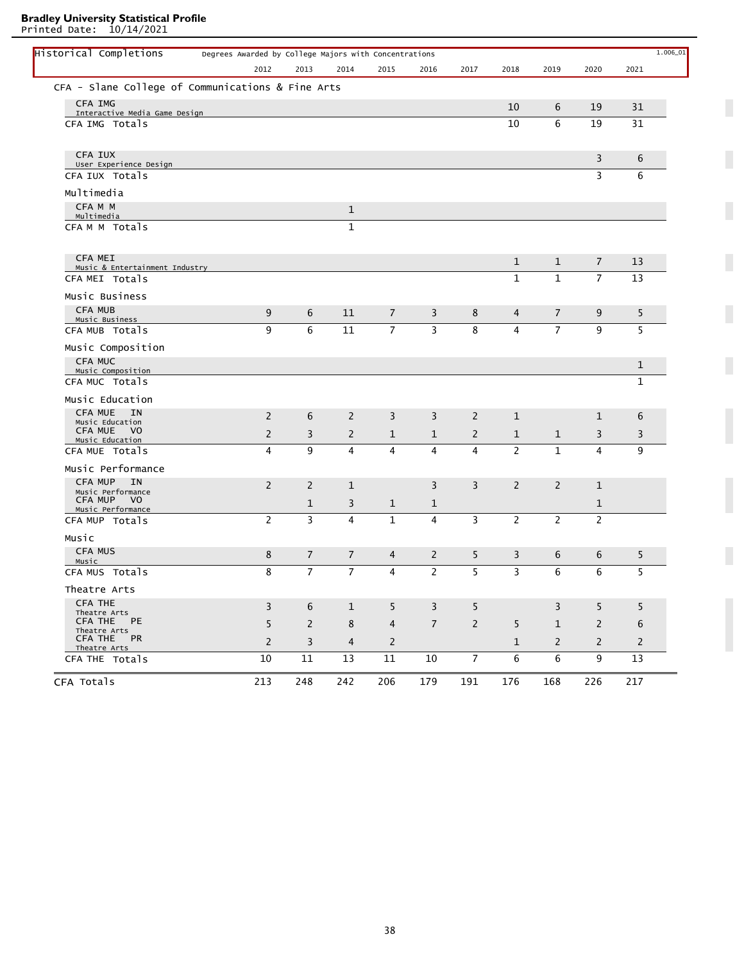Printed Date: 10/14/2021

L

|                                                       | 2012           | 2013           | 2014           | 2015           | 2016           | 2017           | 2018           | 2019           | 2020           | 2021         |
|-------------------------------------------------------|----------------|----------------|----------------|----------------|----------------|----------------|----------------|----------------|----------------|--------------|
| CFA - Slane College of Communications & Fine Arts     |                |                |                |                |                |                |                |                |                |              |
| <b>CFA IMG</b>                                        |                |                |                |                |                |                | 10             | 6              | 19             | 31           |
| Interactive Media Game Design<br>CFA IMG Totals       |                |                |                |                |                |                | 10             | 6              | 19             | 31           |
|                                                       |                |                |                |                |                |                |                |                |                |              |
| CFA IUX<br>User Experience Design                     |                |                |                |                |                |                |                |                | 3              | 6            |
| CFA IUX Totals                                        |                |                |                |                |                |                |                |                | 3              | 6            |
| Multimedia                                            |                |                |                |                |                |                |                |                |                |              |
| CFA M M<br>Multimedia                                 |                |                | $\mathbf{1}$   |                |                |                |                |                |                |              |
| CFAMM Totals                                          |                |                | $\mathbf{1}$   |                |                |                |                |                |                |              |
| <b>CFA MEI</b>                                        |                |                |                |                |                |                | $\mathbf{1}$   | $\mathbf{1}$   | $\overline{7}$ | 13           |
| Music & Entertainment Industry<br>CFA MEI Totals      |                |                |                |                |                |                | $\mathbf{1}$   | $\mathbf{1}$   | $\overline{7}$ | 13           |
| Music Business                                        |                |                |                |                |                |                |                |                |                |              |
| <b>CFA MUB</b><br>Music Business                      | 9              | 6              | 11             | $\overline{7}$ | 3              | 8              | 4              | 7              | 9              | 5            |
| CFA MUB Totals                                        | 9              | 6              | 11             | $\overline{7}$ | 3              | 8              | 4              | $\overline{7}$ | 9              | 5            |
| Music Composition                                     |                |                |                |                |                |                |                |                |                |              |
| CFA MUC<br>Music Composition                          |                |                |                |                |                |                |                |                |                | 1            |
| CFA MUC Totals                                        |                |                |                |                |                |                |                |                |                | $\mathbf{1}$ |
| Music Education                                       |                |                |                |                |                |                |                |                |                |              |
| <b>CFA MUE</b><br><b>IN</b><br>Music Education        | 2              | 6              | 2              | 3              | 3              | 2              | $\mathbf{1}$   |                | 1              | 6            |
| <b>CFA MUE</b><br>V <sub>0</sub><br>Music Education   | 2              | 3              | $\overline{2}$ | $\mathbf{1}$   | 1              | $\overline{2}$ | $\mathbf{1}$   | $\mathbf{1}$   | 3              | 3            |
| CFA MUE Totals                                        | 4              | 9              | 4              | 4              | 4              | 4              | $\overline{2}$ | $\mathbf{1}$   | 4              | 9            |
| Music Performance                                     |                |                |                |                |                |                |                |                |                |              |
| <b>CFA MUP</b><br><b>IN</b><br>Music Performance      | 2              | 2              | $\mathbf{1}$   |                | 3              | 3              | $\overline{2}$ | $\overline{2}$ | $\mathbf{1}$   |              |
| <b>CFA MUP</b><br>V <sub>0</sub><br>Music Performance |                | 1              | 3              | 1              | 1              |                |                |                | $\mathbf 1$    |              |
| CFA MUP Totals                                        | $\overline{2}$ | 3              | 4              | $\mathbf{1}$   | 4              | 3              | $\overline{2}$ | $\overline{2}$ | $\overline{2}$ |              |
| Music                                                 |                |                |                |                |                |                |                |                |                |              |
| <b>CFA MUS</b><br>Music                               | 8              | $\overline{7}$ | $\overline{7}$ | 4              | 2              | 5              | 3              | 6              | 6              | 5            |
| CFA MUS Totals                                        | 8              | $\overline{7}$ | $\overline{7}$ | 4              | 2              | 5              | $\overline{3}$ | 6              | 6              | 5            |
| Theatre Arts                                          |                |                |                |                |                |                |                |                |                |              |
| <b>CFA THE</b><br>Theatre Arts                        | $\mathbf{3}$   | 6              | $\mathbf{1}$   | 5              | $\overline{3}$ | 5              |                | $\overline{3}$ | 5              | 5            |
| CFA THE PE<br>Theatre Arts                            | 5              | $\overline{2}$ | 8              | $\overline{4}$ | $7^{\circ}$    | $\overline{2}$ | 5              | $\mathbf{1}$   | $\overline{2}$ | 6            |
| CFA THE PR<br>Theatre Arts                            | $\overline{2}$ | 3              | 4              | $\mathbf{2}$   |                |                | $\mathbf{1}$   | $\overline{2}$ | $\mathbf{2}$   | 2            |
| CFA THE Totals                                        | 10             | 11             | 13             | 11             | 10             | $\overline{7}$ | 6              | 6              | 9              | 13           |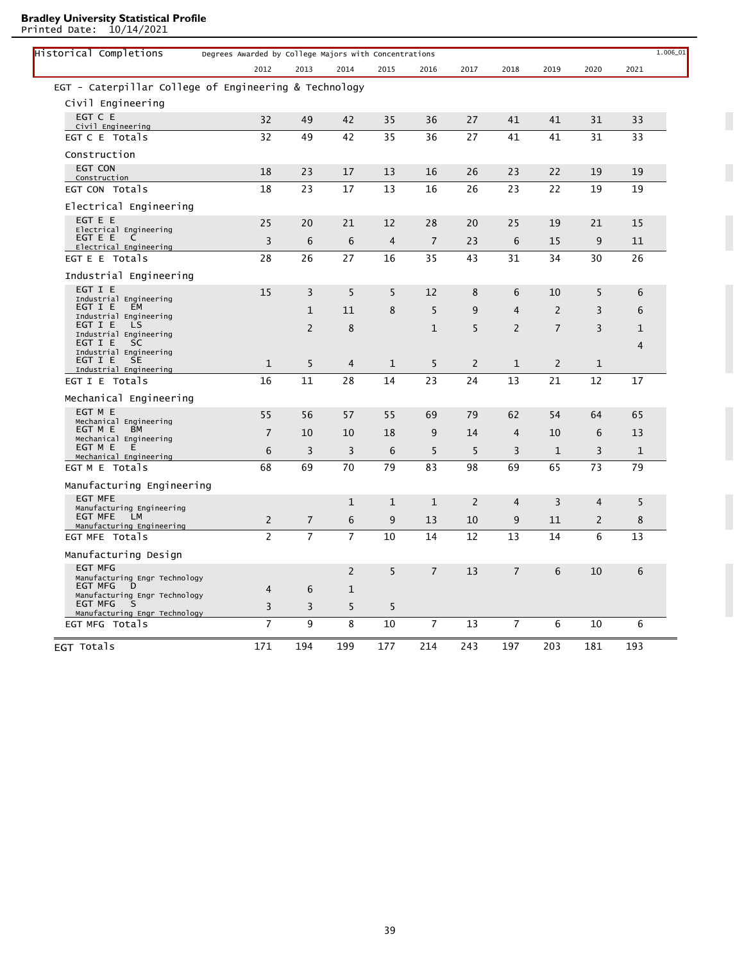Printed Date: 10/14/2021

| EGT Totals                                                                     | 171            | 194            | 199            | 177 | 214            | 243 | 197            | 203            | 181            | 193         |  |
|--------------------------------------------------------------------------------|----------------|----------------|----------------|-----|----------------|-----|----------------|----------------|----------------|-------------|--|
| EGT MFG Totals                                                                 | $\overline{7}$ | 9              | 8              | 10  | 7              | 13  | 7              | 6              | 10             | 6           |  |
| Manufacturing Engr Technology<br>EGT MFG<br>S<br>Manufacturing Engr Technology | $\mathsf 3$    | 3              | 5              | 5   |                |     |                |                |                |             |  |
| Manufacturing Engr Technology<br>EGT MFG<br>D                                  | $\overline{4}$ | 6              | $\mathbf{1}$   |     |                |     |                |                |                |             |  |
| <b>EGT MFG</b>                                                                 |                |                | $\overline{2}$ | 5   | $\overline{7}$ | 13  | $\overline{7}$ | 6              | 10             | 6           |  |
| Manufacturing Design                                                           |                |                |                |     |                |     |                |                |                |             |  |
| Manufacturing Engineering<br>EGT MFE Totals                                    | $\overline{c}$ | $\overline{7}$ | $\overline{7}$ | 10  | 14             | 12  | 13             | 14             | 6              | 13          |  |
| EGT MFE<br>LM                                                                  | $\overline{2}$ | $\overline{7}$ | 6              | 9   | 13             | 10  | 9              | 11             | $\overline{2}$ | 8           |  |
| Manufacturing Engineering<br><b>EGT MFE</b><br>Manufacturing Engineering       |                |                | 1              | 1   | $\mathbf{1}$   | 2   | 4              | 3              | $\overline{4}$ | 5           |  |
|                                                                                |                |                |                |     |                |     |                |                |                |             |  |
| Mechanical Engineering<br>EGT M E Totals                                       | 68             | 69             | 70             | 79  | 83             | 98  | 69             | 65             | 73             | 79          |  |
| Mechanical Engineering<br>EGT M E<br>Е                                         | 6              | 3              | 3              | 6   | 5              | 5   | 3              | $\mathbf{1}$   | 3              | 1           |  |
| EGT M E<br>ВM                                                                  | $\overline{7}$ | 10             | 10             | 18  | 9              | 14  | 4              | 10             | 6              | 13          |  |
| EGT M E<br>Mechanical Engineering                                              | 55             | 56             | 57             | 55  | 69             | 79  | 62             | 54             | 64             | 65          |  |
| Mechanical Engineering                                                         |                |                |                |     |                |     |                |                |                |             |  |
| EGT I E Totals                                                                 | 16             | 11             | 28             | 14  | 23             | 24  | 13             | 21             | 12             | 17          |  |
| EGT I E<br><b>SE</b><br>Industrial Engineering                                 | $\mathbf{1}$   | 5              | 4              | 1   | 5              | 2   | $\mathbf 1$    | $\overline{2}$ | $\mathbf 1$    |             |  |
| Industrial Engineering                                                         |                |                |                |     |                |     |                |                |                | 4           |  |
| Industrial Engineering<br>EGT I E<br><b>SC</b>                                 |                |                |                |     |                |     |                |                |                | $\mathbf 1$ |  |
| Industrial Engineering<br>EGT I E<br>LS                                        |                | $\overline{2}$ | 8              |     | $\mathbf 1$    | 5   | $\overline{2}$ | $\overline{7}$ | 3              |             |  |
| Industrial Engineering<br>EGT I E<br><b>EM</b>                                 |                | $\mathbf{1}$   | 11             | 8   | 5              | 9   | 4              | $\overline{2}$ | 3              | 6           |  |
| EGT I E                                                                        | 15             | 3              | 5              | 5   | 12             | 8   | 6              | 10             | 5              | 6           |  |
| Industrial Engineering                                                         |                |                |                |     |                |     |                |                |                |             |  |
| EGT E E Totals                                                                 | 28             | 26             | 27             | 16  | 35             | 43  | 31             | 34             | 30             | 26          |  |
| EGT E E<br>C<br>Electrical Engineering                                         | 3              | 6              | 6              | 4   | $\overline{7}$ | 23  | 6              | 15             | 9              | 11          |  |
| Electrical Engineering                                                         | 25             | 20             | 21             | 12  | 28             | 20  | 25             | 19             | 21             | 15          |  |
| Electrical Engineering<br>EGT E E                                              |                |                |                |     |                |     |                |                |                |             |  |
|                                                                                |                |                |                |     |                |     |                |                |                |             |  |
| Construction<br>EGT CON Totals                                                 | 18             | 23             | 17             | 13  | 16             | 26  | 23             | 22             | 19             | 19          |  |
| EGT CON                                                                        | 18             | 23             | 17             | 13  | 16             | 26  | 23             | 22             | 19             | 19          |  |
| Construction                                                                   |                |                |                |     |                |     |                |                |                |             |  |
| EGT C E Totals                                                                 | 32             | 49             | 42             | 35  | 36             | 27  | 41             | 41             | 31             | 33          |  |
| EGT C E<br>Civil Engineering                                                   | 32             | 49             | 42             | 35  | 36             | 27  | 41             | 41             | 31             | 33          |  |
| Civil Engineering                                                              |                |                |                |     |                |     |                |                |                |             |  |
| EGT - Caterpillar College of Engineering & Technology                          |                |                |                |     |                |     |                |                |                |             |  |
|                                                                                |                |                |                |     |                |     |                |                | 2020           | 2021        |  |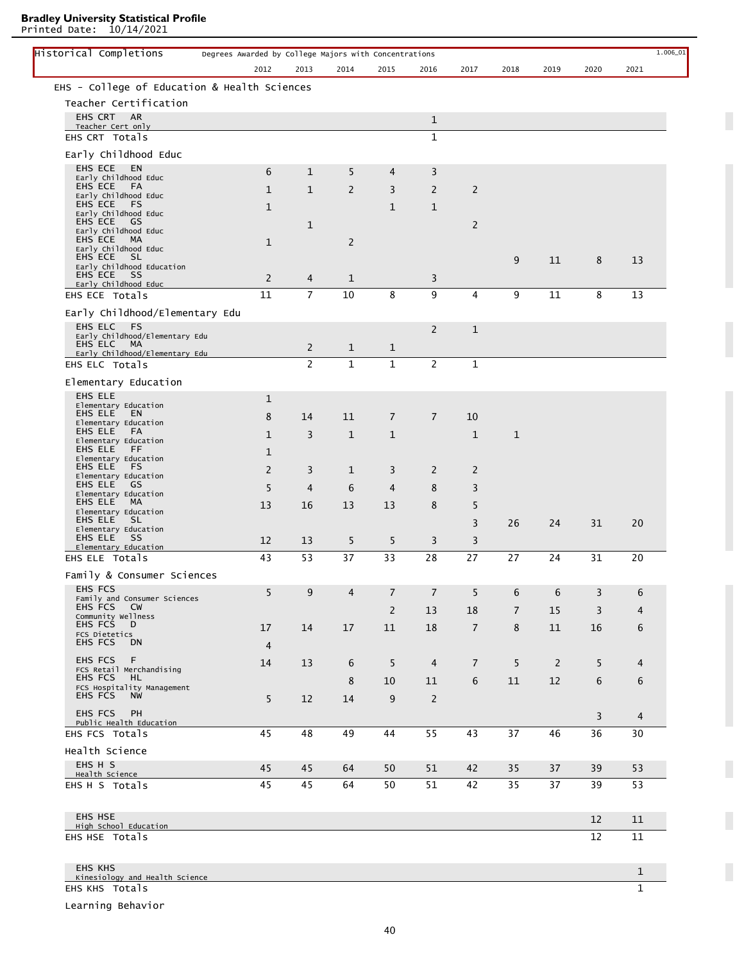Printed Date: 10/14/2021

L

| Historical Completions                             | Degrees Awarded by College Majors with Concentrations |                |                |                |                |                |                |                |      | 1.006_01       |
|----------------------------------------------------|-------------------------------------------------------|----------------|----------------|----------------|----------------|----------------|----------------|----------------|------|----------------|
|                                                    | 2012                                                  | 2013           | 2014           | 2015           | 2016           | 2017           | 2018           | 2019           | 2020 | 2021           |
| EHS - College of Education & Health Sciences       |                                                       |                |                |                |                |                |                |                |      |                |
| Teacher Certification                              |                                                       |                |                |                |                |                |                |                |      |                |
| EHS CRT AR<br>Teacher Cert only                    |                                                       |                |                |                | $\mathbf{1}$   |                |                |                |      |                |
| EHS CRT Totals                                     |                                                       |                |                |                | $\mathbf{1}$   |                |                |                |      |                |
| Early Childhood Educ                               |                                                       |                |                |                |                |                |                |                |      |                |
| <b>EHS ECE</b><br>EN                               | 6                                                     | $\mathbf{1}$   | 5              | 4              | 3              |                |                |                |      |                |
| Early Childhood Educ<br>EHS ECE<br>FA              | $\mathbf{1}$                                          | $\mathbf{1}$   | $\overline{2}$ | 3              | 2              | 2              |                |                |      |                |
| Early Childhood Educ<br>EHS ECE<br>FS              | 1                                                     |                |                | $\mathbf{1}$   | $\mathbf{1}$   |                |                |                |      |                |
| Early Childhood Educ<br>GS<br>EHS ECE              |                                                       | $\mathbf{1}$   |                |                |                | $\overline{2}$ |                |                |      |                |
| Early Childhood Educ<br>EHS ECE<br>МA              |                                                       |                |                |                |                |                |                |                |      |                |
| Early Childhood Educ                               | 1                                                     |                | 2              |                |                |                |                |                |      |                |
| EHS ECE<br>SL.<br>Early Childhood Education        |                                                       |                |                |                |                |                | 9              | 11             | 8    | 13             |
| EHS ECE<br>SS<br>Early Childhood Educ              | $\overline{2}$                                        | 4              | $\mathbf{1}$   |                | 3              |                |                |                |      |                |
| EHS ECE Totals                                     | 11                                                    | $\overline{7}$ | 10             | 8              | 9              | 4              | 9              | 11             | 8    | 13             |
| Early Childhood/Elementary Edu                     |                                                       |                |                |                |                |                |                |                |      |                |
| EHS ELC<br>FS<br>Early Childhood/Elementary Edu    |                                                       |                |                |                | 2              | $\mathbf{1}$   |                |                |      |                |
| EHS ELC<br>MA                                      |                                                       | $\overline{2}$ | $\mathbf{1}$   | $\mathbf{1}$   |                |                |                |                |      |                |
| Early Childhood/Elementary Edu<br>EHS ELC Totals   |                                                       | $\overline{2}$ | $\mathbf{1}$   | $\mathbf 1$    | 2              | $\mathbf{1}$   |                |                |      |                |
| Elementary Education                               |                                                       |                |                |                |                |                |                |                |      |                |
| EHS ELE                                            | 1                                                     |                |                |                |                |                |                |                |      |                |
| Elementary Education<br>EHS ELE<br>EN              |                                                       |                |                |                |                |                |                |                |      |                |
| Elementary Education                               | 8                                                     | 14             | 11             | $\overline{7}$ | $\overline{7}$ | 10             |                |                |      |                |
| EHS ELE<br>FA<br>Elementary Education              | 1                                                     | 3              | $\mathbf{1}$   | 1              |                | $\mathbf{1}$   | 1              |                |      |                |
| EHS ELE<br>FF<br>Elementary Education              | 1                                                     |                |                |                |                |                |                |                |      |                |
| EHS ELE<br>FS<br>Elementary Education              | 2                                                     | 3              | 1              | 3              | 2              | 2              |                |                |      |                |
| EHS ELE<br>GS<br>Elementary Education              | 5                                                     | $\overline{4}$ | 6              | $\overline{4}$ | 8              | 3              |                |                |      |                |
| EHS ELE<br>MA                                      | 13                                                    | 16             | 13             | 13             | 8              | 5              |                |                |      |                |
| Elementary Education<br>EHS ELE<br>SL.             |                                                       |                |                |                |                | 3              | 26             | 24             | 31   | 20             |
| Elementary Education<br>EHS ELE<br>- SS            | 12                                                    | 13             | 5              | 5              | 3              | 3              |                |                |      |                |
| Elementary Education<br>EHS ELE Totals             | 43                                                    | 53             | 37             | 33             | 28             | 27             | 27             | 24             | 31   | 20             |
|                                                    |                                                       |                |                |                |                |                |                |                |      |                |
| Family & Consumer Sciences<br><b>EHS FCS</b>       |                                                       |                |                |                |                |                |                |                |      |                |
| Family and Consumer Sciences                       | 5                                                     | 9              | $\overline{4}$ | $\overline{7}$ | $\overline{7}$ | 5              | 6              | 6              | 3    | 6              |
| EHS FCS<br><b>CW</b><br>Community Wellness         |                                                       |                |                | 2              | 13             | 18             | $\overline{7}$ | 15             | 3    | 4              |
| EHS FCS<br>D<br>FCS Dietetics                      | 17                                                    | 14             | 17             | 11             | 18             | $\overline{7}$ | 8              | 11             | 16   | 6              |
| EHS FCS<br>DN                                      | $\overline{4}$                                        |                |                |                |                |                |                |                |      |                |
| <b>EHS FCS</b><br>F                                | 14                                                    | 13             | 6              | 5              | $\overline{4}$ | $\overline{7}$ | 5              | $\overline{2}$ | 5    | 4              |
| FCS Retail Merchandising<br>EHS FCS<br>HL.         |                                                       |                | 8              | 10             | 11             | 6              | 11             | 12             | 6    | 6              |
| FCS Hospitality Management<br>EHS FCS<br><b>NW</b> | 5                                                     | 12             | 14             | 9              | 2              |                |                |                |      |                |
| <b>EHS FCS</b><br><b>PH</b>                        |                                                       |                |                |                |                |                |                |                | 3    | $\overline{4}$ |
| Public Health Education                            |                                                       |                |                |                |                |                |                |                |      |                |
| EHS FCS Totals                                     | 45                                                    | 48             | 49             | 44             | 55             | 43             | 37             | 46             | 36   | 30             |
| Health Science<br>EHS H S                          |                                                       |                |                |                |                |                |                |                |      |                |
| Health Science                                     | 45                                                    | 45             | 64             | 50             | 51             | 42             | 35             | 37             | 39   | 53             |
| EHS H S Totals                                     | 45                                                    | 45             | 64             | 50             | 51             | 42             | 35             | 37             | 39   | 53             |
|                                                    |                                                       |                |                |                |                |                |                |                |      |                |
| <b>EHS HSE</b><br>High School Education            |                                                       |                |                |                |                |                |                |                | 12   | 11             |
| EHS HSE Totals                                     |                                                       |                |                |                |                |                |                |                | 12   | 11             |
|                                                    |                                                       |                |                |                |                |                |                |                |      |                |
| <b>EHS KHS</b>                                     |                                                       |                |                |                |                |                |                |                |      | 1              |
| Kinesiology and Health Science                     |                                                       |                |                |                |                |                |                |                |      |                |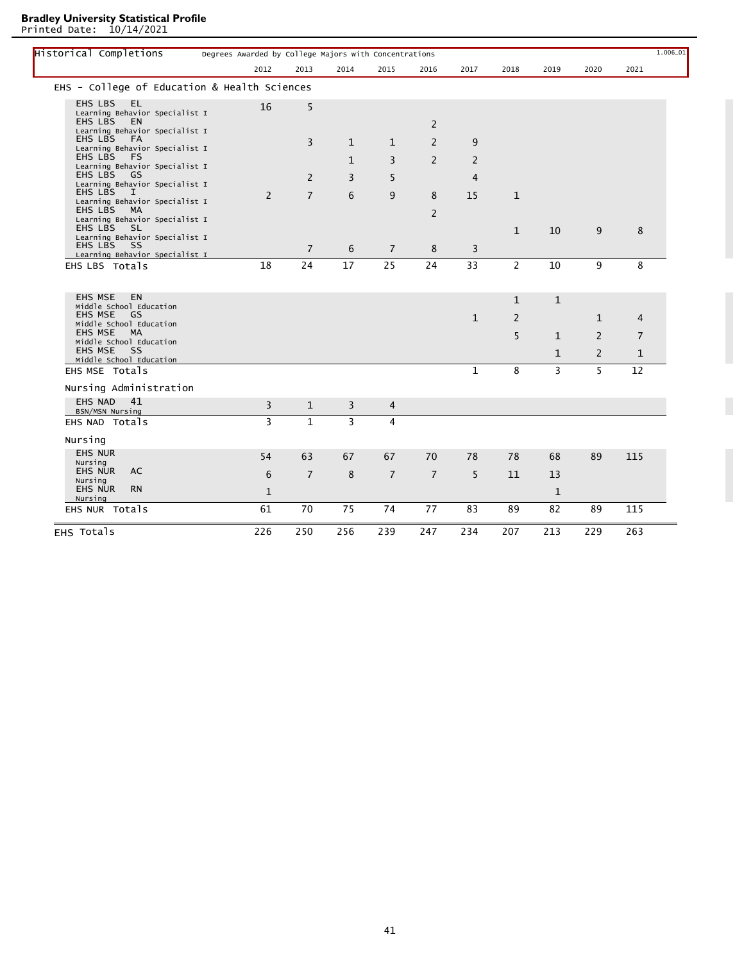Printed Date: 10/14/2021

L

| Historical Completions                                                          | Degrees Awarded by College Majors with Concentrations |                |              |                |                |                |                   |              |                | $1.006\_01$    |
|---------------------------------------------------------------------------------|-------------------------------------------------------|----------------|--------------|----------------|----------------|----------------|-------------------|--------------|----------------|----------------|
|                                                                                 | 2012                                                  | 2013           | 2014         | 2015           | 2016           | 2017           | 2018              | 2019         | 2020           | 2021           |
| EHS - College of Education & Health Sciences                                    |                                                       |                |              |                |                |                |                   |              |                |                |
| <b>EHS LBS</b><br>EL.<br>Learning Behavior Specialist I<br>EHS LBS<br><b>EN</b> | 16                                                    | 5              |              |                |                |                |                   |              |                |                |
| Learning Behavior Specialist I<br><b>EHS LBS</b><br><b>FA</b>                   |                                                       |                |              |                | 2              |                |                   |              |                |                |
| Learning Behavior Specialist I                                                  |                                                       | 3              | $\mathbf{1}$ | $\mathbf{1}$   | 2              | 9              |                   |              |                |                |
| EHS LBS<br>FS<br>Learning Behavior Specialist I<br><b>EHS LBS</b><br>GS         |                                                       |                | $\mathbf{1}$ | 3              | $\overline{2}$ | $\overline{2}$ |                   |              |                |                |
| Learning Behavior Specialist I<br><b>EHS LBS</b><br>I                           |                                                       | 2              | 3            | 5              |                | 4              |                   |              |                |                |
| Learning Behavior Specialist I                                                  | $\overline{2}$                                        | $\overline{7}$ | 6            | 9              | 8              | 15             | $\mathbf{1}$      |              |                |                |
| EHS LBS<br>МA<br>Learning Behavior Specialist I<br><b>EHS LBS</b><br>- SL       |                                                       |                |              |                | 2              |                |                   |              |                |                |
| Learning Behavior Specialist I<br>EHS LBS<br>-SS                                |                                                       |                |              |                |                |                | $\mathbf{1}$      | 10           | 9              | 8              |
| Learning Behavior Specialist I                                                  |                                                       | $\overline{7}$ | 6            | $\overline{7}$ | 8              | 3              |                   |              |                |                |
| EHS LBS Totals                                                                  | 18                                                    | 24             | 17           | 25             | 24             | 33             | $\overline{2}$    | 10           | 9              | 8              |
| <b>EHS MSE</b><br><b>EN</b><br>Middle School Education<br><b>EHS MSE</b><br>GS  |                                                       |                |              |                |                | $\mathbf{1}$   | $\mathbf{1}$<br>2 | $\mathbf{1}$ | $\mathbf{1}$   | $\overline{4}$ |
| Middle School Education<br><b>EHS MSE</b><br><b>MA</b>                          |                                                       |                |              |                |                |                | 5                 | $\mathbf{1}$ | 2              | $\overline{7}$ |
| Middle School Education<br><b>EHS MSE</b><br>SS<br>Middle School Education      |                                                       |                |              |                |                |                |                   | $\mathbf{1}$ | $\overline{2}$ | $\mathbf{1}$   |
| EHS MSE Totals                                                                  |                                                       |                |              |                |                | $\mathbf{1}$   | 8                 | 3            | 5              | 12             |
| Nursing Administration                                                          |                                                       |                |              |                |                |                |                   |              |                |                |
| 41<br><b>EHS NAD</b><br>BSN/MSN Nursing                                         | 3                                                     | $\mathbf{1}$   | 3            | 4              |                |                |                   |              |                |                |
| EHS NAD Totals                                                                  | 3                                                     | $\mathbf{1}$   | 3            | $\overline{4}$ |                |                |                   |              |                |                |
| Nursing                                                                         |                                                       |                |              |                |                |                |                   |              |                |                |
| <b>EHS NUR</b><br>Nursing                                                       | 54                                                    | 63             | 67           | 67             | 70             | 78             | 78                | 68           | 89             | 115            |
| <b>EHS NUR</b><br>AC<br>Nursing                                                 | 6                                                     | $\overline{7}$ | 8            | $\overline{7}$ | $\overline{7}$ | 5              | 11                | 13           |                |                |
| <b>EHS NUR</b><br><b>RN</b>                                                     | $\mathbf{1}$                                          |                |              |                |                |                |                   | $\mathbf{1}$ |                |                |
| Nursing                                                                         |                                                       |                |              |                |                |                |                   |              |                |                |
| EHS NUR Totals                                                                  | 61                                                    | 70             | 75           | 74             | 77             | 83             | 89                | 82           | 89             | 115            |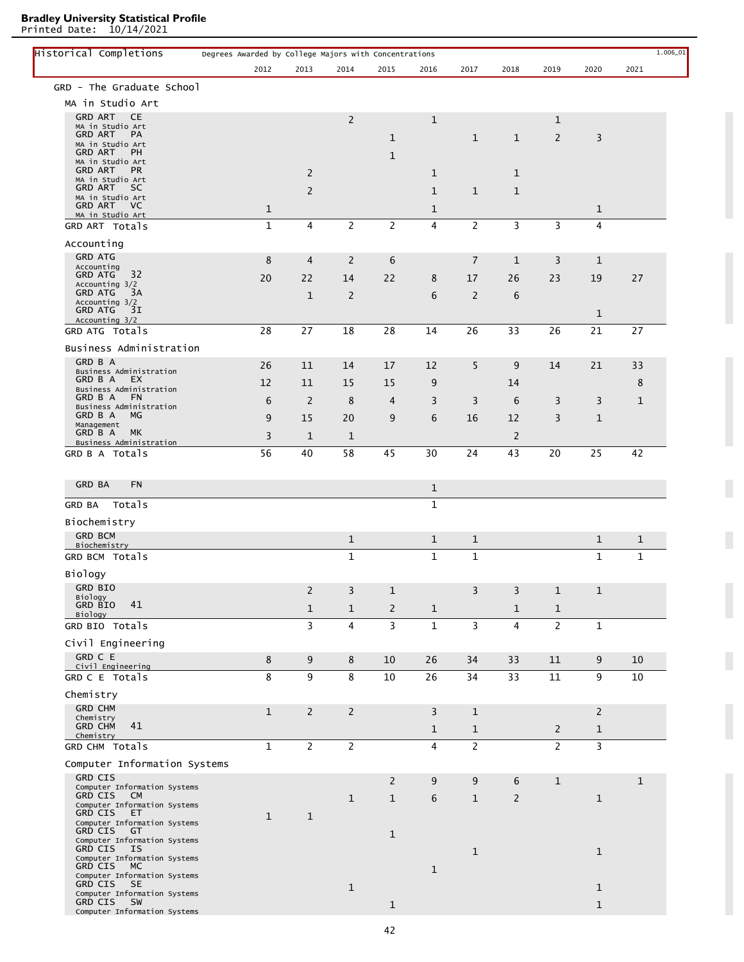| Historical Completions                               | Degrees Awarded by College Majors with Concentrations |                |                |                |              |                |                |                |                | 1.006_01     |
|------------------------------------------------------|-------------------------------------------------------|----------------|----------------|----------------|--------------|----------------|----------------|----------------|----------------|--------------|
|                                                      | 2012                                                  | 2013           | 2014           | 2015           | 2016         | 2017           | 2018           | 2019           | 2020           | 2021         |
| GRD - The Graduate School                            |                                                       |                |                |                |              |                |                |                |                |              |
| MA in Studio Art                                     |                                                       |                |                |                |              |                |                |                |                |              |
| <b>GRD ART</b><br><b>CE</b><br>MA in Studio Art      |                                                       |                | 2              |                | $\mathbf{1}$ |                |                | 1              |                |              |
| <b>GRD ART</b><br>PA                                 |                                                       |                |                | $\mathbf{1}$   |              | $\mathbf{1}$   | $\mathbf{1}$   | 2              | 3              |              |
| MA in Studio Art<br>GRD ART<br>PH                    |                                                       |                |                | $\mathbf{1}$   |              |                |                |                |                |              |
| MA in Studio Art<br><b>GRD ART</b><br><b>PR</b>      |                                                       |                |                |                |              |                |                |                |                |              |
| MA in Studio Art                                     |                                                       | $\overline{2}$ |                |                | 1            |                | 1              |                |                |              |
| <b>GRD ART</b><br>SC.<br>MA in Studio Art            |                                                       | $\overline{2}$ |                |                | $\mathbf{1}$ | $\mathbf{1}$   | $\mathbf{1}$   |                |                |              |
| <b>GRD ART</b><br>VC V<br>MA in Studio Art           | $\mathbf{1}$                                          |                |                |                | 1            |                |                |                | $\mathbf{1}$   |              |
| GRD ART Totals                                       | $\mathbf{1}$                                          | $\overline{4}$ | $\overline{2}$ | $\overline{c}$ | 4            | $\overline{2}$ | 3              | 3              | 4              |              |
| Accounting                                           |                                                       |                |                |                |              |                |                |                |                |              |
| <b>GRD ATG</b>                                       | 8                                                     | 4              | 2              | 6              |              | 7              | $\mathbf{1}$   | 3              | $\mathbf{1}$   |              |
| Accounting<br><b>GRD ATG</b><br>32                   | 20                                                    | 22             | 14             | 22             | 8            | 17             | 26             | 23             | 19             | 27           |
| Accounting 3/2<br><b>GRD ATG</b><br>3A               |                                                       |                |                |                |              |                |                |                |                |              |
| Accounting 3/2                                       |                                                       | $\mathbf{1}$   | 2              |                | 6            | $\overline{2}$ | 6              |                |                |              |
| <b>GRD ATG</b><br>3I<br>Accounting 3/2               |                                                       |                |                |                |              |                |                |                | $\mathbf{1}$   |              |
| GRD ATG Totals                                       | 28                                                    | 27             | 18             | 28             | 14           | 26             | 33             | 26             | 21             | 27           |
| Business Administration                              |                                                       |                |                |                |              |                |                |                |                |              |
| GRD B A                                              | 26                                                    | 11             | 14             | 17             | 12           | 5              | 9              | 14             | 21             | 33           |
| Business Administration<br>GRD B A<br>EX.            | 12                                                    | 11             | 15             | 15             | 9            |                | 14             |                |                | 8            |
| Business Administration<br>GRD B A<br><b>FN</b>      |                                                       |                |                |                |              |                |                |                |                |              |
| Business Administration                              | 6                                                     | 2              | 8              | 4              | 3            | 3              | 6              | 3              | 3              | $\mathbf{1}$ |
| GRD B A<br>MG<br>Management                          | 9                                                     | 15             | 20             | 9              | 6            | 16             | 12             | 3              | $\mathbf{1}$   |              |
| GRD B A<br>MK<br>Business Administration             | 3                                                     | $\mathbf{1}$   | 1              |                |              |                | $\overline{2}$ |                |                |              |
| GRD B A Totals                                       | 56                                                    | 40             | 58             | 45             | 30           | 24             | 43             | 20             | 25             | 42           |
|                                                      |                                                       |                |                |                |              |                |                |                |                |              |
| <b>GRD BA</b><br><b>FN</b>                           |                                                       |                |                |                | 1            |                |                |                |                |              |
| Totals<br><b>GRD BA</b>                              |                                                       |                |                |                | $\mathbf{1}$ |                |                |                |                |              |
| Biochemistry                                         |                                                       |                |                |                |              |                |                |                |                |              |
| <b>GRD BCM</b>                                       |                                                       |                |                |                |              |                |                |                |                |              |
| Biochemistry                                         |                                                       |                | $\mathbf{1}$   |                | $\mathbf{1}$ | $\mathbf{1}$   |                |                | $\mathbf{1}$   | 1            |
| GRD BCM Totals                                       |                                                       |                | $\mathbf{1}$   |                | $\mathbf{1}$ | $\mathbf 1$    |                |                | $\mathbf{1}$   | $\mathbf{1}$ |
| Biology                                              |                                                       |                |                |                |              |                |                |                |                |              |
| <b>GRD BIO</b>                                       |                                                       | $\overline{2}$ | 3              | $\mathbf{1}$   |              | 3              | 3              | $\mathbf{1}$   | $\mathbf 1$    |              |
| Biology<br>41<br>GRD BIO                             |                                                       | $\mathbf{1}$   | $\mathbf{1}$   | $\overline{2}$ | $\mathbf{1}$ |                | $\mathbf{1}$   | $\mathbf{1}$   |                |              |
| Biology<br>GRD BIO Totals                            |                                                       | 3              | $\overline{4}$ | 3              | $\mathbf{1}$ | $\overline{3}$ | 4              | $\overline{2}$ | $\mathbf{1}$   |              |
|                                                      |                                                       |                |                |                |              |                |                |                |                |              |
| Civil Engineering<br>GRD C E                         |                                                       |                |                |                |              |                |                |                |                |              |
| Civil Engineering                                    | 8                                                     | 9              | 8              | 10             | 26           | 34             | 33             | 11             | 9              | 10           |
| GRD C E Totals                                       | 8                                                     | 9              | 8              | 10             | 26           | 34             | 33             | 11             | 9              | 10           |
| Chemistry                                            |                                                       |                |                |                |              |                |                |                |                |              |
| <b>GRD CHM</b>                                       | $\mathbf{1}$                                          | $\overline{2}$ | $\overline{2}$ |                | 3            | $\mathbf{1}$   |                |                | $\overline{c}$ |              |
| Chemistry<br>41<br><b>GRD CHM</b>                    |                                                       |                |                |                | $\mathbf{1}$ | $\mathbf{1}$   |                | $\overline{2}$ | $\mathbf{1}$   |              |
| Chemistry                                            | $\mathbf{1}$                                          | $\overline{2}$ |                |                | 4            | $\overline{2}$ |                | $\overline{2}$ | 3              |              |
| GRD CHM Totals                                       |                                                       |                | $\overline{2}$ |                |              |                |                |                |                |              |
| Computer Information Systems                         |                                                       |                |                |                |              |                |                |                |                |              |
| <b>GRD CIS</b><br>Computer Information Systems       |                                                       |                |                | $\overline{2}$ | 9            | 9              | 6              | $\mathbf{1}$   |                | $\mathbf{1}$ |
| GRD CIS CM<br>Computer Information Systems           |                                                       |                | $\mathbf{1}$   | $\mathbf{1}$   | 6            | $\mathbf{1}$   | $\overline{2}$ |                | $\mathbf{1}$   |              |
| GRD CIS<br>ET.                                       | $\mathbf{1}$                                          | $\mathbf{1}$   |                |                |              |                |                |                |                |              |
| Computer Information Systems<br>GRD CIS GT           |                                                       |                |                |                |              |                |                |                |                |              |
| Computer Information Systems                         |                                                       |                |                | $\mathbf{1}$   |              |                |                |                |                |              |
| GRD CIS<br>IS.<br>Computer Information Systems       |                                                       |                |                |                |              | $\mathbf{1}$   |                |                | $\mathbf{1}$   |              |
| GRD CIS MC<br>Computer Information Systems           |                                                       |                |                |                | $\mathbf{1}$ |                |                |                |                |              |
| GRD CIS<br><b>SE</b>                                 |                                                       |                | $\mathbf{1}$   |                |              |                |                |                | $\mathbf{1}$   |              |
| Computer Information Systems<br>GRD CIS<br><b>SW</b> |                                                       |                |                |                |              |                |                |                |                |              |
| Computer Information Systems                         |                                                       |                |                | $\mathbf{1}$   |              |                |                |                | $\mathbf 1$    |              |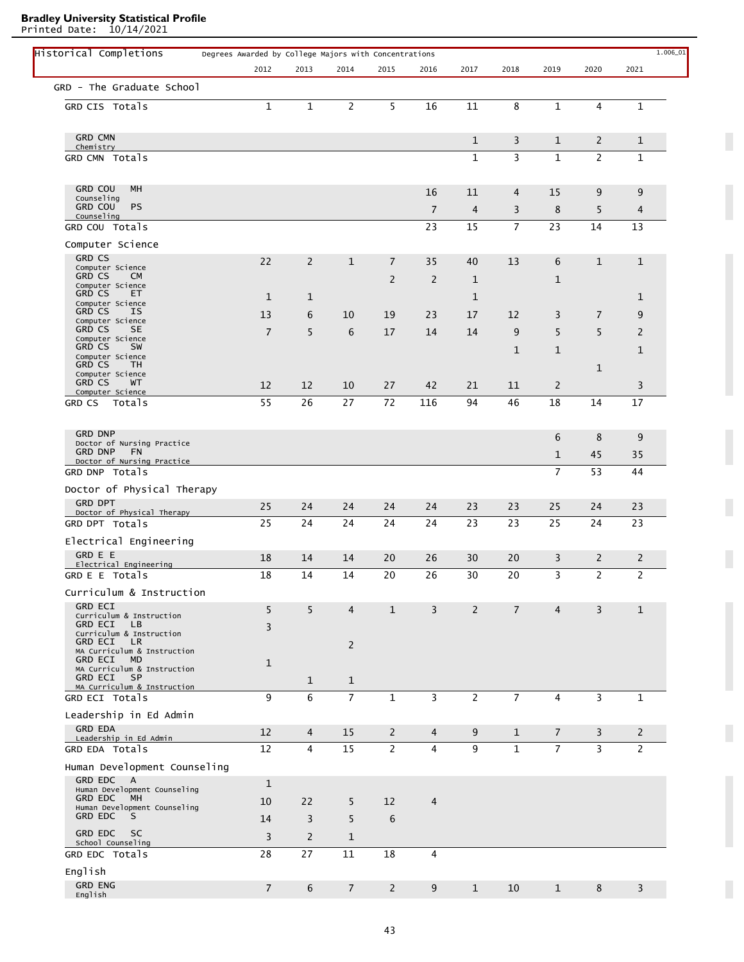Printed Date: 10/14/2021

L

| Historical Completions                                     | Degrees Awarded by College Majors with Concentrations |                |                |                |                |                |                |                |                |                | $1.006\_01$ |
|------------------------------------------------------------|-------------------------------------------------------|----------------|----------------|----------------|----------------|----------------|----------------|----------------|----------------|----------------|-------------|
|                                                            | 2012                                                  | 2013           | 2014           | 2015           | 2016           | 2017           | 2018           | 2019           | 2020           | 2021           |             |
| GRD - The Graduate School                                  |                                                       |                |                |                |                |                |                |                |                |                |             |
| GRD CIS Totals                                             | $\mathbf{1}$                                          | $\mathbf 1$    | 2              | 5              | 16             | 11             | 8              | $\mathbf 1$    | 4              | $\mathbf 1$    |             |
|                                                            |                                                       |                |                |                |                |                |                |                |                |                |             |
| <b>GRD CMN</b>                                             |                                                       |                |                |                |                | $\mathbf{1}$   | 3              | $\mathbf{1}$   | $\overline{2}$ | $\mathbf 1$    |             |
| Chemistry                                                  |                                                       |                |                |                |                |                |                |                |                |                |             |
| GRD CMN Totals                                             |                                                       |                |                |                |                | $\mathbf{1}$   | 3              | $\mathbf{1}$   | $\overline{c}$ | $\mathbf{1}$   |             |
|                                                            |                                                       |                |                |                |                |                |                |                |                |                |             |
| <b>GRD COU</b><br>MH<br>Counseling                         |                                                       |                |                |                | 16             | 11             | 4              | 15             | 9              | 9              |             |
| <b>PS</b><br><b>GRD COU</b><br>Counseling                  |                                                       |                |                |                | $\overline{7}$ | $\overline{4}$ | 3              | 8              | 5              | 4              |             |
| GRD COU Totals                                             |                                                       |                |                |                | 23             | 15             | $\overline{7}$ | 23             | 14             | 13             |             |
| Computer Science                                           |                                                       |                |                |                |                |                |                |                |                |                |             |
| <b>GRD CS</b>                                              | 22                                                    | $\overline{2}$ | $\mathbf{1}$   | $\overline{7}$ | 35             | 40             | 13             | 6              | $\mathbf{1}$   | $\mathbf{1}$   |             |
| Computer Science<br><b>GRD CS</b><br><b>CM</b>             |                                                       |                |                |                |                |                |                |                |                |                |             |
| Computer Science                                           |                                                       |                |                | $\overline{2}$ | $\overline{c}$ | $\mathbf{1}$   |                | $\mathbf{1}$   |                |                |             |
| <b>GRD CS</b><br>ET.<br>Computer Science                   | $\mathbf{1}$                                          | 1              |                |                |                | $\mathbf{1}$   |                |                |                | $\mathbf 1$    |             |
| <b>GRD CS</b><br>ΙS<br>Computer Science                    | 13                                                    | 6              | 10             | 19             | 23             | 17             | 12             | 3              | $\overline{7}$ | 9              |             |
| <b>GRD CS</b><br>SE.                                       | $\overline{7}$                                        | 5              | 6              | 17             | 14             | 14             | 9              | 5              | 5              | 2              |             |
| Computer Science<br><b>GRD CS</b><br>SW                    |                                                       |                |                |                |                |                | $\mathbf{1}$   | $\mathbf{1}$   |                | $\mathbf{1}$   |             |
| Computer Science<br><b>GRD CS</b><br>TH.                   |                                                       |                |                |                |                |                |                |                |                |                |             |
| Computer Science<br><b>GRD CS</b>                          |                                                       |                |                |                |                |                |                |                | $\mathbf{1}$   |                |             |
| WT.<br>Computer Science                                    | 12                                                    | 12             | 10             | 27             | 42             | 21             | 11             | $\overline{c}$ |                | 3              |             |
| GRD CS<br>Totals                                           | 55                                                    | 26             | 27             | 72             | 116            | 94             | 46             | 18             | 14             | 17             |             |
|                                                            |                                                       |                |                |                |                |                |                |                |                |                |             |
| <b>GRD DNP</b><br>Doctor of Nursing Practice               |                                                       |                |                |                |                |                |                | 6              | 8              | 9              |             |
| <b>GRD DNP</b><br><b>FN</b>                                |                                                       |                |                |                |                |                |                | $\mathbf{1}$   | 45             | 35             |             |
| Doctor of Nursing Practice<br>GRD DNP Totals               |                                                       |                |                |                |                |                |                | $\overline{7}$ | 53             | 44             |             |
|                                                            |                                                       |                |                |                |                |                |                |                |                |                |             |
| Doctor of Physical Therapy<br><b>GRD DPT</b>               |                                                       |                |                |                |                |                |                |                |                |                |             |
| Doctor of Physical Therapy                                 | 25                                                    | 24             | 24             | 24             | 24             | 23             | 23             | 25             | 24             | 23             |             |
| GRD DPT Totals                                             | 25                                                    | 24             | 24             | 24             | 24             | 23             | 23             | 25             | 24             | 23             |             |
| Electrical Engineering                                     |                                                       |                |                |                |                |                |                |                |                |                |             |
| <b>GRD E E</b><br>Electrical Engineering                   | 18                                                    | 14             | 14             | 20             | 26             | 30             | 20             | 3              | 2              | $\overline{2}$ |             |
| GRD E E Totals                                             | 18                                                    | 14             | 14             | 20             | 26             | 30             | 20             | 3              | 2              | 2              |             |
| Curriculum & Instruction                                   |                                                       |                |                |                |                |                |                |                |                |                |             |
| <b>GRD ECI</b>                                             | 5                                                     | 5              | $\overline{4}$ | $\mathbf{1}$   | $\overline{3}$ | 2              | $\overline{7}$ | $\overline{4}$ | 3              | $\mathbf{1}$   |             |
| Curriculum & Instruction<br><b>GRD ECI</b><br>LB.          |                                                       |                |                |                |                |                |                |                |                |                |             |
| Curriculum & Instruction                                   | 3                                                     |                |                |                |                |                |                |                |                |                |             |
| <b>GRD ECI</b><br>LR.<br>MA Curriculum & Instruction       |                                                       |                | $\overline{2}$ |                |                |                |                |                |                |                |             |
| GRD ECI<br>MD.<br>MA Curriculum & Instruction              | $\mathbf 1$                                           |                |                |                |                |                |                |                |                |                |             |
| <b>GRD ECI</b><br><b>SP</b>                                |                                                       | $\mathbf{1}$   | $\mathbf{1}$   |                |                |                |                |                |                |                |             |
| MA Curriculum & Instruction<br>GRD ECI Totals              | 9                                                     | 6              | $\overline{7}$ | $\mathbf{1}$   | 3              | 2              | $\overline{7}$ | 4              | 3              | $\mathbf{1}$   |             |
| Leadership in Ed Admin                                     |                                                       |                |                |                |                |                |                |                |                |                |             |
| <b>GRD EDA</b>                                             |                                                       |                |                |                |                |                |                |                |                |                |             |
| Leadership in Ed Admin                                     | 12                                                    | $\overline{4}$ | 15             | $\overline{2}$ | $\overline{4}$ | 9              | $\mathbf{1}$   | $\overline{7}$ | 3              | 2              |             |
| GRD EDA Totals                                             | 12                                                    | 4              | 15             | $\overline{2}$ | $\overline{4}$ | 9              | $\mathbf{1}$   | $\overline{7}$ | $\overline{3}$ | $\overline{2}$ |             |
| Human Development Counseling                               |                                                       |                |                |                |                |                |                |                |                |                |             |
| <b>GRD EDC</b><br><b>A</b><br>Human Development Counseling | $\mathbf{1}$                                          |                |                |                |                |                |                |                |                |                |             |
| <b>GRD EDC</b><br>MH                                       | 10                                                    | 22             | 5              | 12             | $\overline{4}$ |                |                |                |                |                |             |
| Human Development Counseling<br><b>GRD EDC</b><br>S        | 14                                                    | 3              | 5              | 6              |                |                |                |                |                |                |             |
| <b>GRD EDC</b><br><b>SC</b>                                |                                                       |                |                |                |                |                |                |                |                |                |             |
| School Counseling                                          | 3                                                     | $\overline{2}$ | 1              |                |                |                |                |                |                |                |             |
| GRD EDC Totals                                             | 28                                                    | 27             | 11             | 18             | 4              |                |                |                |                |                |             |
| English                                                    |                                                       |                |                |                |                |                |                |                |                |                |             |
| <b>GRD ENG</b><br>English                                  | $\overline{7}$                                        | 6              | $\overline{7}$ | $\overline{2}$ | 9              | $\mathbf{1}$   | 10             | $\mathbf{1}$   | 8              | 3              |             |
|                                                            |                                                       |                |                |                |                |                |                |                |                |                |             |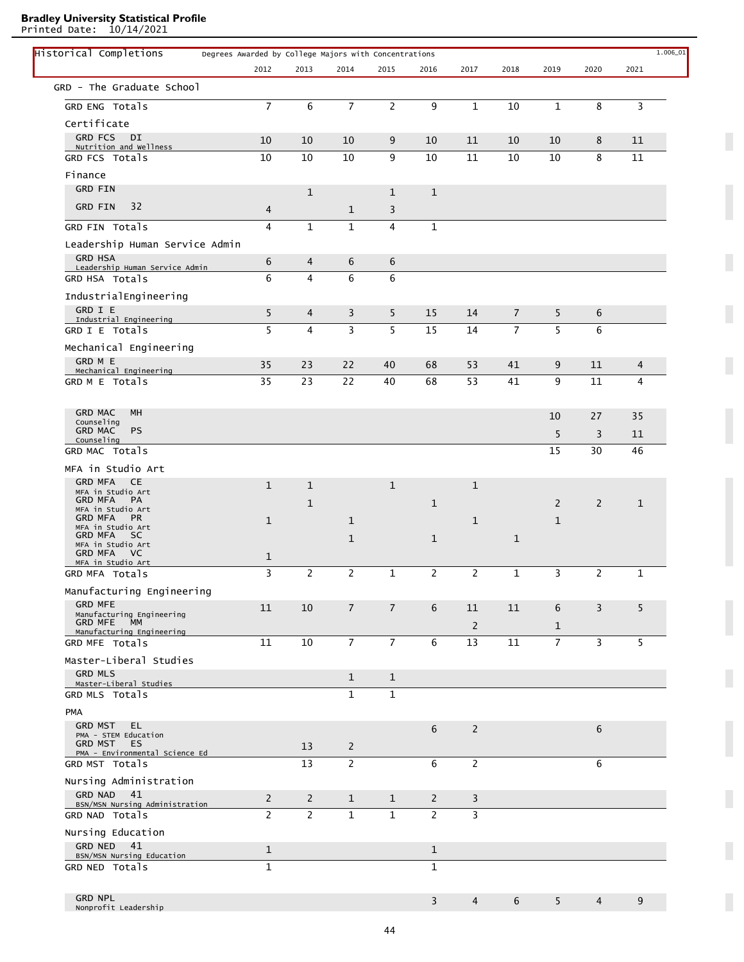Printed Date: 10/14/2021

L

| Historical Completions                                   | Degrees Awarded by College Majors with Concentrations |                |                |                |                |                |                |                |                |              | $1.006\_01$ |
|----------------------------------------------------------|-------------------------------------------------------|----------------|----------------|----------------|----------------|----------------|----------------|----------------|----------------|--------------|-------------|
|                                                          | 2012                                                  | 2013           | 2014           | 2015           | 2016           | 2017           | 2018           | 2019           | 2020           | 2021         |             |
| GRD - The Graduate School                                |                                                       |                |                |                |                |                |                |                |                |              |             |
| GRD ENG Totals                                           | $\overline{7}$                                        | 6              | $\overline{7}$ | $\overline{2}$ | 9              | $\mathbf{1}$   | 10             | $\mathbf{1}$   | 8              | 3            |             |
| Certificate                                              |                                                       |                |                |                |                |                |                |                |                |              |             |
| <b>GRD FCS</b><br>DI                                     | 10                                                    | 10             | 10             | 9              | 10             | 11             | 10             | 10             | 8              | 11           |             |
| Nutrition and Wellness<br>GRD FCS Totals                 | 10                                                    | 10             | 10             | 9              | 10             | 11             | 10             | 10             | 8              | 11           |             |
| Finance                                                  |                                                       |                |                |                |                |                |                |                |                |              |             |
| <b>GRD FIN</b>                                           |                                                       | $\mathbf{1}$   |                | $\mathbf{1}$   | $\mathbf{1}$   |                |                |                |                |              |             |
| 32<br><b>GRD FIN</b>                                     |                                                       |                |                |                |                |                |                |                |                |              |             |
|                                                          | 4                                                     |                | 1              | 3              |                |                |                |                |                |              |             |
| GRD FIN Totals                                           | 4                                                     | $\mathbf{1}$   | $\mathbf{1}$   | $\overline{4}$ | $\mathbf{1}$   |                |                |                |                |              |             |
| Leadership Human Service Admin                           |                                                       |                |                |                |                |                |                |                |                |              |             |
| <b>GRD HSA</b><br>Leadership Human Service Admin         | 6                                                     | 4              | 6              | 6              |                |                |                |                |                |              |             |
| GRD HSA Totals                                           | 6                                                     | $\overline{4}$ | 6              | 6              |                |                |                |                |                |              |             |
| IndustrialEngineering                                    |                                                       |                |                |                |                |                |                |                |                |              |             |
| GRD I E<br>Industrial Engineering                        | 5                                                     | 4              | 3              | 5              | 15             | 14             | $\overline{7}$ | 5              | 6              |              |             |
| GRD I E Totals                                           | 5                                                     | $\overline{4}$ | 3              | 5              | 15             | 14             | $\overline{7}$ | 5              | 6              |              |             |
| Mechanical Engineering                                   |                                                       |                |                |                |                |                |                |                |                |              |             |
| GRD M E                                                  | 35                                                    | 23             | 22             | 40             | 68             | 53             | 41             | 9              | 11             | 4            |             |
| Mechanical Engineering<br>GRD M E Totals                 | 35                                                    | 23             | 22             | 40             | 68             | 53             | 41             | 9              | 11             | 4            |             |
|                                                          |                                                       |                |                |                |                |                |                |                |                |              |             |
| <b>GRD MAC</b><br>MH                                     |                                                       |                |                |                |                |                |                |                |                |              |             |
| Counseling<br><b>PS</b><br><b>GRD MAC</b>                |                                                       |                |                |                |                |                |                | 10             | 27             | 35           |             |
| Counseling                                               |                                                       |                |                |                |                |                |                | 5              | 3              | 11           |             |
| GRD MAC Totals                                           |                                                       |                |                |                |                |                |                | 15             | 30             | 46           |             |
| MFA in Studio Art                                        |                                                       |                |                |                |                |                |                |                |                |              |             |
| <b>GRD MFA</b><br><b>CE</b><br>MFA in Studio Art         | $\mathbf{1}$                                          | $\mathbf{1}$   |                | $\mathbf{1}$   |                | $\mathbf{1}$   |                |                |                |              |             |
| PA<br><b>GRD MFA</b><br>MFA in Studio Art                |                                                       | $\mathbf 1$    |                |                | $\mathbf 1$    |                |                | $\overline{2}$ | $\overline{2}$ | $\mathbf{1}$ |             |
| <b>GRD MFA</b><br>PR.                                    | $\mathbf{1}$                                          |                | 1              |                |                | 1              |                | $\mathbf{1}$   |                |              |             |
| MFA in Studio Art<br><b>GRD MFA</b><br>SC.               |                                                       |                | 1              |                | $\mathbf 1$    |                | $\mathbf{1}$   |                |                |              |             |
| MFA in Studio Art<br><b>GRD MFA</b><br>VC.               | $\mathbf{1}$                                          |                |                |                |                |                |                |                |                |              |             |
| MFA in Studio Art<br>GRD MFA Totals                      | 3                                                     | $\mathbf{2}$   | $\overline{c}$ | $\mathbf{1}$   | $\mathbf{2}$   | $\mathbf{2}$   | $\mathbf{1}$   | 3              | $\mathbf{2}$   | 1            |             |
|                                                          |                                                       |                |                |                |                |                |                |                |                |              |             |
| Manufacturing Engineering<br><b>GRD MFE</b>              |                                                       |                |                |                |                |                |                |                |                |              |             |
| Manufacturing Engineering                                | 11                                                    | 10             | $\overline{7}$ | $\overline{7}$ | 6              | 11             | 11             | 6              | $\overline{3}$ | 5            |             |
| <b>GRD MFE</b><br><b>MM</b><br>Manufacturing Engineering |                                                       |                |                |                |                | $\overline{2}$ |                | $\mathbf{1}$   |                |              |             |
| GRD MFE Totals                                           | 11                                                    | 10             | $\overline{7}$ | $\overline{7}$ | 6              | 13             | 11             | $\overline{7}$ | 3              | 5            |             |
| Master-Liberal Studies                                   |                                                       |                |                |                |                |                |                |                |                |              |             |
| <b>GRD MLS</b><br>Master-Liberal Studies                 |                                                       |                | $\mathbf{1}$   | $\mathbf{1}$   |                |                |                |                |                |              |             |
| GRD MLS Totals                                           |                                                       |                | $\mathbf{1}$   | $\mathbf{1}$   |                |                |                |                |                |              |             |
| <b>PMA</b>                                               |                                                       |                |                |                |                |                |                |                |                |              |             |
| <b>GRD MST</b><br>EL.                                    |                                                       |                |                |                | 6              | $\overline{2}$ |                |                | 6              |              |             |
| PMA - STEM Education<br><b>GRD MST</b><br>ES             |                                                       | 13             | 2              |                |                |                |                |                |                |              |             |
| PMA - Environmental Science Ed                           |                                                       |                |                |                |                |                |                |                |                |              |             |
| GRD MST Totals                                           |                                                       | 13             | $\mathbf{2}$   |                | 6              | $\overline{2}$ |                |                | 6              |              |             |
| Nursing Administration                                   |                                                       |                |                |                |                |                |                |                |                |              |             |
| 41<br><b>GRD NAD</b><br>BSN/MSN Nursing Administration   | $\overline{2}$                                        | $\overline{2}$ | $\mathbf{1}$   | $\mathbf{1}$   | $\overline{2}$ | 3              |                |                |                |              |             |
| GRD NAD Totals                                           | $\overline{2}$                                        | $\overline{2}$ | $\mathbf{1}$   | $\mathbf{1}$   | $\overline{2}$ | 3              |                |                |                |              |             |
| Nursing Education                                        |                                                       |                |                |                |                |                |                |                |                |              |             |
| GRD NED 41<br>BSN/MSN Nursing Education                  | $\mathbf{1}$                                          |                |                |                | $\mathbf{1}$   |                |                |                |                |              |             |
| GRD NED Totals                                           | $\mathbf{1}$                                          |                |                |                | $\mathbf{1}$   |                |                |                |                |              |             |
|                                                          |                                                       |                |                |                |                |                |                |                |                |              |             |
|                                                          |                                                       |                |                |                |                |                |                |                |                |              |             |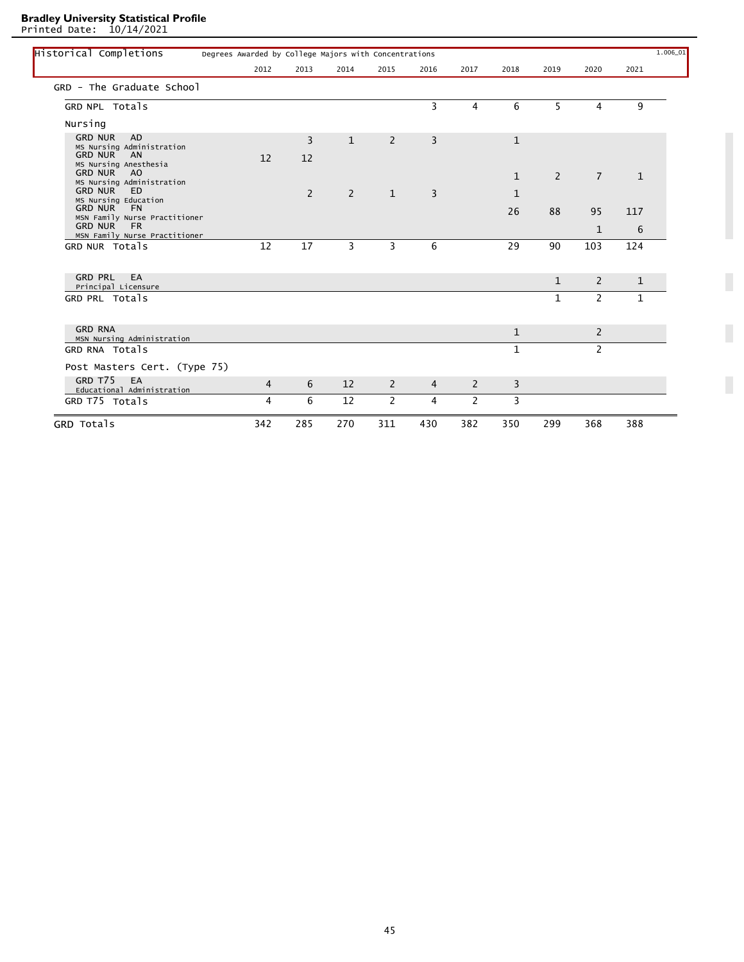Printed Date: 10/14/2021

| Historical Completions                                        | Degrees Awarded by College Majors with Concentrations |                |                |                |                |                |              |                |                |              | $1.006 - 01$ |
|---------------------------------------------------------------|-------------------------------------------------------|----------------|----------------|----------------|----------------|----------------|--------------|----------------|----------------|--------------|--------------|
|                                                               | 2012                                                  | 2013           | 2014           | 2015           | 2016           | 2017           | 2018         | 2019           | 2020           | 2021         |              |
| GRD - The Graduate School                                     |                                                       |                |                |                |                |                |              |                |                |              |              |
| GRD NPL Totals                                                |                                                       |                |                |                | 3              | 4              | 6            | 5              | 4              | 9            |              |
| Nursing                                                       |                                                       |                |                |                |                |                |              |                |                |              |              |
| <b>GRD NUR</b><br><b>AD</b>                                   |                                                       | $\overline{3}$ | $\mathbf{1}$   | $\overline{2}$ | 3              |                | $\mathbf{1}$ |                |                |              |              |
| MS Nursing Administration<br><b>GRD NUR</b><br>AN             | 12                                                    | 12             |                |                |                |                |              |                |                |              |              |
| MS Nursing Anesthesia                                         |                                                       |                |                |                |                |                |              |                |                |              |              |
| <b>GRD NUR</b><br>A <sub>O</sub><br>MS Nursing Administration |                                                       |                |                |                |                |                | $\mathbf{1}$ | $\overline{2}$ | $\overline{7}$ | $\mathbf{1}$ |              |
| <b>GRD NUR</b><br>ED.<br>MS Nursing Education                 |                                                       | 2              | $\overline{2}$ | $\mathbf{1}$   | 3              |                | $\mathbf{1}$ |                |                |              |              |
| <b>GRD NUR</b><br><b>FN</b>                                   |                                                       |                |                |                |                |                | 26           | 88             | 95             | 117          |              |
| MSN Family Nurse Practitioner<br><b>GRD NUR</b><br><b>FR</b>  |                                                       |                |                |                |                |                |              |                | $\mathbf{1}$   | 6            |              |
| MSN Family Nurse Practitioner                                 |                                                       |                |                |                |                |                |              |                |                |              |              |
| GRD NUR Totals                                                | 12                                                    | 17             | $\overline{3}$ | 3              | 6              |                | 29           | 90             | 103            | 124          |              |
| <b>GRD PRL</b><br>EA                                          |                                                       |                |                |                |                |                |              | $\mathbf{1}$   | $\overline{2}$ | $\mathbf{1}$ |              |
| Principal Licensure<br>GRD PRL Totals                         |                                                       |                |                |                |                |                |              | $\mathbf{1}$   | $\overline{2}$ | $\mathbf{1}$ |              |
|                                                               |                                                       |                |                |                |                |                |              |                |                |              |              |
| <b>GRD RNA</b>                                                |                                                       |                |                |                |                |                | $\mathbf{1}$ |                | $\overline{2}$ |              |              |
| MSN Nursing Administration<br>GRD RNA Totals                  |                                                       |                |                |                |                |                | $\mathbf{1}$ |                | $\overline{2}$ |              |              |
| Post Masters Cert. (Type 75)                                  |                                                       |                |                |                |                |                |              |                |                |              |              |
| GRD T75<br>EA<br>Educational Administration                   | $\overline{4}$                                        | 6              | 12             | $\overline{2}$ | $\overline{4}$ | 2              | 3            |                |                |              |              |
| GRD T75 Totals                                                | 4                                                     | 6              | 12             | $\overline{2}$ | 4              | $\overline{2}$ | 3            |                |                |              |              |
| GRD Totals                                                    | 342                                                   | 285            | 270            | 311            | 430            | 382            | 350          | 299            | 368            | 388          |              |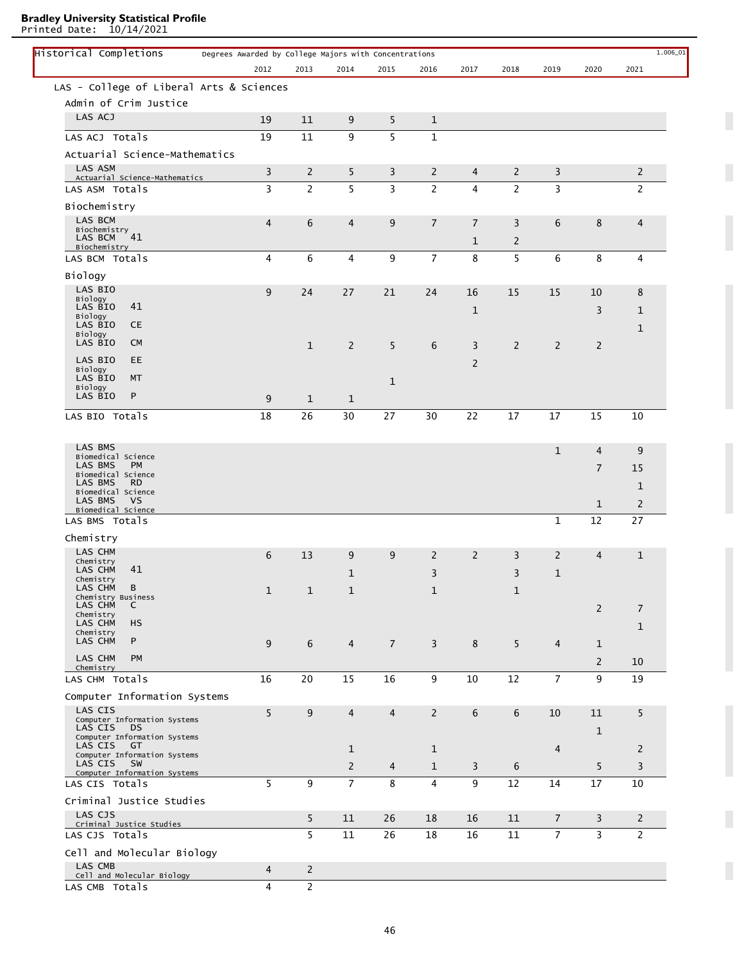Printed Date: 10/14/2021

| Historical Completions<br>Degrees Awarded by College Majors with Concentrations |                |                |                |                |                |                |                |                |                |                | $1.006\_01$ |
|---------------------------------------------------------------------------------|----------------|----------------|----------------|----------------|----------------|----------------|----------------|----------------|----------------|----------------|-------------|
|                                                                                 | 2012           | 2013           | 2014           | 2015           | 2016           | 2017           | 2018           | 2019           | 2020           | 2021           |             |
| LAS - College of Liberal Arts & Sciences                                        |                |                |                |                |                |                |                |                |                |                |             |
| Admin of Crim Justice                                                           |                |                |                |                |                |                |                |                |                |                |             |
| LAS ACJ                                                                         | 19             | 11             | 9              | 5              | $\mathbf 1$    |                |                |                |                |                |             |
| LAS ACJ Totals                                                                  | 19             | 11             | 9              | 5              | 1              |                |                |                |                |                |             |
| Actuarial Science-Mathematics                                                   |                |                |                |                |                |                |                |                |                |                |             |
| LAS ASM                                                                         | $\overline{3}$ | $\overline{2}$ | 5              | 3              | 2              | $\overline{4}$ | 2              | 3              |                | $\overline{2}$ |             |
| Actuarial Science-Mathematics<br>LAS ASM Totals                                 | 3              | $\overline{2}$ | 5              | 3              | $\overline{2}$ | 4              | $\overline{2}$ | 3              |                | 2              |             |
| Biochemistry                                                                    |                |                |                |                |                |                |                |                |                |                |             |
| LAS BCM                                                                         | 4              | 6              | $\overline{4}$ | 9              | $\overline{7}$ | $\overline{7}$ | 3              | 6              | 8              | $\overline{4}$ |             |
| Biochemistry<br>$\degree$ 41<br>LAS BCM                                         |                |                |                |                |                |                |                |                |                |                |             |
| Biochemistry                                                                    |                |                |                |                |                | $\mathbf{1}$   | $\overline{2}$ |                |                |                |             |
| LAS BCM Totals                                                                  | 4              | 6              | 4              | 9              | $\overline{7}$ | 8              | 5              | 6              | 8              | 4              |             |
| Biology                                                                         |                |                |                |                |                |                |                |                |                |                |             |
| LAS BIO<br>Biology                                                              | 9              | 24             | 27             | 21             | 24             | 16             | 15             | 15             | 10             | 8              |             |
| LAS BIO<br>41<br>Biology                                                        |                |                |                |                |                | 1              |                |                | 3              | $\mathbf{1}$   |             |
| LAS BIO<br><b>CE</b>                                                            |                |                |                |                |                |                |                |                |                | $\mathbf{1}$   |             |
| Biology<br>LAS BIO<br><b>CM</b>                                                 |                | $\mathbf{1}$   | $\overline{2}$ | 5              | 6              | 3              | $\overline{2}$ | $\overline{2}$ | 2              |                |             |
| LAS BIO<br><b>EE</b>                                                            |                |                |                |                |                | $\overline{2}$ |                |                |                |                |             |
| Biology<br>LAS BIO<br>MT                                                        |                |                |                |                |                |                |                |                |                |                |             |
| Biology                                                                         |                |                |                | $\mathbf{1}$   |                |                |                |                |                |                |             |
| P<br>LAS BIO                                                                    | 9              | $\mathbf{1}$   | $\mathbf{1}$   |                |                |                |                |                |                |                |             |
| LAS BIO Totals                                                                  | 18             | 26             | 30             | 27             | 30             | 22             | 17             | 17             | 15             | 10             |             |
|                                                                                 |                |                |                |                |                |                |                |                |                |                |             |
| LAS BMS                                                                         |                |                |                |                |                |                |                | $\mathbf{1}$   | $\overline{4}$ | 9              |             |
| Biomedical Science<br>LAS BMS<br><b>PM</b>                                      |                |                |                |                |                |                |                |                | $\overline{7}$ | 15             |             |
| Biomedical Science<br>LAS BMS<br><b>RD</b>                                      |                |                |                |                |                |                |                |                |                | $\mathbf 1$    |             |
| Biomedical Science<br><b>VS</b><br>LAS BMS                                      |                |                |                |                |                |                |                |                |                |                |             |
| Biomedical Science                                                              |                |                |                |                |                |                |                |                | $\mathbf{1}$   | $\overline{c}$ |             |
| LAS BMS Totals                                                                  |                |                |                |                |                |                |                | 1              | 12             | 27             |             |
| Chemistry                                                                       |                |                |                |                |                |                |                |                |                |                |             |
| LAS CHM<br>Chemistry                                                            | 6              | 13             | 9              | 9              | 2              | $\overline{2}$ | 3              | 2              | 4              | $\mathbf{1}$   |             |
| 41<br>LAS CHM                                                                   |                |                | $\mathbf{1}$   |                | 3              |                | 3              | $\mathbf{1}$   |                |                |             |
| Chemistry<br>LAS CHM<br>В                                                       | $\mathbf{1}$   | $\mathbf{1}$   | $\mathbf{1}$   |                | $\mathbf{1}$   |                | $\mathbf{1}$   |                |                |                |             |
| Chemistry Business<br>LAS CHM<br>C                                              |                |                |                |                |                |                |                |                | $\overline{2}$ | $\overline{7}$ |             |
| Chemistry<br>LAS CHM<br>HS                                                      |                |                |                |                |                |                |                |                |                |                |             |
| Chemistry<br>LAS CHM<br>P                                                       |                |                |                |                |                |                |                |                |                | $\mathbf{1}$   |             |
|                                                                                 | 9              | $6\phantom{1}$ | $\overline{4}$ | $\overline{7}$ | $\overline{3}$ | 8              | 5              | $\overline{4}$ | $\mathbf{1}$   |                |             |
| LAS CHM<br><b>PM</b><br>Chemistry                                               |                |                |                |                |                |                |                |                | $\overline{2}$ | 10             |             |
| LAS CHM Totals                                                                  | 16             | 20             | 15             | 16             | 9              | 10             | 12             | $\overline{7}$ | 9              | 19             |             |
| Computer Information Systems                                                    |                |                |                |                |                |                |                |                |                |                |             |
| LAS CIS                                                                         | 5              | $9\,$          | $\overline{4}$ | $\overline{4}$ | $\overline{2}$ | 6              | 6              | 10             | 11             | 5              |             |
| Computer Information Systems<br>LAS CIS<br>DS                                   |                |                |                |                |                |                |                |                | $\mathbf{1}$   |                |             |
| Computer Information Systems<br>LAS CIS<br>GT                                   |                |                | 1              |                | 1              |                |                | $\overline{4}$ |                | 2              |             |
| Computer Information Systems<br>LAS CIS<br><b>SW</b>                            |                |                |                |                |                |                |                |                |                |                |             |
| Computer Information Systems                                                    |                |                | $\overline{2}$ | 4              | $\mathbf{1}$   | 3              | 6              |                | 5              | 3              |             |
| LAS CIS Totals                                                                  | 5              | 9              | $\overline{7}$ | 8              | $\overline{4}$ | 9              | 12             | 14             | 17             | 10             |             |
| Criminal Justice Studies                                                        |                |                |                |                |                |                |                |                |                |                |             |
| LAS CJS<br>Criminal Justice Studies                                             |                | 5              | 11             | 26             | 18             | 16             | 11             | $\overline{7}$ | 3              | $\overline{2}$ |             |
| LAS CJS Totals                                                                  |                | 5              | 11             | 26             | 18             | 16             | 11             | $\overline{7}$ | $\overline{3}$ | $\overline{2}$ |             |
| Cell and Molecular Biology                                                      |                |                |                |                |                |                |                |                |                |                |             |
| LAS CMB                                                                         | $\overline{4}$ | $\overline{2}$ |                |                |                |                |                |                |                |                |             |
| Cell and Molecular Biology<br>LAS CMB Totals                                    | $\overline{4}$ | 2              |                |                |                |                |                |                |                |                |             |
|                                                                                 |                |                |                |                |                |                |                |                |                |                |             |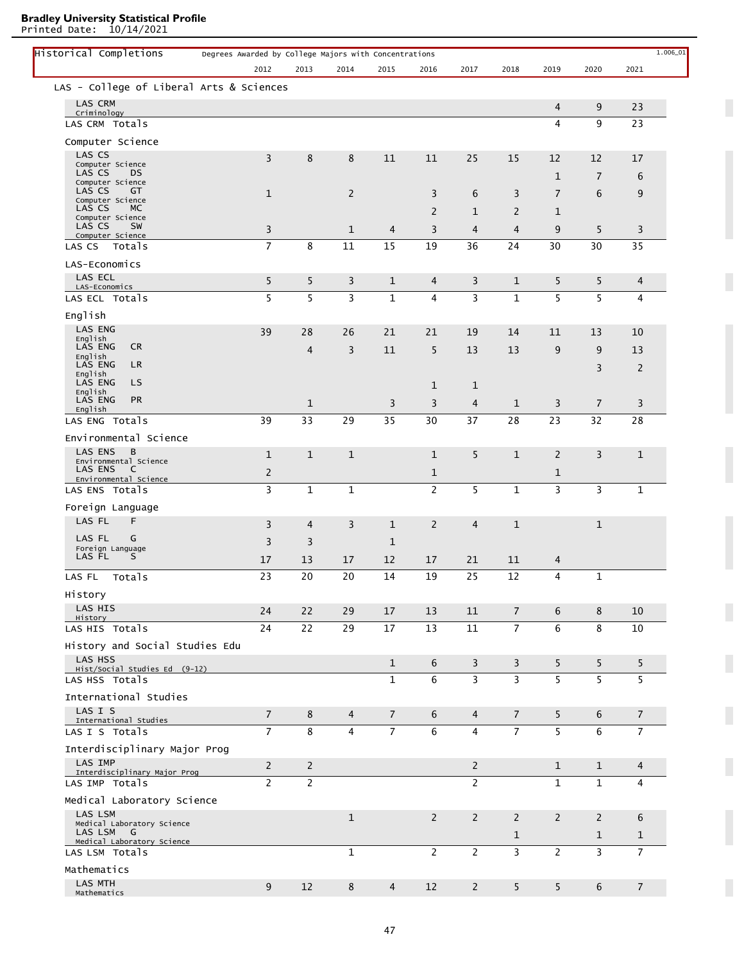Printed Date: 10/14/2021

| Historical Completions                           | Degrees Awarded by College Majors with Concentrations |                |                |                |                |                |                |                |                |                | $1.006\_01$ |
|--------------------------------------------------|-------------------------------------------------------|----------------|----------------|----------------|----------------|----------------|----------------|----------------|----------------|----------------|-------------|
|                                                  | 2012                                                  | 2013           | 2014           | 2015           | 2016           | 2017           | 2018           | 2019           | 2020           | 2021           |             |
| LAS - College of Liberal Arts & Sciences         |                                                       |                |                |                |                |                |                |                |                |                |             |
| <b>LAS CRM</b>                                   |                                                       |                |                |                |                |                |                | $\overline{4}$ | 9              | 23             |             |
| Criminology<br>LAS CRM Totals                    |                                                       |                |                |                |                |                |                | 4              | 9              | 23             |             |
| Computer Science                                 |                                                       |                |                |                |                |                |                |                |                |                |             |
| LAS CS                                           |                                                       |                |                | 11             |                | 25             | 15             | 12             |                |                |             |
| Computer Science<br>LAS CS<br>DS                 | 3                                                     | 8              | 8              |                | 11             |                |                |                | 12             | 17             |             |
| Computer Science<br>LAS CS<br>GT                 |                                                       |                |                |                |                |                |                | $\mathbf{1}$   | $\overline{7}$ | 6              |             |
| Computer Science                                 | $\mathbf{1}$                                          |                | 2              |                | 3              | 6              | 3              | $\overline{7}$ | 6              | 9              |             |
| LAS CS<br>МC<br>Computer Science                 |                                                       |                |                |                | $\overline{2}$ | $\mathbf 1$    | $\overline{2}$ | 1              |                |                |             |
| LAS CS<br>SW<br>Computer Science                 | 3                                                     |                | 1              | 4              | 3              | $\overline{4}$ | $\overline{4}$ | 9              | 5              | 3              |             |
| LAS CS<br>Totals                                 | $\overline{7}$                                        | 8              | 11             | 15             | 19             | 36             | 24             | 30             | 30             | 35             |             |
| LAS-Economics                                    |                                                       |                |                |                |                |                |                |                |                |                |             |
| LAS ECL<br>LAS-Economics                         | 5                                                     | 5              | 3              | $\mathbf{1}$   | 4              | 3              | $\mathbf{1}$   | 5              | 5              | 4              |             |
| LAS ECL Totals                                   | 5                                                     | 5              | 3              | $\mathbf 1$    | 4              | 3              | $\mathbf{1}$   | 5              | 5              | 4              |             |
| English                                          |                                                       |                |                |                |                |                |                |                |                |                |             |
| <b>LAS ENG</b>                                   | 39                                                    | 28             | 26             | 21             | 21             | 19             | 14             | 11             | 13             | 10             |             |
| English<br><b>LAS ENG</b><br><b>CR</b>           |                                                       | $\overline{4}$ | 3              | 11             | 5              | 13             | 13             | 9              | 9              | 13             |             |
| English<br><b>LAS ENG</b><br>LR.                 |                                                       |                |                |                |                |                |                |                | 3              | 2              |             |
| English<br>LAS ENG<br>LS.                        |                                                       |                |                |                |                |                |                |                |                |                |             |
| English<br><b>PR</b>                             |                                                       |                |                |                | $\mathbf{1}$   | $\mathbf{1}$   |                |                |                |                |             |
| LAS ENG<br>English                               |                                                       | $\mathbf{1}$   |                | 3              | 3              | 4              | $\mathbf{1}$   | 3              | $\overline{7}$ | 3              |             |
| LAS ENG Totals                                   | 39                                                    | 33             | 29             | 35             | 30             | 37             | 28             | 23             | 32             | 28             |             |
| Environmental Science                            |                                                       |                |                |                |                |                |                |                |                |                |             |
| LAS ENS<br>B<br>Environmental Science            | $\mathbf 1$                                           | $\mathbf{1}$   | $\mathbf{1}$   |                | $\mathbf{1}$   | 5              | $\mathbf{1}$   | $\overline{2}$ | 3              | $\mathbf{1}$   |             |
| LAS ENS<br><sub>c</sub><br>Environmental Science | 2                                                     |                |                |                | 1              |                |                | 1              |                |                |             |
| LAS ENS Totals                                   | 3                                                     | $\mathbf{1}$   | $\mathbf{1}$   |                | $\overline{2}$ | 5              | $\mathbf{1}$   | 3              | 3              | $\mathbf{1}$   |             |
| Foreign Language                                 |                                                       |                |                |                |                |                |                |                |                |                |             |
| LAS FL<br>F                                      | 3                                                     | 4              | 3              | $\mathbf{1}$   | 2              | $\overline{4}$ | $\mathbf{1}$   |                | $\mathbf{1}$   |                |             |
| LAS FL<br>G                                      | 3                                                     | 3              |                | $\mathbf{1}$   |                |                |                |                |                |                |             |
| Foreign Language<br>LAS FL<br>S                  | 17                                                    | 13             | 17             | 12             | 17             | 21             | 11             | 4              |                |                |             |
| LAS FL<br>Totals                                 | 23                                                    | 20             | 20             | 14             | 19             | 25             | 12             | 4              | $\mathbf 1$    |                |             |
| History                                          |                                                       |                |                |                |                |                |                |                |                |                |             |
| LAS HIS                                          | 24                                                    | 22             | 29             | 17             | 13             | 11             | $\overline{7}$ | 6              | 8              | 10             |             |
| History<br>LAS HIS Totals                        | 24                                                    | 22             | 29             | 17             | 13             | 11             | $\overline{7}$ | 6              | 8              | 10             |             |
|                                                  |                                                       |                |                |                |                |                |                |                |                |                |             |
| History and Social Studies Edu<br>LAS HSS        |                                                       |                |                |                |                |                |                |                |                |                |             |
| Hist/Social Studies Ed (9-12)                    |                                                       |                |                | $\mathbf{1}$   | 6              | $\overline{3}$ | $\mathbf{3}$   | 5              | 5              | 5              |             |
| LAS HSS Totals                                   |                                                       |                |                | $\mathbf{1}$   | 6              | $\overline{3}$ | $\overline{3}$ | 5              | 5              | 5              |             |
| International Studies                            |                                                       |                |                |                |                |                |                |                |                |                |             |
| LAS I S<br>International Studies                 | $\overline{7}$                                        | 8              | $\overline{4}$ | $\overline{7}$ | 6              | $\overline{4}$ | $\overline{7}$ | 5              | 6              | $\overline{7}$ |             |
| LAS I S Totals                                   | $\overline{7}$                                        | 8              | $\overline{4}$ | $\overline{7}$ | 6              | $\overline{4}$ | $\overline{7}$ | 5              | 6              | $\overline{7}$ |             |
| Interdisciplinary Major Prog                     |                                                       |                |                |                |                |                |                |                |                |                |             |
| <b>LAS IMP</b><br>Interdisciplinary Major Prog   | $\overline{2}$                                        | $\overline{2}$ |                |                |                | $\overline{2}$ |                | $\mathbf{1}$   | $\mathbf{1}$   | 4              |             |
| LAS IMP Totals                                   | $\overline{2}$                                        | $\overline{2}$ |                |                |                | $\overline{2}$ |                | $\mathbf{1}$   | $\mathbf{1}$   | $\overline{4}$ |             |
| Medical Laboratory Science                       |                                                       |                |                |                |                |                |                |                |                |                |             |
| LAS LSM                                          |                                                       |                | $\mathbf{1}$   |                | $\overline{2}$ | $\overline{2}$ | $\overline{2}$ | $\overline{2}$ | 2              | 6              |             |
| Medical Laboratory Science<br>LAS LSM<br>G       |                                                       |                |                |                |                |                | $\mathbf{1}$   |                | $\mathbf{1}$   | $\mathbf{1}$   |             |
| Medical Laboratory Science<br>LAS LSM Totals     |                                                       |                | $\mathbf{1}$   |                | $\overline{2}$ | $\overline{2}$ | $\overline{3}$ | $\overline{2}$ | $\overline{3}$ | $\overline{7}$ |             |
| Mathematics                                      |                                                       |                |                |                |                |                |                |                |                |                |             |
| LAS MTH                                          | 9                                                     | 12             | 8              | $\overline{4}$ | 12             | $\overline{2}$ | 5              | 5              | 6              | $\overline{7}$ |             |
| Mathematics                                      |                                                       |                |                |                |                |                |                |                |                |                |             |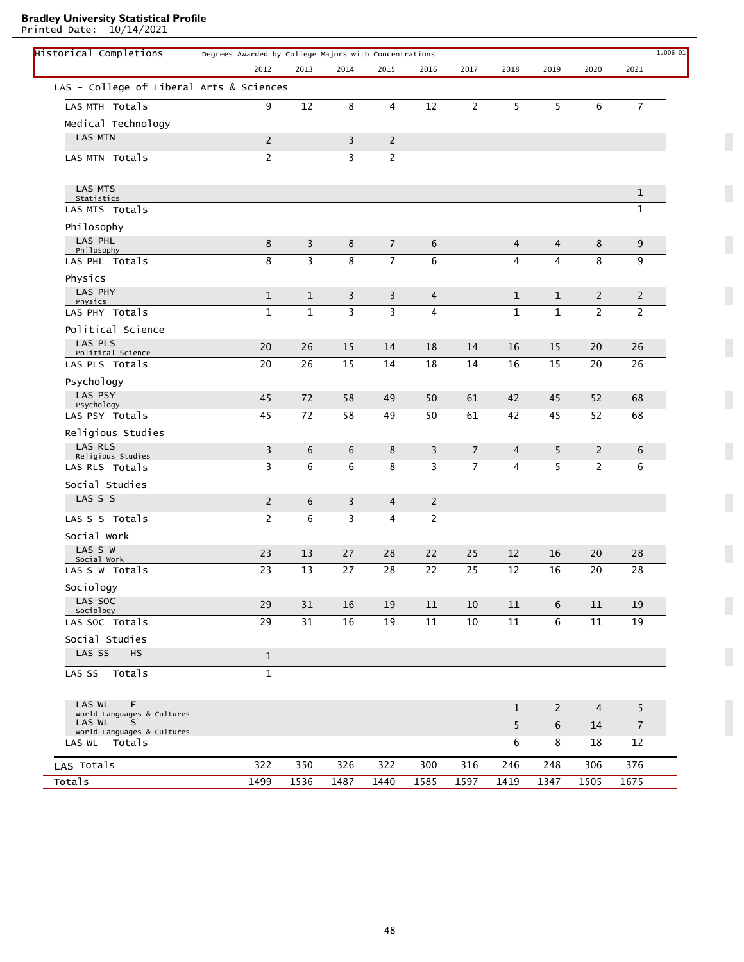Printed Date: 10/14/2021

| Historical Completions                    | Degrees Awarded by College Majors with Concentrations |                |                |                         |                |                |                         |                |                |                | 1.006_01 |
|-------------------------------------------|-------------------------------------------------------|----------------|----------------|-------------------------|----------------|----------------|-------------------------|----------------|----------------|----------------|----------|
|                                           | 2012                                                  | 2013           | 2014           | 2015                    | 2016           | 2017           | 2018                    | 2019           | 2020           | 2021           |          |
| LAS - College of Liberal Arts & Sciences  |                                                       |                |                |                         |                |                |                         |                |                |                |          |
| LAS MTH Totals                            | 9                                                     | 12             | 8              | 4                       | 12             | $\overline{2}$ | 5                       | 5              | 6              | $\overline{7}$ |          |
| Medical Technology                        |                                                       |                |                |                         |                |                |                         |                |                |                |          |
| <b>LAS MTN</b>                            | $\overline{c}$                                        |                | $\overline{3}$ | $\overline{c}$          |                |                |                         |                |                |                |          |
| LAS MTN Totals                            | $\overline{c}$                                        |                | 3              | $\overline{2}$          |                |                |                         |                |                |                |          |
| LAS MTS<br>Statistics                     |                                                       |                |                |                         |                |                |                         |                |                | $1\,$          |          |
| LAS MTS Totals                            |                                                       |                |                |                         |                |                |                         |                |                | $1\,$          |          |
| Philosophy                                |                                                       |                |                |                         |                |                |                         |                |                |                |          |
| LAS PHL<br>Philosophy                     | 8                                                     | 3              | 8              | $\overline{7}$          | 6              |                | 4                       | $\overline{4}$ | 8              | 9              |          |
| LAS PHL Totals                            | 8                                                     | 3              | 8              | $\overline{7}$          | 6              |                | 4                       | $\overline{4}$ | 8              | 9              |          |
| Physics                                   |                                                       |                |                |                         |                |                |                         |                |                |                |          |
| LAS PHY<br>Physics                        | $\mathbf{1}$                                          | $\mathbf{1}$   | 3              | 3                       | 4              |                | $\mathbf{1}$            | $\mathbf{1}$   | $\overline{2}$ | $\overline{c}$ |          |
| LAS PHY Totals                            | $\mathbf 1$                                           | $\overline{1}$ | $\overline{3}$ | $\overline{\mathbf{3}}$ | $\overline{4}$ |                | $\mathbf{1}$            | $\mathbf{1}$   | $\overline{2}$ | $\overline{2}$ |          |
| Political Science                         |                                                       |                |                |                         |                |                |                         |                |                |                |          |
| LAS PLS                                   | 20                                                    | 26             | 15             | 14                      | 18             | 14             | 16                      | 15             | 20             | 26             |          |
| Political Science<br>LAS PLS Totals       | 20                                                    | 26             | 15             | 14                      | 18             | 14             | 16                      | 15             | 20             | 26             |          |
| Psychology                                |                                                       |                |                |                         |                |                |                         |                |                |                |          |
| LAS PSY                                   | 45                                                    | 72             | 58             | 49                      | 50             | 61             | 42                      | 45             | 52             | 68             |          |
| Psychology<br>LAS PSY Totals              | 45                                                    | 72             | 58             | 49                      | 50             | 61             | 42                      | 45             | 52             | 68             |          |
| Religious Studies                         |                                                       |                |                |                         |                |                |                         |                |                |                |          |
| LAS RLS                                   | 3                                                     | 6              | 6              | 8                       | 3              | $\overline{7}$ | 4                       | 5              | $\overline{2}$ | 6              |          |
| Religious Studies<br>LAS RLS Totals       | 3                                                     | 6              | 6              | 8                       | 3              | $\overline{7}$ | $\overline{\mathbf{4}}$ | 5              | $\overline{2}$ | 6              |          |
| Social Studies                            |                                                       |                |                |                         |                |                |                         |                |                |                |          |
| LAS S S                                   | $\overline{2}$                                        | 6              | 3              | $\overline{4}$          | $\overline{2}$ |                |                         |                |                |                |          |
| LAS S S Totals                            | $\overline{2}$                                        | 6              | 3              | $\overline{4}$          | $\overline{2}$ |                |                         |                |                |                |          |
| Social Work                               |                                                       |                |                |                         |                |                |                         |                |                |                |          |
| LAS S W                                   | 23                                                    | 13             | 27             | 28                      | 22             | 25             | 12                      | 16             | 20             | 28             |          |
| Social Work<br>LAS S W Totals             | 23                                                    | 13             | 27             | 28                      | 22             | 25             | 12                      | 16             | 20             | 28             |          |
| Sociology                                 |                                                       |                |                |                         |                |                |                         |                |                |                |          |
| LAS SOC                                   | 29                                                    | 31             | 16             | 19                      | 11             | 10             | 11                      | 6              | 11             | 19             |          |
| Sociology<br>LAS SOC Totals               | 29                                                    | 31             | 16             | 19                      | 11             | 10             | 11                      | 6              | 11             | 19             |          |
| Social Studies                            |                                                       |                |                |                         |                |                |                         |                |                |                |          |
| LAS SS<br><b>HS</b>                       | $\mathbf{1}$                                          |                |                |                         |                |                |                         |                |                |                |          |
| LAS SS Totals                             | $\mathbf 1$                                           |                |                |                         |                |                |                         |                |                |                |          |
| LAS WL<br>F                               |                                                       |                |                |                         |                |                |                         | $\overline{2}$ | $\overline{4}$ | 5              |          |
| World Languages & Cultures<br>LAS WL<br>S |                                                       |                |                |                         |                |                | $\mathbf{1}$            |                |                |                |          |
| World Languages & Cultures                |                                                       |                |                |                         |                |                | 5                       | 6              | 14             | $\overline{7}$ |          |
| Totals<br>LAS WL                          |                                                       |                |                |                         |                |                | 6                       | 8              | 18             | 12             |          |
| LAS Totals                                | 322                                                   | 350            | 326            | 322                     | 300            | 316            | 246                     | 248            | 306            | 376            |          |
| Totals                                    | 1499                                                  | 1536           | 1487           | 1440                    | 1585           | 1597           | 1419                    | 1347           | 1505           | 1675           |          |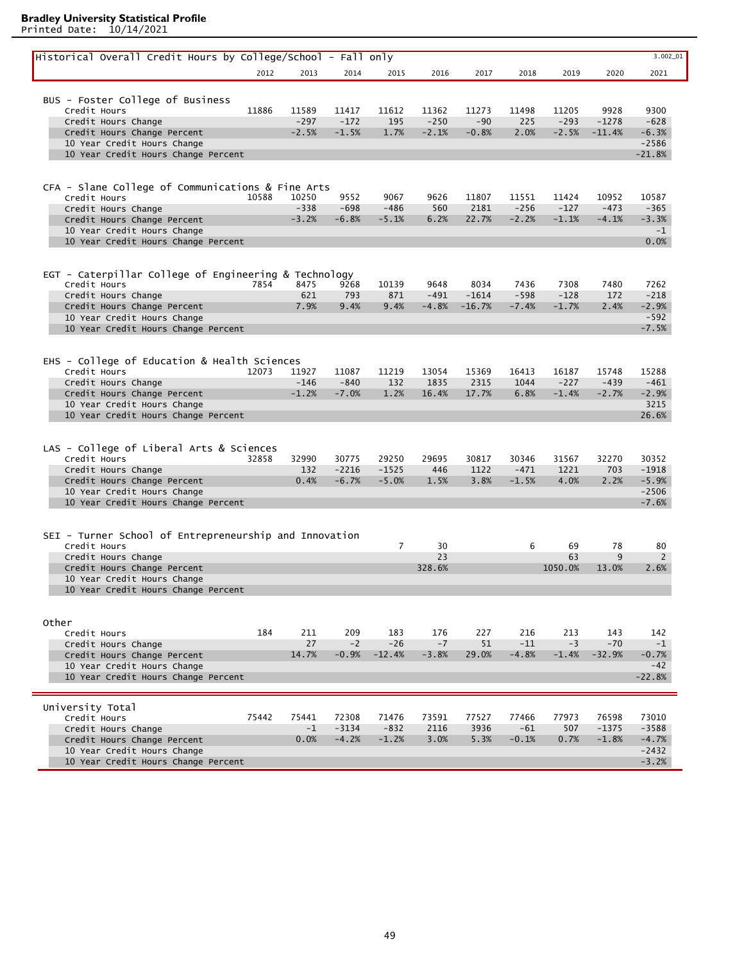| Historical Overall Credit Hours by College/School - Fall only      |       |                 |                 |                   |                 |                 |                  |                 |                   | 3.002_01             |
|--------------------------------------------------------------------|-------|-----------------|-----------------|-------------------|-----------------|-----------------|------------------|-----------------|-------------------|----------------------|
|                                                                    | 2012  | 2013            | 2014            | 2015              | 2016            | 2017            | 2018             | 2019            | 2020              | 2021                 |
|                                                                    |       |                 |                 |                   |                 |                 |                  |                 |                   |                      |
| BUS - Foster College of Business                                   |       |                 |                 |                   |                 |                 |                  |                 |                   |                      |
| Credit Hours                                                       | 11886 | 11589           | 11417           | 11612             | 11362           | 11273           | 11498            | 11205           | 9928              | 9300                 |
| Credit Hours Change                                                |       | $-297$          | $-172$          | 195               | $-250$          | $-90$           | 225              | $-293$          | $-1278$           | $-628$               |
| Credit Hours Change Percent                                        |       | $-2.5%$         | $-1.5%$         | 1.7%              | $-2.1%$         | $-0.8%$         | 2.0%             | $-2.5%$         | $-11.4%$          | $-6.3%$              |
| 10 Year Credit Hours Change<br>10 Year Credit Hours Change Percent |       |                 |                 |                   |                 |                 |                  |                 |                   | $-2586$<br>$-21.8%$  |
|                                                                    |       |                 |                 |                   |                 |                 |                  |                 |                   |                      |
|                                                                    |       |                 |                 |                   |                 |                 |                  |                 |                   |                      |
| CFA - Slane College of Communications & Fine Arts                  |       |                 |                 |                   |                 |                 |                  |                 |                   |                      |
| Credit Hours                                                       | 10588 | 10250<br>$-338$ | 9552<br>$-698$  | 9067<br>$-486$    | 9626<br>560     | 11807           | 11551<br>$-256$  | 11424<br>$-127$ | 10952<br>$-473$   | 10587<br>$-365$      |
| Credit Hours Change<br>Credit Hours Change Percent                 |       | $-3.2%$         | $-6.8%$         | $-5.1%$           | 6.2%            | 2181<br>22.7%   | $-2.2%$          | $-1.1%$         | $-4.1%$           | $-3.3%$              |
| 10 Year Credit Hours Change                                        |       |                 |                 |                   |                 |                 |                  |                 |                   | $-1$                 |
| 10 Year Credit Hours Change Percent                                |       |                 |                 |                   |                 |                 |                  |                 |                   | 0.0%                 |
|                                                                    |       |                 |                 |                   |                 |                 |                  |                 |                   |                      |
|                                                                    |       |                 |                 |                   |                 |                 |                  |                 |                   |                      |
| EGT - Caterpillar College of Engineering & Technology              |       |                 |                 |                   |                 |                 |                  |                 |                   |                      |
| Credit Hours<br>Credit Hours Change                                | 7854  | 8475<br>621     | 9268<br>793     | 10139<br>871      | 9648<br>$-491$  | 8034<br>$-1614$ | 7436<br>$-598$   | 7308<br>$-128$  | 7480<br>172       | 7262<br>$-218$       |
| Credit Hours Change Percent                                        |       | 7.9%            | 9.4%            | 9.4%              | $-4.8%$         | $-16.7%$        | $-7.4%$          | $-1.7%$         | 2.4%              | $-2.9%$              |
| 10 Year Credit Hours Change                                        |       |                 |                 |                   |                 |                 |                  |                 |                   | $-592$               |
| 10 Year Credit Hours Change Percent                                |       |                 |                 |                   |                 |                 |                  |                 |                   | $-7.5%$              |
|                                                                    |       |                 |                 |                   |                 |                 |                  |                 |                   |                      |
|                                                                    |       |                 |                 |                   |                 |                 |                  |                 |                   |                      |
| EHS - College of Education & Health Sciences                       |       |                 |                 |                   |                 |                 |                  |                 |                   |                      |
| Credit Hours<br>Credit Hours Change                                | 12073 | 11927<br>$-146$ | 11087<br>$-840$ | 11219<br>132      | 13054<br>1835   | 15369<br>2315   | 16413<br>1044    | 16187<br>$-227$ | 15748<br>$-439$   | 15288<br>$-461$      |
| Credit Hours Change Percent                                        |       | $-1.2%$         | $-7.0%$         | 1.2%              | 16.4%           | 17.7%           | 6.8%             | $-1.4%$         | $-2.7%$           | $-2.9%$              |
| 10 Year Credit Hours Change                                        |       |                 |                 |                   |                 |                 |                  |                 |                   | 3215                 |
| 10 Year Credit Hours Change Percent                                |       |                 |                 |                   |                 |                 |                  |                 |                   | 26.6%                |
|                                                                    |       |                 |                 |                   |                 |                 |                  |                 |                   |                      |
|                                                                    |       |                 |                 |                   |                 |                 |                  |                 |                   |                      |
| LAS - College of Liberal Arts & Sciences<br>Credit Hours           |       |                 | 30775           | 29250             | 29695           | 30817           | 30346            | 31567           | 32270             | 30352                |
| Credit Hours Change                                                | 32858 | 32990<br>132    | $-2216$         | $-1525$           | 446             | 1122            | $-471$           | 1221            | 703               | $-1918$              |
| Credit Hours Change Percent                                        |       | 0.4%            | $-6.7%$         | $-5.0%$           | 1.5%            | 3.8%            | $-1.5%$          | 4.0%            | 2.2%              | $-5.9%$              |
| 10 Year Credit Hours Change                                        |       |                 |                 |                   |                 |                 |                  |                 |                   | $-2506$              |
| 10 Year Credit Hours Change Percent                                |       |                 |                 |                   |                 |                 |                  |                 |                   | $-7.6%$              |
|                                                                    |       |                 |                 |                   |                 |                 |                  |                 |                   |                      |
|                                                                    |       |                 |                 |                   |                 |                 |                  |                 |                   |                      |
| SEI - Turner School of Entrepreneurship and Innovation             |       |                 |                 |                   |                 |                 | 6                |                 |                   |                      |
| Credit Hours<br>Credit Hours Change                                |       |                 |                 | 7                 | 30<br>23        |                 |                  | 69<br>63        | 78<br>9           | 80<br>$\overline{2}$ |
| Credit Hours Change Percent                                        |       |                 |                 |                   | 328.6%          |                 |                  | 1050.0%         | 13.0%             | 2.6%                 |
| 10 Year Credit Hours Change                                        |       |                 |                 |                   |                 |                 |                  |                 |                   |                      |
| 10 Year Credit Hours Change Percent                                |       |                 |                 |                   |                 |                 |                  |                 |                   |                      |
|                                                                    |       |                 |                 |                   |                 |                 |                  |                 |                   |                      |
|                                                                    |       |                 |                 |                   |                 |                 |                  |                 |                   |                      |
| Other                                                              |       |                 |                 |                   |                 |                 |                  |                 |                   |                      |
| Credit Hours                                                       | 184   | 211             | 209             | 183               | 176             | 227             | 216              | 213             | 143               | 142                  |
| Credit Hours Change<br>Credit Hours Change Percent                 |       | 27<br>14.7%     | $-2$<br>$-0.9%$ | $-26$<br>$-12.4%$ | $-7$<br>$-3.8%$ | 51<br>29.0%     | $-11$<br>$-4.8%$ | $-3$<br>$-1.4%$ | $-70$<br>$-32.9%$ | $-1$<br>$-0.7%$      |
| 10 Year Credit Hours Change                                        |       |                 |                 |                   |                 |                 |                  |                 |                   | $-42$                |
| 10 Year Credit Hours Change Percent                                |       |                 |                 |                   |                 |                 |                  |                 |                   | $-22.8%$             |
|                                                                    |       |                 |                 |                   |                 |                 |                  |                 |                   |                      |
|                                                                    |       |                 |                 |                   |                 |                 |                  |                 |                   |                      |
| University Total<br>Credit Hours                                   | 75442 | 75441           | 72308           | 71476             | 73591           | 77527           | 77466            | 77973           | 76598             | 73010                |
| Credit Hours Change                                                |       | $-1$            | $-3134$         | $-832$            | 2116            | 3936            | $-61$            | 507             | $-1375$           | $-3588$              |
| Credit Hours Change Percent                                        |       | 0.0%            | $-4.2%$         | $-1.2%$           | 3.0%            | 5.3%            | $-0.1%$          | 0.7%            | $-1.8%$           | $-4.7%$              |
| 10 Year Credit Hours Change                                        |       |                 |                 |                   |                 |                 |                  |                 |                   | $-2432$              |
| 10 Year Credit Hours Change Percent                                |       |                 |                 |                   |                 |                 |                  |                 |                   | $-3.2%$              |
|                                                                    |       |                 |                 |                   |                 |                 |                  |                 |                   |                      |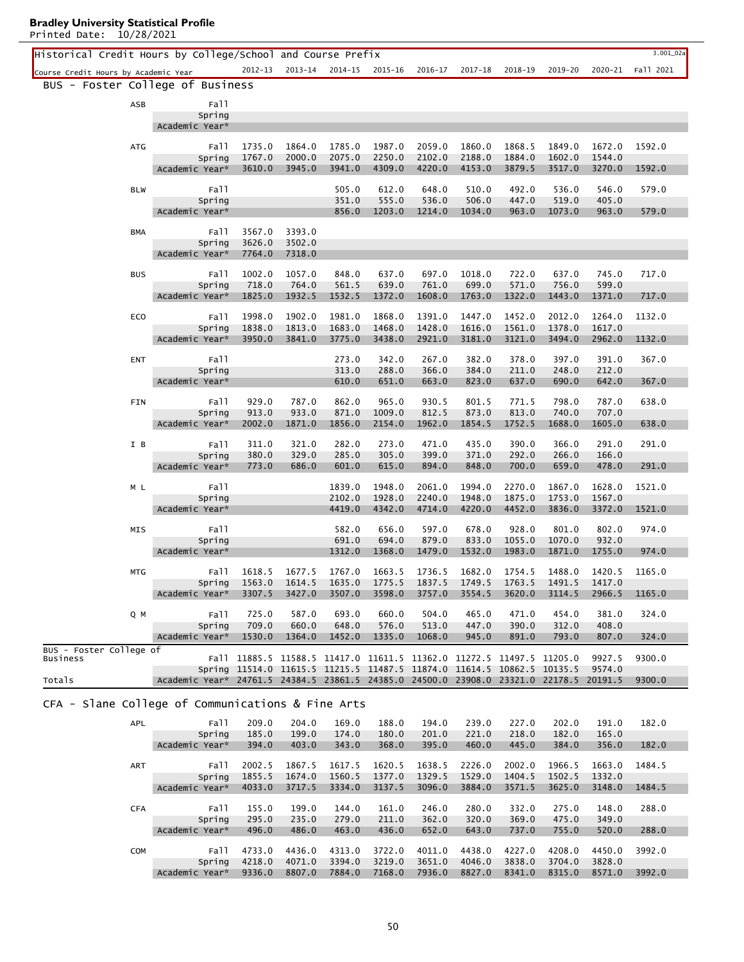Historical Credit Hours by College/School and Course Prefix 3.001\_02a Course Credit Hours by Academic Year 2012-13 2013-14 2014-15 2015-16 2016-17 2017-18 2018-19 2019-20 2020-21 Fall 2021 BUS - Foster College of Business ASB Fall Academic Year\* Spring ATG 1735.0 1864.0 1785.0 1987.0 2059.0 1860.0 1868.5 1849.0 1672.0 1592.0 1767.0 2000.0 2075.0 2250.0 2102.0 2188.0 1884.0 1602.0 1544.0 3610.0 3945.0 3941.0 4309.0 4220.0 4153.0 3879.5 3517.0 3270.0 1592.0 Fall Academic Year\* Spring BLW 505.0 612.0 648.0 510.0 492.0 536.0 546.0 579.0 351.0 555.0 536.0 506.0 447.0 519.0 405.0 856.0 1203.0 1214.0 1034.0 963.0 1073.0 963.0 579.0 Fall Academic Year\* Spring BMA 3567.0 3393.0 3626.0 3502.0 7764.0 7318.0 Fall Academic Year\* Spring BUS 1002.0 1057.0 848.0 637.0 697.0 1018.0 722.0 637.0 745.0 717.0 718.0 764.0 561.5 639.0 761.0 699.0 571.0 756.0 599.0 1825.0 1932.5 1532.5 1372.0 1608.0 1763.0 1322.0 1443.0 1371.0 717.0 Fall Academic Year\* Spring ECO 1998.0 1902.0 1981.0 1868.0 1391.0 1447.0 1452.0 2012.0 1264.0 1132.0 1838.0 1813.0 1683.0 1468.0 1428.0 1616.0 1561.0 1378.0 1617.0 3950.0 3841.0 3775.0 3438.0 2921.0 3181.0 3121.0 3494.0 2962.0 1132.0 Fall Academic Year\* Spring ENT 273.0 342.0 267.0 382.0 378.0 397.0 391.0 367.0 313.0 288.0 366.0 384.0 211.0 248.0 212.0 610.0 651.0 663.0 823.0 637.0 690.0 642.0 367.0 Fall Academic Year\* Spring FIN 929.0 787.0 862.0 965.0 930.5 801.5 771.5 798.0 787.0 638.0 913.0 933.0 871.0 1009.0 812.5 873.0 813.0 740.0 707.0 2002.0 1871.0 1856.0 2154.0 1962.0 1854.5 1752.5 1688.0 1605.0 638.0 Fall Academic Year\* Spring I B 311.0 321.0 282.0 273.0 471.0 435.0 390.0 366.0 291.0 291.0 380.0 329.0 285.0 305.0 399.0 371.0 292.0 266.0 166.0 773.0 686.0 601.0 615.0 894.0 848.0 700.0 659.0 478.0 291.0 Fall Academic Year\* Spring M L 1839.0 1948.0 2061.0 1994.0 2270.0 1867.0 1628.0 1521.0 2102.0 1928.0 2240.0 1948.0 1875.0 1753.0 1567.0 4419.0 4342.0 4714.0 4220.0 4452.0 3836.0 3372.0 1521.0 Fall Academic Year\* Spring MIS 582.0 656.0 597.0 678.0 928.0 801.0 802.0 974.0 691.0 694.0 879.0 833.0 1055.0 1070.0 932.0 1312.0 1368.0 1479.0 1532.0 1983.0 1871.0 1755.0 974.0 Fall Academic Year\* Spring MTG 1618.5 1677.5 1767.0 1663.5 1736.5 1682.0 1754.5 1488.0 1420.5 1165.0 1563.0 1614.5 1635.0 1775.5 1837.5 1749.5 1763.5 1491.5 1417.0 3307.5 3427.0 3507.0 3598.0 3757.0 3554.5 3620.0 3114.5 2966.5 1165.0 Fall Academic Year\* Spring Q M 725.0 587.0 693.0 660.0 504.0 465.0 471.0 454.0 381.0 324.0 709.0 660.0 648.0 576.0 513.0 447.0 390.0 312.0 408.0 1530.0 1364.0 1452.0 1335.0 1068.0 945.0 891.0 793.0 807.0 324.0 Fall Academic Year\* Spring 9300.0 9300.0 11885.5 11588.5 11417.0 11611.5 11362.0 11272.5 11497.5 11205.0 9927.5 Fall 11514.0 11615.5 11215.5 11487.5 11874.0 11614.5 10862.5 10135.5 9574.0 Spring 24761.5 24384.5 23861.5 24385.0 24500.0 23908.0 23321.0 22178.5 20191.5 Academic Year\* BUS - Foster College of Business Totals CFA - Slane College of Communications & Fine Arts APL 209.0 204.0 169.0 188.0 194.0 239.0 227.0 202.0 191.0 182.0 185.0 199.0 174.0 180.0 201.0 221.0 218.0 182.0 165.0 Fall Spring

|            | Spring         | 185.0  | 199.0  | 174.0  | 180.0  | 201.0  | 221.0  | 218.0  | 182.0  | 165.0  |        |
|------------|----------------|--------|--------|--------|--------|--------|--------|--------|--------|--------|--------|
|            | Academic Year* | 394.0  | 403.0  | 343.0  | 368.0  | 395.0  | 460.0  | 445.0  | 384.0  | 356.0  | 182.0  |
|            |                |        |        |        |        |        |        |        |        |        |        |
| <b>ART</b> | Fall           | 2002.5 | 1867.5 | 1617.5 | 1620.5 | 1638.5 | 2226.0 | 2002.0 | 1966.5 | 1663.0 | 1484.5 |
|            | Spring         | 1855.5 | 1674.0 | 1560.5 | 1377.0 | 1329.5 | 1529.0 | 1404.5 | 1502.5 | 1332.0 |        |
|            | Academic Year* | 4033.0 | 3717.5 | 3334.0 | 3137.5 | 3096.0 | 3884.0 | 3571.5 | 3625.0 | 3148.0 | 1484.5 |
|            |                |        |        |        |        |        |        |        |        |        |        |
| <b>CFA</b> | Fall           | 155.0  | 199.0  | 144.0  | 161.0  | 246.0  | 280.0  | 332.0  | 275.0  | 148.0  | 288.0  |
|            | Spring         | 295.0  | 235.0  | 279.0  | 211.0  | 362.0  | 320.0  | 369.0  | 475.0  | 349.0  |        |
|            | Academic Year* | 496.0  | 486.0  | 463.0  | 436.0  | 652.0  | 643.0  | 737.0  | 755.0  | 520.0  | 288.0  |
|            |                |        |        |        |        |        |        |        |        |        |        |
| <b>COM</b> | Fall           | 4733.0 | 4436.0 | 4313.0 | 3722.0 | 4011.0 | 4438.0 | 4227.0 | 4208.0 | 4450.0 | 3992.0 |
|            | Spring         | 4218.0 | 4071.0 | 3394.0 | 3219.0 | 3651.0 | 4046.0 | 3838.0 | 3704.0 | 3828.0 |        |
|            | Academic Year* | 9336.0 | 8807.0 | 7884.0 | 7168.0 | 7936.0 | 8827.0 | 8341.0 | 8315.0 | 8571.0 | 3992.0 |
|            |                |        |        |        |        |        |        |        |        |        |        |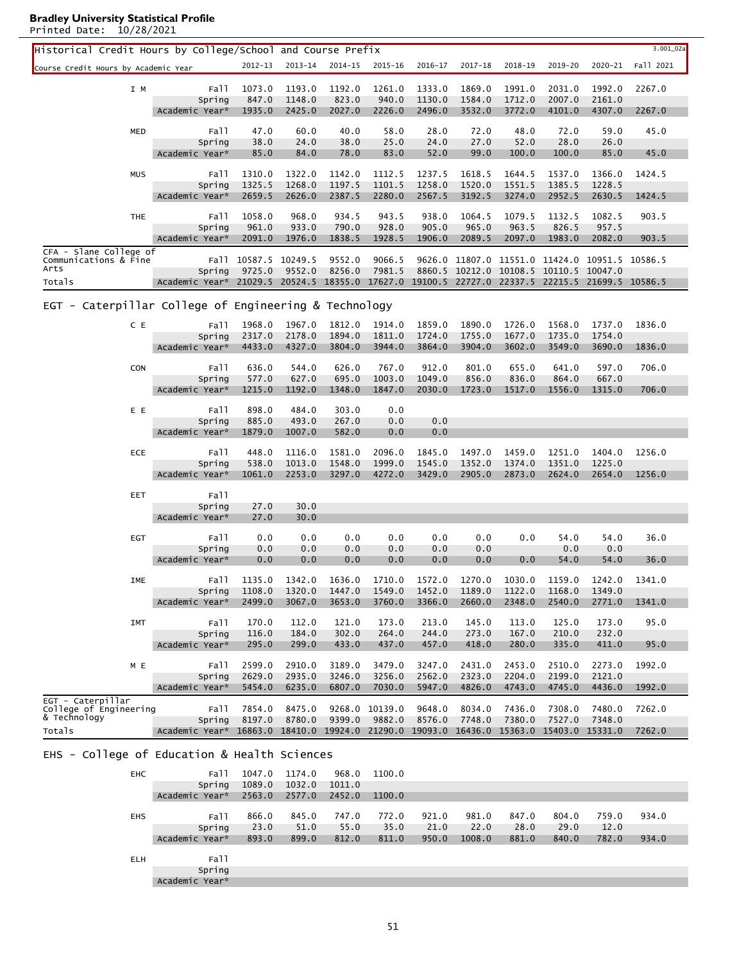| $2012 - 13$<br>$2013 - 14$<br>2014-15<br>$2015 - 16$<br>2016-17<br>$2017 - 18$<br>2018-19<br>2019-20<br>2020-21<br>Fall 2021<br>Course Credit Hours by Academic Year<br>1193.0<br>1192.0<br>1261.0<br>1333.0<br>1991.0<br>2031.0<br>1992.0<br>2267.0<br>Fall<br>1073.0<br>1869.0<br>I M<br>847.0<br>1148.0<br>823.0<br>940.0<br>1130.0<br>1584.0<br>1712.0<br>2007.0<br>2161.0<br>Spring<br>1935.0<br>2425.0<br>2027.0<br>2226.0<br>2496.0<br>3532.0<br>3772.0<br>4101.0<br>4307.0<br>Academic Year*<br>2267.0<br>60.0<br>45.0<br>47.0<br>40.0<br>58.0<br>28.0<br>72.0<br>48.0<br>72.0<br>59.0<br><b>MED</b><br>Fall<br>24.0<br>25.0<br>28.0<br>38.0<br>38.0<br>24.0<br>27.0<br>52.0<br>26.0<br>Spring<br>84.0<br>83.0<br>99.0<br>100.0<br>Academic Year*<br>85.0<br>78.0<br>52.0<br>100.0<br>85.0<br>45.0<br>Fall<br>1424.5<br><b>MUS</b><br>1310.0<br>1322.0<br>1142.0<br>1112.5<br>1237.5<br>1618.5<br>1644.5<br>1537.0<br>1366.0<br>1325.5<br>1268.0<br>1197.5<br>1101.5<br>1258.0<br>1520.0<br>1551.5<br>1385.5<br>1228.5<br>Spring<br>2659.5<br>2626.0<br>2387.5<br>2280.0<br>2567.5<br>3192.5<br>3274.0<br>2952.5<br>2630.5<br>Academic Year*<br>1424.5<br>1058.0<br>968.0<br>934.5<br>943.5<br>938.0<br>1064.5<br>1132.5<br>1082.5<br>903.5<br><b>THE</b><br>Fall<br>1079.5<br>961.0<br>933.0<br>790.0<br>928.0<br>905.0<br>965.0<br>963.5<br>826.5<br>957.5<br>Spring<br>2091.0<br>1976.0<br>1838.5<br>1928.5<br>1906.0<br>2089.5<br>2097.0<br>1983.0<br>2082.0<br>903.5<br>Academic Year*<br>CFA - Slane College of<br>9066.5<br>Communications & Fine<br>Fall<br>10587.5 10249.5<br>9552.0<br>9626.0 11807.0 11551.0 11424.0 10951.5<br>10586.5<br>Arts<br>9725.0<br>9552.0<br>8256.0<br>7981.5<br>8860.5 10212.0 10108.5 10110.5<br>10047.0<br>Spring<br>21029.5 20524.5<br>18355.0<br>17627.0<br>19100.5 22727.0 22337.5 22215.5<br>21699.5 10586.5<br>Totals<br>Academic Year*<br>EGT - Caterpillar College of Engineering & Technology<br>1968.0<br>1890.0<br>C E<br>Fall<br>1967.0<br>1812.0<br>1914.0<br>1859.0<br>1726.0<br>1568.0<br>1737.0<br>1836.0<br>2178.0<br>1894.0<br>Spring<br>2317.0<br>1811.0<br>1724.0<br>1755.0<br>1677.0<br>1735.0<br>1754.0<br>Academic Year*<br>4433.0<br>4327.0<br>3804.0<br>3944.0<br>3864.0<br>3904.0<br>3602.0<br>3549.0<br>3690.0<br>1836.0<br>636.0<br>544.0<br>626.0<br>767.0<br>912.0<br>801.0<br>655.0<br>641.0<br>597.0<br>706.0<br>Fall<br><b>CON</b><br>577.0<br>627.0<br>695.0<br>1003.0<br>1049.0<br>856.0<br>836.0<br>864.0<br>667.0<br>Spring<br>Academic Year*<br>1215.0<br>1192.0<br>1348.0<br>1847.0<br>2030.0<br>1723.0<br>1517.0<br>1556.0<br>706.0<br>1315.0<br>898.0<br>484.0<br>0.0<br>E E<br>303.0<br>Fall<br>885.0<br>493.0<br>267.0<br>0.0<br>0.0<br>Spring<br>582.0<br>0.0<br>0.0<br>Academic Year*<br>1879.0<br>1007.0<br>1256.0<br>ECE<br>Fall<br>448.0<br>1116.0<br>1581.0<br>2096.0<br>1845.0<br>1497.0<br>1459.0<br>1251.0<br>1404.0<br>1013.0<br>1999.0<br>1352.0<br>1351.0<br>538.0<br>1548.0<br>1545.0<br>1374.0<br>1225.0<br>Spring<br>Academic Year*<br>1061.0<br>2253.0<br>3297.0<br>4272.0<br>3429.0<br>2905.0<br>2873.0<br>2624.0<br>2654.0<br>1256.0<br>Fall<br>EET<br>30.0<br>Spring<br>27.0<br>Academic Year*<br>30.0<br>27.0 |
|-----------------------------------------------------------------------------------------------------------------------------------------------------------------------------------------------------------------------------------------------------------------------------------------------------------------------------------------------------------------------------------------------------------------------------------------------------------------------------------------------------------------------------------------------------------------------------------------------------------------------------------------------------------------------------------------------------------------------------------------------------------------------------------------------------------------------------------------------------------------------------------------------------------------------------------------------------------------------------------------------------------------------------------------------------------------------------------------------------------------------------------------------------------------------------------------------------------------------------------------------------------------------------------------------------------------------------------------------------------------------------------------------------------------------------------------------------------------------------------------------------------------------------------------------------------------------------------------------------------------------------------------------------------------------------------------------------------------------------------------------------------------------------------------------------------------------------------------------------------------------------------------------------------------------------------------------------------------------------------------------------------------------------------------------------------------------------------------------------------------------------------------------------------------------------------------------------------------------------------------------------------------------------------------------------------------------------------------------------------------------------------------------------------------------------------------------------------------------------------------------------------------------------------------------------------------------------------------------------------------------------------------------------------------------------------------------------------------------------------------------------------------------------------------------------------------------------------------------------------------------------------------------------------------------------------------------------------------------------------------------------------------------------------------------------------------------------------------------------------------------------------------------------------------------------------------------------------------------------|
|                                                                                                                                                                                                                                                                                                                                                                                                                                                                                                                                                                                                                                                                                                                                                                                                                                                                                                                                                                                                                                                                                                                                                                                                                                                                                                                                                                                                                                                                                                                                                                                                                                                                                                                                                                                                                                                                                                                                                                                                                                                                                                                                                                                                                                                                                                                                                                                                                                                                                                                                                                                                                                                                                                                                                                                                                                                                                                                                                                                                                                                                                                                                                                                                                             |
|                                                                                                                                                                                                                                                                                                                                                                                                                                                                                                                                                                                                                                                                                                                                                                                                                                                                                                                                                                                                                                                                                                                                                                                                                                                                                                                                                                                                                                                                                                                                                                                                                                                                                                                                                                                                                                                                                                                                                                                                                                                                                                                                                                                                                                                                                                                                                                                                                                                                                                                                                                                                                                                                                                                                                                                                                                                                                                                                                                                                                                                                                                                                                                                                                             |
|                                                                                                                                                                                                                                                                                                                                                                                                                                                                                                                                                                                                                                                                                                                                                                                                                                                                                                                                                                                                                                                                                                                                                                                                                                                                                                                                                                                                                                                                                                                                                                                                                                                                                                                                                                                                                                                                                                                                                                                                                                                                                                                                                                                                                                                                                                                                                                                                                                                                                                                                                                                                                                                                                                                                                                                                                                                                                                                                                                                                                                                                                                                                                                                                                             |
|                                                                                                                                                                                                                                                                                                                                                                                                                                                                                                                                                                                                                                                                                                                                                                                                                                                                                                                                                                                                                                                                                                                                                                                                                                                                                                                                                                                                                                                                                                                                                                                                                                                                                                                                                                                                                                                                                                                                                                                                                                                                                                                                                                                                                                                                                                                                                                                                                                                                                                                                                                                                                                                                                                                                                                                                                                                                                                                                                                                                                                                                                                                                                                                                                             |
|                                                                                                                                                                                                                                                                                                                                                                                                                                                                                                                                                                                                                                                                                                                                                                                                                                                                                                                                                                                                                                                                                                                                                                                                                                                                                                                                                                                                                                                                                                                                                                                                                                                                                                                                                                                                                                                                                                                                                                                                                                                                                                                                                                                                                                                                                                                                                                                                                                                                                                                                                                                                                                                                                                                                                                                                                                                                                                                                                                                                                                                                                                                                                                                                                             |
|                                                                                                                                                                                                                                                                                                                                                                                                                                                                                                                                                                                                                                                                                                                                                                                                                                                                                                                                                                                                                                                                                                                                                                                                                                                                                                                                                                                                                                                                                                                                                                                                                                                                                                                                                                                                                                                                                                                                                                                                                                                                                                                                                                                                                                                                                                                                                                                                                                                                                                                                                                                                                                                                                                                                                                                                                                                                                                                                                                                                                                                                                                                                                                                                                             |
|                                                                                                                                                                                                                                                                                                                                                                                                                                                                                                                                                                                                                                                                                                                                                                                                                                                                                                                                                                                                                                                                                                                                                                                                                                                                                                                                                                                                                                                                                                                                                                                                                                                                                                                                                                                                                                                                                                                                                                                                                                                                                                                                                                                                                                                                                                                                                                                                                                                                                                                                                                                                                                                                                                                                                                                                                                                                                                                                                                                                                                                                                                                                                                                                                             |
|                                                                                                                                                                                                                                                                                                                                                                                                                                                                                                                                                                                                                                                                                                                                                                                                                                                                                                                                                                                                                                                                                                                                                                                                                                                                                                                                                                                                                                                                                                                                                                                                                                                                                                                                                                                                                                                                                                                                                                                                                                                                                                                                                                                                                                                                                                                                                                                                                                                                                                                                                                                                                                                                                                                                                                                                                                                                                                                                                                                                                                                                                                                                                                                                                             |
|                                                                                                                                                                                                                                                                                                                                                                                                                                                                                                                                                                                                                                                                                                                                                                                                                                                                                                                                                                                                                                                                                                                                                                                                                                                                                                                                                                                                                                                                                                                                                                                                                                                                                                                                                                                                                                                                                                                                                                                                                                                                                                                                                                                                                                                                                                                                                                                                                                                                                                                                                                                                                                                                                                                                                                                                                                                                                                                                                                                                                                                                                                                                                                                                                             |
|                                                                                                                                                                                                                                                                                                                                                                                                                                                                                                                                                                                                                                                                                                                                                                                                                                                                                                                                                                                                                                                                                                                                                                                                                                                                                                                                                                                                                                                                                                                                                                                                                                                                                                                                                                                                                                                                                                                                                                                                                                                                                                                                                                                                                                                                                                                                                                                                                                                                                                                                                                                                                                                                                                                                                                                                                                                                                                                                                                                                                                                                                                                                                                                                                             |
|                                                                                                                                                                                                                                                                                                                                                                                                                                                                                                                                                                                                                                                                                                                                                                                                                                                                                                                                                                                                                                                                                                                                                                                                                                                                                                                                                                                                                                                                                                                                                                                                                                                                                                                                                                                                                                                                                                                                                                                                                                                                                                                                                                                                                                                                                                                                                                                                                                                                                                                                                                                                                                                                                                                                                                                                                                                                                                                                                                                                                                                                                                                                                                                                                             |
|                                                                                                                                                                                                                                                                                                                                                                                                                                                                                                                                                                                                                                                                                                                                                                                                                                                                                                                                                                                                                                                                                                                                                                                                                                                                                                                                                                                                                                                                                                                                                                                                                                                                                                                                                                                                                                                                                                                                                                                                                                                                                                                                                                                                                                                                                                                                                                                                                                                                                                                                                                                                                                                                                                                                                                                                                                                                                                                                                                                                                                                                                                                                                                                                                             |
|                                                                                                                                                                                                                                                                                                                                                                                                                                                                                                                                                                                                                                                                                                                                                                                                                                                                                                                                                                                                                                                                                                                                                                                                                                                                                                                                                                                                                                                                                                                                                                                                                                                                                                                                                                                                                                                                                                                                                                                                                                                                                                                                                                                                                                                                                                                                                                                                                                                                                                                                                                                                                                                                                                                                                                                                                                                                                                                                                                                                                                                                                                                                                                                                                             |
|                                                                                                                                                                                                                                                                                                                                                                                                                                                                                                                                                                                                                                                                                                                                                                                                                                                                                                                                                                                                                                                                                                                                                                                                                                                                                                                                                                                                                                                                                                                                                                                                                                                                                                                                                                                                                                                                                                                                                                                                                                                                                                                                                                                                                                                                                                                                                                                                                                                                                                                                                                                                                                                                                                                                                                                                                                                                                                                                                                                                                                                                                                                                                                                                                             |
|                                                                                                                                                                                                                                                                                                                                                                                                                                                                                                                                                                                                                                                                                                                                                                                                                                                                                                                                                                                                                                                                                                                                                                                                                                                                                                                                                                                                                                                                                                                                                                                                                                                                                                                                                                                                                                                                                                                                                                                                                                                                                                                                                                                                                                                                                                                                                                                                                                                                                                                                                                                                                                                                                                                                                                                                                                                                                                                                                                                                                                                                                                                                                                                                                             |
|                                                                                                                                                                                                                                                                                                                                                                                                                                                                                                                                                                                                                                                                                                                                                                                                                                                                                                                                                                                                                                                                                                                                                                                                                                                                                                                                                                                                                                                                                                                                                                                                                                                                                                                                                                                                                                                                                                                                                                                                                                                                                                                                                                                                                                                                                                                                                                                                                                                                                                                                                                                                                                                                                                                                                                                                                                                                                                                                                                                                                                                                                                                                                                                                                             |
|                                                                                                                                                                                                                                                                                                                                                                                                                                                                                                                                                                                                                                                                                                                                                                                                                                                                                                                                                                                                                                                                                                                                                                                                                                                                                                                                                                                                                                                                                                                                                                                                                                                                                                                                                                                                                                                                                                                                                                                                                                                                                                                                                                                                                                                                                                                                                                                                                                                                                                                                                                                                                                                                                                                                                                                                                                                                                                                                                                                                                                                                                                                                                                                                                             |
|                                                                                                                                                                                                                                                                                                                                                                                                                                                                                                                                                                                                                                                                                                                                                                                                                                                                                                                                                                                                                                                                                                                                                                                                                                                                                                                                                                                                                                                                                                                                                                                                                                                                                                                                                                                                                                                                                                                                                                                                                                                                                                                                                                                                                                                                                                                                                                                                                                                                                                                                                                                                                                                                                                                                                                                                                                                                                                                                                                                                                                                                                                                                                                                                                             |
|                                                                                                                                                                                                                                                                                                                                                                                                                                                                                                                                                                                                                                                                                                                                                                                                                                                                                                                                                                                                                                                                                                                                                                                                                                                                                                                                                                                                                                                                                                                                                                                                                                                                                                                                                                                                                                                                                                                                                                                                                                                                                                                                                                                                                                                                                                                                                                                                                                                                                                                                                                                                                                                                                                                                                                                                                                                                                                                                                                                                                                                                                                                                                                                                                             |
|                                                                                                                                                                                                                                                                                                                                                                                                                                                                                                                                                                                                                                                                                                                                                                                                                                                                                                                                                                                                                                                                                                                                                                                                                                                                                                                                                                                                                                                                                                                                                                                                                                                                                                                                                                                                                                                                                                                                                                                                                                                                                                                                                                                                                                                                                                                                                                                                                                                                                                                                                                                                                                                                                                                                                                                                                                                                                                                                                                                                                                                                                                                                                                                                                             |
|                                                                                                                                                                                                                                                                                                                                                                                                                                                                                                                                                                                                                                                                                                                                                                                                                                                                                                                                                                                                                                                                                                                                                                                                                                                                                                                                                                                                                                                                                                                                                                                                                                                                                                                                                                                                                                                                                                                                                                                                                                                                                                                                                                                                                                                                                                                                                                                                                                                                                                                                                                                                                                                                                                                                                                                                                                                                                                                                                                                                                                                                                                                                                                                                                             |
|                                                                                                                                                                                                                                                                                                                                                                                                                                                                                                                                                                                                                                                                                                                                                                                                                                                                                                                                                                                                                                                                                                                                                                                                                                                                                                                                                                                                                                                                                                                                                                                                                                                                                                                                                                                                                                                                                                                                                                                                                                                                                                                                                                                                                                                                                                                                                                                                                                                                                                                                                                                                                                                                                                                                                                                                                                                                                                                                                                                                                                                                                                                                                                                                                             |
|                                                                                                                                                                                                                                                                                                                                                                                                                                                                                                                                                                                                                                                                                                                                                                                                                                                                                                                                                                                                                                                                                                                                                                                                                                                                                                                                                                                                                                                                                                                                                                                                                                                                                                                                                                                                                                                                                                                                                                                                                                                                                                                                                                                                                                                                                                                                                                                                                                                                                                                                                                                                                                                                                                                                                                                                                                                                                                                                                                                                                                                                                                                                                                                                                             |
|                                                                                                                                                                                                                                                                                                                                                                                                                                                                                                                                                                                                                                                                                                                                                                                                                                                                                                                                                                                                                                                                                                                                                                                                                                                                                                                                                                                                                                                                                                                                                                                                                                                                                                                                                                                                                                                                                                                                                                                                                                                                                                                                                                                                                                                                                                                                                                                                                                                                                                                                                                                                                                                                                                                                                                                                                                                                                                                                                                                                                                                                                                                                                                                                                             |
|                                                                                                                                                                                                                                                                                                                                                                                                                                                                                                                                                                                                                                                                                                                                                                                                                                                                                                                                                                                                                                                                                                                                                                                                                                                                                                                                                                                                                                                                                                                                                                                                                                                                                                                                                                                                                                                                                                                                                                                                                                                                                                                                                                                                                                                                                                                                                                                                                                                                                                                                                                                                                                                                                                                                                                                                                                                                                                                                                                                                                                                                                                                                                                                                                             |
|                                                                                                                                                                                                                                                                                                                                                                                                                                                                                                                                                                                                                                                                                                                                                                                                                                                                                                                                                                                                                                                                                                                                                                                                                                                                                                                                                                                                                                                                                                                                                                                                                                                                                                                                                                                                                                                                                                                                                                                                                                                                                                                                                                                                                                                                                                                                                                                                                                                                                                                                                                                                                                                                                                                                                                                                                                                                                                                                                                                                                                                                                                                                                                                                                             |
|                                                                                                                                                                                                                                                                                                                                                                                                                                                                                                                                                                                                                                                                                                                                                                                                                                                                                                                                                                                                                                                                                                                                                                                                                                                                                                                                                                                                                                                                                                                                                                                                                                                                                                                                                                                                                                                                                                                                                                                                                                                                                                                                                                                                                                                                                                                                                                                                                                                                                                                                                                                                                                                                                                                                                                                                                                                                                                                                                                                                                                                                                                                                                                                                                             |
|                                                                                                                                                                                                                                                                                                                                                                                                                                                                                                                                                                                                                                                                                                                                                                                                                                                                                                                                                                                                                                                                                                                                                                                                                                                                                                                                                                                                                                                                                                                                                                                                                                                                                                                                                                                                                                                                                                                                                                                                                                                                                                                                                                                                                                                                                                                                                                                                                                                                                                                                                                                                                                                                                                                                                                                                                                                                                                                                                                                                                                                                                                                                                                                                                             |
|                                                                                                                                                                                                                                                                                                                                                                                                                                                                                                                                                                                                                                                                                                                                                                                                                                                                                                                                                                                                                                                                                                                                                                                                                                                                                                                                                                                                                                                                                                                                                                                                                                                                                                                                                                                                                                                                                                                                                                                                                                                                                                                                                                                                                                                                                                                                                                                                                                                                                                                                                                                                                                                                                                                                                                                                                                                                                                                                                                                                                                                                                                                                                                                                                             |
|                                                                                                                                                                                                                                                                                                                                                                                                                                                                                                                                                                                                                                                                                                                                                                                                                                                                                                                                                                                                                                                                                                                                                                                                                                                                                                                                                                                                                                                                                                                                                                                                                                                                                                                                                                                                                                                                                                                                                                                                                                                                                                                                                                                                                                                                                                                                                                                                                                                                                                                                                                                                                                                                                                                                                                                                                                                                                                                                                                                                                                                                                                                                                                                                                             |
|                                                                                                                                                                                                                                                                                                                                                                                                                                                                                                                                                                                                                                                                                                                                                                                                                                                                                                                                                                                                                                                                                                                                                                                                                                                                                                                                                                                                                                                                                                                                                                                                                                                                                                                                                                                                                                                                                                                                                                                                                                                                                                                                                                                                                                                                                                                                                                                                                                                                                                                                                                                                                                                                                                                                                                                                                                                                                                                                                                                                                                                                                                                                                                                                                             |
|                                                                                                                                                                                                                                                                                                                                                                                                                                                                                                                                                                                                                                                                                                                                                                                                                                                                                                                                                                                                                                                                                                                                                                                                                                                                                                                                                                                                                                                                                                                                                                                                                                                                                                                                                                                                                                                                                                                                                                                                                                                                                                                                                                                                                                                                                                                                                                                                                                                                                                                                                                                                                                                                                                                                                                                                                                                                                                                                                                                                                                                                                                                                                                                                                             |
|                                                                                                                                                                                                                                                                                                                                                                                                                                                                                                                                                                                                                                                                                                                                                                                                                                                                                                                                                                                                                                                                                                                                                                                                                                                                                                                                                                                                                                                                                                                                                                                                                                                                                                                                                                                                                                                                                                                                                                                                                                                                                                                                                                                                                                                                                                                                                                                                                                                                                                                                                                                                                                                                                                                                                                                                                                                                                                                                                                                                                                                                                                                                                                                                                             |
|                                                                                                                                                                                                                                                                                                                                                                                                                                                                                                                                                                                                                                                                                                                                                                                                                                                                                                                                                                                                                                                                                                                                                                                                                                                                                                                                                                                                                                                                                                                                                                                                                                                                                                                                                                                                                                                                                                                                                                                                                                                                                                                                                                                                                                                                                                                                                                                                                                                                                                                                                                                                                                                                                                                                                                                                                                                                                                                                                                                                                                                                                                                                                                                                                             |
|                                                                                                                                                                                                                                                                                                                                                                                                                                                                                                                                                                                                                                                                                                                                                                                                                                                                                                                                                                                                                                                                                                                                                                                                                                                                                                                                                                                                                                                                                                                                                                                                                                                                                                                                                                                                                                                                                                                                                                                                                                                                                                                                                                                                                                                                                                                                                                                                                                                                                                                                                                                                                                                                                                                                                                                                                                                                                                                                                                                                                                                                                                                                                                                                                             |
|                                                                                                                                                                                                                                                                                                                                                                                                                                                                                                                                                                                                                                                                                                                                                                                                                                                                                                                                                                                                                                                                                                                                                                                                                                                                                                                                                                                                                                                                                                                                                                                                                                                                                                                                                                                                                                                                                                                                                                                                                                                                                                                                                                                                                                                                                                                                                                                                                                                                                                                                                                                                                                                                                                                                                                                                                                                                                                                                                                                                                                                                                                                                                                                                                             |
| 0.0<br>0.0<br>0.0<br>0.0<br>0.0<br>0.0<br>36.0<br>Fall<br>0.0<br>54.0<br>54.0<br>EGT                                                                                                                                                                                                                                                                                                                                                                                                                                                                                                                                                                                                                                                                                                                                                                                                                                                                                                                                                                                                                                                                                                                                                                                                                                                                                                                                                                                                                                                                                                                                                                                                                                                                                                                                                                                                                                                                                                                                                                                                                                                                                                                                                                                                                                                                                                                                                                                                                                                                                                                                                                                                                                                                                                                                                                                                                                                                                                                                                                                                                                                                                                                                        |
| 0.0<br>0.0<br>0.0<br>0.0<br>0.0<br>0.0<br>0.0<br>0.0<br>Spring                                                                                                                                                                                                                                                                                                                                                                                                                                                                                                                                                                                                                                                                                                                                                                                                                                                                                                                                                                                                                                                                                                                                                                                                                                                                                                                                                                                                                                                                                                                                                                                                                                                                                                                                                                                                                                                                                                                                                                                                                                                                                                                                                                                                                                                                                                                                                                                                                                                                                                                                                                                                                                                                                                                                                                                                                                                                                                                                                                                                                                                                                                                                                              |
| 0.0<br>Academic Year*<br>0.0<br>0.0<br>0.0<br>0.0<br>0.0<br>0.0<br>54.0<br>54.0<br>36.0                                                                                                                                                                                                                                                                                                                                                                                                                                                                                                                                                                                                                                                                                                                                                                                                                                                                                                                                                                                                                                                                                                                                                                                                                                                                                                                                                                                                                                                                                                                                                                                                                                                                                                                                                                                                                                                                                                                                                                                                                                                                                                                                                                                                                                                                                                                                                                                                                                                                                                                                                                                                                                                                                                                                                                                                                                                                                                                                                                                                                                                                                                                                     |
| Fall<br>1135.0 1342.0 1636.0<br>1710.0<br>1572.0 1270.0 1030.0 1159.0 1242.0<br>IME<br>1341.0                                                                                                                                                                                                                                                                                                                                                                                                                                                                                                                                                                                                                                                                                                                                                                                                                                                                                                                                                                                                                                                                                                                                                                                                                                                                                                                                                                                                                                                                                                                                                                                                                                                                                                                                                                                                                                                                                                                                                                                                                                                                                                                                                                                                                                                                                                                                                                                                                                                                                                                                                                                                                                                                                                                                                                                                                                                                                                                                                                                                                                                                                                                               |
| Spring<br>1108.0<br>1320.0<br>1447.0<br>1549.0<br>1452.0<br>1189.0<br>1122.0<br>1168.0<br>1349.0                                                                                                                                                                                                                                                                                                                                                                                                                                                                                                                                                                                                                                                                                                                                                                                                                                                                                                                                                                                                                                                                                                                                                                                                                                                                                                                                                                                                                                                                                                                                                                                                                                                                                                                                                                                                                                                                                                                                                                                                                                                                                                                                                                                                                                                                                                                                                                                                                                                                                                                                                                                                                                                                                                                                                                                                                                                                                                                                                                                                                                                                                                                            |
| 2499.0<br>3653.0<br>3760.0<br>3366.0<br>2660.0<br>2348.0<br>2540.0<br>2771.0<br>Academic Year*<br>3067.0<br>1341.0                                                                                                                                                                                                                                                                                                                                                                                                                                                                                                                                                                                                                                                                                                                                                                                                                                                                                                                                                                                                                                                                                                                                                                                                                                                                                                                                                                                                                                                                                                                                                                                                                                                                                                                                                                                                                                                                                                                                                                                                                                                                                                                                                                                                                                                                                                                                                                                                                                                                                                                                                                                                                                                                                                                                                                                                                                                                                                                                                                                                                                                                                                          |
|                                                                                                                                                                                                                                                                                                                                                                                                                                                                                                                                                                                                                                                                                                                                                                                                                                                                                                                                                                                                                                                                                                                                                                                                                                                                                                                                                                                                                                                                                                                                                                                                                                                                                                                                                                                                                                                                                                                                                                                                                                                                                                                                                                                                                                                                                                                                                                                                                                                                                                                                                                                                                                                                                                                                                                                                                                                                                                                                                                                                                                                                                                                                                                                                                             |
| 170.0<br>112.0<br>121.0<br>173.0<br>213.0<br>145.0<br>113.0<br>125.0<br>173.0<br>95.0<br>Fall<br><b>IMT</b><br>Spring<br>116.0<br>184.0<br>302.0<br>264.0<br>244.0<br>273.0<br>167.0<br>210.0<br>232.0                                                                                                                                                                                                                                                                                                                                                                                                                                                                                                                                                                                                                                                                                                                                                                                                                                                                                                                                                                                                                                                                                                                                                                                                                                                                                                                                                                                                                                                                                                                                                                                                                                                                                                                                                                                                                                                                                                                                                                                                                                                                                                                                                                                                                                                                                                                                                                                                                                                                                                                                                                                                                                                                                                                                                                                                                                                                                                                                                                                                                      |
| Academic Year*<br>295.0<br>299.0<br>433.0<br>437.0<br>457.0<br>418.0<br>280.0<br>335.0<br>411.0<br>95.0                                                                                                                                                                                                                                                                                                                                                                                                                                                                                                                                                                                                                                                                                                                                                                                                                                                                                                                                                                                                                                                                                                                                                                                                                                                                                                                                                                                                                                                                                                                                                                                                                                                                                                                                                                                                                                                                                                                                                                                                                                                                                                                                                                                                                                                                                                                                                                                                                                                                                                                                                                                                                                                                                                                                                                                                                                                                                                                                                                                                                                                                                                                     |
|                                                                                                                                                                                                                                                                                                                                                                                                                                                                                                                                                                                                                                                                                                                                                                                                                                                                                                                                                                                                                                                                                                                                                                                                                                                                                                                                                                                                                                                                                                                                                                                                                                                                                                                                                                                                                                                                                                                                                                                                                                                                                                                                                                                                                                                                                                                                                                                                                                                                                                                                                                                                                                                                                                                                                                                                                                                                                                                                                                                                                                                                                                                                                                                                                             |
| 2599.0<br>2910.0<br>3189.0<br>2431.0<br>2510.0<br>1992.0<br>3479.0<br>3247.0<br>2453.0<br>2273.0<br>M E<br>Fall                                                                                                                                                                                                                                                                                                                                                                                                                                                                                                                                                                                                                                                                                                                                                                                                                                                                                                                                                                                                                                                                                                                                                                                                                                                                                                                                                                                                                                                                                                                                                                                                                                                                                                                                                                                                                                                                                                                                                                                                                                                                                                                                                                                                                                                                                                                                                                                                                                                                                                                                                                                                                                                                                                                                                                                                                                                                                                                                                                                                                                                                                                             |
| 2629.0<br>2935.0<br>3246.0<br>3256.0<br>2562.0<br>2323.0<br>2204.0<br>2199.0<br>2121.0<br>Spring                                                                                                                                                                                                                                                                                                                                                                                                                                                                                                                                                                                                                                                                                                                                                                                                                                                                                                                                                                                                                                                                                                                                                                                                                                                                                                                                                                                                                                                                                                                                                                                                                                                                                                                                                                                                                                                                                                                                                                                                                                                                                                                                                                                                                                                                                                                                                                                                                                                                                                                                                                                                                                                                                                                                                                                                                                                                                                                                                                                                                                                                                                                            |
| 5454.0<br>6235.0<br>6807.0<br>7030.0<br>5947.0<br>4826.0<br>4743.0<br>4745.0<br>4436.0<br>1992.0<br>Academic Year*                                                                                                                                                                                                                                                                                                                                                                                                                                                                                                                                                                                                                                                                                                                                                                                                                                                                                                                                                                                                                                                                                                                                                                                                                                                                                                                                                                                                                                                                                                                                                                                                                                                                                                                                                                                                                                                                                                                                                                                                                                                                                                                                                                                                                                                                                                                                                                                                                                                                                                                                                                                                                                                                                                                                                                                                                                                                                                                                                                                                                                                                                                          |
| EGT - Caterpillar<br>7854.0<br>8475.0<br>9268.0 10139.0<br>9648.0<br>8034.0<br>7436.0<br>7308.0<br>7480.0<br>7262.0<br>College of Engineering<br>Fall                                                                                                                                                                                                                                                                                                                                                                                                                                                                                                                                                                                                                                                                                                                                                                                                                                                                                                                                                                                                                                                                                                                                                                                                                                                                                                                                                                                                                                                                                                                                                                                                                                                                                                                                                                                                                                                                                                                                                                                                                                                                                                                                                                                                                                                                                                                                                                                                                                                                                                                                                                                                                                                                                                                                                                                                                                                                                                                                                                                                                                                                       |
| & Technology<br>8197.0<br>8780.0<br>9399.0<br>9882.0<br>8576.0<br>7748.0<br>7380.0<br>7527.0<br>7348.0<br>Spring                                                                                                                                                                                                                                                                                                                                                                                                                                                                                                                                                                                                                                                                                                                                                                                                                                                                                                                                                                                                                                                                                                                                                                                                                                                                                                                                                                                                                                                                                                                                                                                                                                                                                                                                                                                                                                                                                                                                                                                                                                                                                                                                                                                                                                                                                                                                                                                                                                                                                                                                                                                                                                                                                                                                                                                                                                                                                                                                                                                                                                                                                                            |
| Academic Year*<br>16863.0 18410.0 19924.0 21290.0 19093.0 16436.0 15363.0 15403.0 15331.0<br>7262.0<br>Totals                                                                                                                                                                                                                                                                                                                                                                                                                                                                                                                                                                                                                                                                                                                                                                                                                                                                                                                                                                                                                                                                                                                                                                                                                                                                                                                                                                                                                                                                                                                                                                                                                                                                                                                                                                                                                                                                                                                                                                                                                                                                                                                                                                                                                                                                                                                                                                                                                                                                                                                                                                                                                                                                                                                                                                                                                                                                                                                                                                                                                                                                                                               |

L

# EHS - College of Education & Health Sciences

| <b>EHC</b> | Fall           | 1047.0 | 1174.0 | 968.0  | 1100.0 |       |        |       |       |       |       |
|------------|----------------|--------|--------|--------|--------|-------|--------|-------|-------|-------|-------|
|            | Spring         | 1089.0 | 1032.0 | 1011.0 |        |       |        |       |       |       |       |
|            | Academic Year* | 2563.0 | 2577.0 | 2452.0 | 1100.0 |       |        |       |       |       |       |
|            |                |        |        |        |        |       |        |       |       |       |       |
| <b>EHS</b> | Fall           | 866.0  | 845.0  | 747.0  | 772.0  | 921.0 | 981.0  | 847.0 | 804.0 | 759.0 | 934.0 |
|            | Spring         | 23.0   | 51.0   | 55.0   | 35.0   | 21.0  | 22.0   | 28.0  | 29.0  | 12.0  |       |
|            | Academic Year* | 893.0  | 899.0  | 812.0  | 811.0  | 950.0 | 1008.0 | 881.0 | 840.0 | 782.0 | 934.0 |
|            |                |        |        |        |        |       |        |       |       |       |       |
| <b>ELH</b> | Fall           |        |        |        |        |       |        |       |       |       |       |
|            | Spring         |        |        |        |        |       |        |       |       |       |       |
|            | Academic Year* |        |        |        |        |       |        |       |       |       |       |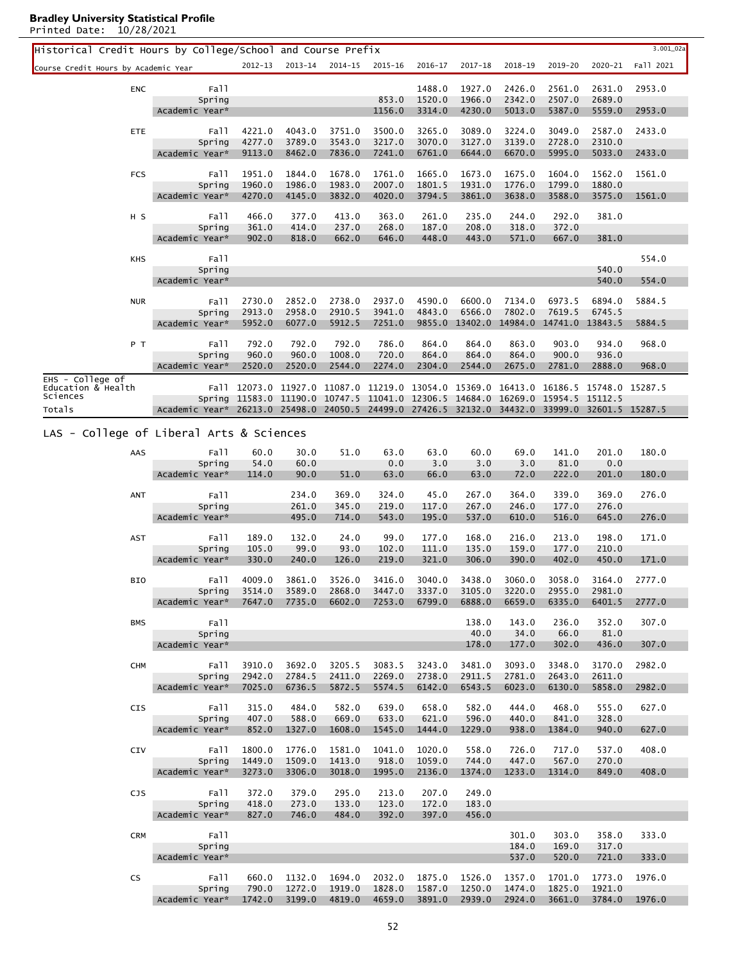| Historical Credit Hours by College/School and Course Prefix |                              |                  |                                                                                                                                                                                                                                                                                                                                                                                                                                                                                                                                                                                                                                                                                                                                                                                                                                                                                                                                                                                                                                                                                                                                                                                                                                                                                                                                                                                                                                                                                                                                                                                                                                                                                                                                                                                                                                                                                                                                                                                                                                                                                                                                                                                                                                                                                                                                                                                                                   |         |         |         |             |         |         |         | $3.001\_02a$ |
|-------------------------------------------------------------|------------------------------|------------------|-------------------------------------------------------------------------------------------------------------------------------------------------------------------------------------------------------------------------------------------------------------------------------------------------------------------------------------------------------------------------------------------------------------------------------------------------------------------------------------------------------------------------------------------------------------------------------------------------------------------------------------------------------------------------------------------------------------------------------------------------------------------------------------------------------------------------------------------------------------------------------------------------------------------------------------------------------------------------------------------------------------------------------------------------------------------------------------------------------------------------------------------------------------------------------------------------------------------------------------------------------------------------------------------------------------------------------------------------------------------------------------------------------------------------------------------------------------------------------------------------------------------------------------------------------------------------------------------------------------------------------------------------------------------------------------------------------------------------------------------------------------------------------------------------------------------------------------------------------------------------------------------------------------------------------------------------------------------------------------------------------------------------------------------------------------------------------------------------------------------------------------------------------------------------------------------------------------------------------------------------------------------------------------------------------------------------------------------------------------------------------------------------------------------|---------|---------|---------|-------------|---------|---------|---------|--------------|
|                                                             |                              | $2012 - 13$      | $2013 - 14$                                                                                                                                                                                                                                                                                                                                                                                                                                                                                                                                                                                                                                                                                                                                                                                                                                                                                                                                                                                                                                                                                                                                                                                                                                                                                                                                                                                                                                                                                                                                                                                                                                                                                                                                                                                                                                                                                                                                                                                                                                                                                                                                                                                                                                                                                                                                                                                                       | 2014-15 | 2015-16 | 2016-17 | $2017 - 18$ | 2018-19 | 2019-20 | 2020-21 | Fall 2021    |
| Course Credit Hours by Academic Year                        |                              |                  |                                                                                                                                                                                                                                                                                                                                                                                                                                                                                                                                                                                                                                                                                                                                                                                                                                                                                                                                                                                                                                                                                                                                                                                                                                                                                                                                                                                                                                                                                                                                                                                                                                                                                                                                                                                                                                                                                                                                                                                                                                                                                                                                                                                                                                                                                                                                                                                                                   |         |         |         |             |         |         |         |              |
| <b>ENC</b>                                                  | Fall                         |                  |                                                                                                                                                                                                                                                                                                                                                                                                                                                                                                                                                                                                                                                                                                                                                                                                                                                                                                                                                                                                                                                                                                                                                                                                                                                                                                                                                                                                                                                                                                                                                                                                                                                                                                                                                                                                                                                                                                                                                                                                                                                                                                                                                                                                                                                                                                                                                                                                                   |         |         | 1488.0  | 1927.0      | 2426.0  | 2561.0  | 2631.0  | 2953.0       |
|                                                             | Spring<br>Academic Year*     |                  |                                                                                                                                                                                                                                                                                                                                                                                                                                                                                                                                                                                                                                                                                                                                                                                                                                                                                                                                                                                                                                                                                                                                                                                                                                                                                                                                                                                                                                                                                                                                                                                                                                                                                                                                                                                                                                                                                                                                                                                                                                                                                                                                                                                                                                                                                                                                                                                                                   |         |         |         |             |         |         |         |              |
|                                                             |                              |                  |                                                                                                                                                                                                                                                                                                                                                                                                                                                                                                                                                                                                                                                                                                                                                                                                                                                                                                                                                                                                                                                                                                                                                                                                                                                                                                                                                                                                                                                                                                                                                                                                                                                                                                                                                                                                                                                                                                                                                                                                                                                                                                                                                                                                                                                                                                                                                                                                                   |         |         |         |             |         |         |         |              |
| ETE                                                         | Fall<br>Spring               | 4221.0<br>4277.0 |                                                                                                                                                                                                                                                                                                                                                                                                                                                                                                                                                                                                                                                                                                                                                                                                                                                                                                                                                                                                                                                                                                                                                                                                                                                                                                                                                                                                                                                                                                                                                                                                                                                                                                                                                                                                                                                                                                                                                                                                                                                                                                                                                                                                                                                                                                                                                                                                                   |         |         |         |             |         |         |         |              |
|                                                             | Academic Year*               | 9113.0           | 8462.0                                                                                                                                                                                                                                                                                                                                                                                                                                                                                                                                                                                                                                                                                                                                                                                                                                                                                                                                                                                                                                                                                                                                                                                                                                                                                                                                                                                                                                                                                                                                                                                                                                                                                                                                                                                                                                                                                                                                                                                                                                                                                                                                                                                                                                                                                                                                                                                                            | 7836.0  | 7241.0  | 6761.0  | 6644.0      | 6670.0  | 5995.0  | 5033.0  | 2433.0       |
| <b>FCS</b>                                                  | Fall                         | 1951.0           |                                                                                                                                                                                                                                                                                                                                                                                                                                                                                                                                                                                                                                                                                                                                                                                                                                                                                                                                                                                                                                                                                                                                                                                                                                                                                                                                                                                                                                                                                                                                                                                                                                                                                                                                                                                                                                                                                                                                                                                                                                                                                                                                                                                                                                                                                                                                                                                                                   |         |         |         |             |         |         |         |              |
|                                                             | Spring                       | 1960.0           | 1986.0                                                                                                                                                                                                                                                                                                                                                                                                                                                                                                                                                                                                                                                                                                                                                                                                                                                                                                                                                                                                                                                                                                                                                                                                                                                                                                                                                                                                                                                                                                                                                                                                                                                                                                                                                                                                                                                                                                                                                                                                                                                                                                                                                                                                                                                                                                                                                                                                            | 1983.0  | 2007.0  | 1801.5  | 1931.0      | 1776.0  | 1799.0  | 1880.0  |              |
|                                                             | Academic Year*               | 4270.0           | 4145.0                                                                                                                                                                                                                                                                                                                                                                                                                                                                                                                                                                                                                                                                                                                                                                                                                                                                                                                                                                                                                                                                                                                                                                                                                                                                                                                                                                                                                                                                                                                                                                                                                                                                                                                                                                                                                                                                                                                                                                                                                                                                                                                                                                                                                                                                                                                                                                                                            | 3832.0  | 4020.0  | 3794.5  | 3861.0      | 3638.0  | 3588.0  | 3575.0  | 1561.0       |
| H <sub>S</sub>                                              | Fall                         | 466.0            | 377.0                                                                                                                                                                                                                                                                                                                                                                                                                                                                                                                                                                                                                                                                                                                                                                                                                                                                                                                                                                                                                                                                                                                                                                                                                                                                                                                                                                                                                                                                                                                                                                                                                                                                                                                                                                                                                                                                                                                                                                                                                                                                                                                                                                                                                                                                                                                                                                                                             | 413.0   | 363.0   | 261.0   | 235.0       | 244.0   | 292.0   | 381.0   |              |
|                                                             | Spring                       | 361.0            | 414.0                                                                                                                                                                                                                                                                                                                                                                                                                                                                                                                                                                                                                                                                                                                                                                                                                                                                                                                                                                                                                                                                                                                                                                                                                                                                                                                                                                                                                                                                                                                                                                                                                                                                                                                                                                                                                                                                                                                                                                                                                                                                                                                                                                                                                                                                                                                                                                                                             | 237.0   | 268.0   | 187.0   | 208.0       | 318.0   | 372.0   |         |              |
|                                                             | Academic Year*               | 902.0            |                                                                                                                                                                                                                                                                                                                                                                                                                                                                                                                                                                                                                                                                                                                                                                                                                                                                                                                                                                                                                                                                                                                                                                                                                                                                                                                                                                                                                                                                                                                                                                                                                                                                                                                                                                                                                                                                                                                                                                                                                                                                                                                                                                                                                                                                                                                                                                                                                   |         |         |         |             |         |         |         |              |
| KHS                                                         | Fall                         |                  |                                                                                                                                                                                                                                                                                                                                                                                                                                                                                                                                                                                                                                                                                                                                                                                                                                                                                                                                                                                                                                                                                                                                                                                                                                                                                                                                                                                                                                                                                                                                                                                                                                                                                                                                                                                                                                                                                                                                                                                                                                                                                                                                                                                                                                                                                                                                                                                                                   |         |         |         |             |         |         |         | 554.0        |
|                                                             | Spring<br>Academic Year*     |                  |                                                                                                                                                                                                                                                                                                                                                                                                                                                                                                                                                                                                                                                                                                                                                                                                                                                                                                                                                                                                                                                                                                                                                                                                                                                                                                                                                                                                                                                                                                                                                                                                                                                                                                                                                                                                                                                                                                                                                                                                                                                                                                                                                                                                                                                                                                                                                                                                                   |         |         |         |             |         |         |         |              |
|                                                             |                              |                  |                                                                                                                                                                                                                                                                                                                                                                                                                                                                                                                                                                                                                                                                                                                                                                                                                                                                                                                                                                                                                                                                                                                                                                                                                                                                                                                                                                                                                                                                                                                                                                                                                                                                                                                                                                                                                                                                                                                                                                                                                                                                                                                                                                                                                                                                                                                                                                                                                   |         |         |         |             |         |         |         |              |
| <b>NUR</b>                                                  | Fall<br>Spring               | 2730.0<br>2913.0 |                                                                                                                                                                                                                                                                                                                                                                                                                                                                                                                                                                                                                                                                                                                                                                                                                                                                                                                                                                                                                                                                                                                                                                                                                                                                                                                                                                                                                                                                                                                                                                                                                                                                                                                                                                                                                                                                                                                                                                                                                                                                                                                                                                                                                                                                                                                                                                                                                   |         |         |         |             |         |         |         |              |
|                                                             | Academic Year*               | 5952.0           | 6077.0                                                                                                                                                                                                                                                                                                                                                                                                                                                                                                                                                                                                                                                                                                                                                                                                                                                                                                                                                                                                                                                                                                                                                                                                                                                                                                                                                                                                                                                                                                                                                                                                                                                                                                                                                                                                                                                                                                                                                                                                                                                                                                                                                                                                                                                                                                                                                                                                            | 5912.5  | 7251.0  |         |             |         |         |         | 5884.5       |
| P T                                                         | Fall                         | 792.0            |                                                                                                                                                                                                                                                                                                                                                                                                                                                                                                                                                                                                                                                                                                                                                                                                                                                                                                                                                                                                                                                                                                                                                                                                                                                                                                                                                                                                                                                                                                                                                                                                                                                                                                                                                                                                                                                                                                                                                                                                                                                                                                                                                                                                                                                                                                                                                                                                                   |         |         |         |             |         |         |         |              |
|                                                             | Spring                       | 960.0            | 960.0                                                                                                                                                                                                                                                                                                                                                                                                                                                                                                                                                                                                                                                                                                                                                                                                                                                                                                                                                                                                                                                                                                                                                                                                                                                                                                                                                                                                                                                                                                                                                                                                                                                                                                                                                                                                                                                                                                                                                                                                                                                                                                                                                                                                                                                                                                                                                                                                             | 1008.0  | 720.0   | 864.0   | 864.0       | 864.0   | 900.0   | 936.0   |              |
|                                                             | Academic Year*               | 2520.0           | 2520.0                                                                                                                                                                                                                                                                                                                                                                                                                                                                                                                                                                                                                                                                                                                                                                                                                                                                                                                                                                                                                                                                                                                                                                                                                                                                                                                                                                                                                                                                                                                                                                                                                                                                                                                                                                                                                                                                                                                                                                                                                                                                                                                                                                                                                                                                                                                                                                                                            | 2544.0  | 2274.0  | 2304.0  | 2544.0      | 2675.0  | 2781.0  | 2888.0  | 968.0        |
| $EHS - CO1 = Ge$<br>Education & Health                      |                              |                  |                                                                                                                                                                                                                                                                                                                                                                                                                                                                                                                                                                                                                                                                                                                                                                                                                                                                                                                                                                                                                                                                                                                                                                                                                                                                                                                                                                                                                                                                                                                                                                                                                                                                                                                                                                                                                                                                                                                                                                                                                                                                                                                                                                                                                                                                                                                                                                                                                   |         |         |         |             |         |         |         |              |
| Sciences                                                    |                              |                  |                                                                                                                                                                                                                                                                                                                                                                                                                                                                                                                                                                                                                                                                                                                                                                                                                                                                                                                                                                                                                                                                                                                                                                                                                                                                                                                                                                                                                                                                                                                                                                                                                                                                                                                                                                                                                                                                                                                                                                                                                                                                                                                                                                                                                                                                                                                                                                                                                   |         |         |         |             |         |         |         |              |
| Totals                                                      |                              |                  |                                                                                                                                                                                                                                                                                                                                                                                                                                                                                                                                                                                                                                                                                                                                                                                                                                                                                                                                                                                                                                                                                                                                                                                                                                                                                                                                                                                                                                                                                                                                                                                                                                                                                                                                                                                                                                                                                                                                                                                                                                                                                                                                                                                                                                                                                                                                                                                                                   |         |         |         |             |         |         |         |              |
| LAS - College of Liberal Arts & Sciences                    |                              |                  |                                                                                                                                                                                                                                                                                                                                                                                                                                                                                                                                                                                                                                                                                                                                                                                                                                                                                                                                                                                                                                                                                                                                                                                                                                                                                                                                                                                                                                                                                                                                                                                                                                                                                                                                                                                                                                                                                                                                                                                                                                                                                                                                                                                                                                                                                                                                                                                                                   |         |         |         |             |         |         |         |              |
| AAS                                                         | Fall                         | 60.0             |                                                                                                                                                                                                                                                                                                                                                                                                                                                                                                                                                                                                                                                                                                                                                                                                                                                                                                                                                                                                                                                                                                                                                                                                                                                                                                                                                                                                                                                                                                                                                                                                                                                                                                                                                                                                                                                                                                                                                                                                                                                                                                                                                                                                                                                                                                                                                                                                                   |         |         |         |             |         |         |         |              |
|                                                             | Spring                       | 54.0             | 60.0                                                                                                                                                                                                                                                                                                                                                                                                                                                                                                                                                                                                                                                                                                                                                                                                                                                                                                                                                                                                                                                                                                                                                                                                                                                                                                                                                                                                                                                                                                                                                                                                                                                                                                                                                                                                                                                                                                                                                                                                                                                                                                                                                                                                                                                                                                                                                                                                              |         | 0.0     | 3.0     | 3.0         | 3.0     | 81.0    | 0.0     |              |
|                                                             | Academic Year*               | 114.0            |                                                                                                                                                                                                                                                                                                                                                                                                                                                                                                                                                                                                                                                                                                                                                                                                                                                                                                                                                                                                                                                                                                                                                                                                                                                                                                                                                                                                                                                                                                                                                                                                                                                                                                                                                                                                                                                                                                                                                                                                                                                                                                                                                                                                                                                                                                                                                                                                                   | 51.0    |         | 66.0    |             | 72.0    | 222.0   | 201.0   | 180.0        |
| ANT                                                         | Fall                         |                  | 234.0                                                                                                                                                                                                                                                                                                                                                                                                                                                                                                                                                                                                                                                                                                                                                                                                                                                                                                                                                                                                                                                                                                                                                                                                                                                                                                                                                                                                                                                                                                                                                                                                                                                                                                                                                                                                                                                                                                                                                                                                                                                                                                                                                                                                                                                                                                                                                                                                             | 369.0   | 324.0   | 45.0    | 267.0       | 364.0   | 339.0   | 369.0   | 276.0        |
|                                                             | Spring<br>Academic Year*     |                  |                                                                                                                                                                                                                                                                                                                                                                                                                                                                                                                                                                                                                                                                                                                                                                                                                                                                                                                                                                                                                                                                                                                                                                                                                                                                                                                                                                                                                                                                                                                                                                                                                                                                                                                                                                                                                                                                                                                                                                                                                                                                                                                                                                                                                                                                                                                                                                                                                   |         |         | 117.0   |             |         |         |         |              |
|                                                             |                              |                  |                                                                                                                                                                                                                                                                                                                                                                                                                                                                                                                                                                                                                                                                                                                                                                                                                                                                                                                                                                                                                                                                                                                                                                                                                                                                                                                                                                                                                                                                                                                                                                                                                                                                                                                                                                                                                                                                                                                                                                                                                                                                                                                                                                                                                                                                                                                                                                                                                   |         |         |         |             |         |         |         |              |
| <b>AST</b>                                                  | Fall<br>Spring               | 189.0<br>105.0   |                                                                                                                                                                                                                                                                                                                                                                                                                                                                                                                                                                                                                                                                                                                                                                                                                                                                                                                                                                                                                                                                                                                                                                                                                                                                                                                                                                                                                                                                                                                                                                                                                                                                                                                                                                                                                                                                                                                                                                                                                                                                                                                                                                                                                                                                                                                                                                                                                   | 24.0    |         | 177.0   |             | 216.0   | 213.0   |         |              |
|                                                             | Academic Year*               | 330.0            | 240.0                                                                                                                                                                                                                                                                                                                                                                                                                                                                                                                                                                                                                                                                                                                                                                                                                                                                                                                                                                                                                                                                                                                                                                                                                                                                                                                                                                                                                                                                                                                                                                                                                                                                                                                                                                                                                                                                                                                                                                                                                                                                                                                                                                                                                                                                                                                                                                                                             | 126.0   | 219.0   | 321.0   | 306.0       | 390.0   | 402.0   | 450.0   | 171.0        |
|                                                             | Fall                         | 4009.0           |                                                                                                                                                                                                                                                                                                                                                                                                                                                                                                                                                                                                                                                                                                                                                                                                                                                                                                                                                                                                                                                                                                                                                                                                                                                                                                                                                                                                                                                                                                                                                                                                                                                                                                                                                                                                                                                                                                                                                                                                                                                                                                                                                                                                                                                                                                                                                                                                                   |         |         |         |             |         |         |         |              |
| BIO                                                         | Spring                       |                  |                                                                                                                                                                                                                                                                                                                                                                                                                                                                                                                                                                                                                                                                                                                                                                                                                                                                                                                                                                                                                                                                                                                                                                                                                                                                                                                                                                                                                                                                                                                                                                                                                                                                                                                                                                                                                                                                                                                                                                                                                                                                                                                                                                                                                                                                                                                                                                                                                   | 2868.0  |         | 3337.0  | 3105.0      | 3220.0  | 2955.0  | 2981.0  |              |
|                                                             | Academic Year*               |                  |                                                                                                                                                                                                                                                                                                                                                                                                                                                                                                                                                                                                                                                                                                                                                                                                                                                                                                                                                                                                                                                                                                                                                                                                                                                                                                                                                                                                                                                                                                                                                                                                                                                                                                                                                                                                                                                                                                                                                                                                                                                                                                                                                                                                                                                                                                                                                                                                                   | 6602.0  |         | 6799.0  | 6888.0      | 6659.0  | 6335.0  | 6401.5  | 2777.0       |
| <b>BMS</b>                                                  | Fall                         |                  |                                                                                                                                                                                                                                                                                                                                                                                                                                                                                                                                                                                                                                                                                                                                                                                                                                                                                                                                                                                                                                                                                                                                                                                                                                                                                                                                                                                                                                                                                                                                                                                                                                                                                                                                                                                                                                                                                                                                                                                                                                                                                                                                                                                                                                                                                                                                                                                                                   |         |         |         | 138.0       | 143.0   | 236.0   | 352.0   | 307.0        |
|                                                             | Spring                       |                  |                                                                                                                                                                                                                                                                                                                                                                                                                                                                                                                                                                                                                                                                                                                                                                                                                                                                                                                                                                                                                                                                                                                                                                                                                                                                                                                                                                                                                                                                                                                                                                                                                                                                                                                                                                                                                                                                                                                                                                                                                                                                                                                                                                                                                                                                                                                                                                                                                   |         |         |         | 40.0        | 34.0    | 66.0    | 81.0    |              |
|                                                             | Academic Year*               |                  |                                                                                                                                                                                                                                                                                                                                                                                                                                                                                                                                                                                                                                                                                                                                                                                                                                                                                                                                                                                                                                                                                                                                                                                                                                                                                                                                                                                                                                                                                                                                                                                                                                                                                                                                                                                                                                                                                                                                                                                                                                                                                                                                                                                                                                                                                                                                                                                                                   |         |         |         |             |         |         |         |              |
| <b>CHM</b>                                                  | Fall                         | 3910.0           | 3692.0                                                                                                                                                                                                                                                                                                                                                                                                                                                                                                                                                                                                                                                                                                                                                                                                                                                                                                                                                                                                                                                                                                                                                                                                                                                                                                                                                                                                                                                                                                                                                                                                                                                                                                                                                                                                                                                                                                                                                                                                                                                                                                                                                                                                                                                                                                                                                                                                            | 3205.5  | 3083.5  | 3243.0  | 3481.0      | 3093.0  | 3348.0  | 3170.0  | 2982.0       |
|                                                             | Spring<br>Academic Year*     | 2942.0<br>7025.0 |                                                                                                                                                                                                                                                                                                                                                                                                                                                                                                                                                                                                                                                                                                                                                                                                                                                                                                                                                                                                                                                                                                                                                                                                                                                                                                                                                                                                                                                                                                                                                                                                                                                                                                                                                                                                                                                                                                                                                                                                                                                                                                                                                                                                                                                                                                                                                                                                                   |         |         |         |             |         |         |         |              |
|                                                             |                              |                  |                                                                                                                                                                                                                                                                                                                                                                                                                                                                                                                                                                                                                                                                                                                                                                                                                                                                                                                                                                                                                                                                                                                                                                                                                                                                                                                                                                                                                                                                                                                                                                                                                                                                                                                                                                                                                                                                                                                                                                                                                                                                                                                                                                                                                                                                                                                                                                                                                   |         |         |         |             |         |         |         |              |
| <b>CIS</b>                                                  | Fall<br>Spring               | 315.0<br>407.0   |                                                                                                                                                                                                                                                                                                                                                                                                                                                                                                                                                                                                                                                                                                                                                                                                                                                                                                                                                                                                                                                                                                                                                                                                                                                                                                                                                                                                                                                                                                                                                                                                                                                                                                                                                                                                                                                                                                                                                                                                                                                                                                                                                                                                                                                                                                                                                                                                                   |         |         |         |             |         |         |         |              |
|                                                             | Academic Year*               | 852.0            | 1327.0                                                                                                                                                                                                                                                                                                                                                                                                                                                                                                                                                                                                                                                                                                                                                                                                                                                                                                                                                                                                                                                                                                                                                                                                                                                                                                                                                                                                                                                                                                                                                                                                                                                                                                                                                                                                                                                                                                                                                                                                                                                                                                                                                                                                                                                                                                                                                                                                            | 1608.0  | 1545.0  | 1444.0  | 1229.0      | 938.0   | 1384.0  | 940.0   | 627.0        |
| CIV                                                         | Fall                         | 1800.0           |                                                                                                                                                                                                                                                                                                                                                                                                                                                                                                                                                                                                                                                                                                                                                                                                                                                                                                                                                                                                                                                                                                                                                                                                                                                                                                                                                                                                                                                                                                                                                                                                                                                                                                                                                                                                                                                                                                                                                                                                                                                                                                                                                                                                                                                                                                                                                                                                                   |         |         |         |             |         |         |         |              |
|                                                             | Spring                       | 1449.0           | 1509.0                                                                                                                                                                                                                                                                                                                                                                                                                                                                                                                                                                                                                                                                                                                                                                                                                                                                                                                                                                                                                                                                                                                                                                                                                                                                                                                                                                                                                                                                                                                                                                                                                                                                                                                                                                                                                                                                                                                                                                                                                                                                                                                                                                                                                                                                                                                                                                                                            | 1413.0  | 918.0   | 1059.0  | 744.0       | 447.0   | 567.0   | 270.0   |              |
|                                                             | Academic Year*               | 3273.0           | 3306.0                                                                                                                                                                                                                                                                                                                                                                                                                                                                                                                                                                                                                                                                                                                                                                                                                                                                                                                                                                                                                                                                                                                                                                                                                                                                                                                                                                                                                                                                                                                                                                                                                                                                                                                                                                                                                                                                                                                                                                                                                                                                                                                                                                                                                                                                                                                                                                                                            | 3018.0  | 1995.0  | 2136.0  | 1374.0      | 1233.0  | 1314.0  | 849.0   | 408.0        |
| <b>CJS</b>                                                  | Fall                         | 372.0            | 379.0                                                                                                                                                                                                                                                                                                                                                                                                                                                                                                                                                                                                                                                                                                                                                                                                                                                                                                                                                                                                                                                                                                                                                                                                                                                                                                                                                                                                                                                                                                                                                                                                                                                                                                                                                                                                                                                                                                                                                                                                                                                                                                                                                                                                                                                                                                                                                                                                             | 295.0   | 213.0   | 207.0   | 249.0       |         |         |         |              |
|                                                             | Spring                       | 418.0            | 273.0                                                                                                                                                                                                                                                                                                                                                                                                                                                                                                                                                                                                                                                                                                                                                                                                                                                                                                                                                                                                                                                                                                                                                                                                                                                                                                                                                                                                                                                                                                                                                                                                                                                                                                                                                                                                                                                                                                                                                                                                                                                                                                                                                                                                                                                                                                                                                                                                             | 133.0   | 123.0   | 172.0   | 183.0       |         |         |         |              |
|                                                             | Academic Year*               | 827.0            |                                                                                                                                                                                                                                                                                                                                                                                                                                                                                                                                                                                                                                                                                                                                                                                                                                                                                                                                                                                                                                                                                                                                                                                                                                                                                                                                                                                                                                                                                                                                                                                                                                                                                                                                                                                                                                                                                                                                                                                                                                                                                                                                                                                                                                                                                                                                                                                                                   |         |         |         |             |         |         |         |              |
| <b>CRM</b>                                                  | Fall                         |                  |                                                                                                                                                                                                                                                                                                                                                                                                                                                                                                                                                                                                                                                                                                                                                                                                                                                                                                                                                                                                                                                                                                                                                                                                                                                                                                                                                                                                                                                                                                                                                                                                                                                                                                                                                                                                                                                                                                                                                                                                                                                                                                                                                                                                                                                                                                                                                                                                                   |         |         |         |             | 301.0   | 303.0   | 358.0   | 333.0        |
|                                                             | Spring<br>Academic Year*     |                  |                                                                                                                                                                                                                                                                                                                                                                                                                                                                                                                                                                                                                                                                                                                                                                                                                                                                                                                                                                                                                                                                                                                                                                                                                                                                                                                                                                                                                                                                                                                                                                                                                                                                                                                                                                                                                                                                                                                                                                                                                                                                                                                                                                                                                                                                                                                                                                                                                   |         |         |         |             | 537.0   | 520.0   | 721.0   | 333.0        |
|                                                             |                              |                  | 853.0<br>1520.0<br>1966.0<br>2342.0<br>2507.0<br>2689.0<br>1156.0<br>3314.0<br>4230.0<br>5013.0<br>5387.0<br>5559.0<br>2953.0<br>4043.0<br>3751.0<br>3500.0<br>3265.0<br>3089.0<br>3224.0<br>3049.0<br>2587.0<br>2433.0<br>3789.0<br>3543.0<br>3217.0<br>3070.0<br>3127.0<br>2728.0<br>2310.0<br>3139.0<br>1844.0<br>1678.0<br>1761.0<br>1665.0<br>1673.0<br>1675.0<br>1604.0<br>1561.0<br>1562.0<br>646.0<br>443.0<br>667.0<br>818.0<br>662.0<br>448.0<br>571.0<br>381.0<br>540.0<br>540.0<br>554.0<br>2852.0<br>2738.0<br>2937.0<br>4590.0<br>6600.0<br>7134.0<br>6973.5<br>6894.0<br>5884.5<br>2958.0<br>2910.5<br>6566.0<br>7802.0<br>3941.0<br>4843.0<br>7619.5<br>6745.5<br>9855.0 13402.0 14984.0 14741.0 13843.5<br>792.0<br>792.0<br>786.0<br>863.0<br>903.0<br>968.0<br>864.0<br>864.0<br>934.0<br>Fall 12073.0 11927.0 11087.0 11219.0 13054.0 15369.0 16413.0 16186.5 15748.0 15287.5<br>Spring 11583.0 11190.0 10747.5 11041.0 12306.5 14684.0 16269.0 15954.5 15112.5<br>Academic Year* 26213.0 25498.0 24050.5 24499.0 27426.5 32132.0 34432.0 33999.0 32601.5 15287.5<br>63.0<br>60.0<br>69.0<br>141.0<br>201.0<br>180.0<br>30.0<br>51.0<br>63.0<br>90.0<br>63.0<br>63.0<br>261.0<br>345.0<br>219.0<br>267.0<br>246.0<br>177.0<br>276.0<br>543.0<br>537.0<br>516.0<br>495.0<br>714.0<br>195.0<br>610.0<br>645.0<br>276.0<br>132.0<br>99.0<br>168.0<br>198.0<br>171.0<br>99.0<br>93.0<br>102.0<br>111.0<br>135.0<br>159.0<br>177.0<br>210.0<br>3526.0<br>3416.0<br>3040.0<br>3438.0<br>3060.0<br>3058.0<br>3164.0<br>3861.0<br>2777.0<br>3514.0 3589.0<br>3447.0<br>7647.0 7735.0<br>7253.0<br>178.0<br>177.0<br>302.0<br>436.0<br>307.0<br>2269.0<br>2611.0<br>2784.5<br>2411.0<br>2738.0<br>2911.5<br>2781.0<br>2643.0<br>6142.0<br>6023.0<br>6130.0<br>5858.0<br>2982.0<br>6736.5<br>5872.5<br>5574.5<br>6543.5<br>484.0<br>582.0<br>639.0<br>658.0<br>582.0<br>444.0<br>468.0<br>555.0<br>627.0<br>588.0<br>669.0<br>633.0<br>621.0<br>596.0<br>440.0<br>841.0<br>328.0<br>1776.0<br>1041.0<br>1020.0<br>558.0<br>726.0<br>717.0<br>537.0<br>408.0<br>1581.0<br>746.0<br>484.0<br>392.0<br>397.0<br>456.0<br>184.0<br>169.0<br>317.0<br>1132.0<br>2032.0<br>1875.0<br>1694.0<br>1526.0<br>1357.0<br>1701.0<br>1773.0<br>1976.0<br>1272.0<br>1919.0<br>1828.0<br>1587.0<br>1250.0<br>1825.0<br>1921.0<br>1474.0<br>4819.0<br>4659.0<br>3891.0<br>2939.0<br>2924.0<br>3661.0<br>3784.0<br>1976.0 |         |         |         |             |         |         |         |              |
| CS                                                          | Fall<br>Spring               | 660.0<br>790.0   |                                                                                                                                                                                                                                                                                                                                                                                                                                                                                                                                                                                                                                                                                                                                                                                                                                                                                                                                                                                                                                                                                                                                                                                                                                                                                                                                                                                                                                                                                                                                                                                                                                                                                                                                                                                                                                                                                                                                                                                                                                                                                                                                                                                                                                                                                                                                                                                                                   |         |         |         |             |         |         |         |              |
|                                                             | Academic Year* 1742.0 3199.0 |                  |                                                                                                                                                                                                                                                                                                                                                                                                                                                                                                                                                                                                                                                                                                                                                                                                                                                                                                                                                                                                                                                                                                                                                                                                                                                                                                                                                                                                                                                                                                                                                                                                                                                                                                                                                                                                                                                                                                                                                                                                                                                                                                                                                                                                                                                                                                                                                                                                                   |         |         |         |             |         |         |         |              |

L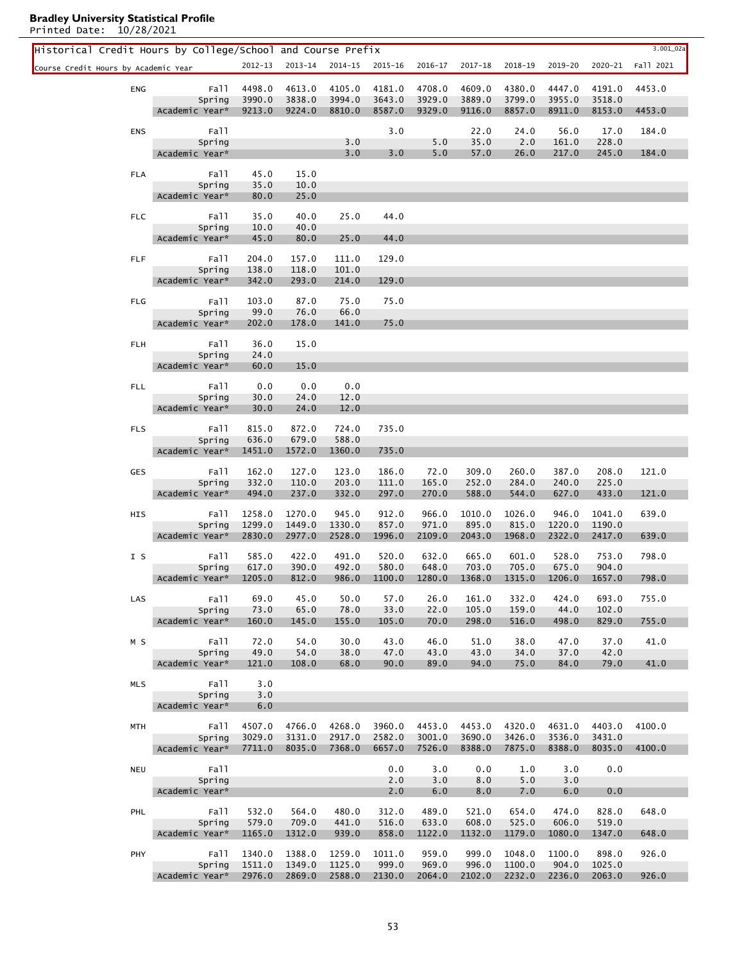l.

| Historical Credit Hours by College/School and Course Prefix |                          |                  |                  |                  |                  |                  |                  |                  |                  |                  | 3.001_02a |
|-------------------------------------------------------------|--------------------------|------------------|------------------|------------------|------------------|------------------|------------------|------------------|------------------|------------------|-----------|
| Course Credit Hours by Academic Year                        |                          | 2012-13          | 2013-14          | 2014-15          | 2015-16          | 2016-17          | 2017-18          | 2018-19          | 2019-20          | 2020-21          | Fall 2021 |
|                                                             |                          |                  |                  |                  |                  |                  |                  |                  |                  |                  |           |
| ENG                                                         | Fall<br>Spring           | 4498.0<br>3990.0 | 4613.0<br>3838.0 | 4105.0<br>3994.0 | 4181.0<br>3643.0 | 4708.0<br>3929.0 | 4609.0<br>3889.0 | 4380.0<br>3799.0 | 4447.0<br>3955.0 | 4191.0<br>3518.0 | 4453.0    |
|                                                             | Academic Year*           | 9213.0           | 9224.0           | 8810.0           | 8587.0           | 9329.0           | 9116.0           | 8857.0           | 8911.0           | 8153.0           | 4453.0    |
| <b>ENS</b>                                                  | Fall                     |                  |                  |                  | 3.0              |                  | 22.0             | 24.0             | 56.0             | 17.0             | 184.0     |
|                                                             | Spring                   |                  |                  | 3.0              |                  | 5.0              | 35.0             | 2.0              | 161.0            | 228.0            |           |
|                                                             | Academic Year*           |                  |                  | 3.0              | 3.0              | 5.0              | 57.0             | 26.0             | 217.0            | 245.0            | 184.0     |
| <b>FLA</b>                                                  | Fall                     | 45.0             | 15.0             |                  |                  |                  |                  |                  |                  |                  |           |
|                                                             | Spring                   | 35.0             | 10.0             |                  |                  |                  |                  |                  |                  |                  |           |
|                                                             | Academic Year*           | 80.0             | 25.0             |                  |                  |                  |                  |                  |                  |                  |           |
| <b>FLC</b>                                                  | Fall                     | 35.0             | 40.0             | 25.0             | 44.0             |                  |                  |                  |                  |                  |           |
|                                                             | Spring<br>Academic Year* | 10.0<br>45.0     | 40.0<br>80.0     | 25.0             | 44.0             |                  |                  |                  |                  |                  |           |
|                                                             |                          |                  |                  |                  |                  |                  |                  |                  |                  |                  |           |
| <b>FLF</b>                                                  | Fall<br>Spring           | 204.0<br>138.0   | 157.0<br>118.0   | 111.0<br>101.0   | 129.0            |                  |                  |                  |                  |                  |           |
|                                                             | Academic Year*           | 342.0            | 293.0            | 214.0            | 129.0            |                  |                  |                  |                  |                  |           |
| <b>FLG</b>                                                  | Fall                     | 103.0            | 87.0             | 75.0             | 75.0             |                  |                  |                  |                  |                  |           |
|                                                             | Spring                   | 99.0             | 76.0             | 66.0             |                  |                  |                  |                  |                  |                  |           |
|                                                             | Academic Year*           | 202.0            | 178.0            | 141.0            | 75.0             |                  |                  |                  |                  |                  |           |
| <b>FLH</b>                                                  | Fall                     | 36.0             | 15.0             |                  |                  |                  |                  |                  |                  |                  |           |
|                                                             | Spring<br>Academic Year* | 24.0<br>60.0     | 15.0             |                  |                  |                  |                  |                  |                  |                  |           |
|                                                             |                          |                  |                  |                  |                  |                  |                  |                  |                  |                  |           |
| <b>FLL</b>                                                  | Fall<br>Spring           | 0.0<br>30.0      | 0.0<br>24.0      | 0.0<br>12.0      |                  |                  |                  |                  |                  |                  |           |
|                                                             | Academic Year*           | 30.0             | 24.0             | 12.0             |                  |                  |                  |                  |                  |                  |           |
|                                                             |                          | 815.0            |                  | 724.0            | 735.0            |                  |                  |                  |                  |                  |           |
| <b>FLS</b>                                                  | Fall<br>Spring           | 636.0            | 872.0<br>679.0   | 588.0            |                  |                  |                  |                  |                  |                  |           |
|                                                             | Academic Year*           | 1451.0           | 1572.0           | 1360.0           | 735.0            |                  |                  |                  |                  |                  |           |
| <b>GES</b>                                                  | Fall                     | 162.0            | 127.0            | 123.0            | 186.0            | 72.0             | 309.0            | 260.0            | 387.0            | 208.0            | 121.0     |
|                                                             | Spring                   | 332.0            | 110.0            | 203.0            | 111.0            | 165.0            | 252.0            | 284.0            | 240.0            | 225.0            |           |
|                                                             | Academic Year*           | 494.0            | 237.0            | 332.0            | 297.0            | 270.0            | 588.0            | 544.0            | 627.0            | 433.0            | 121.0     |
| <b>HIS</b>                                                  | Fall                     | 1258.0           | 1270.0           | 945.0            | 912.0            | 966.0            | 1010.0           | 1026.0           | 946.0            | 1041.0           | 639.0     |
|                                                             | Spring<br>Academic Year* | 1299.0<br>2830.0 | 1449.0<br>2977.0 | 1330.0<br>2528.0 | 857.0<br>1996.0  | 971.0<br>2109.0  | 895.0<br>2043.0  | 815.0<br>1968.0  | 1220.0<br>2322.0 | 1190.0<br>2417.0 | 639.0     |
|                                                             |                          |                  |                  |                  |                  |                  |                  |                  |                  |                  |           |
| I S                                                         | Fall<br>Spring           | 585.0<br>617.0   | 422.0<br>390.0   | 491.0<br>492.0   | 520.0<br>580.0   | 632.0<br>648.0   | 665.0<br>703.0   | 601.0<br>705.0   | 528.0<br>675.0   | 753.0<br>904.0   | 798.0     |
|                                                             | Academic Year*           | 1205.0           | 812.0            | 986.0            | 1100.0           | 1280.0           | 1368.0           | 1315.0           | 1206.0           | 1657.0           | 798.0     |
| LAS                                                         | Fall                     | 69.0             | 45.0             | 50.0             | 57.0             | 26.0             | 161.0            | 332.0            | 424.0            | 693.0            | 755.0     |
|                                                             | Spring                   | 73.0             | 65.0             | 78.0             | 33.0             | 22.0             | 105.0            | 159.0            | 44.0             | 102.0            |           |
|                                                             | Academic Year*           | 160.0            | 145.0            | 155.0            | 105.0            | 70.0             | 298.0            | 516.0            | 498.0            | 829.0            | 755.0     |
| M S                                                         | Fall                     | 72.0             | 54.0             | 30.0             | 43.0             | 46.0             | 51.0             | 38.0             | 47.0             | 37.0             | 41.0      |
|                                                             | Spring<br>Academic Year* | 49.0<br>121.0    | 54.0<br>108.0    | 38.0<br>68.0     | 47.0<br>90.0     | 43.0<br>89.0     | 43.0<br>94.0     | 34.0<br>75.0     | 37.0<br>84.0     | 42.0<br>79.0     | 41.0      |
|                                                             |                          |                  |                  |                  |                  |                  |                  |                  |                  |                  |           |
| <b>MLS</b>                                                  | Fall<br>Spring           | 3.0<br>3.0       |                  |                  |                  |                  |                  |                  |                  |                  |           |
|                                                             | Academic Year*           | 6.0              |                  |                  |                  |                  |                  |                  |                  |                  |           |
| <b>MTH</b>                                                  | Fall                     | 4507.0           | 4766.0           | 4268.0           | 3960.0           | 4453.0           | 4453.0           | 4320.0           | 4631.0           | 4403.0           | 4100.0    |
|                                                             | Spring                   | 3029.0           | 3131.0           | 2917.0           | 2582.0           | 3001.0           | 3690.0           | 3426.0           | 3536.0           | 3431.0           |           |
|                                                             | Academic Year*           | 7711.0           | 8035.0           | 7368.0           | 6657.0           | 7526.0           | 8388.0           | 7875.0           | 8388.0           | 8035.0           | 4100.0    |
| <b>NEU</b>                                                  | Fall                     |                  |                  |                  | 0.0              | 3.0              | 0.0              | 1.0              | 3.0              | 0.0              |           |
|                                                             | Spring                   |                  |                  |                  | 2.0              | 3.0              | 8.0              | 5.0              | 3.0              |                  |           |
|                                                             | Academic Year*           |                  |                  |                  | 2.0              | 6.0              | 8.0              | 7.0              | 6.0              | 0.0              |           |
| PHL                                                         | Fall                     | 532.0            | 564.0            | 480.0            | 312.0            | 489.0            | 521.0            | 654.0            | 474.0            | 828.0            | 648.0     |
|                                                             | Spring<br>Academic Year* | 579.0<br>1165.0  | 709.0<br>1312.0  | 441.0<br>939.0   | 516.0<br>858.0   | 633.0<br>1122.0  | 608.0<br>1132.0  | 525.0<br>1179.0  | 606.0<br>1080.0  | 519.0<br>1347.0  | 648.0     |
|                                                             |                          |                  |                  |                  |                  |                  |                  |                  |                  |                  |           |
| PHY                                                         | Fall<br>Spring           | 1340.0<br>1511.0 | 1388.0<br>1349.0 | 1259.0<br>1125.0 | 1011.0<br>999.0  | 959.0<br>969.0   | 999.0<br>996.0   | 1048.0<br>1100.0 | 1100.0<br>904.0  | 898.0<br>1025.0  | 926.0     |
|                                                             | Academic Year* 2976.0    |                  | 2869.0           | 2588.0           | 2130.0           | 2064.0           |                  | 2102.0 2232.0    |                  | 2236.0 2063.0    | 926.0     |

-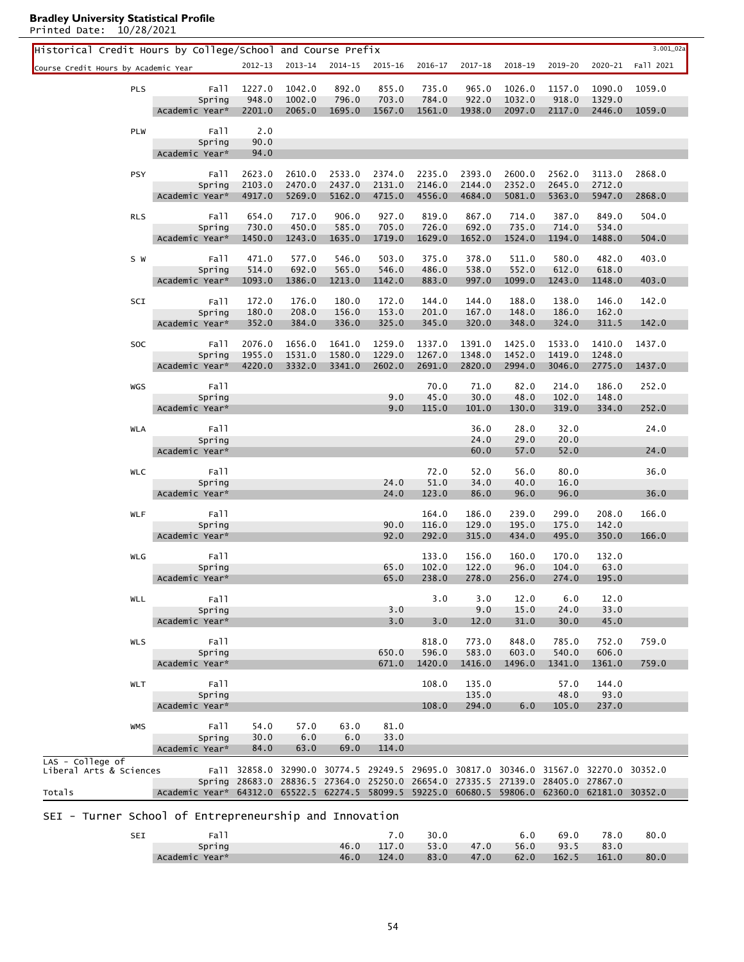| Historical Credit Hours by College/School and Course Prefix |                                                                                                |                  |                  |                                                                                      |                  |                  |                  |                  |                  |                  | 3.001_02a |
|-------------------------------------------------------------|------------------------------------------------------------------------------------------------|------------------|------------------|--------------------------------------------------------------------------------------|------------------|------------------|------------------|------------------|------------------|------------------|-----------|
| Course Credit Hours by Academic Year                        |                                                                                                |                  | 2012-13 2013-14  | 2014-15                                                                              | 2015-16          | 2016-17          | $2017 - 18$      | 2018-19          | 2019-20          | 2020-21          | Fall 2021 |
| <b>PLS</b>                                                  | Fall                                                                                           | 1227.0           | 1042.0           | 892.0                                                                                | 855.0            | 735.0            | 965.0            | 1026.0           | 1157.0           | 1090.0           | 1059.0    |
|                                                             | Spring                                                                                         | 948.0            | 1002.0           | 796.0                                                                                | 703.0            | 784.0            | 922.0            | 1032.0           | 918.0            | 1329.0           |           |
|                                                             | Academic Year*                                                                                 | 2201.0           | 2065.0           | 1695.0                                                                               | 1567.0           | 1561.0           | 1938.0           | 2097.0           | 2117.0           | 2446.0           | 1059.0    |
| PLW                                                         | Fall                                                                                           | 2.0              |                  |                                                                                      |                  |                  |                  |                  |                  |                  |           |
|                                                             | Spring                                                                                         | 90.0             |                  |                                                                                      |                  |                  |                  |                  |                  |                  |           |
|                                                             | Academic Year*                                                                                 | 94.0             |                  |                                                                                      |                  |                  |                  |                  |                  |                  |           |
| <b>PSY</b>                                                  | Fall                                                                                           | 2623.0           | 2610.0           | 2533.0                                                                               | 2374.0           | 2235.0           | 2393.0           | 2600.0           | 2562.0           | 3113.0           | 2868.0    |
|                                                             | Spring                                                                                         | 2103.0           | 2470.0           | 2437.0                                                                               | 2131.0           | 2146.0           | 2144.0           | 2352.0           | 2645.0           | 2712.0           |           |
|                                                             | Academic Year*                                                                                 | 4917.0           | 5269.0           | 5162.0                                                                               | 4715.0           | 4556.0           | 4684.0           | 5081.0           | 5363.0           | 5947.0           | 2868.0    |
| <b>RLS</b>                                                  | Fall                                                                                           | 654.0            | 717.0            | 906.0                                                                                | 927.0            | 819.0            | 867.0            | 714.0            | 387.0            | 849.0            | 504.0     |
|                                                             | Spring                                                                                         | 730.0            | 450.0            | 585.0                                                                                | 705.0            | 726.0            | 692.0            | 735.0            | 714.0            | 534.0            |           |
|                                                             | Academic Year*                                                                                 | 1450.0           | 1243.0           | 1635.0                                                                               | 1719.0           | 1629.0           | 1652.0           | 1524.0           | 1194.0           | 1488.0           | 504.0     |
| S W                                                         | Fall                                                                                           | 471.0            | 577.0            | 546.0                                                                                | 503.0            | 375.0            | 378.0            | 511.0            | 580.0            | 482.0            | 403.0     |
|                                                             | Spring                                                                                         | 514.0            | 692.0            | 565.0                                                                                | 546.0            | 486.0            | 538.0            | 552.0            | 612.0            | 618.0            |           |
|                                                             | Academic Year*                                                                                 | 1093.0           | 1386.0           | 1213.0                                                                               | 1142.0           | 883.0            | 997.0            | 1099.0           | 1243.0           | 1148.0           | 403.0     |
| SCI                                                         | Fall                                                                                           | 172.0            | 176.0            | 180.0                                                                                | 172.0            | 144.0            |                  | 188.0            | 138.0            | 146.0            | 142.0     |
|                                                             | Spring                                                                                         | 180.0            | 208.0            | 156.0                                                                                | 153.0            | 201.0            | 144.0<br>167.0   | 148.0            | 186.0            | 162.0            |           |
|                                                             | Academic Year*                                                                                 | 352.0            | 384.0            | 336.0                                                                                | 325.0            | 345.0            | 320.0            | 348.0            | 324.0            | 311.5            | 142.0     |
|                                                             |                                                                                                |                  |                  |                                                                                      |                  |                  |                  |                  |                  |                  |           |
| SOC                                                         | Fall<br>Spring                                                                                 | 2076.0<br>1955.0 | 1656.0<br>1531.0 | 1641.0<br>1580.0                                                                     | 1259.0<br>1229.0 | 1337.0<br>1267.0 | 1391.0<br>1348.0 | 1425.0<br>1452.0 | 1533.0<br>1419.0 | 1410.0<br>1248.0 | 1437.0    |
|                                                             | Academic Year*                                                                                 | 4220.0           | 3332.0           | 3341.0                                                                               | 2602.0           | 2691.0           | 2820.0           | 2994.0           | 3046.0           | 2775.0           | 1437.0    |
|                                                             |                                                                                                |                  |                  |                                                                                      |                  |                  |                  |                  |                  |                  |           |
| WGS                                                         | Fall                                                                                           |                  |                  |                                                                                      | 9.0              | 70.0<br>45.0     | 71.0<br>30.0     | 82.0<br>48.0     | 214.0<br>102.0   | 186.0<br>148.0   | 252.0     |
|                                                             | Spring<br>Academic Year*                                                                       |                  |                  |                                                                                      | 9.0              | 115.0            | 101.0            | 130.0            | 319.0            | 334.0            | 252.0     |
|                                                             |                                                                                                |                  |                  |                                                                                      |                  |                  |                  |                  |                  |                  |           |
| <b>WLA</b>                                                  | Fall                                                                                           |                  |                  |                                                                                      |                  |                  | 36.0             | 28.0             | 32.0             |                  | 24.0      |
|                                                             | Spring<br>Academic Year*                                                                       |                  |                  |                                                                                      |                  |                  | 24.0<br>60.0     | 29.0<br>57.0     | 20.0<br>52.0     |                  | 24.0      |
|                                                             |                                                                                                |                  |                  |                                                                                      |                  |                  |                  |                  |                  |                  |           |
| <b>WLC</b>                                                  | Fall                                                                                           |                  |                  |                                                                                      |                  | 72.0             | 52.0             | 56.0             | 80.0             |                  | 36.0      |
|                                                             | Spring<br>Academic Year*                                                                       |                  |                  |                                                                                      | 24.0<br>24.0     | 51.0<br>123.0    | 34.0<br>86.0     | 40.0<br>96.0     | 16.0<br>96.0     |                  | 36.0      |
|                                                             |                                                                                                |                  |                  |                                                                                      |                  |                  |                  |                  |                  |                  |           |
| <b>WLF</b>                                                  | Fall                                                                                           |                  |                  |                                                                                      |                  | 164.0            | 186.0            | 239.0            | 299.0            | 208.0            | 166.0     |
|                                                             | Spring                                                                                         |                  |                  |                                                                                      | 90.0             | 116.0            | 129.0            | 195.0            | 175.0            | 142.0            |           |
|                                                             | Academic Year*                                                                                 |                  |                  |                                                                                      | 92.0             | 292.0            | 315.0            | 434.0            | 495.0            | 350.0            | 166.0     |
| WLG                                                         | Fall                                                                                           |                  |                  |                                                                                      |                  | 133.0            | 156.0            | 160.0            | 170.0            | 132.0            |           |
|                                                             | Spring                                                                                         |                  |                  |                                                                                      | 65.0             | 102.0            | 122.0            | 96.0             | 104.0            | 63.0             |           |
|                                                             | Academic Year*                                                                                 |                  |                  |                                                                                      | 65.0             | 238.0            | 278.0            | 256.0            |                  | 274.0 195.0      |           |
| WLL                                                         | Fall                                                                                           |                  |                  |                                                                                      |                  | 3.0              | 3.0              | 12.0             | 6.0              | 12.0             |           |
|                                                             | Spring                                                                                         |                  |                  |                                                                                      | 3.0              |                  | 9.0              | 15.0             | 24.0             | 33.0             |           |
|                                                             | Academic Year*                                                                                 |                  |                  |                                                                                      | 3.0              | 3.0              | 12.0             | 31.0             | 30.0             | 45.0             |           |
| <b>WLS</b>                                                  | Fall                                                                                           |                  |                  |                                                                                      |                  | 818.0            | 773.0            | 848.0            | 785.0            | 752.0            | 759.0     |
|                                                             | Spring                                                                                         |                  |                  |                                                                                      | 650.0            | 596.0            | 583.0            | 603.0            | 540.0            | 606.0            |           |
|                                                             | Academic Year*                                                                                 |                  |                  |                                                                                      | 671.0            | 1420.0           | 1416.0           | 1496.0           | 1341.0           | 1361.0           | 759.0     |
| <b>WLT</b>                                                  | Fall                                                                                           |                  |                  |                                                                                      |                  | 108.0            | 135.0            |                  | 57.0             | 144.0            |           |
|                                                             | Spring                                                                                         |                  |                  |                                                                                      |                  |                  | 135.0            |                  | 48.0             | 93.0             |           |
|                                                             | Academic Year*                                                                                 |                  |                  |                                                                                      |                  | 108.0            | 294.0            | 6.0              | 105.0            | 237.0            |           |
| <b>WMS</b>                                                  |                                                                                                |                  |                  |                                                                                      | 81.0             |                  |                  |                  |                  |                  |           |
|                                                             | Fall<br>Spring                                                                                 | 54.0<br>30.0     | 57.0<br>6.0      | 63.0<br>6.0                                                                          | 33.0             |                  |                  |                  |                  |                  |           |
|                                                             | Academic Year*                                                                                 | 84.0             | 63.0             | 69.0                                                                                 | 114.0            |                  |                  |                  |                  |                  |           |
| LAS - College of                                            |                                                                                                |                  |                  |                                                                                      |                  |                  |                  |                  |                  |                  |           |
| Liberal Arts & Sciences                                     |                                                                                                |                  |                  | Fall 32858.0 32990.0 30774.5 29249.5 29695.0 30817.0 30346.0 31567.0 32270.0 30352.0 |                  |                  |                  |                  |                  |                  |           |
| Totals                                                      | Academic Year* 64312.0 65522.5 62274.5 58099.5 59225.0 60680.5 59806.0 62360.0 62181.0 30352.0 |                  |                  | Spring 28683.0 28836.5 27364.0 25250.0 26654.0 27335.5 27139.0 28405.0 27867.0       |                  |                  |                  |                  |                  |                  |           |
|                                                             |                                                                                                |                  |                  |                                                                                      |                  |                  |                  |                  |                  |                  |           |
| SEI - Turner School of Entrepreneurship and Innovation      |                                                                                                |                  |                  |                                                                                      |                  |                  |                  |                  |                  |                  |           |
|                                                             | Fall                                                                                           |                  |                  |                                                                                      | 7.0              | 30.0             |                  | 6.0              | 69.0             | 78.0             | 80.0      |
| SEI                                                         |                                                                                                |                  |                  |                                                                                      |                  |                  |                  |                  |                  |                  |           |